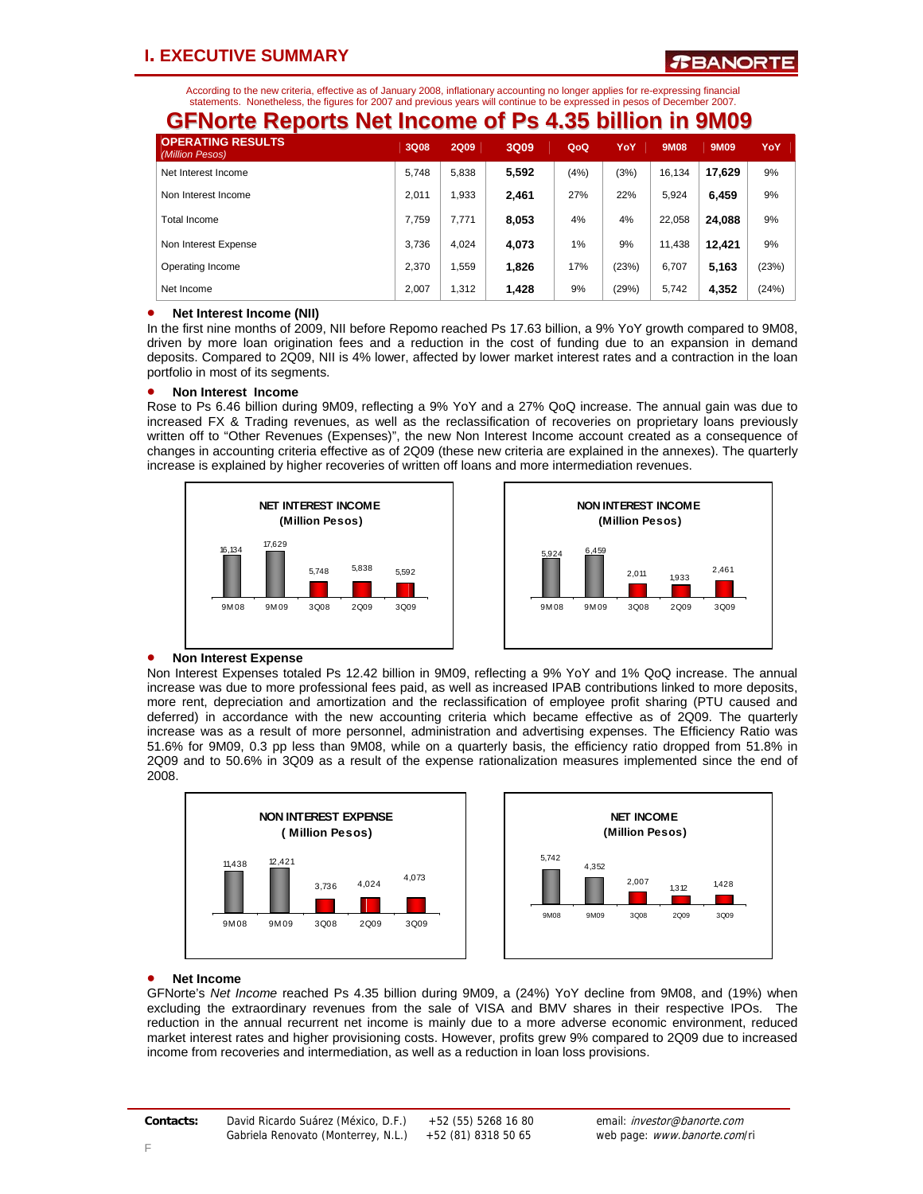## **I. EXECUTIVE SUMMARY**

According to the new criteria, effective as of January 2008, inflationary accounting no longer applies for re-expressing financial statements. Nonetheless, the figures for 2007 and previous years will continue to be expressed in pesos of December 2007.

| <b>GFNorte Reports Net Income of Ps 4.35 billion in 9M09</b> |             |             |       |      |       |             |        |       |  |  |
|--------------------------------------------------------------|-------------|-------------|-------|------|-------|-------------|--------|-------|--|--|
| <b>OPERATING RESULTS</b><br>(Million Pesos)                  | <b>3Q08</b> | <b>2Q09</b> | 3Q09  | QoQ  | YoY   | <b>9M08</b> | 9M09   | YoY   |  |  |
| Net Interest Income                                          | 5.748       | 5.838       | 5,592 | (4%) | (3%)  | 16.134      | 17,629 | 9%    |  |  |
| Non Interest Income                                          | 2.011       | 1.933       | 2,461 | 27%  | 22%   | 5.924       | 6,459  | 9%    |  |  |
| <b>Total Income</b>                                          | 7.759       | 7.771       | 8,053 | 4%   | 4%    | 22.058      | 24,088 | 9%    |  |  |
| Non Interest Expense                                         | 3.736       | 4.024       | 4.073 | 1%   | 9%    | 11.438      | 12.421 | 9%    |  |  |
| Operating Income                                             | 2.370       | 1.559       | 1,826 | 17%  | (23%) | 6.707       | 5,163  | (23%) |  |  |
| Net Income                                                   | 2.007       | 1.312       | 1,428 | 9%   | (29%) | 5.742       | 4,352  | (24%) |  |  |

### • **Net Interest Income (NII)**

In the first nine months of 2009, NII before Repomo reached Ps 17.63 billion, a 9% YoY growth compared to 9M08, driven by more loan origination fees and a reduction in the cost of funding due to an expansion in demand deposits. Compared to 2Q09, NII is 4% lower, affected by lower market interest rates and a contraction in the loan portfolio in most of its segments.

### • **Non Interest Income**

Rose to Ps 6.46 billion during 9M09, reflecting a 9% YoY and a 27% QoQ increase. The annual gain was due to increased FX & Trading revenues, as well as the reclassification of recoveries on proprietary loans previously written off to "Other Revenues (Expenses)", the new Non Interest Income account created as a consequence of changes in accounting criteria effective as of 2Q09 (these new criteria are explained in the annexes). The quarterly increase is explained by higher recoveries of written off loans and more intermediation revenues.





### • **Non Interest Expense**

Non Interest Expenses totaled Ps 12.42 billion in 9M09, reflecting a 9% YoY and 1% QoQ increase. The annual increase was due to more professional fees paid, as well as increased IPAB contributions linked to more deposits, more rent, depreciation and amortization and the reclassification of employee profit sharing (PTU caused and deferred) in accordance with the new accounting criteria which became effective as of 2Q09. The quarterly increase was as a result of more personnel, administration and advertising expenses. The Efficiency Ratio was 51.6% for 9M09, 0.3 pp less than 9M08, while on a quarterly basis, the efficiency ratio dropped from 51.8% in 2Q09 and to 50.6% in 3Q09 as a result of the expense rationalization measures implemented since the end of 2008.





### • **Net Income**

GFNorte's *Net Income* reached Ps 4.35 billion during 9M09, a (24%) YoY decline from 9M08, and (19%) when excluding the extraordinary revenues from the sale of VISA and BMV shares in their respective IPOs. The reduction in the annual recurrent net income is mainly due to a more adverse economic environment, reduced market interest rates and higher provisioning costs. However, profits grew 9% compared to 2Q09 due to increased income from recoveries and intermediation, as well as a reduction in loan loss provisions.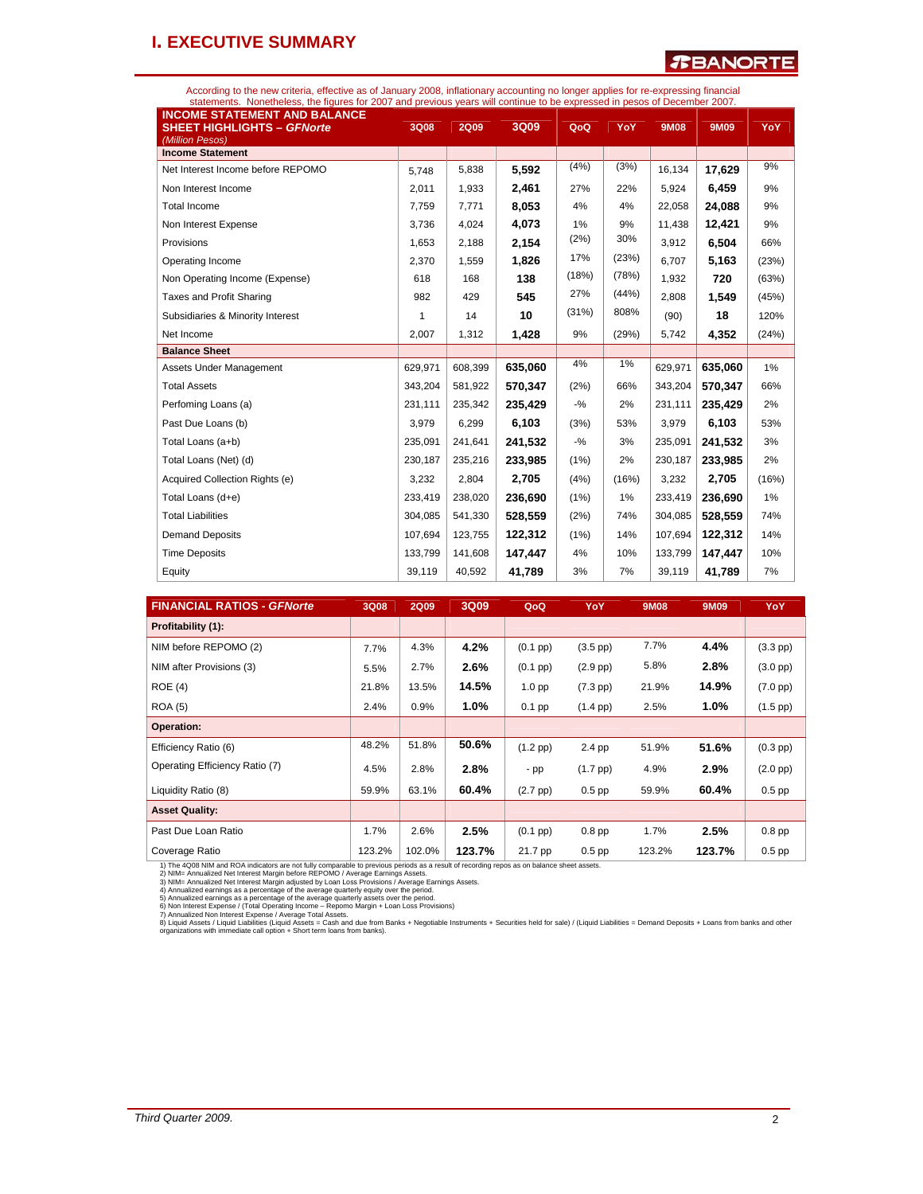## **I. EXECUTIVE SUMMARY**

### *T***BANORTE**

According to the new criteria, effective as of January 2008, inflationary accounting no longer applies for re-expressing financial<br>statements. Nonetheless, the figures for 2007 and previous years will continue to be expres

| <b>INCOME STATEMENT AND BALANCE</b><br><b>SHEET HIGHLIGHTS - GFNorte</b><br>(Million Pesos) | 3Q08    | <b>2Q09</b> | 3Q09    | QoQ    | YoY    | <b>9M08</b> | <b>9M09</b> | YoY   |
|---------------------------------------------------------------------------------------------|---------|-------------|---------|--------|--------|-------------|-------------|-------|
| <b>Income Statement</b>                                                                     |         |             |         |        |        |             |             |       |
| Net Interest Income before REPOMO                                                           | 5,748   | 5,838       | 5,592   | (4%)   | (3%)   | 16,134      | 17,629      | 9%    |
| Non Interest Income                                                                         | 2,011   | 1,933       | 2,461   | 27%    | 22%    | 5.924       | 6.459       | 9%    |
| <b>Total Income</b>                                                                         | 7,759   | 7,771       | 8,053   | 4%     | 4%     | 22,058      | 24,088      | 9%    |
| Non Interest Expense                                                                        | 3,736   | 4,024       | 4,073   | 1%     | 9%     | 11,438      | 12,421      | 9%    |
| Provisions                                                                                  | 1,653   | 2,188       | 2,154   | (2%)   | 30%    | 3,912       | 6,504       | 66%   |
| Operating Income                                                                            | 2.370   | 1,559       | 1,826   | 17%    | (23%)  | 6.707       | 5.163       | (23%) |
| Non Operating Income (Expense)                                                              | 618     | 168         | 138     | (18%)  | (78%)  | 1,932       | 720         | (63%) |
| Taxes and Profit Sharing                                                                    | 982     | 429         | 545     | 27%    | (44% ) | 2,808       | 1,549       | (45%) |
| Subsidiaries & Minority Interest                                                            | 1       | 14          | 10      | (31%)  | 808%   | (90)        | 18          | 120%  |
| Net Income                                                                                  | 2,007   | 1,312       | 1,428   | 9%     | (29%)  | 5,742       | 4,352       | (24%) |
| <b>Balance Sheet</b>                                                                        |         |             |         |        |        |             |             |       |
|                                                                                             |         |             |         | 4%     | 1%     |             |             |       |
| Assets Under Management                                                                     | 629,971 | 608,399     | 635.060 |        |        | 629,971     | 635.060     | 1%    |
| <b>Total Assets</b>                                                                         | 343,204 | 581,922     | 570,347 | (2%)   | 66%    | 343,204     | 570,347     | 66%   |
| Perfoming Loans (a)                                                                         | 231,111 | 235,342     | 235,429 | $-$ %  | 2%     | 231,111     | 235,429     | 2%    |
| Past Due Loans (b)                                                                          | 3,979   | 6,299       | 6,103   | (3%)   | 53%    | 3,979       | 6,103       | 53%   |
| Total Loans (a+b)                                                                           | 235.091 | 241,641     | 241,532 | $-9/6$ | 3%     | 235,091     | 241,532     | 3%    |
| Total Loans (Net) (d)                                                                       | 230,187 | 235,216     | 233,985 | (1%)   | 2%     | 230,187     | 233,985     | 2%    |
| Acquired Collection Rights (e)                                                              | 3,232   | 2.804       | 2,705   | (4% )  | (16%)  | 3,232       | 2,705       | (16%) |
| Total Loans (d+e)                                                                           | 233,419 | 238,020     | 236,690 | (1%)   | 1%     | 233,419     | 236,690     | 1%    |
| <b>Total Liabilities</b>                                                                    | 304,085 | 541,330     | 528,559 | (2%)   | 74%    | 304,085     | 528,559     | 74%   |
| <b>Demand Deposits</b>                                                                      | 107,694 | 123,755     | 122,312 | (1%)   | 14%    | 107,694     | 122,312     | 14%   |
| <b>Time Deposits</b>                                                                        | 133,799 | 141,608     | 147.447 | 4%     | 10%    | 133,799     | 147.447     | 10%   |

| <b>FINANCIAL RATIOS - GFNorte</b> | 3Q08   | <b>2Q09</b> | 3Q09   | QoQ                | YoY                | <b>9M08</b> | 9M09   | YoY                |
|-----------------------------------|--------|-------------|--------|--------------------|--------------------|-------------|--------|--------------------|
| Profitability (1):                |        |             |        |                    |                    |             |        |                    |
| NIM before REPOMO (2)             | 7.7%   | 4.3%        | 4.2%   | $(0.1~\text{pp})$  | $(3.5 \text{ pp})$ | 7.7%        | 4.4%   | $(3.3$ pp)         |
| NIM after Provisions (3)          | 5.5%   | 2.7%        | 2.6%   | $(0.1~\text{pp})$  | $(2.9$ pp $)$      | 5.8%        | 2.8%   | $(3.0$ pp $)$      |
| ROE(4)                            | 21.8%  | 13.5%       | 14.5%  | 1.0 <sub>pp</sub>  | $(7.3 \text{ pp})$ | 21.9%       | 14.9%  | $(7.0 \text{ pp})$ |
| <b>ROA (5)</b>                    | 2.4%   | 0.9%        | 1.0%   | $0.1$ pp           | $(1.4 \text{ pp})$ | 2.5%        | 1.0%   | $(1.5$ pp $)$      |
| Operation:                        |        |             |        |                    |                    |             |        |                    |
| Efficiency Ratio (6)              | 48.2%  | 51.8%       | 50.6%  | $(1.2~\text{pp})$  | $2.4$ pp           | 51.9%       | 51.6%  | $(0.3$ pp $)$      |
| Operating Efficiency Ratio (7)    | 4.5%   | 2.8%        | 2.8%   | $-pp$              | $(1.7 \text{ pp})$ | 4.9%        | 2.9%   | $(2.0 \text{ pp})$ |
| Liquidity Ratio (8)               | 59.9%  | 63.1%       | 60.4%  | $(2.7 \text{ pp})$ | $0.5$ pp           | 59.9%       | 60.4%  | $0.5$ pp           |
| <b>Asset Quality:</b>             |        |             |        |                    |                    |             |        |                    |
| Past Due Loan Ratio               | 1.7%   | 2.6%        | 2.5%   | $(0.1~{\rm pp})$   | $0.8$ pp           | 1.7%        | 2.5%   | $0.8$ pp           |
| Coverage Ratio                    | 123.2% | 102.0%      | 123.7% | 21.7 pp            | $0.5$ pp           | 123.2%      | 123.7% | $0.5$ pp           |

1) The 4Q08 NIM and ROA indicators are not fully comparable to previous periods as a result of recording repos as on balance sheet assets.<br>2) NIM= Annualized Net Interest Margin before REPOMO / Average Eamings Assets.<br>3) N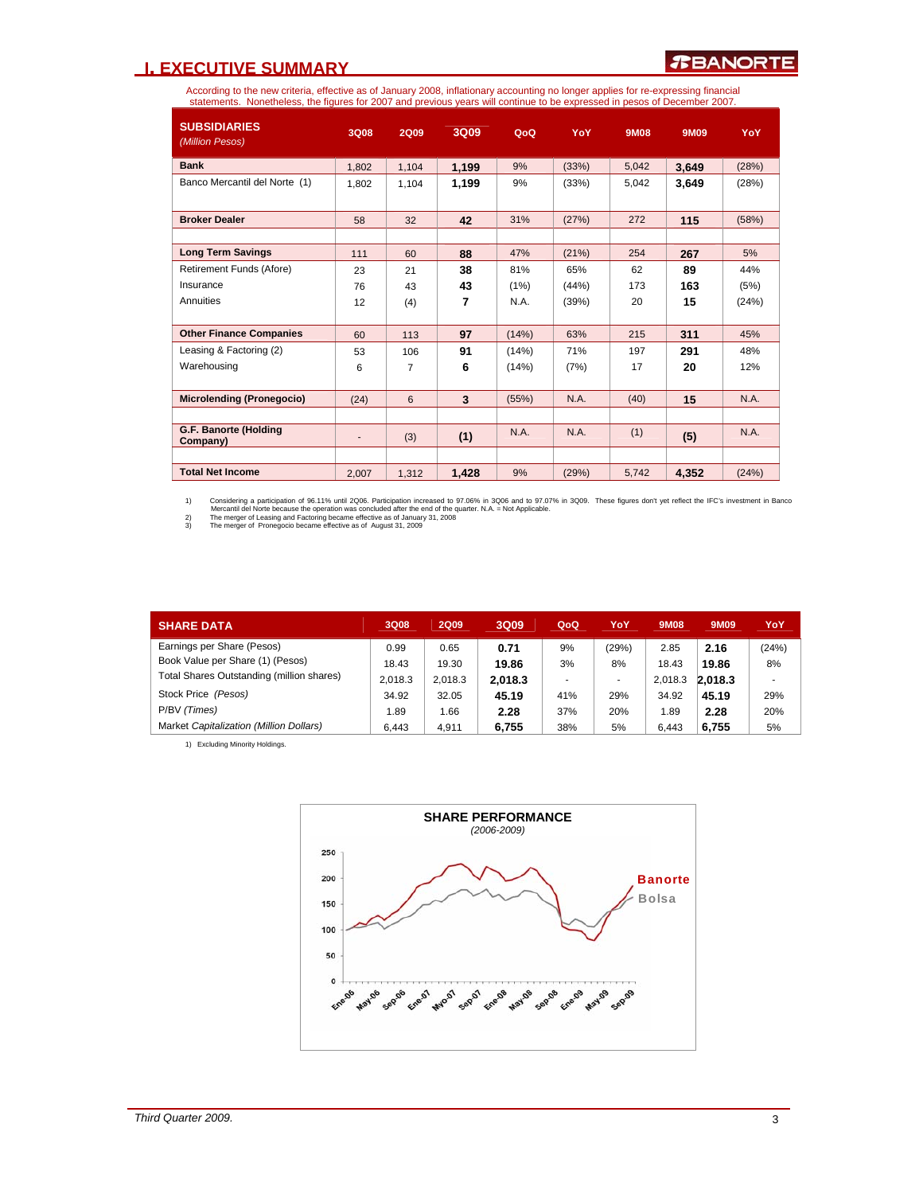## **I. EXECUTIVE SUMMARY**

According to the new criteria, effective as of January 2008, inflationary accounting no longer applies for re-expressing financial<br>statements. Nonetheless, the figures for 2007 and previous years will continue to be expres

| <b>SUBSIDIARIES</b><br>(Million Pesos) | <b>3Q08</b>                  | <b>2Q09</b>    | 3Q09  | QoQ   | YoY    | <b>9M08</b> | 9M09  | YoY   |
|----------------------------------------|------------------------------|----------------|-------|-------|--------|-------------|-------|-------|
| <b>Bank</b>                            | 1,802                        | 1,104          | 1,199 | 9%    | (33%)  | 5,042       | 3,649 | (28%) |
| Banco Mercantil del Norte (1)          | 1.802                        | 1.104          | 1,199 | 9%    | (33%)  | 5,042       | 3,649 | (28%) |
| <b>Broker Dealer</b>                   | 58                           | 32             | 42    | 31%   | (27%)  | 272         | 115   | (58%) |
|                                        |                              |                |       |       |        |             |       |       |
| <b>Long Term Savings</b>               | 111                          | 60             | 88    | 47%   | (21%)  | 254         | 267   | 5%    |
| Retirement Funds (Afore)               | 23                           | 21             | 38    | 81%   | 65%    | 62          | 89    | 44%   |
| Insurance                              | 76                           | 43             | 43    | (1%)  | (44% ) | 173         | 163   | (5%)  |
| Annuities                              | 12                           | (4)            | 7     | N.A.  | (39%)  | 20          | 15    | (24%) |
|                                        |                              |                |       |       |        |             |       |       |
| <b>Other Finance Companies</b>         | 60                           | 113            | 97    | (14%) | 63%    | 215         | 311   | 45%   |
| Leasing & Factoring (2)                | 53                           | 106            | 91    | (14%) | 71%    | 197         | 291   | 48%   |
| Warehousing                            | 6                            | $\overline{7}$ | 6     | (14%) | (7%)   | 17          | 20    | 12%   |
|                                        |                              |                |       |       |        |             |       |       |
| <b>Microlending (Pronegocio)</b>       | (24)                         | 6              | 3     | (55%) | N.A.   | (40)        | 15    | N.A.  |
|                                        |                              |                |       |       |        |             |       |       |
| G.F. Banorte (Holding<br>Company)      | $\qquad \qquad \blacksquare$ | (3)            | (1)   | N.A.  | N.A.   | (1)         | (5)   | N.A.  |
|                                        |                              |                |       |       |        |             |       |       |
| <b>Total Net Income</b>                | 2,007                        | 1,312          | 1,428 | 9%    | (29%)  | 5.742       | 4,352 | (24%) |

1) Considering a participation of 96.11% until 2006. Participation increased to 97.07% in 3009. To Select floures don't yet reflect the IFC's investment in Banco<br>Mercantil del Norte because the operation was concluded afte

| <b>SHARE DATA</b>                         | 3Q08    | <b>2Q09</b> | 3Q09    | QoQ | YoY   | 9M08    | 9M09    | YoY   |
|-------------------------------------------|---------|-------------|---------|-----|-------|---------|---------|-------|
| Earnings per Share (Pesos)                | 0.99    | 0.65        | 0.71    | 9%  | (29%) | 2.85    | 2.16    | (24%) |
| Book Value per Share (1) (Pesos)          | 18.43   | 19.30       | 19.86   | 3%  | 8%    | 18.43   | 19.86   | 8%    |
| Total Shares Outstanding (million shares) | 2.018.3 | 2.018.3     | 2.018.3 |     |       | 2.018.3 | 2.018.3 | ۰     |
| Stock Price (Pesos)                       | 34.92   | 32.05       | 45.19   | 41% | 29%   | 34.92   | 45.19   | 29%   |
| P/BV (Times)                              | 1.89    | 1.66        | 2.28    | 37% | 20%   | 1.89    | 2.28    | 20%   |
| Market Capitalization (Million Dollars)   | 6.443   | 4.911       | 6.755   | 38% | 5%    | 6.443   | 6.755   | 5%    |

1) Excluding Minority Holdings.

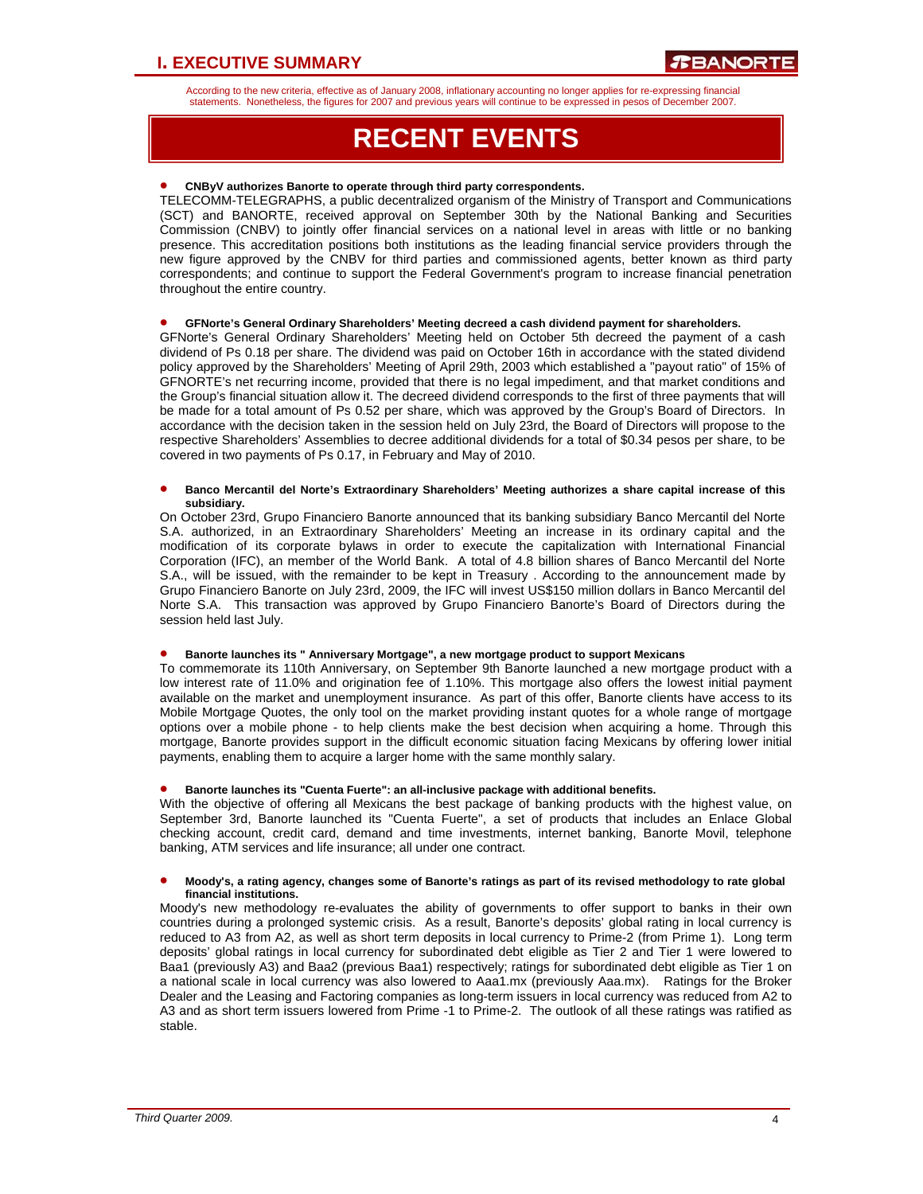According to the new criteria, effective as of January 2008, inflationary accounting no longer applies for re-expressing financial statements. Nonetheless, the figures for 2007 and previous years will continue to be expressed in pesos of December 2007.

# **RECENT EVENTS**

### • **CNByV authorizes Banorte to operate through third party correspondents.**

TELECOMM-TELEGRAPHS, a public decentralized organism of the Ministry of Transport and Communications (SCT) and BANORTE, received approval on September 30th by the National Banking and Securities Commission (CNBV) to jointly offer financial services on a national level in areas with little or no banking presence. This accreditation positions both institutions as the leading financial service providers through the new figure approved by the CNBV for third parties and commissioned agents, better known as third party correspondents; and continue to support the Federal Government's program to increase financial penetration throughout the entire country.

### • **GFNorte's General Ordinary Shareholders' Meeting decreed a cash dividend payment for shareholders.**

GFNorte's General Ordinary Shareholders' Meeting held on October 5th decreed the payment of a cash dividend of Ps 0.18 per share. The dividend was paid on October 16th in accordance with the stated dividend policy approved by the Shareholders' Meeting of April 29th, 2003 which established a "payout ratio" of 15% of GFNORTE's net recurring income, provided that there is no legal impediment, and that market conditions and the Group's financial situation allow it. The decreed dividend corresponds to the first of three payments that will be made for a total amount of Ps 0.52 per share, which was approved by the Group's Board of Directors. In accordance with the decision taken in the session held on July 23rd, the Board of Directors will propose to the respective Shareholders' Assemblies to decree additional dividends for a total of \$0.34 pesos per share, to be covered in two payments of Ps 0.17, in February and May of 2010.

#### • **Banco Mercantil del Norte's Extraordinary Shareholders' Meeting authorizes a share capital increase of this subsidiary.**

On October 23rd, Grupo Financiero Banorte announced that its banking subsidiary Banco Mercantil del Norte S.A. authorized, in an Extraordinary Shareholders' Meeting an increase in its ordinary capital and the modification of its corporate bylaws in order to execute the capitalization with International Financial Corporation (IFC), an member of the World Bank. A total of 4.8 billion shares of Banco Mercantil del Norte S.A., will be issued, with the remainder to be kept in Treasury . According to the announcement made by Grupo Financiero Banorte on July 23rd, 2009, the IFC will invest US\$150 million dollars in Banco Mercantil del Norte S.A. This transaction was approved by Grupo Financiero Banorte's Board of Directors during the session held last July.

### • **Banorte launches its " Anniversary Mortgage", a new mortgage product to support Mexicans**

To commemorate its 110th Anniversary, on September 9th Banorte launched a new mortgage product with a low interest rate of 11.0% and origination fee of 1.10%. This mortgage also offers the lowest initial payment available on the market and unemployment insurance. As part of this offer, Banorte clients have access to its Mobile Mortgage Quotes, the only tool on the market providing instant quotes for a whole range of mortgage options over a mobile phone - to help clients make the best decision when acquiring a home. Through this mortgage, Banorte provides support in the difficult economic situation facing Mexicans by offering lower initial payments, enabling them to acquire a larger home with the same monthly salary.

#### • **Banorte launches its "Cuenta Fuerte": an all-inclusive package with additional benefits.**

With the objective of offering all Mexicans the best package of banking products with the highest value, on September 3rd, Banorte launched its "Cuenta Fuerte", a set of products that includes an Enlace Global checking account, credit card, demand and time investments, internet banking, Banorte Movil, telephone banking, ATM services and life insurance; all under one contract.

#### • **Moody's, a rating agency, changes some of Banorte's ratings as part of its revised methodology to rate global financial institutions.**

Moody's new methodology re-evaluates the ability of governments to offer support to banks in their own countries during a prolonged systemic crisis. As a result, Banorte's deposits' global rating in local currency is reduced to A3 from A2, as well as short term deposits in local currency to Prime-2 (from Prime 1). Long term deposits' global ratings in local currency for subordinated debt eligible as Tier 2 and Tier 1 were lowered to Baa1 (previously A3) and Baa2 (previous Baa1) respectively; ratings for subordinated debt eligible as Tier 1 on a national scale in local currency was also lowered to Aaa1.mx (previously Aaa.mx). Ratings for the Broker Dealer and the Leasing and Factoring companies as long-term issuers in local currency was reduced from A2 to A3 and as short term issuers lowered from Prime -1 to Prime-2. The outlook of all these ratings was ratified as stable.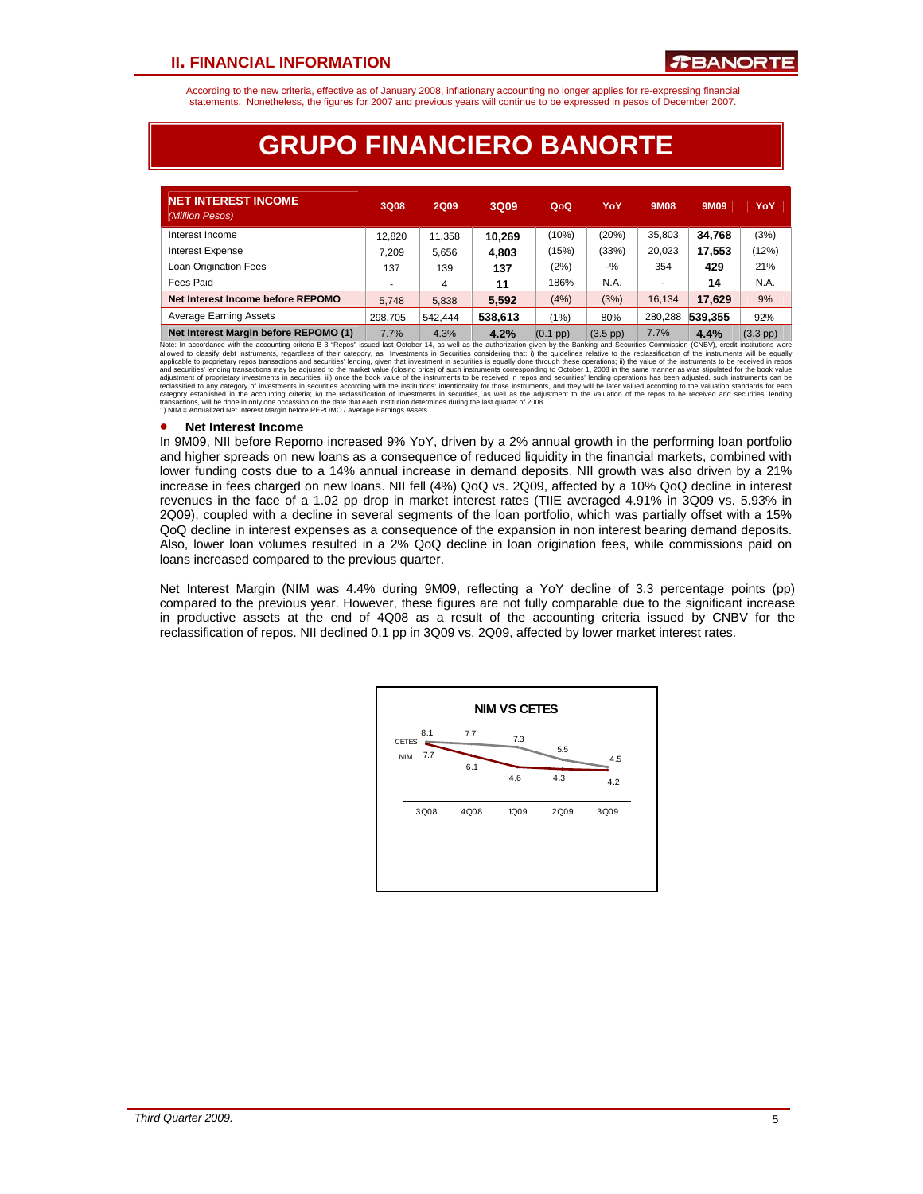According to the new criteria, effective as of January 2008, inflationary accounting no longer applies for re-expressing financial statements. Nonetheless, the figures for 2007 and previous years will continue to be expressed in pesos of December 2007.

# **GRUPO FINANCIERO BANORTE**

| <b>NET INTEREST INCOME</b><br>(Million Pesos) | 3Q08                     | <b>2Q09</b> | 3Q09    | QoQ        | YoY                | <b>9M08</b> | 9M09    | YoY                |
|-----------------------------------------------|--------------------------|-------------|---------|------------|--------------------|-------------|---------|--------------------|
| Interest Income                               | 12.820                   | 11.358      | 10.269  | (10%)      | (20%)              | 35.803      | 34,768  | (3%)               |
| <b>Interest Expense</b>                       | 7.209                    | 5,656       | 4,803   | (15%)      | (33%)              | 20.023      | 17,553  | (12%)              |
| Loan Origination Fees                         | 137                      | 139         | 137     | (2%)       | $-$ %              | 354         | 429     | 21%                |
| Fees Paid                                     | $\overline{\phantom{a}}$ | 4           | 11      | 186%       | N.A.               |             | 14      | N.A.               |
| Net Interest Income before REPOMO             | 5.748                    | 5.838       | 5.592   | (4%)       | (3%)               | 16.134      | 17.629  | 9%                 |
| <b>Average Earning Assets</b>                 | 298.705                  | 542.444     | 538,613 | (1%)       | 80%                | 280,288     | 539.355 | 92%                |
| Net Interest Margin before REPOMO (1)         | 7.7%                     | 4.3%        | 4.2%    | $(0.1$ pp) | $(3.5 \text{ pp})$ | 7.7%        | 4.4%    | $(3.3 \text{ pb})$ |

**Net Interest Margin before REPOMO (1)** 7.7% 4.3% 18. 22% 0.1 pp) 3.5 pp) 7.7% 4.4% 3.3 pp)<br>Note: In according critical B-3 "Repos" issued last October 14, as well as the authorization given by the Baking and Securities Co

### • **Net Interest Income**

In 9M09, NII before Repomo increased 9% YoY, driven by a 2% annual growth in the performing loan portfolio and higher spreads on new loans as a consequence of reduced liquidity in the financial markets, combined with lower funding costs due to a 14% annual increase in demand deposits. NII growth was also driven by a 21% increase in fees charged on new loans. NII fell (4%) QoQ vs. 2Q09, affected by a 10% QoQ decline in interest revenues in the face of a 1.02 pp drop in market interest rates (TIIE averaged 4.91% in 3Q09 vs. 5.93% in 2Q09), coupled with a decline in several segments of the loan portfolio, which was partially offset with a 15% QoQ decline in interest expenses as a consequence of the expansion in non interest bearing demand deposits. Also, lower loan volumes resulted in a 2% QoQ decline in loan origination fees, while commissions paid on loans increased compared to the previous quarter.

Net Interest Margin (NIM was 4.4% during 9M09, reflecting a YoY decline of 3.3 percentage points (pp) compared to the previous year. However, these figures are not fully comparable due to the significant increase in productive assets at the end of 4Q08 as a result of the accounting criteria issued by CNBV for the reclassification of repos. NII declined 0.1 pp in 3Q09 vs. 2Q09, affected by lower market interest rates.

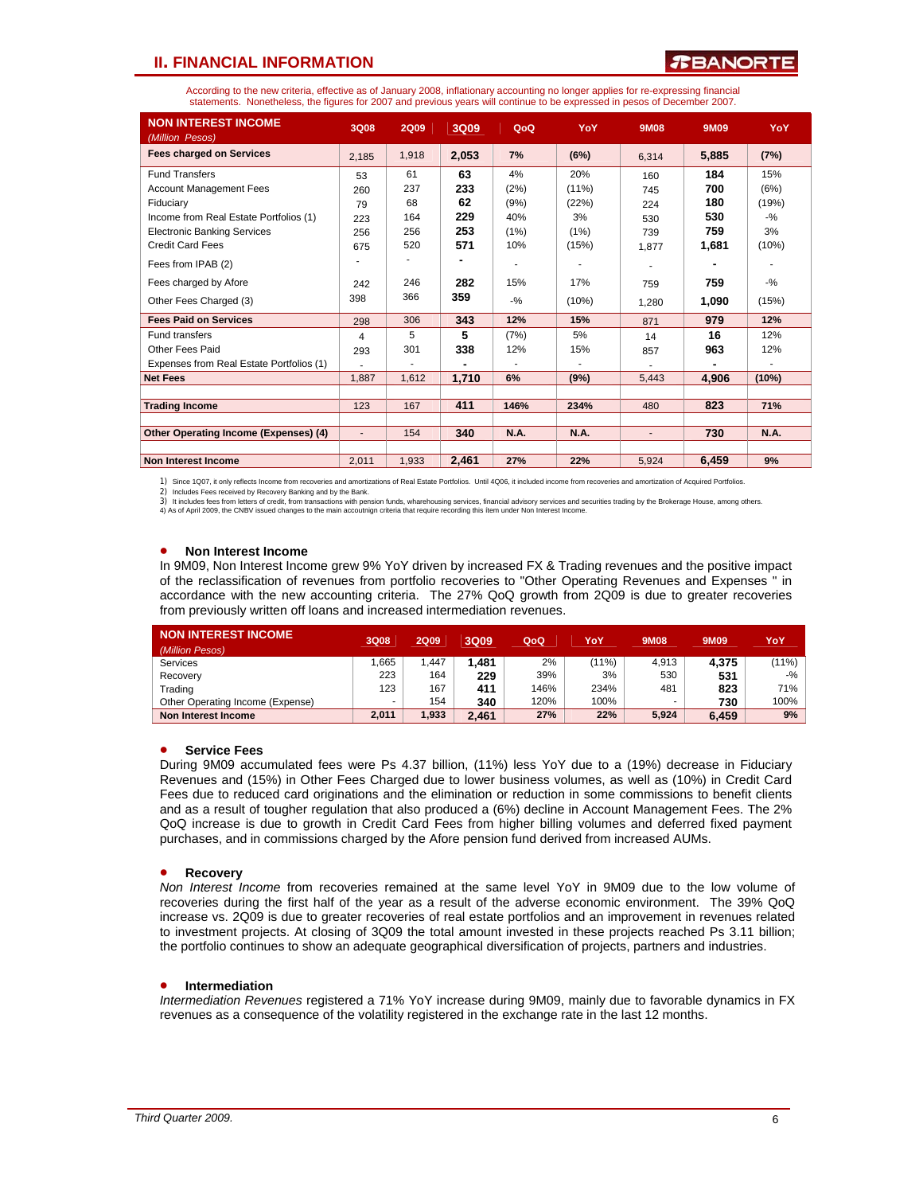### **TEANORTE**

According to the new criteria, effective as of January 2008, inflationary accounting no longer applies for re-expressing financial statements. Nonetheless, the figures for 2007 and previous years will continue to be expressed in pesos of December 2007.

| <b>NON INTEREST INCOME</b><br>(Million Pesos) | <b>3Q08</b>              | <b>2Q09</b> | 3Q09  | QoQ         | YoY         | 9M08   | 9M09  | YoY         |
|-----------------------------------------------|--------------------------|-------------|-------|-------------|-------------|--------|-------|-------------|
| <b>Fees charged on Services</b>               | 2,185                    | 1,918       | 2,053 | 7%          | (6%)        | 6,314  | 5,885 | (7%)        |
| <b>Fund Transfers</b>                         | 53                       | 61          | 63    | 4%          | 20%         | 160    | 184   | 15%         |
| <b>Account Management Fees</b>                | 260                      | 237         | 233   | (2%)        | $(11\%)$    | 745    | 700   | (6%)        |
| Fiduciary                                     | 79                       | 68          | 62    | (9%)        | (22%)       | 224    | 180   | (19%)       |
| Income from Real Estate Portfolios (1)        | 223                      | 164         | 229   | 40%         | 3%          | 530    | 530   | $-$ %       |
| <b>Electronic Banking Services</b>            | 256                      | 256         | 253   | (1%)        | (1%)        | 739    | 759   | 3%          |
| <b>Credit Card Fees</b>                       | 675                      | 520         | 571   | 10%         | (15%)       | 1.877  | 1,681 | (10%)       |
| Fees from IPAB (2)                            |                          |             |       |             |             |        |       |             |
| Fees charged by Afore                         | 242                      | 246         | 282   | 15%         | 17%         | 759    | 759   | $-9/6$      |
| Other Fees Charged (3)                        | 398                      | 366         | 359   | $-9/6$      | (10%)       | 1.280  | 1,090 | (15%)       |
| <b>Fees Paid on Services</b>                  | 298                      | 306         | 343   | 12%         | 15%         | 871    | 979   | 12%         |
| <b>Fund transfers</b>                         | 4                        | 5           | 5     | (7%)        | 5%          | 14     | 16    | 12%         |
| Other Fees Paid                               | 293                      | 301         | 338   | 12%         | 15%         | 857    | 963   | 12%         |
| Expenses from Real Estate Portfolios (1)      |                          |             |       |             |             |        |       |             |
| <b>Net Fees</b>                               | 1.887                    | 1.612       | 1,710 | 6%          | (9%)        | 5,443  | 4,906 | (10%)       |
|                                               |                          |             |       |             |             |        |       |             |
| <b>Trading Income</b>                         | 123                      | 167         | 411   | 146%        | 234%        | 480    | 823   | 71%         |
|                                               |                          |             |       |             |             |        |       |             |
| Other Operating Income (Expenses) (4)         | $\overline{\phantom{a}}$ | 154         | 340   | <b>N.A.</b> | <b>N.A.</b> | $\sim$ | 730   | <b>N.A.</b> |
|                                               |                          |             |       |             |             |        |       |             |
| <b>Non Interest Income</b>                    | 2,011                    | 1,933       | 2,461 | 27%         | 22%         | 5,924  | 6,459 | 9%          |

1) Since 1Q07, it only reflects Income from recoveries and amortizations of Real Estate Portfolios. Until 4Q06, it included income from recoveries and amortization of Acquired Portfolios.

2) Includes Fees received by Recovery Banking and by the Bank.<br>3) It includes fees from letters of credit, from transactions with pension funds, wharehousing services, financial advisory services and securities trading by

#### • **Non Interest Income**

In 9M09, Non Interest Income grew 9% YoY driven by increased FX & Trading revenues and the positive impact of the reclassification of revenues from portfolio recoveries to "Other Operating Revenues and Expenses " in accordance with the new accounting criteria. The 27% QoQ growth from 2Q09 is due to greater recoveries from previously written off loans and increased intermediation revenues.

| NON INTEREST INCOME<br>(Million Pesos) | 3Q08  | <b>2Q09</b> | 3Q09  | QoQ  | YoY      | 9M08  | 9M09  | YoY    |
|----------------------------------------|-------|-------------|-------|------|----------|-------|-------|--------|
| Services                               | .665  | .447        | 1.481 | 2%   | $(11\%)$ | 4.913 | 4.375 | (11%)  |
| Recovery                               | 223   | 164         | 229   | 39%  | 3%       | 530   | 531   | $-9/2$ |
| Trading                                | 123   | 167         | 411   | 146% | 234%     | 481   | 823   | 71%    |
| Other Operating Income (Expense)       |       | 154         | 340   | 120% | 100%     |       | 730   | 100%   |
| Non Interest Income                    | 2.011 | 1,933       | 2.461 | 27%  | 22%      | 5.924 | 6.459 | 9%     |

#### • **Service Fees**

During 9M09 accumulated fees were Ps 4.37 billion, (11%) less YoY due to a (19%) decrease in Fiduciary Revenues and (15%) in Other Fees Charged due to lower business volumes, as well as (10%) in Credit Card Fees due to reduced card originations and the elimination or reduction in some commissions to benefit clients and as a result of tougher regulation that also produced a (6%) decline in Account Management Fees. The 2% QoQ increase is due to growth in Credit Card Fees from higher billing volumes and deferred fixed payment purchases, and in commissions charged by the Afore pension fund derived from increased AUMs.

#### • **Recovery**

*Non Interest Income* from recoveries remained at the same level YoY in 9M09 due to the low volume of recoveries during the first half of the year as a result of the adverse economic environment. The 39% QoQ increase vs. 2Q09 is due to greater recoveries of real estate portfolios and an improvement in revenues related to investment projects. At closing of 3Q09 the total amount invested in these projects reached Ps 3.11 billion; the portfolio continues to show an adequate geographical diversification of projects, partners and industries.

### • **Intermediation**

*Intermediation Revenues* registered a 71% YoY increase during 9M09, mainly due to favorable dynamics in FX revenues as a consequence of the volatility registered in the exchange rate in the last 12 months.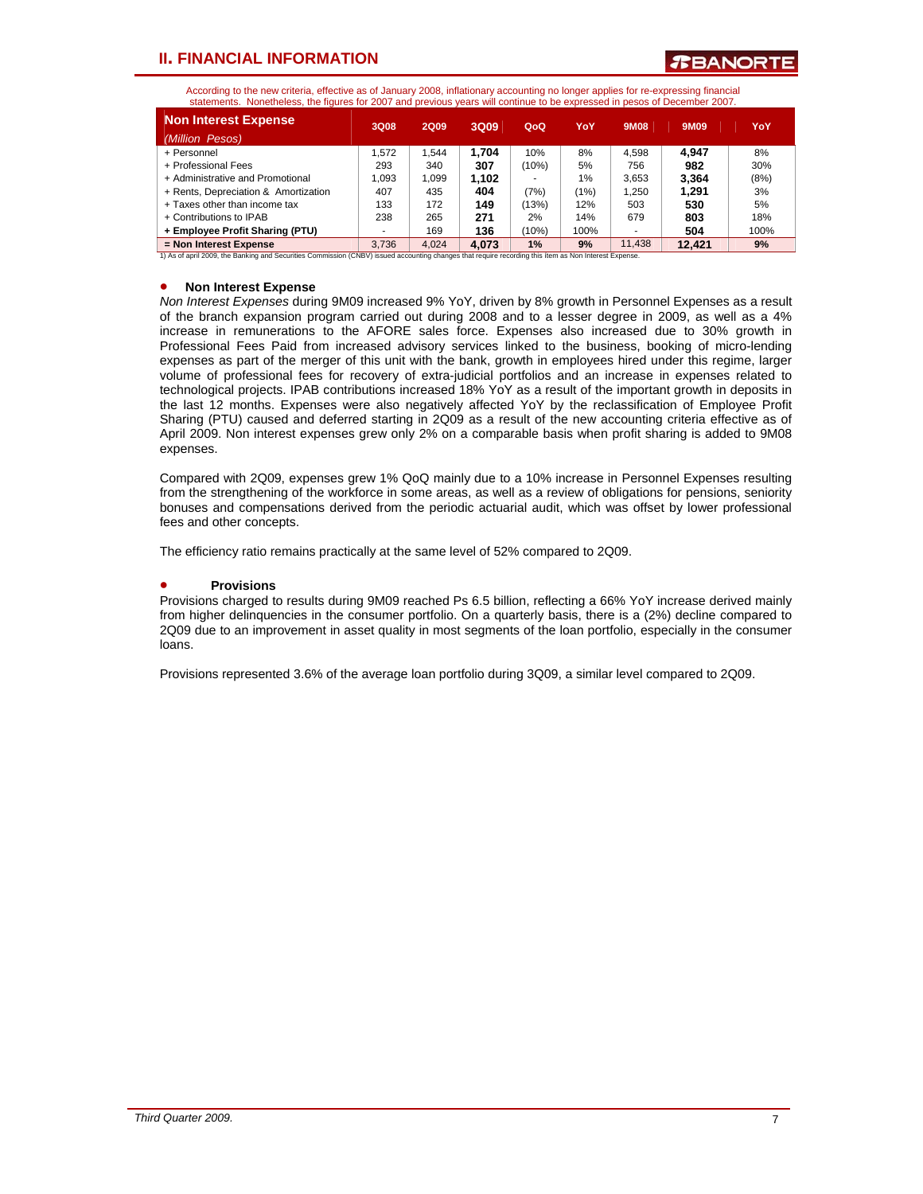**TEANORT** 

According to the new criteria, effective as of January 2008, inflationary accounting no longer applies for re-expressing financial statements. Nonetheless, the figures for 2007 and previous years will continue to be expressed in pesos of December 2007.

| <b>Non Interest Expense</b>                                                                                                                           | 3Q08  | 2Q09  | 3Q09  | QoQ   | YoY  | <b>9M08</b> | 9M09   | YoY  |
|-------------------------------------------------------------------------------------------------------------------------------------------------------|-------|-------|-------|-------|------|-------------|--------|------|
| (Million Pesos)                                                                                                                                       |       |       |       |       |      |             |        |      |
| + Personnel                                                                                                                                           | .572  | .544  | 1.704 | 10%   | 8%   | 4.598       | 4.947  | 8%   |
| + Professional Fees                                                                                                                                   | 293   | 340   | 307   | (10%) | 5%   | 756         | 982    | 30%  |
| + Administrative and Promotional                                                                                                                      | .093  | 1.099 | 1.102 |       | 1%   | 3.653       | 3.364  | (8%) |
| + Rents, Depreciation & Amortization                                                                                                                  | 407   | 435   | 404   | (7%)  | (1%) | 1.250       | 1.291  | 3%   |
| + Taxes other than income tax                                                                                                                         | 133   | 172   | 149   | (13%) | 12%  | 503         | 530    | 5%   |
| + Contributions to IPAB                                                                                                                               | 238   | 265   | 271   | 2%    | 14%  | 679         | 803    | 18%  |
| + Employee Profit Sharing (PTU)                                                                                                                       |       | 169   | 136   | (10%) | 100% |             | 504    | 100% |
| = Non Interest Expense                                                                                                                                | 3.736 | 4.024 | 4.073 | 1%    | 9%   | 11.438      | 12.421 | 9%   |
| 1) As of april 2009, the Banking and Securities Commission (CNBV) issued accounting changes that require recording this ítem as Non Interest Expense. |       |       |       |       |      |             |        |      |

### • **Non Interest Expense**

*Non Interest Expenses* during 9M09 increased 9% YoY, driven by 8% growth in Personnel Expenses as a result of the branch expansion program carried out during 2008 and to a lesser degree in 2009, as well as a 4% increase in remunerations to the AFORE sales force. Expenses also increased due to 30% growth in Professional Fees Paid from increased advisory services linked to the business, booking of micro-lending expenses as part of the merger of this unit with the bank, growth in employees hired under this regime, larger volume of professional fees for recovery of extra-judicial portfolios and an increase in expenses related to technological projects. IPAB contributions increased 18% YoY as a result of the important growth in deposits in the last 12 months. Expenses were also negatively affected YoY by the reclassification of Employee Profit Sharing (PTU) caused and deferred starting in 2Q09 as a result of the new accounting criteria effective as of April 2009. Non interest expenses grew only 2% on a comparable basis when profit sharing is added to 9M08 expenses.

Compared with 2Q09, expenses grew 1% QoQ mainly due to a 10% increase in Personnel Expenses resulting from the strengthening of the workforce in some areas, as well as a review of obligations for pensions, seniority bonuses and compensations derived from the periodic actuarial audit, which was offset by lower professional fees and other concepts.

The efficiency ratio remains practically at the same level of 52% compared to 2Q09.

### • **Provisions**

Provisions charged to results during 9M09 reached Ps 6.5 billion, reflecting a 66% YoY increase derived mainly from higher delinquencies in the consumer portfolio. On a quarterly basis, there is a (2%) decline compared to 2Q09 due to an improvement in asset quality in most segments of the loan portfolio, especially in the consumer loans.

Provisions represented 3.6% of the average loan portfolio during 3Q09, a similar level compared to 2Q09.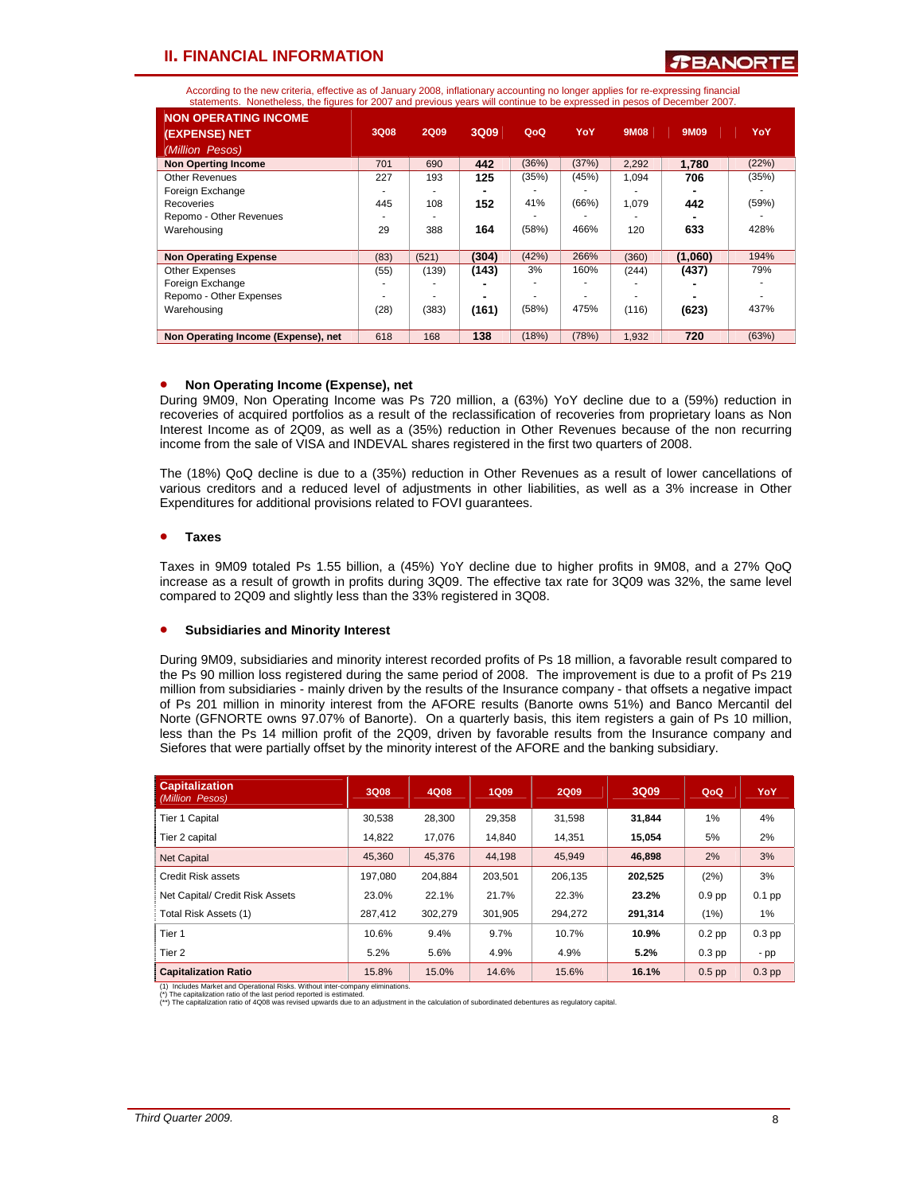According to the new criteria, effective as of January 2008, inflationary accounting no longer applies for re-expressing financial statements. Nonetheless, the figures for 2007 and previous years will continue to be expressed in pesos of December 2007.

| <b>NON OPERATING INCOME</b>         |      |             |       |       |       |             |         |       |
|-------------------------------------|------|-------------|-------|-------|-------|-------------|---------|-------|
| (EXPENSE) NET                       | 3Q08 | <b>2Q09</b> | 3Q09  | QoQ   | YoY   | <b>9M08</b> | 9M09    | YoY   |
| (Million Pesos)                     |      |             |       |       |       |             |         |       |
| <b>Non Operting Income</b>          | 701  | 690         | 442   | (36%) | (37%) | 2,292       | 1.780   | (22%) |
| <b>Other Revenues</b>               | 227  | 193         | 125   | (35%) | (45%) | 1,094       | 706     | (35%) |
| Foreign Exchange                    |      |             |       |       |       |             |         |       |
| Recoveries                          | 445  | 108         | 152   | 41%   | (66%) | 1.079       | 442     | (59%) |
| Repomo - Other Revenues             |      |             |       |       |       |             |         |       |
| Warehousing                         | 29   | 388         | 164   | (58%) | 466%  | 120         | 633     | 428%  |
| <b>Non Operating Expense</b>        | (83) | (521)       | (304) | (42%) | 266%  | (360)       | (1,060) | 194%  |
| Other Expenses                      | (55) | (139)       | (143) | 3%    | 160%  | (244)       | (437)   | 79%   |
| Foreign Exchange                    |      |             |       |       |       |             |         |       |
| Repomo - Other Expenses             |      |             |       |       |       |             |         |       |
| Warehousing                         | (28) | (383)       | (161) | (58%) | 475%  | (116)       | (623)   | 437%  |
| Non Operating Income (Expense), net | 618  | 168         | 138   | (18%) | (78%) | 1,932       | 720     | (63%) |

### • **Non Operating Income (Expense), net**

During 9M09, Non Operating Income was Ps 720 million, a (63%) YoY decline due to a (59%) reduction in recoveries of acquired portfolios as a result of the reclassification of recoveries from proprietary loans as Non Interest Income as of 2Q09, as well as a (35%) reduction in Other Revenues because of the non recurring income from the sale of VISA and INDEVAL shares registered in the first two quarters of 2008.

The (18%) QoQ decline is due to a (35%) reduction in Other Revenues as a result of lower cancellations of various creditors and a reduced level of adjustments in other liabilities, as well as a 3% increase in Other Expenditures for additional provisions related to FOVI guarantees.

### • **Taxes**

Taxes in 9M09 totaled Ps 1.55 billion, a (45%) YoY decline due to higher profits in 9M08, and a 27% QoQ increase as a result of growth in profits during 3Q09. The effective tax rate for 3Q09 was 32%, the same level compared to 2Q09 and slightly less than the 33% registered in 3Q08.

### • **Subsidiaries and Minority Interest**

During 9M09, subsidiaries and minority interest recorded profits of Ps 18 million, a favorable result compared to the Ps 90 million loss registered during the same period of 2008. The improvement is due to a profit of Ps 219 million from subsidiaries - mainly driven by the results of the Insurance company - that offsets a negative impact of Ps 201 million in minority interest from the AFORE results (Banorte owns 51%) and Banco Mercantil del Norte (GFNORTE owns 97.07% of Banorte). On a quarterly basis, this item registers a gain of Ps 10 million, less than the Ps 14 million profit of the 2Q09, driven by favorable results from the Insurance company and Siefores that were partially offset by the minority interest of the AFORE and the banking subsidiary.

| <b>Capitalization</b><br>(Million Pesos) | 3Q08    | 4Q08    | <b>1Q09</b> | <b>2Q09</b> | 3Q09    | QoQ               | YoY      |
|------------------------------------------|---------|---------|-------------|-------------|---------|-------------------|----------|
| Tier 1 Capital                           | 30,538  | 28,300  | 29,358      | 31.598      | 31,844  | 1%                | 4%       |
| Tier 2 capital                           | 14.822  | 17,076  | 14,840      | 14,351      | 15,054  | 5%                | 2%       |
| <b>Net Capital</b>                       | 45.360  | 45.376  | 44.198      | 45.949      | 46.898  | 2%                | 3%       |
| Credit Risk assets                       | 197.080 | 204.884 | 203,501     | 206,135     | 202,525 | (2%)              | 3%       |
| Net Capital/ Credit Risk Assets          | 23.0%   | 22.1%   | 21.7%       | 22.3%       | 23.2%   | 0.9 <sub>pp</sub> | $0.1$ pp |
| Total Risk Assets (1)                    | 287,412 | 302,279 | 301,905     | 294,272     | 291,314 | (1%)              | 1%       |
| Tier <sub>1</sub>                        | 10.6%   | 9.4%    | 9.7%        | 10.7%       | 10.9%   | $0.2$ pp          | $0.3$ pp |
| Tier 2                                   | 5.2%    | 5.6%    | 4.9%        | 4.9%        | 5.2%    | $0.3$ pp          | $-pp$    |
| <b>Capitalization Ratio</b>              | 15.8%   | 15.0%   | 14.6%       | 15.6%       | 16.1%   | $0.5$ pp          | $0.3$ pp |

(1) Includes Market and Operational Risks. Without inter-company eliminations. (\*) The capitalization ratio of the last period reported is estimated.

ds due to an adjustment in the calculation of subordinated debentures as regulatory capital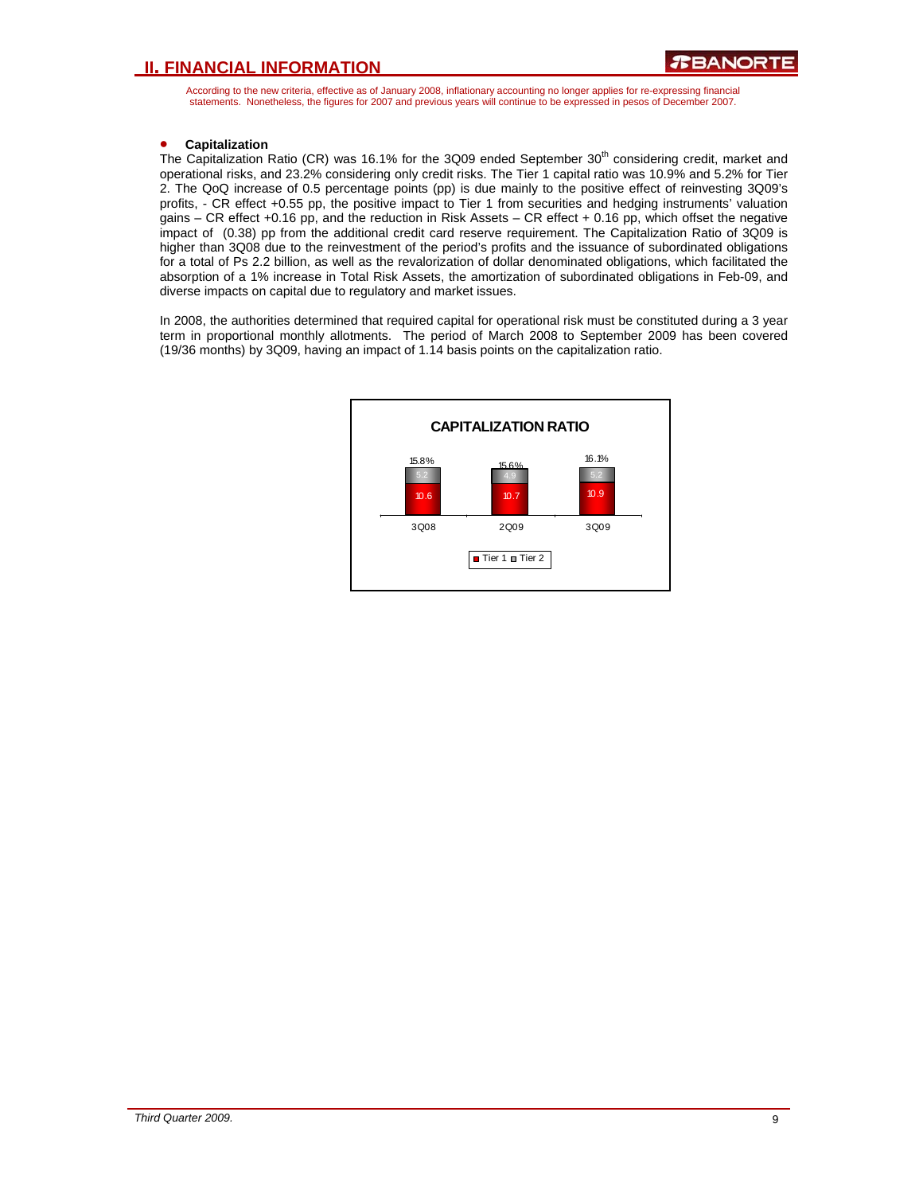According to the new criteria, effective as of January 2008, inflationary accounting no longer applies for re-expressing financial statements. Nonetheless, the figures for 2007 and previous years will continue to be expressed in pesos of December 2007.

### • **Capitalization**

The Capitalization Ratio (CR) was 16.1% for the 3Q09 ended September 30<sup>th</sup> considering credit, market and operational risks, and 23.2% considering only credit risks. The Tier 1 capital ratio was 10.9% and 5.2% for Tier 2. The QoQ increase of 0.5 percentage points (pp) is due mainly to the positive effect of reinvesting 3Q09's profits, - CR effect +0.55 pp, the positive impact to Tier 1 from securities and hedging instruments' valuation gains – CR effect +0.16 pp, and the reduction in Risk Assets – CR effect + 0.16 pp, which offset the negative impact of (0.38) pp from the additional credit card reserve requirement. The Capitalization Ratio of 3Q09 is higher than 3Q08 due to the reinvestment of the period's profits and the issuance of subordinated obligations for a total of Ps 2.2 billion, as well as the revalorization of dollar denominated obligations, which facilitated the absorption of a 1% increase in Total Risk Assets, the amortization of subordinated obligations in Feb-09, and diverse impacts on capital due to regulatory and market issues.

In 2008, the authorities determined that required capital for operational risk must be constituted during a 3 year term in proportional monthly allotments. The period of March 2008 to September 2009 has been covered (19/36 months) by 3Q09, having an impact of 1.14 basis points on the capitalization ratio.

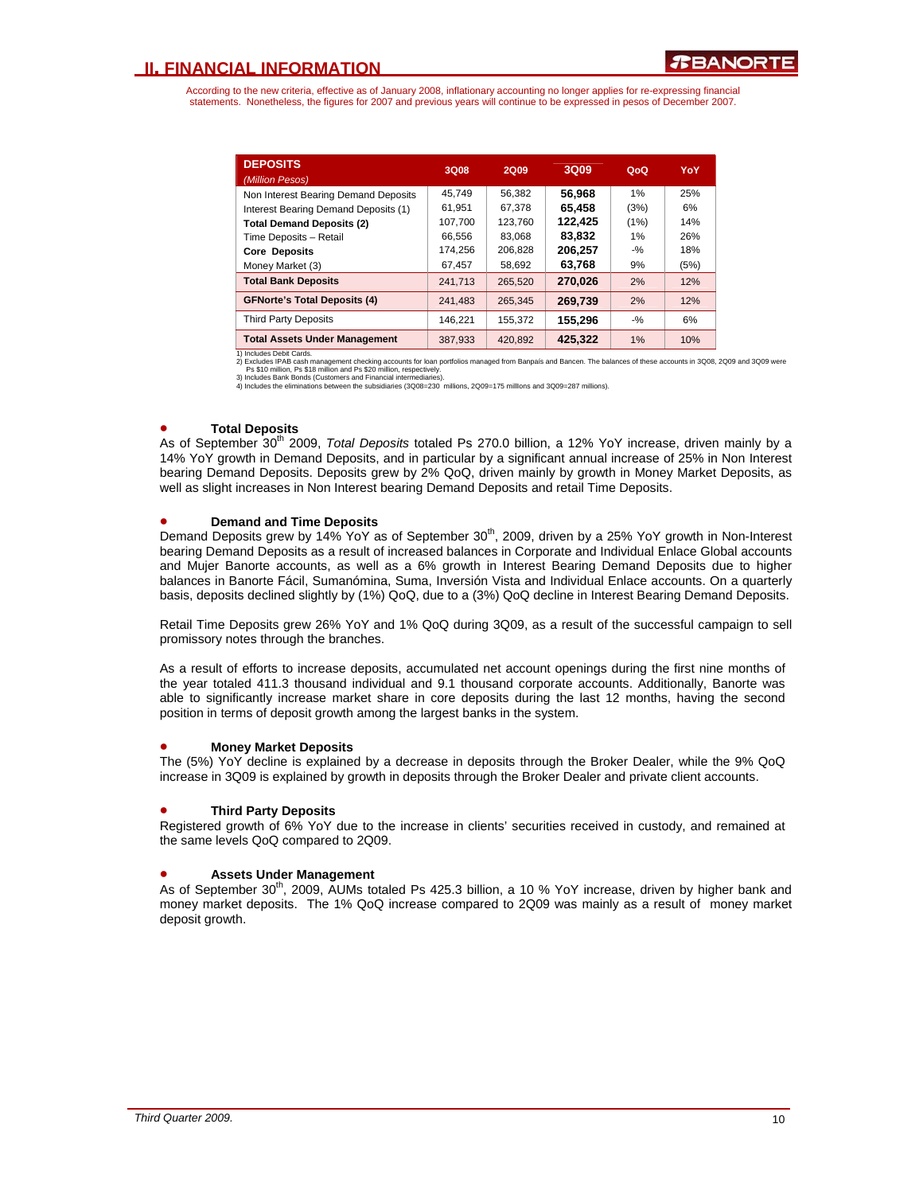According to the new criteria, effective as of January 2008, inflationary accounting no longer applies for re-expressing financial statements. Nonetheless, the figures for 2007 and previous years will continue to be expressed in pesos of December 2007.

| <b>DEPOSITS</b><br>(Million Pesos)   | 3Q08    | 2Q09    | 3Q09    | QoQ    | YoY  |
|--------------------------------------|---------|---------|---------|--------|------|
| Non Interest Bearing Demand Deposits | 45.749  | 56.382  | 56.968  | 1%     | 25%  |
| Interest Bearing Demand Deposits (1) | 61,951  | 67.378  | 65.458  | (3%)   | 6%   |
| <b>Total Demand Deposits (2)</b>     | 107,700 | 123.760 | 122.425 | (1%)   | 14%  |
| Time Deposits - Retail               | 66.556  | 83.068  | 83.832  | 1%     | 26%  |
| <b>Core Deposits</b>                 | 174.256 | 206.828 | 206.257 | $-9/2$ | 18%  |
| Money Market (3)                     | 67.457  | 58.692  | 63.768  | 9%     | (5%) |
| <b>Total Bank Deposits</b>           | 241,713 | 265,520 | 270.026 | 2%     | 12%  |
| <b>GFNorte's Total Deposits (4)</b>  | 241,483 | 265.345 | 269,739 | 2%     | 12%  |
| <b>Third Party Deposits</b>          | 146.221 | 155.372 | 155.296 | $-9/6$ | 6%   |
| <b>Total Assets Under Management</b> | 387.933 | 420.892 | 425.322 | 1%     | 10%  |

1) Includes Debit Cards.<br>2) Excludes IPAB cash management checking accounts for loan portfolios managed from Banpaís and Bancen. The balances of these accounts in 3Q08, 2Q09 and 3Q09 were<br>Ps \$10 million, Ps \$18 million and

### • **Total Deposits**

As of September 30<sup>th</sup> 2009, *Total Deposits* totaled Ps 270.0 billion, a 12% YoY increase, driven mainly by a 14% YoY growth in Demand Deposits, and in particular by a significant annual increase of 25% in Non Interest bearing Demand Deposits. Deposits grew by 2% QoQ, driven mainly by growth in Money Market Deposits, as well as slight increases in Non Interest bearing Demand Deposits and retail Time Deposits.

### • **Demand and Time Deposits**

Demand Deposits grew by 14% YoY as of September 30<sup>th</sup>, 2009, driven by a 25% YoY growth in Non-Interest bearing Demand Deposits as a result of increased balances in Corporate and Individual Enlace Global accounts and Mujer Banorte accounts, as well as a 6% growth in Interest Bearing Demand Deposits due to higher balances in Banorte Fácil, Sumanómina, Suma, Inversión Vista and Individual Enlace accounts. On a quarterly basis, deposits declined slightly by (1%) QoQ, due to a (3%) QoQ decline in Interest Bearing Demand Deposits.

Retail Time Deposits grew 26% YoY and 1% QoQ during 3Q09, as a result of the successful campaign to sell promissory notes through the branches.

As a result of efforts to increase deposits, accumulated net account openings during the first nine months of the year totaled 411.3 thousand individual and 9.1 thousand corporate accounts. Additionally, Banorte was able to significantly increase market share in core deposits during the last 12 months, having the second position in terms of deposit growth among the largest banks in the system.

### • **Money Market Deposits**

The (5%) YoY decline is explained by a decrease in deposits through the Broker Dealer, while the 9% QoQ increase in 3Q09 is explained by growth in deposits through the Broker Dealer and private client accounts.

### • **Third Party Deposits**

Registered growth of 6% YoY due to the increase in clients' securities received in custody, and remained at the same levels QoQ compared to 2Q09.

### • **Assets Under Management**

As of September 30<sup>th</sup>, 2009, AUMs totaled Ps 425.3 billion, a 10 % YoY increase, driven by higher bank and money market deposits. The 1% QoQ increase compared to 2Q09 was mainly as a result of money market deposit growth.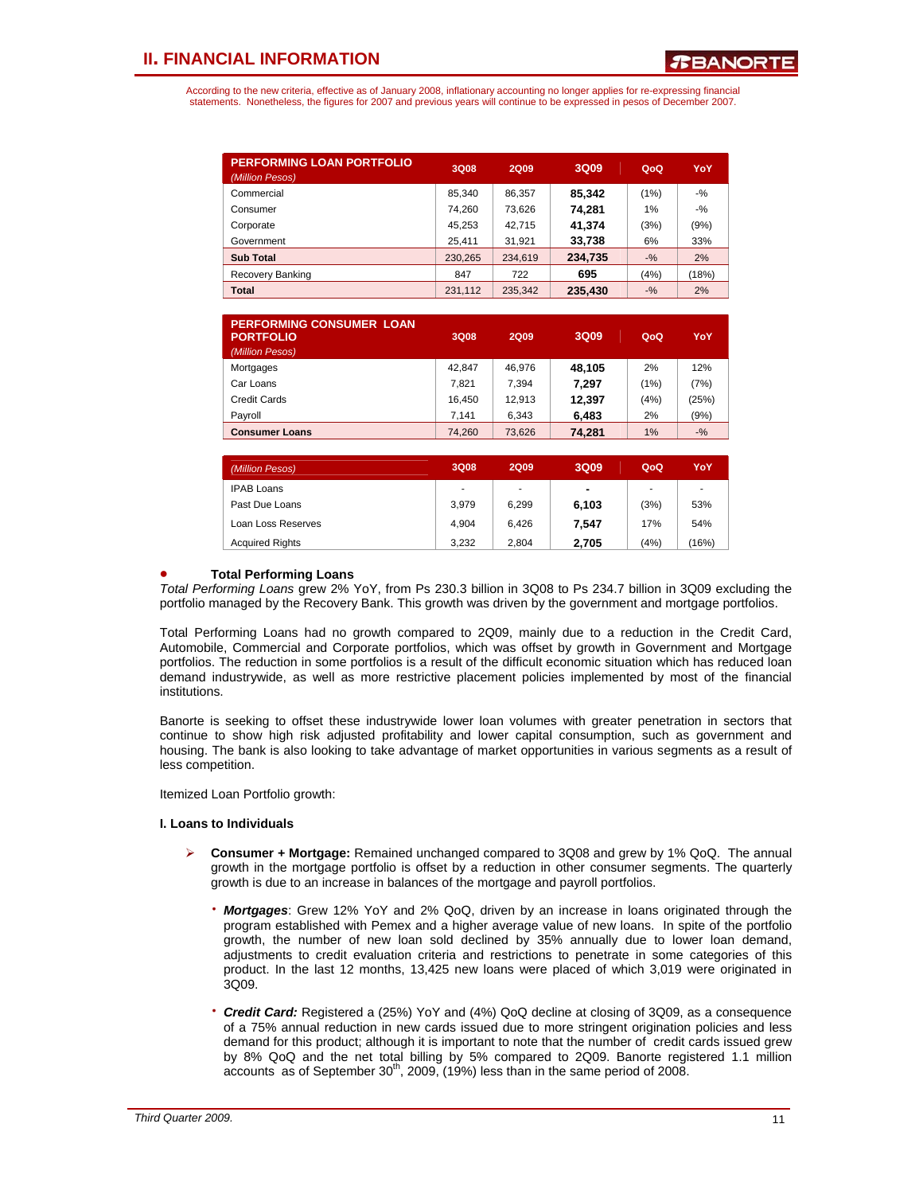According to the new criteria, effective as of January 2008, inflationary accounting no longer applies for re-expressing financial statements. Nonetheless, the figures for 2007 and previous years will continue to be expressed in pesos of December 2007.

| <b>PERFORMING LOAN PORTFOLIO</b><br>(Million Pesos) | 3Q08    | <b>2Q09</b> | 3Q09    | QoQ    | <b>YoY</b> |
|-----------------------------------------------------|---------|-------------|---------|--------|------------|
| Commercial                                          | 85.340  | 86.357      | 85.342  | (1%)   | $-$ %      |
| Consumer                                            | 74.260  | 73,626      | 74,281  | 1%     | $-9/2$     |
| Corporate                                           | 45.253  | 42.715      | 41.374  | (3%)   | (9%)       |
| Government                                          | 25.411  | 31.921      | 33,738  | 6%     | 33%        |
| <b>Sub Total</b>                                    | 230,265 | 234,619     | 234.735 | $-9/6$ | 2%         |
| Recovery Banking                                    | 847     | 722         | 695     | (4%)   | (18%)      |
| <b>Total</b>                                        | 231.112 | 235.342     | 235.430 | $-9/6$ | 2%         |

| <b>PERFORMING CONSUMER LOAN</b><br><b>PORTFOLIO</b><br>(Million Pesos) | 3Q08   | 2009   | 3Q09   | QoQ  | YoY    |
|------------------------------------------------------------------------|--------|--------|--------|------|--------|
| Mortgages                                                              | 42.847 | 46.976 | 48.105 | 2%   | 12%    |
| Car Loans                                                              | 7.821  | 7.394  | 7.297  | (1%) | (7%)   |
| Credit Cards                                                           | 16.450 | 12.913 | 12.397 | (4%) | (25%)  |
| Payroll                                                                | 7.141  | 6.343  | 6,483  | 2%   | (9%)   |
| <b>Consumer Loans</b>                                                  | 74.260 | 73.626 | 74,281 | 1%   | $-9/6$ |

| (Million Pesos)        | 3Q08  | <b>2Q09</b> | 3Q09           | QoQ  | YoY   |
|------------------------|-------|-------------|----------------|------|-------|
| <b>IPAB Loans</b>      | ٠     | ۰           | $\blacksquare$ |      | ۰     |
| Past Due Loans         | 3.979 | 6,299       | 6,103          | (3%) | 53%   |
| Loan Loss Reserves     | 4.904 | 6.426       | 7.547          | 17%  | 54%   |
| <b>Acquired Rights</b> | 3.232 | 2.804       | 2.705          | (4%) | (16%) |

### • **Total Performing Loans**

*Total Performing Loans* grew 2% YoY, from Ps 230.3 billion in 3Q08 to Ps 234.7 billion in 3Q09 excluding the portfolio managed by the Recovery Bank. This growth was driven by the government and mortgage portfolios.

Total Performing Loans had no growth compared to 2Q09, mainly due to a reduction in the Credit Card, Automobile, Commercial and Corporate portfolios, which was offset by growth in Government and Mortgage portfolios. The reduction in some portfolios is a result of the difficult economic situation which has reduced loan demand industrywide, as well as more restrictive placement policies implemented by most of the financial institutions.

Banorte is seeking to offset these industrywide lower loan volumes with greater penetration in sectors that continue to show high risk adjusted profitability and lower capital consumption, such as government and housing. The bank is also looking to take advantage of market opportunities in various segments as a result of less competition.

Itemized Loan Portfolio growth:

### **I. Loans to Individuals**

- ¾ **Consumer + Mortgage:** Remained unchanged compared to 3Q08 and grew by 1% QoQ. The annual growth in the mortgage portfolio is offset by a reduction in other consumer segments. The quarterly growth is due to an increase in balances of the mortgage and payroll portfolios.
	- **Mortgages**: Grew 12% YoY and 2% QoQ, driven by an increase in loans originated through the program established with Pemex and a higher average value of new loans. In spite of the portfolio growth, the number of new loan sold declined by 35% annually due to lower loan demand, adjustments to credit evaluation criteria and restrictions to penetrate in some categories of this product. In the last 12 months, 13,425 new loans were placed of which 3,019 were originated in 3Q09.
	- ⋅ *Credit Card:* Registered a (25%) YoY and (4%) QoQ decline at closing of 3Q09, as a consequence of a 75% annual reduction in new cards issued due to more stringent origination policies and less demand for this product; although it is important to note that the number of credit cards issued grew by 8% QoQ and the net total billing by 5% compared to 2Q09. Banorte registered 1.1 million accounts as of September  $30<sup>th</sup>$ , 2009, (19%) less than in the same period of 2008.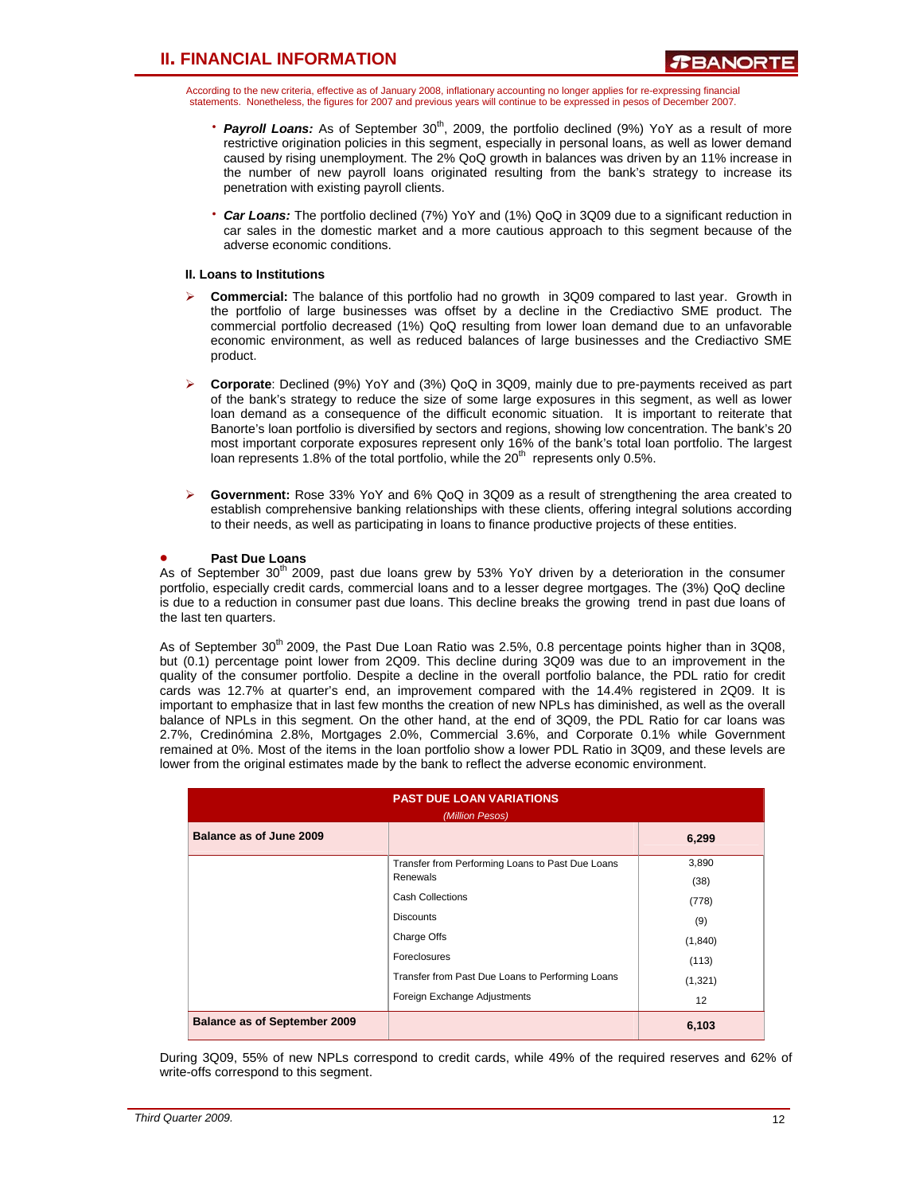According to the new criteria, effective as of January 2008, inflationary accounting no longer applies for re-expressing financial statements. Nonetheless, the figures for 2007 and previous years will continue to be expressed in pesos of December 2007.

- **Payroll Loans:** As of September 30<sup>th</sup>, 2009, the portfolio declined (9%) YoY as a result of more restrictive origination policies in this segment, especially in personal loans, as well as lower demand caused by rising unemployment. The 2% QoQ growth in balances was driven by an 11% increase in the number of new payroll loans originated resulting from the bank's strategy to increase its penetration with existing payroll clients.
- ⋅ *Car Loans:* The portfolio declined (7%) YoY and (1%) QoQ in 3Q09 due to a significant reduction in car sales in the domestic market and a more cautious approach to this segment because of the adverse economic conditions.

### **II. Loans to Institutions**

- ¾ **Commercial:** The balance of this portfolio had no growth in 3Q09 compared to last year. Growth in the portfolio of large businesses was offset by a decline in the Crediactivo SME product. The commercial portfolio decreased (1%) QoQ resulting from lower loan demand due to an unfavorable economic environment, as well as reduced balances of large businesses and the Crediactivo SME product.
- ¾ **Corporate**: Declined (9%) YoY and (3%) QoQ in 3Q09, mainly due to pre-payments received as part of the bank's strategy to reduce the size of some large exposures in this segment, as well as lower loan demand as a consequence of the difficult economic situation. It is important to reiterate that Banorte's loan portfolio is diversified by sectors and regions, showing low concentration. The bank's 20 most important corporate exposures represent only 16% of the bank's total loan portfolio. The largest loan represents 1.8% of the total portfolio, while the  $20<sup>th</sup>$  represents only 0.5%.
- ¾ **Government:** Rose 33% YoY and 6% QoQ in 3Q09 as a result of strengthening the area created to establish comprehensive banking relationships with these clients, offering integral solutions according to their needs, as well as participating in loans to finance productive projects of these entities.

### • **Past Due Loans**

As of September  $30<sup>th</sup>$  2009, past due loans grew by 53% YoY driven by a deterioration in the consumer portfolio, especially credit cards, commercial loans and to a lesser degree mortgages. The (3%) QoQ decline is due to a reduction in consumer past due loans. This decline breaks the growing trend in past due loans of the last ten quarters.

As of September 30<sup>th</sup> 2009, the Past Due Loan Ratio was 2.5%, 0.8 percentage points higher than in 3Q08, but (0.1) percentage point lower from 2Q09. This decline during 3Q09 was due to an improvement in the quality of the consumer portfolio. Despite a decline in the overall portfolio balance, the PDL ratio for credit cards was 12.7% at quarter's end, an improvement compared with the 14.4% registered in 2Q09. It is important to emphasize that in last few months the creation of new NPLs has diminished, as well as the overall balance of NPLs in this segment. On the other hand, at the end of 3Q09, the PDL Ratio for car loans was 2.7%, Credinómina 2.8%, Mortgages 2.0%, Commercial 3.6%, and Corporate 0.1% while Government remained at 0%. Most of the items in the loan portfolio show a lower PDL Ratio in 3Q09, and these levels are lower from the original estimates made by the bank to reflect the adverse economic environment.

|                                     | <b>PAST DUE LOAN VARIATIONS</b><br>(Million Pesos) |          |  |  |  |  |  |  |
|-------------------------------------|----------------------------------------------------|----------|--|--|--|--|--|--|
| Balance as of June 2009             |                                                    | 6,299    |  |  |  |  |  |  |
|                                     | Transfer from Performing Loans to Past Due Loans   | 3,890    |  |  |  |  |  |  |
|                                     | Renewals                                           | (38)     |  |  |  |  |  |  |
|                                     | <b>Cash Collections</b>                            | (778)    |  |  |  |  |  |  |
|                                     | <b>Discounts</b>                                   | (9)      |  |  |  |  |  |  |
|                                     | Charge Offs                                        | (1, 840) |  |  |  |  |  |  |
|                                     | Foreclosures                                       | (113)    |  |  |  |  |  |  |
|                                     | Transfer from Past Due Loans to Performing Loans   | (1, 321) |  |  |  |  |  |  |
|                                     | Foreign Exchange Adjustments                       | 12       |  |  |  |  |  |  |
| <b>Balance as of September 2009</b> |                                                    | 6,103    |  |  |  |  |  |  |

During 3Q09, 55% of new NPLs correspond to credit cards, while 49% of the required reserves and 62% of write-offs correspond to this segment.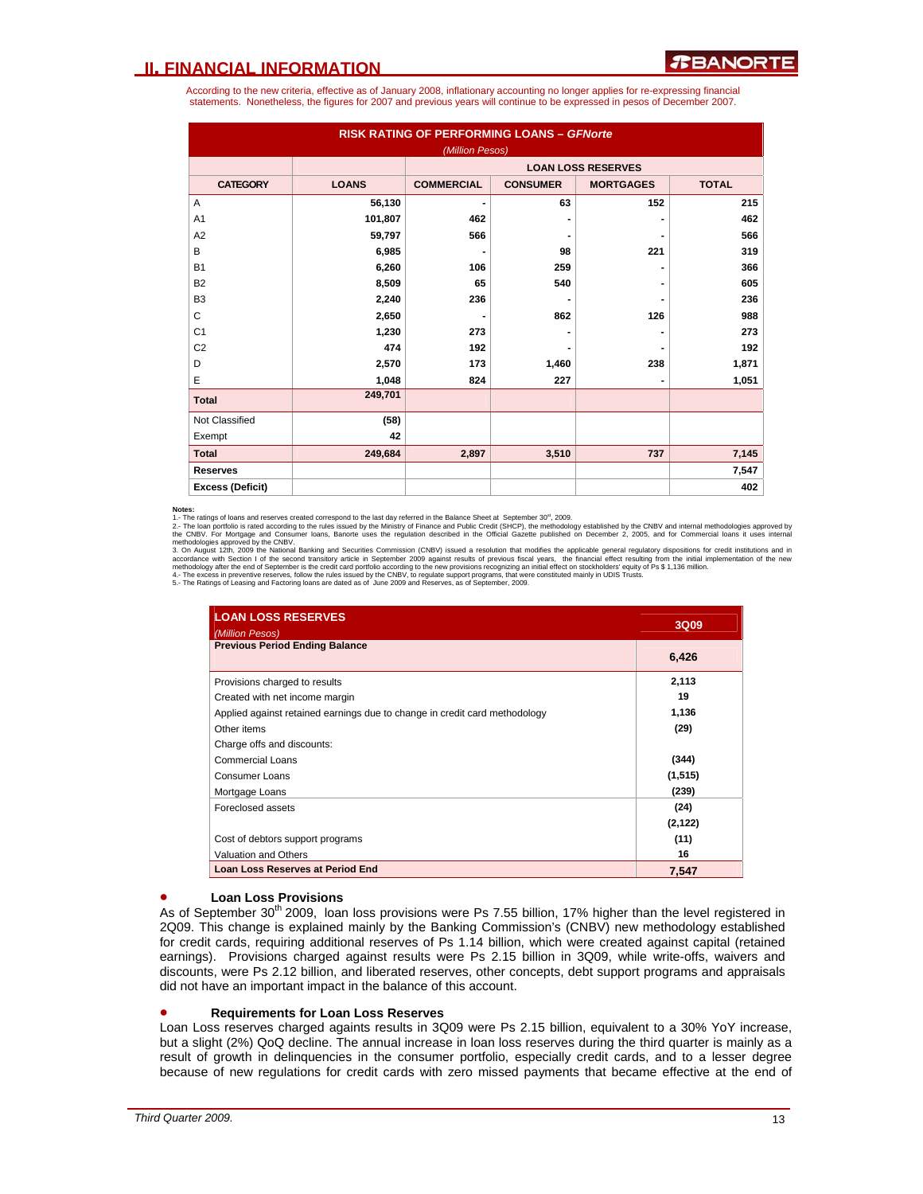According to the new criteria, effective as of January 2008, inflationary accounting no longer applies for re-expressing financial statements. Nonetheless, the figures for 2007 and previous years will continue to be expressed in pesos of December 2007.

| <b>RISK RATING OF PERFORMING LOANS - GFNorte</b><br>(Million Pesos) |              |                          |                 |                           |              |  |  |  |  |
|---------------------------------------------------------------------|--------------|--------------------------|-----------------|---------------------------|--------------|--|--|--|--|
|                                                                     |              |                          |                 | <b>LOAN LOSS RESERVES</b> |              |  |  |  |  |
| <b>CATEGORY</b>                                                     | <b>LOANS</b> | <b>COMMERCIAL</b>        | <b>CONSUMER</b> | <b>MORTGAGES</b>          | <b>TOTAL</b> |  |  |  |  |
| A                                                                   | 56,130       | $\overline{\phantom{0}}$ | 63              | 152                       | 215          |  |  |  |  |
| A <sub>1</sub>                                                      | 101,807      | 462                      |                 |                           | 462          |  |  |  |  |
| A <sub>2</sub>                                                      | 59,797       | 566                      |                 |                           | 566          |  |  |  |  |
| B                                                                   | 6,985        |                          | 98              | 221                       | 319          |  |  |  |  |
| <b>B1</b>                                                           | 6,260        | 106                      | 259             |                           | 366          |  |  |  |  |
| <b>B2</b>                                                           | 8,509        | 65                       | 540             |                           | 605          |  |  |  |  |
| B <sub>3</sub>                                                      | 2,240        | 236                      |                 |                           | 236          |  |  |  |  |
| C                                                                   | 2,650        |                          | 862             | 126                       | 988          |  |  |  |  |
| C <sub>1</sub>                                                      | 1,230        | 273                      |                 |                           | 273          |  |  |  |  |
| C <sub>2</sub>                                                      | 474          | 192                      |                 |                           | 192          |  |  |  |  |
| D                                                                   | 2,570        | 173                      | 1,460           | 238                       | 1,871        |  |  |  |  |
| E                                                                   | 1,048        | 824                      | 227             |                           | 1,051        |  |  |  |  |
| <b>Total</b>                                                        | 249,701      |                          |                 |                           |              |  |  |  |  |
| Not Classified                                                      | (58)         |                          |                 |                           |              |  |  |  |  |
| Exempt                                                              | 42           |                          |                 |                           |              |  |  |  |  |
| <b>Total</b>                                                        | 249,684      | 2,897                    | 3,510           | 737                       | 7,145        |  |  |  |  |
| <b>Reserves</b>                                                     |              |                          |                 |                           | 7,547        |  |  |  |  |
| <b>Excess (Deficit)</b>                                             |              |                          |                 |                           | 402          |  |  |  |  |

**Notes:**<br>1. The ratings of loans and reserves created correspond to the last day referred in the Balance Sheet at September 30<sup>\*</sup>, 2009.<br>2.- The loan portfolio is rated according to the rules issued by the Ministry of Fina

| <b>LOAN LOSS RESERVES</b><br>(Million Pesos)                               | 3Q09     |
|----------------------------------------------------------------------------|----------|
| <b>Previous Period Ending Balance</b>                                      | 6,426    |
| Provisions charged to results                                              | 2,113    |
| Created with net income margin                                             | 19       |
| Applied against retained earnings due to change in credit card methodology | 1,136    |
| Other items                                                                | (29)     |
| Charge offs and discounts:                                                 |          |
| Commercial Loans                                                           | (344)    |
| Consumer Loans                                                             | (1,515)  |
| Mortgage Loans                                                             | (239)    |
| Foreclosed assets                                                          | (24)     |
|                                                                            | (2, 122) |
| Cost of debtors support programs                                           | (11)     |
| Valuation and Others                                                       | 16       |
| <b>Loan Loss Reserves at Period End</b>                                    | 7,547    |

### • **Loan Loss Provisions**

As of September 30<sup>th</sup> 2009, loan loss provisions were Ps 7.55 billion, 17% higher than the level registered in 2Q09. This change is explained mainly by the Banking Commission's (CNBV) new methodology established for credit cards, requiring additional reserves of Ps 1.14 billion, which were created against capital (retained earnings). Provisions charged against results were Ps 2.15 billion in 3Q09, while write-offs, waivers and discounts, were Ps 2.12 billion, and liberated reserves, other concepts, debt support programs and appraisals did not have an important impact in the balance of this account.

#### • **Requirements for Loan Loss Reserves**

Loan Loss reserves charged againts results in 3Q09 were Ps 2.15 billion, equivalent to a 30% YoY increase, but a slight (2%) QoQ decline. The annual increase in loan loss reserves during the third quarter is mainly as a result of growth in delinquencies in the consumer portfolio, especially credit cards, and to a lesser degree because of new regulations for credit cards with zero missed payments that became effective at the end of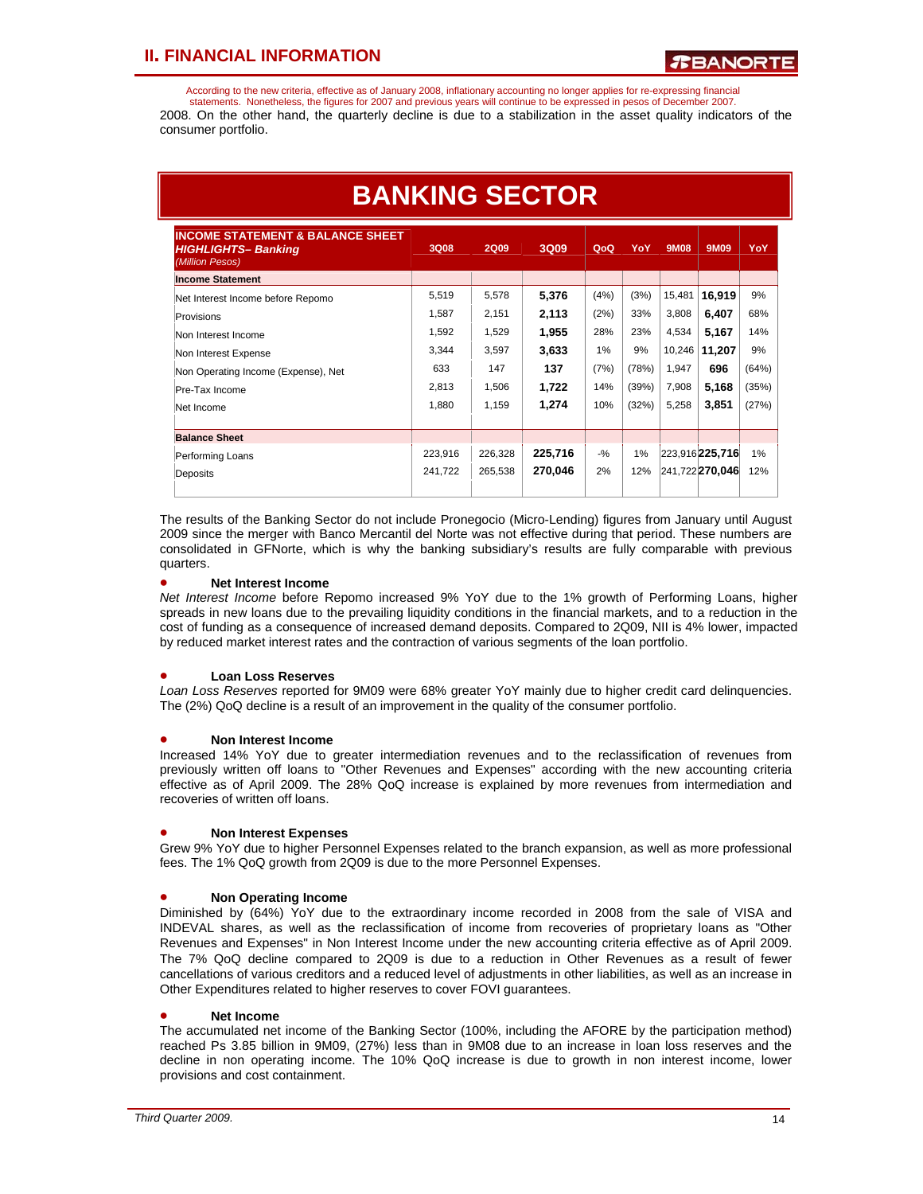According to the new criteria, effective as of January 2008, inflationary accounting no longer applies for re-expressing financial statements. Nonetheless, the figures for 2007 and previous years will continue to be expressed in pesos of December 2007. 2008. On the other hand, the quarterly decline is due to a stabilization in the asset quality indicators of the consumer portfolio.

| <b>BANKING SECTOR</b>                                                                 |         |         |         |        |       |             |                            |       |
|---------------------------------------------------------------------------------------|---------|---------|---------|--------|-------|-------------|----------------------------|-------|
| <b>INCOME STATEMENT &amp; BALANCE SHEET</b><br>HIGHLIGHTS- Banking<br>(Million Pesos) | 3Q08    | 2Q09    | 3Q09    | QoQ    | YoY   | <b>9M08</b> | 9M09                       | YoY   |
| <b>Income Statement</b>                                                               |         |         |         |        |       |             |                            |       |
| Net Interest Income before Repomo                                                     | 5.519   | 5.578   | 5,376   | (4%)   | (3%)  | 15.481      | 16.919                     | 9%    |
| Provisions                                                                            | 1.587   | 2.151   | 2,113   | (2%)   | 33%   | 3,808       | 6,407                      | 68%   |
| Non Interest Income                                                                   | 1.592   | 1,529   | 1,955   | 28%    | 23%   | 4.534       | 5,167                      | 14%   |
| Non Interest Expense                                                                  | 3,344   | 3.597   | 3,633   | 1%     | 9%    | 10,246      | 11,207                     | 9%    |
| Non Operating Income (Expense), Net                                                   | 633     | 147     | 137     | (7%)   | (78%) | 1.947       | 696                        | (64%) |
| Pre-Tax Income                                                                        | 2.813   | 1.506   | 1,722   | 14%    | (39%) | 7,908       | 5,168                      | (35%) |
| Net Income                                                                            | 1,880   | 1,159   | 1,274   | 10%    | (32%) | 5,258       | 3.851                      | (27%) |
| <b>Balance Sheet</b>                                                                  |         |         |         |        |       |             |                            |       |
| Performing Loans                                                                      | 223.916 | 226,328 | 225.716 | $-9/2$ | 1%    |             | $[223,916]$ <b>225,716</b> | 1%    |
| Deposits                                                                              | 241.722 | 265.538 | 270,046 | 2%     | 12%   |             | 241,722 270,046            | 12%   |

The results of the Banking Sector do not include Pronegocio (Micro-Lending) figures from January until August 2009 since the merger with Banco Mercantil del Norte was not effective during that period. These numbers are consolidated in GFNorte, which is why the banking subsidiary's results are fully comparable with previous quarters.

### • **Net Interest Income**

*Net Interest Income* before Repomo increased 9% YoY due to the 1% growth of Performing Loans, higher spreads in new loans due to the prevailing liquidity conditions in the financial markets, and to a reduction in the cost of funding as a consequence of increased demand deposits. Compared to 2Q09, NII is 4% lower, impacted by reduced market interest rates and the contraction of various segments of the loan portfolio.

### • **Loan Loss Reserves**

*Loan Loss Reserves* reported for 9M09 were 68% greater YoY mainly due to higher credit card delinquencies. The (2%) QoQ decline is a result of an improvement in the quality of the consumer portfolio.

### • **Non Interest Income**

Increased 14% YoY due to greater intermediation revenues and to the reclassification of revenues from previously written off loans to "Other Revenues and Expenses" according with the new accounting criteria effective as of April 2009. The 28% QoQ increase is explained by more revenues from intermediation and recoveries of written off loans.

### • **Non Interest Expenses**

Grew 9% YoY due to higher Personnel Expenses related to the branch expansion, as well as more professional fees. The 1% QoQ growth from 2Q09 is due to the more Personnel Expenses.

### • **Non Operating Income**

Diminished by (64%) YoY due to the extraordinary income recorded in 2008 from the sale of VISA and INDEVAL shares, as well as the reclassification of income from recoveries of proprietary loans as "Other Revenues and Expenses" in Non Interest Income under the new accounting criteria effective as of April 2009. The 7% QoQ decline compared to 2Q09 is due to a reduction in Other Revenues as a result of fewer cancellations of various creditors and a reduced level of adjustments in other liabilities, as well as an increase in Other Expenditures related to higher reserves to cover FOVI guarantees.

### • **Net Income**

The accumulated net income of the Banking Sector (100%, including the AFORE by the participation method) reached Ps 3.85 billion in 9M09, (27%) less than in 9M08 due to an increase in loan loss reserves and the decline in non operating income. The 10% QoQ increase is due to growth in non interest income, lower provisions and cost containment.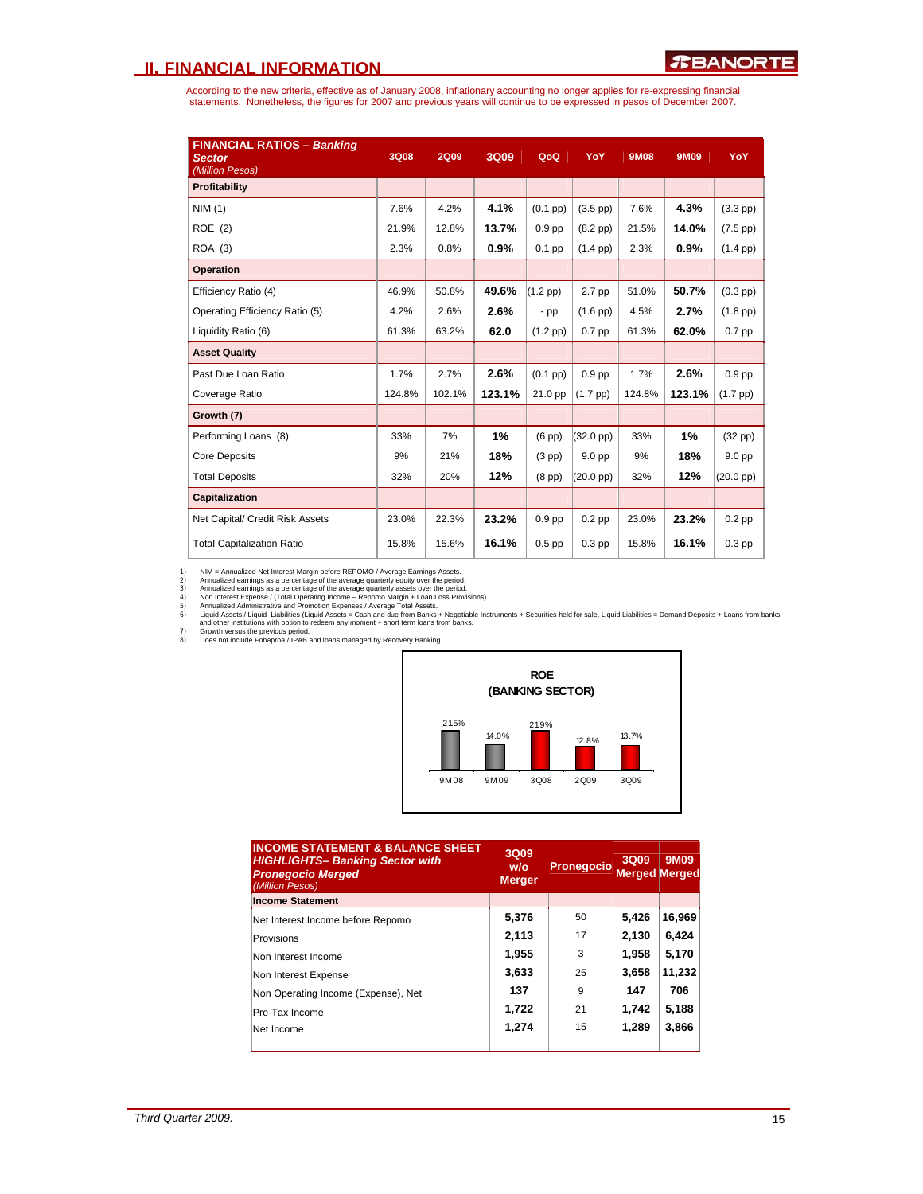According to the new criteria, effective as of January 2008, inflationary accounting no longer applies for re-expressing financial<br>statements. Nonetheless, the figures for 2007 and previous years will continue to be expres

| <b>FINANCIAL RATIOS - Banking</b><br><b>Sector</b><br>(Million Pesos) | <b>3Q08</b> | <b>2Q09</b> | 3Q09   | QoQ               | YoY                 | <b>9M08</b> | 9M09   | YoY                 |
|-----------------------------------------------------------------------|-------------|-------------|--------|-------------------|---------------------|-------------|--------|---------------------|
| Profitability                                                         |             |             |        |                   |                     |             |        |                     |
| NIM(1)                                                                | 7.6%        | 4.2%        | 4.1%   | $(0.1$ pp $)$     | $(3.5$ pp $)$       | 7.6%        | 4.3%   | $(3.3$ pp $)$       |
| ROE (2)                                                               | 21.9%       | 12.8%       | 13.7%  | 0.9 <sub>pp</sub> | $(8.2$ pp $)$       | 21.5%       | 14.0%  | $(7.5~\text{pp})$   |
| ROA (3)                                                               | 2.3%        | 0.8%        | 0.9%   | $0.1$ pp          | $(1.4 \text{ pp})$  | 2.3%        | 0.9%   | $(1.4 \text{ pp})$  |
| <b>Operation</b>                                                      |             |             |        |                   |                     |             |        |                     |
| Efficiency Ratio (4)                                                  | 46.9%       | 50.8%       | 49.6%  | $(1.2$ pp)        | 2.7 pp              | 51.0%       | 50.7%  | $(0.3$ pp $)$       |
| Operating Efficiency Ratio (5)                                        | 4.2%        | 2.6%        | 2.6%   | $-pp$             | $(1.6$ pp $)$       | 4.5%        | 2.7%   | $(1.8$ pp $)$       |
| Liquidity Ratio (6)                                                   | 61.3%       | 63.2%       | 62.0   | $(1.2$ pp)        | $0.7$ pp            | 61.3%       | 62.0%  | $0.7$ pp            |
| <b>Asset Quality</b>                                                  |             |             |        |                   |                     |             |        |                     |
| Past Due Loan Ratio                                                   | 1.7%        | 2.7%        | 2.6%   | $(0.1$ pp $)$     | 0.9 <sub>pp</sub>   | 1.7%        | 2.6%   | 0.9 <sub>pp</sub>   |
| Coverage Ratio                                                        | 124.8%      | 102.1%      | 123.1% | 21.0 pp           | $(1.7$ pp $)$       | 124.8%      | 123.1% | $(1.7~\text{pp})$   |
| Growth (7)                                                            |             |             |        |                   |                     |             |        |                     |
| Performing Loans (8)                                                  | 33%         | 7%          | 1%     | $(6$ pp $)$       | $(32.0 \text{ pp})$ | 33%         | 1%     | $(32$ pp $)$        |
| <b>Core Deposits</b>                                                  | 9%          | 21%         | 18%    | $(3$ pp $)$       | 9.0 <sub>pp</sub>   | 9%          | 18%    | 9.0 <sub>pp</sub>   |
| <b>Total Deposits</b>                                                 | 32%         | 20%         | 12%    | $(8$ pp $)$       | $(20.0~\text{pp})$  | 32%         | 12%    | $(20.0 \text{ pp})$ |
| <b>Capitalization</b>                                                 |             |             |        |                   |                     |             |        |                     |
| Net Capital/ Credit Risk Assets                                       | 23.0%       | 22.3%       | 23.2%  | 0.9 <sub>pp</sub> | $0.2$ pp            | 23.0%       | 23.2%  | $0.2$ pp            |
| <b>Total Capitalization Ratio</b>                                     | 15.8%       | 15.6%       | 16.1%  | $0.5$ pp          | 0.3 <sub>pp</sub>   | 15.8%       | 16.1%  | $0.3$ pp            |

1) NIM = Annualized arrings as a percentage of the average quarterly equity over the period.<br>2) Annualized earnings as a percentage of the average quarterly equity over the period.<br>3) Annualized earnings as a percentage of

7) Growth versus the previous period. 8) Does not include Fobaproa / IPAB and loans managed by Recovery Banking.



| <b>INCOME STATEMENT &amp; BALANCE SHEET</b><br><b>HIGHLIGHTS- Banking Sector with</b><br><b>Pronegocio Merged</b><br>(Million Pesos) | 3Q09<br>W/O<br><b>Merger</b> | Pronegocio | 3Q09<br><b>Merged Merged</b> | 9M09   |
|--------------------------------------------------------------------------------------------------------------------------------------|------------------------------|------------|------------------------------|--------|
| <b>Income Statement</b>                                                                                                              |                              |            |                              |        |
| Net Interest Income before Repomo                                                                                                    | 5,376                        | 50         | 5,426                        | 16,969 |
| Provisions                                                                                                                           | 2,113                        | 17         | 2,130                        | 6,424  |
| Non Interest Income                                                                                                                  | 1,955                        | 3          | 1.958                        | 5,170  |
| Non Interest Expense                                                                                                                 | 3,633                        | 25         | 3,658                        | 11,232 |
| Non Operating Income (Expense), Net                                                                                                  | 137                          | 9          | 147                          | 706    |
| Pre-Tax Income                                                                                                                       | 1,722                        | 21         | 1,742                        | 5,188  |
| Net Income                                                                                                                           | 1.274                        | 15         | 1.289                        | 3,866  |
|                                                                                                                                      |                              |            |                              |        |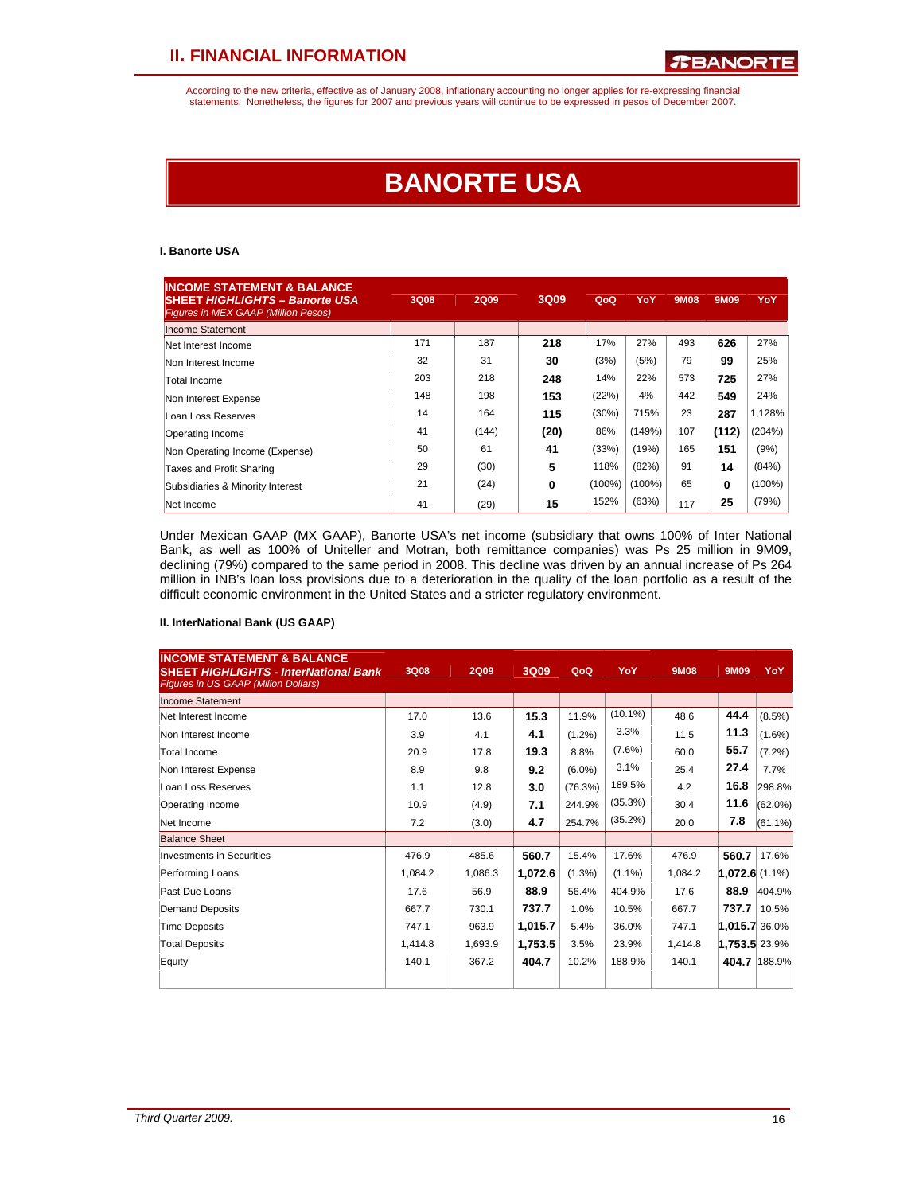According to the new criteria, effective as of January 2008, inflationary accounting no longer applies for re-expressing financial statements. Nonetheless, the figures for 2007 and previous years will continue to be expressed in pesos of December 2007.

# **BANORTE USA**

### **I. Banorte USA**

| <b>INCOME STATEMENT &amp; BALANCE</b><br><b>SHEET HIGHLIGHTS - Banorte USA</b><br><b>Figures in MEX GAAP (Million Pesos)</b> | <b>3Q08</b> | <b>2Q09</b> | 3Q09 | QoQ       | YoY    | 9M08 | 9M09  | YoY       |
|------------------------------------------------------------------------------------------------------------------------------|-------------|-------------|------|-----------|--------|------|-------|-----------|
| <b>Income Statement</b>                                                                                                      |             |             |      |           |        |      |       |           |
| Net Interest Income                                                                                                          | 171         | 187         | 218  | 17%       | 27%    | 493  | 626   | 27%       |
| Non Interest Income                                                                                                          | 32          | 31          | 30   | (3%)      | (5%)   | 79   | 99    | 25%       |
| Total Income                                                                                                                 | 203         | 218         | 248  | 14%       | 22%    | 573  | 725   | 27%       |
| Non Interest Expense                                                                                                         | 148         | 198         | 153  | (22%)     | 4%     | 442  | 549   | 24%       |
| Loan Loss Reserves                                                                                                           | 14          | 164         | 115  | (30%)     | 715%   | 23   | 287   | 1,128%    |
| Operating Income                                                                                                             | 41          | (144)       | (20) | 86%       | (149%) | 107  | (112) | (204%)    |
| Non Operating Income (Expense)                                                                                               | 50          | 61          | 41   | (33%)     | (19%)  | 165  | 151   | (9%)      |
| Taxes and Profit Sharing                                                                                                     | 29          | (30)        | 5    | 118%      | (82%)  | 91   | 14    | (84%)     |
| Subsidiaries & Minority Interest                                                                                             | 21          | (24)        | 0    | $(100\%)$ | (100%) | 65   | 0     | $(100\%)$ |
| Net Income                                                                                                                   | 41          | (29)        | 15   | 152%      | (63%)  | 117  | 25    | (79%)     |

Under Mexican GAAP (MX GAAP), Banorte USA's net income (subsidiary that owns 100% of Inter National Bank, as well as 100% of Uniteller and Motran, both remittance companies) was Ps 25 million in 9M09, declining (79%) compared to the same period in 2008. This decline was driven by an annual increase of Ps 264 million in INB's loan loss provisions due to a deterioration in the quality of the loan portfolio as a result of the difficult economic environment in the United States and a stricter regulatory environment.

### **II. InterNational Bank (US GAAP)**

| <b>INCOME STATEMENT &amp; BALANCE</b><br><b>SHEET HIGHLIGHTS - InterNational Bank</b><br>Figures in US GAAP (Millon Dollars) | 3Q08    | <b>2Q09</b> | 3Q09    | QoQ       | YoY        | <b>9M08</b> | 9M09             | YoY.         |
|------------------------------------------------------------------------------------------------------------------------------|---------|-------------|---------|-----------|------------|-------------|------------------|--------------|
| <b>Income Statement</b>                                                                                                      |         |             |         |           |            |             |                  |              |
| Net Interest Income                                                                                                          | 17.0    | 13.6        | 15.3    | 11.9%     | $(10.1\%)$ | 48.6        | 44.4             | (8.5%)       |
| Non Interest Income                                                                                                          | 3.9     | 4.1         | 4.1     | $(1.2\%)$ | 3.3%       | 11.5        | 11.3             | $(1.6\%)$    |
| Total Income                                                                                                                 | 20.9    | 17.8        | 19.3    | 8.8%      | (7.6%)     | 60.0        | 55.7             | $(7.2\%)$    |
| Non Interest Expense                                                                                                         | 8.9     | 9.8         | 9.2     | $(6.0\%)$ | 3.1%       | 25.4        | 27.4             | 7.7%         |
| Loan Loss Reserves                                                                                                           | 1.1     | 12.8        | 3.0     | (76.3%)   | 189.5%     | 4.2         | 16.8             | 298.8%       |
| Operating Income                                                                                                             | 10.9    | (4.9)       | 7.1     | 244.9%    | (35.3%)    | 30.4        | 11.6             | $(62.0\%)$   |
| Net Income                                                                                                                   | 7.2     | (3.0)       | 4.7     | 254.7%    | $(35.2\%)$ | 20.0        | 7.8              | $(61.1\%)$   |
| <b>Balance Sheet</b>                                                                                                         |         |             |         |           |            |             |                  |              |
| Investments in Securities                                                                                                    | 476.9   | 485.6       | 560.7   | 15.4%     | 17.6%      | 476.9       | 560.7            | 17.6%        |
| Performing Loans                                                                                                             | 1,084.2 | 1,086.3     | 1,072.6 | $(1.3\%)$ | $(1.1\%)$  | 1,084.2     | $1,072.6(1.1\%)$ |              |
| Past Due Loans                                                                                                               | 17.6    | 56.9        | 88.9    | 56.4%     | 404.9%     | 17.6        | 88.9             | 404.9%       |
| Demand Deposits                                                                                                              | 667.7   | 730.1       | 737.7   | 1.0%      | 10.5%      | 667.7       | 737.7            | 10.5%        |
| <b>Time Deposits</b>                                                                                                         | 747.1   | 963.9       | 1,015.7 | 5.4%      | 36.0%      | 747.1       | $1,015.7$ 36.0%  |              |
| <b>Total Deposits</b>                                                                                                        | 1,414.8 | 1,693.9     | 1,753.5 | 3.5%      | 23.9%      | 1,414.8     | 1,753.5 23.9%    |              |
| Equity                                                                                                                       | 140.1   | 367.2       | 404.7   | 10.2%     | 188.9%     | 140.1       |                  | 404.7 188.9% |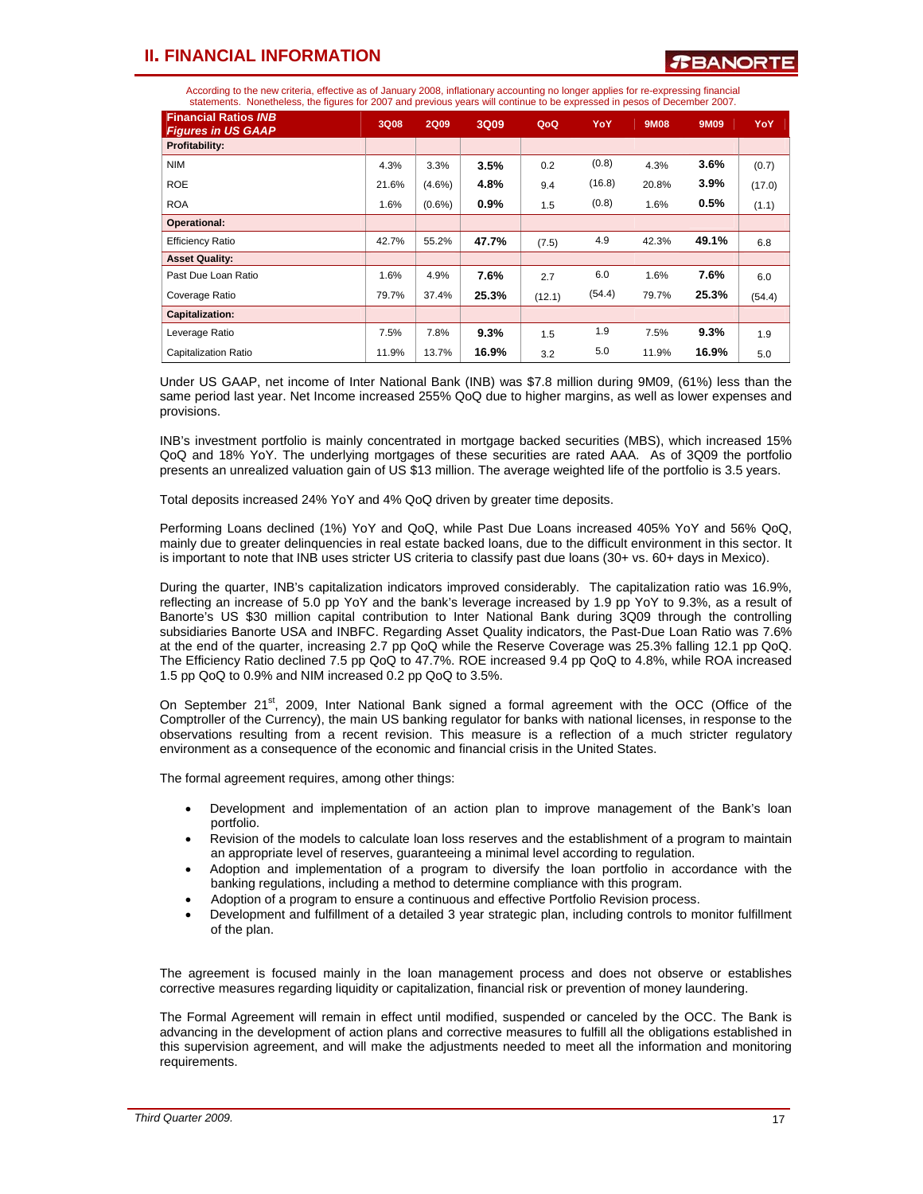According to the new criteria, effective as of January 2008, inflationary accounting no longer applies for re-expressing financial statements. Nonetheless, the figures for 2007 and previous years will continue to be expressed in pesos of December 2007.

| <b>Financial Ratios INB</b><br><b>Figures in US GAAP</b> | <b>3Q08</b> | <b>2Q09</b> | 3Q09  | QoQ    | YoY    | <b>9M08</b> | 9M09  | <b>YoY</b> |
|----------------------------------------------------------|-------------|-------------|-------|--------|--------|-------------|-------|------------|
| Profitability:                                           |             |             |       |        |        |             |       |            |
| <b>NIM</b>                                               | 4.3%        | 3.3%        | 3.5%  | 0.2    | (0.8)  | 4.3%        | 3.6%  | (0.7)      |
| <b>ROE</b>                                               | 21.6%       | $(4.6\%)$   | 4.8%  | 9.4    | (16.8) | 20.8%       | 3.9%  | (17.0)     |
| <b>ROA</b>                                               | 1.6%        | $(0.6\%)$   | 0.9%  | 1.5    | (0.8)  | 1.6%        | 0.5%  | (1.1)      |
| Operational:                                             |             |             |       |        |        |             |       |            |
| <b>Efficiency Ratio</b>                                  | 42.7%       | 55.2%       | 47.7% | (7.5)  | 4.9    | 42.3%       | 49.1% | 6.8        |
| <b>Asset Quality:</b>                                    |             |             |       |        |        |             |       |            |
| Past Due Loan Ratio                                      | 1.6%        | 4.9%        | 7.6%  | 2.7    | 6.0    | 1.6%        | 7.6%  | 6.0        |
| Coverage Ratio                                           | 79.7%       | 37.4%       | 25.3% | (12.1) | (54.4) | 79.7%       | 25.3% | (54.4)     |
| <b>Capitalization:</b>                                   |             |             |       |        |        |             |       |            |
| Leverage Ratio                                           | 7.5%        | 7.8%        | 9.3%  | 1.5    | 1.9    | 7.5%        | 9.3%  | 1.9        |
| Capitalization Ratio                                     | 11.9%       | 13.7%       | 16.9% | 3.2    | 5.0    | 11.9%       | 16.9% | 5.0        |

Under US GAAP, net income of Inter National Bank (INB) was \$7.8 million during 9M09, (61%) less than the same period last year. Net Income increased 255% QoQ due to higher margins, as well as lower expenses and provisions.

INB's investment portfolio is mainly concentrated in mortgage backed securities (MBS), which increased 15% QoQ and 18% YoY. The underlying mortgages of these securities are rated AAA. As of 3Q09 the portfolio presents an unrealized valuation gain of US \$13 million. The average weighted life of the portfolio is 3.5 years.

Total deposits increased 24% YoY and 4% QoQ driven by greater time deposits.

Performing Loans declined (1%) YoY and QoQ, while Past Due Loans increased 405% YoY and 56% QoQ, mainly due to greater delinquencies in real estate backed loans, due to the difficult environment in this sector. It is important to note that INB uses stricter US criteria to classify past due loans (30+ vs. 60+ days in Mexico).

During the quarter, INB's capitalization indicators improved considerably. The capitalization ratio was 16.9%, reflecting an increase of 5.0 pp YoY and the bank's leverage increased by 1.9 pp YoY to 9.3%, as a result of Banorte's US \$30 million capital contribution to Inter National Bank during 3Q09 through the controlling subsidiaries Banorte USA and INBFC. Regarding Asset Quality indicators, the Past-Due Loan Ratio was 7.6% at the end of the quarter, increasing 2.7 pp QoQ while the Reserve Coverage was 25.3% falling 12.1 pp QoQ. The Efficiency Ratio declined 7.5 pp QoQ to 47.7%. ROE increased 9.4 pp QoQ to 4.8%, while ROA increased 1.5 pp QoQ to 0.9% and NIM increased 0.2 pp QoQ to 3.5%.

On September 21<sup>st</sup>, 2009, Inter National Bank signed a formal agreement with the OCC (Office of the Comptroller of the Currency), the main US banking regulator for banks with national licenses, in response to the observations resulting from a recent revision. This measure is a reflection of a much stricter regulatory environment as a consequence of the economic and financial crisis in the United States.

The formal agreement requires, among other things:

- Development and implementation of an action plan to improve management of the Bank's loan portfolio.
- Revision of the models to calculate loan loss reserves and the establishment of a program to maintain an appropriate level of reserves, guaranteeing a minimal level according to regulation.
- Adoption and implementation of a program to diversify the loan portfolio in accordance with the banking regulations, including a method to determine compliance with this program.
- Adoption of a program to ensure a continuous and effective Portfolio Revision process.
- Development and fulfillment of a detailed 3 year strategic plan, including controls to monitor fulfillment of the plan.

The agreement is focused mainly in the loan management process and does not observe or establishes corrective measures regarding liquidity or capitalization, financial risk or prevention of money laundering.

The Formal Agreement will remain in effect until modified, suspended or canceled by the OCC. The Bank is advancing in the development of action plans and corrective measures to fulfill all the obligations established in this supervision agreement, and will make the adjustments needed to meet all the information and monitoring requirements.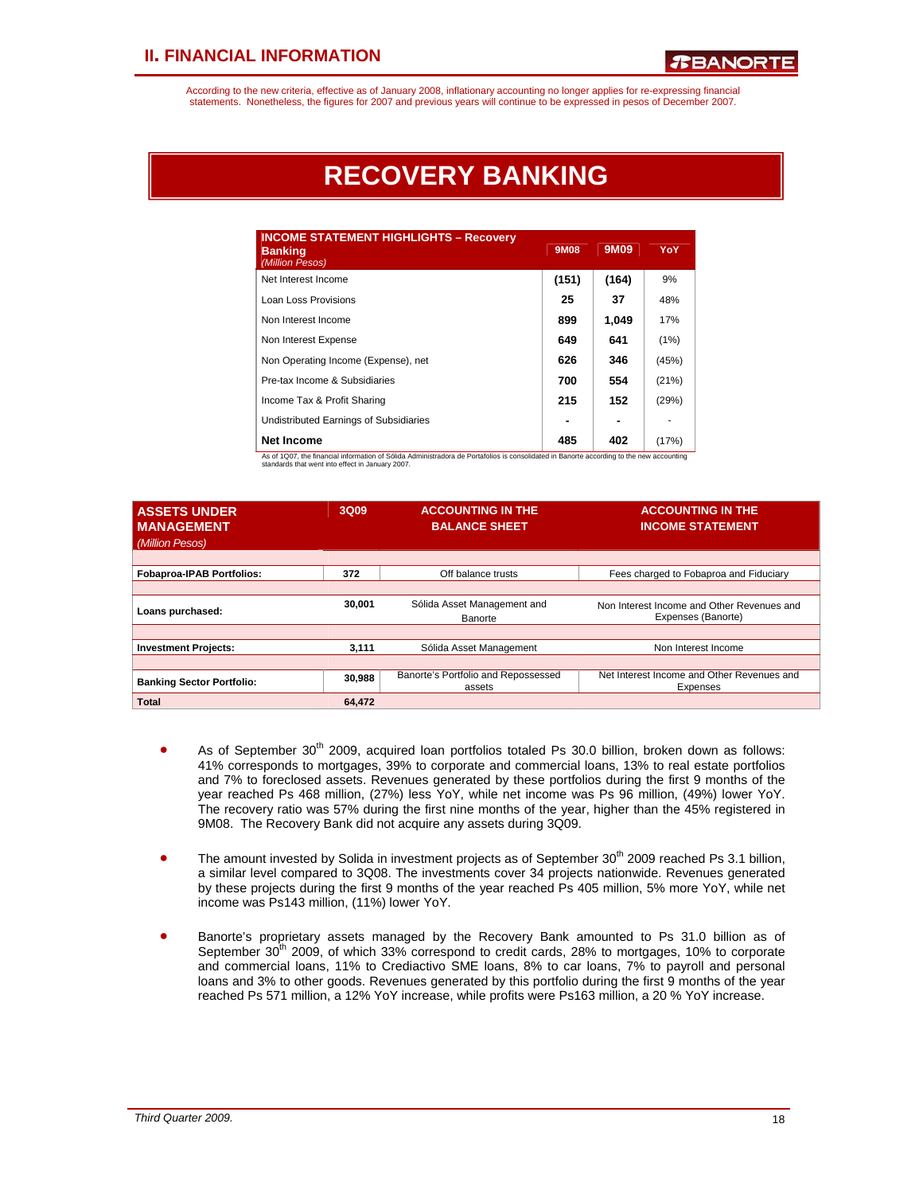According to the new criteria, effective as of January 2008, inflationary accounting no longer applies for re-expressing financial statements. Nonetheless, the figures for 2007 and previous years will continue to be expressed in pesos of December 2007.

# **RECOVERY BANKING**

| <b>INCOME STATEMENT HIGHLIGHTS - Recovery</b><br><b>Banking</b><br>(Million Pesos) | 9M08  | 9M09  | YoY   |
|------------------------------------------------------------------------------------|-------|-------|-------|
| Net Interest Income                                                                | (151) | (164) | 9%    |
| Loan Loss Provisions                                                               | 25    | 37    | 48%   |
| Non Interest Income                                                                | 899   | 1,049 | 17%   |
| Non Interest Expense                                                               | 649   | 641   | (1%)  |
| Non Operating Income (Expense), net                                                | 626   | 346   | (45%) |
| Pre-tax Income & Subsidiaries                                                      | 700   | 554   | (21%) |
| Income Tax & Profit Sharing                                                        | 215   | 152   | (29%) |
| Undistributed Earnings of Subsidiaries                                             |       |       |       |
| <b>Net Income</b>                                                                  | 485   | 402   | (17%) |

As of 1Q07, the financial information of Sólida Administradora de Portafolios is consolidated in Banorte according to the new accounting standards that went into effect in January 2007.

| <b>ASSETS UNDER</b><br><b>MANAGEMENT</b><br>(Million Pesos) | 3Q09   | <b>ACCOUNTING IN THE</b><br><b>BALANCE SHEET</b> | <b>ACCOUNTING IN THE</b><br><b>INCOME STATEMENT</b>              |
|-------------------------------------------------------------|--------|--------------------------------------------------|------------------------------------------------------------------|
| <b>Fobaproa-IPAB Portfolios:</b>                            | 372    | Off balance trusts                               | Fees charged to Fobaproa and Fiduciary                           |
|                                                             |        |                                                  |                                                                  |
| Loans purchased:                                            | 30.001 | Sólida Asset Management and<br>Banorte           | Non Interest Income and Other Revenues and<br>Expenses (Banorte) |
|                                                             |        |                                                  |                                                                  |
| <b>Investment Projects:</b>                                 | 3,111  | Sólida Asset Management                          | Non Interest Income                                              |
|                                                             |        |                                                  |                                                                  |
| <b>Banking Sector Portfolio:</b>                            | 30,988 | Banorte's Portfolio and Repossessed<br>assets    | Net Interest Income and Other Revenues and<br>Expenses           |
| <b>Total</b>                                                | 64.472 |                                                  |                                                                  |

- As of September  $30<sup>th</sup>$  2009, acquired loan portfolios totaled Ps 30.0 billion, broken down as follows: 41% corresponds to mortgages, 39% to corporate and commercial loans, 13% to real estate portfolios and 7% to foreclosed assets. Revenues generated by these portfolios during the first 9 months of the year reached Ps 468 million, (27%) less YoY, while net income was Ps 96 million, (49%) lower YoY. The recovery ratio was 57% during the first nine months of the year, higher than the 45% registered in 9M08. The Recovery Bank did not acquire any assets during 3Q09.
- The amount invested by Solida in investment projects as of September 30<sup>th</sup> 2009 reached Ps 3.1 billion, a similar level compared to 3Q08. The investments cover 34 projects nationwide. Revenues generated by these projects during the first 9 months of the year reached Ps 405 million, 5% more YoY, while net income was Ps143 million, (11%) lower YoY.
- Banorte's proprietary assets managed by the Recovery Bank amounted to Ps 31.0 billion as of September  $30<sup>th</sup>$  2009, of which 33% correspond to credit cards, 28% to mortgages, 10% to corporate and commercial loans, 11% to Crediactivo SME loans, 8% to car loans, 7% to payroll and personal loans and 3% to other goods. Revenues generated by this portfolio during the first 9 months of the year reached Ps 571 million, a 12% YoY increase, while profits were Ps163 million, a 20 % YoY increase.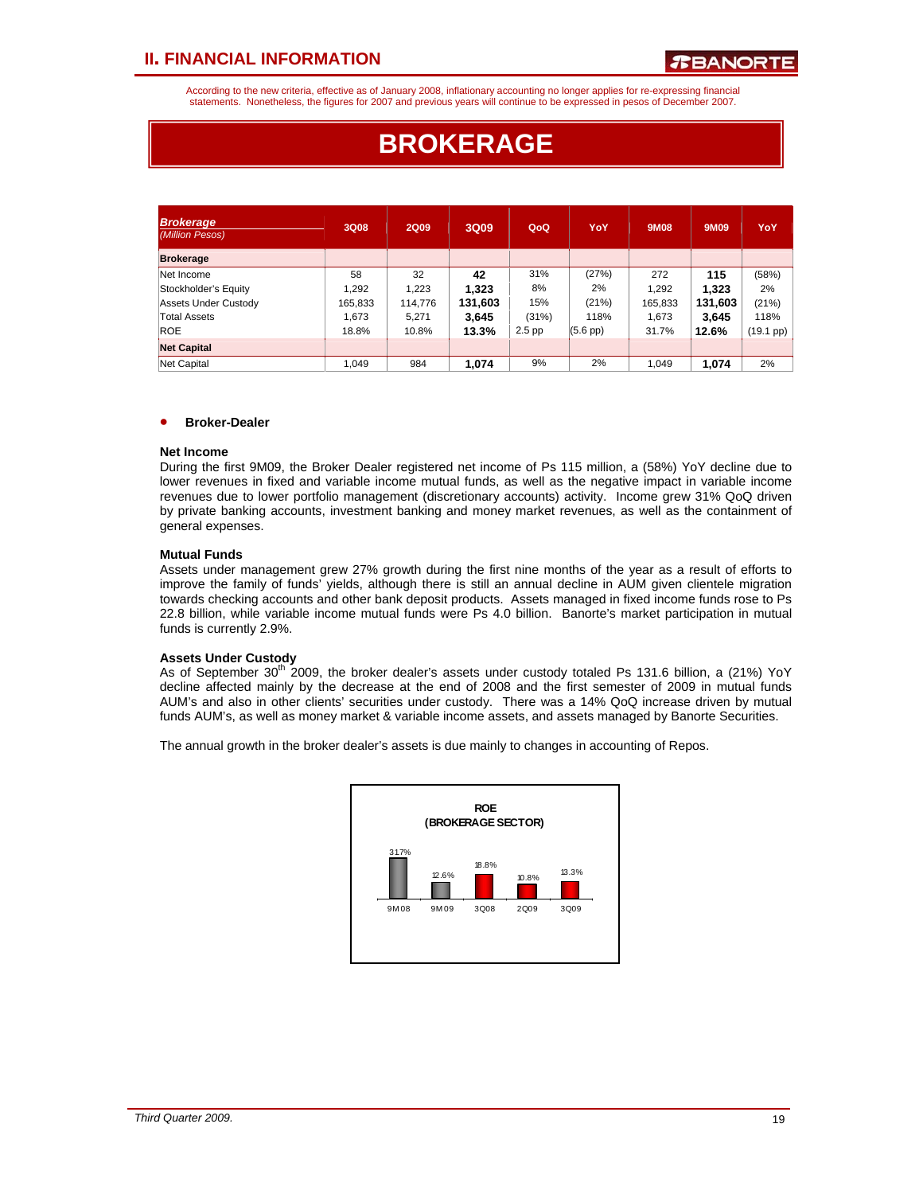According to the new criteria, effective as of January 2008, inflationary accounting no longer applies for re-expressing financial statements. Nonetheless, the figures for 2007 and previous years will continue to be expressed in pesos of December 2007.

# **BROKERAGE**

| <b>Brokerage</b><br>(Million Pesos) | 3Q08    | <b>2Q09</b> | 3Q09    | QoQ      | YoY               | <b>9M08</b> | 9M09    | YoY                 |
|-------------------------------------|---------|-------------|---------|----------|-------------------|-------------|---------|---------------------|
| <b>Brokerage</b>                    |         |             |         |          |                   |             |         |                     |
| Net Income                          | 58      | 32          | 42      | 31%      | (27%)             | 272         | 115     | (58%)               |
| Stockholder's Equity                | 1.292   | 1.223       | 1,323   | 8%       | 2%                | 1.292       | 1,323   | 2%                  |
| Assets Under Custody                | 165,833 | 114,776     | 131,603 | 15%      | (21%)             | 165,833     | 131.603 | (21%)               |
| Total Assets                        | 1.673   | 5.271       | 3,645   | (31%)    | 118%              | 1.673       | 3,645   | 118%                |
| <b>ROE</b>                          | 18.8%   | 10.8%       | 13.3%   | $2.5$ pp | $(5.6~\text{pp})$ | 31.7%       | 12.6%   | $(19.1 \text{ pp})$ |
| <b>Net Capital</b>                  |         |             |         |          |                   |             |         |                     |
| Net Capital                         | 1.049   | 984         | 1.074   | 9%       | 2%                | 1.049       | 1.074   | 2%                  |

### • **Broker-Dealer**

### **Net Income**

During the first 9M09, the Broker Dealer registered net income of Ps 115 million, a (58%) YoY decline due to lower revenues in fixed and variable income mutual funds, as well as the negative impact in variable income revenues due to lower portfolio management (discretionary accounts) activity. Income grew 31% QoQ driven by private banking accounts, investment banking and money market revenues, as well as the containment of general expenses.

### **Mutual Funds**

Assets under management grew 27% growth during the first nine months of the year as a result of efforts to improve the family of funds' yields, although there is still an annual decline in AUM given clientele migration towards checking accounts and other bank deposit products. Assets managed in fixed income funds rose to Ps 22.8 billion, while variable income mutual funds were Ps 4.0 billion. Banorte's market participation in mutual funds is currently 2.9%.

### **Assets Under Custody**

As of September  $30<sup>th</sup>$  2009, the broker dealer's assets under custody totaled Ps 131.6 billion, a (21%) YoY decline affected mainly by the decrease at the end of 2008 and the first semester of 2009 in mutual funds AUM's and also in other clients' securities under custody. There was a 14% QoQ increase driven by mutual funds AUM's, as well as money market & variable income assets, and assets managed by Banorte Securities.

The annual growth in the broker dealer's assets is due mainly to changes in accounting of Repos.

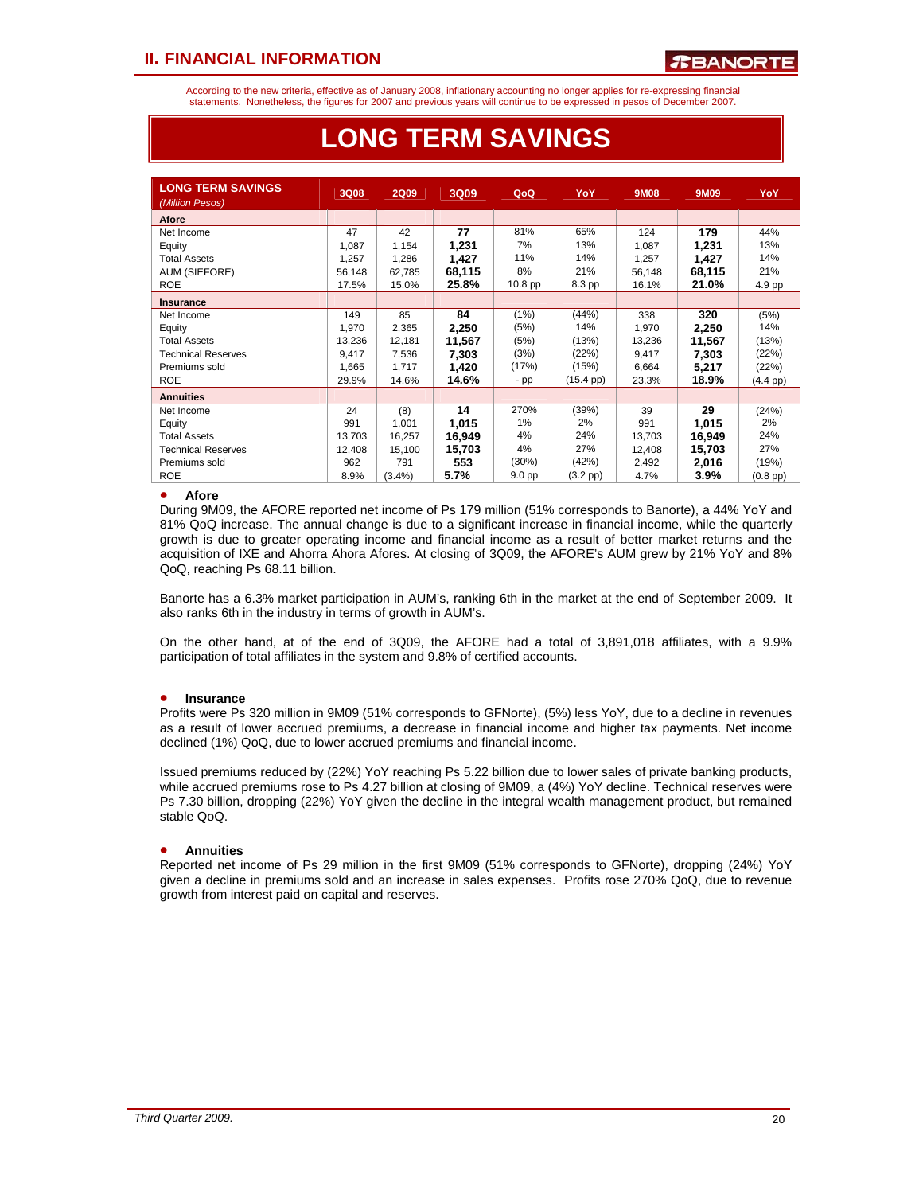According to the new criteria, effective as of January 2008, inflationary accounting no longer applies for re-expressing financial statements. Nonetheless, the figures for 2007 and previous years will continue to be expressed in pesos of December 2007.

| <b>LONG TERM SAVINGS</b><br>(Million Pesos) | <b>3Q08</b> | <b>2Q09</b> | 3Q09   | QoQ                | YoY                | 9M08   | 9M09   | YoY                |
|---------------------------------------------|-------------|-------------|--------|--------------------|--------------------|--------|--------|--------------------|
| Afore                                       |             |             |        |                    |                    |        |        |                    |
| Net Income                                  | 47          | 42          | 77     | 81%                | 65%                | 124    | 179    | 44%                |
| Equity                                      | 1,087       | 1,154       | 1,231  | 7%                 | 13%                | 1,087  | 1,231  | 13%                |
| <b>Total Assets</b>                         | 1.257       | 1,286       | 1,427  | 11%                | 14%                | 1.257  | 1,427  | 14%                |
| AUM (SIEFORE)                               | 56.148      | 62.785      | 68,115 | 8%                 | 21%                | 56,148 | 68,115 | 21%                |
| <b>ROE</b>                                  | 17.5%       | 15.0%       | 25.8%  | 10.8 <sub>pp</sub> | 8.3 pp             | 16.1%  | 21.0%  | 4.9 pp             |
| <b>Insurance</b>                            |             |             |        |                    |                    |        |        |                    |
| Net Income                                  | 149         | 85          | 84     | (1%)               | (44%)              | 338    | 320    | (5%)               |
| Equity                                      | 1.970       | 2,365       | 2,250  | (5%)               | 14%                | 1.970  | 2,250  | 14%                |
| <b>Total Assets</b>                         | 13,236      | 12,181      | 11,567 | (5%)               | (13%)              | 13,236 | 11,567 | (13%)              |
| <b>Technical Reserves</b>                   | 9.417       | 7.536       | 7,303  | (3%)               | (22%)              | 9,417  | 7,303  | (22%)              |
| Premiums sold                               | 1.665       | 1.717       | 1,420  | (17%)              | (15%)              | 6.664  | 5,217  | (22%)              |
| <b>ROE</b>                                  | 29.9%       | 14.6%       | 14.6%  | $-$ pp             | $(15.4~\text{pp})$ | 23.3%  | 18.9%  | $(4.4 \text{ pp})$ |
| <b>Annuities</b>                            |             |             |        |                    |                    |        |        |                    |
| Net Income                                  | 24          | (8)         | 14     | 270%               | (39%)              | 39     | 29     | (24%)              |
| Equity                                      | 991         | 1,001       | 1,015  | 1%                 | 2%                 | 991    | 1,015  | 2%                 |
| <b>Total Assets</b>                         | 13.703      | 16,257      | 16,949 | 4%                 | 24%                | 13,703 | 16,949 | 24%                |
| <b>Technical Reserves</b>                   | 12.408      | 15,100      | 15,703 | 4%                 | 27%                | 12,408 | 15,703 | 27%                |
| Premiums sold                               | 962         | 791         | 553    | (30%)              | (42%)              | 2.492  | 2,016  | (19%)              |
| <b>ROE</b>                                  | 8.9%        | $(3.4\%)$   | 5.7%   | 9.0 pp             | $(3.2$ pp $)$      | 4.7%   | 3.9%   | $(0.8$ pp)         |

# **LONG TERM SAVINGS**

### • **Afore**

During 9M09, the AFORE reported net income of Ps 179 million (51% corresponds to Banorte), a 44% YoY and 81% QoQ increase. The annual change is due to a significant increase in financial income, while the quarterly growth is due to greater operating income and financial income as a result of better market returns and the acquisition of IXE and Ahorra Ahora Afores. At closing of 3Q09, the AFORE's AUM grew by 21% YoY and 8% QoQ, reaching Ps 68.11 billion.

Banorte has a 6.3% market participation in AUM's, ranking 6th in the market at the end of September 2009. It also ranks 6th in the industry in terms of growth in AUM's.

On the other hand, at of the end of 3Q09, the AFORE had a total of 3,891,018 affiliates, with a 9.9% participation of total affiliates in the system and 9.8% of certified accounts.

### • **Insurance**

Profits were Ps 320 million in 9M09 (51% corresponds to GFNorte), (5%) less YoY, due to a decline in revenues as a result of lower accrued premiums, a decrease in financial income and higher tax payments. Net income declined (1%) QoQ, due to lower accrued premiums and financial income.

Issued premiums reduced by (22%) YoY reaching Ps 5.22 billion due to lower sales of private banking products, while accrued premiums rose to Ps 4.27 billion at closing of 9M09, a (4%) YoY decline. Technical reserves were Ps 7.30 billion, dropping (22%) YoY given the decline in the integral wealth management product, but remained stable QoQ.

### • **Annuities**

Reported net income of Ps 29 million in the first 9M09 (51% corresponds to GFNorte), dropping (24%) YoY given a decline in premiums sold and an increase in sales expenses. Profits rose 270% QoQ, due to revenue growth from interest paid on capital and reserves.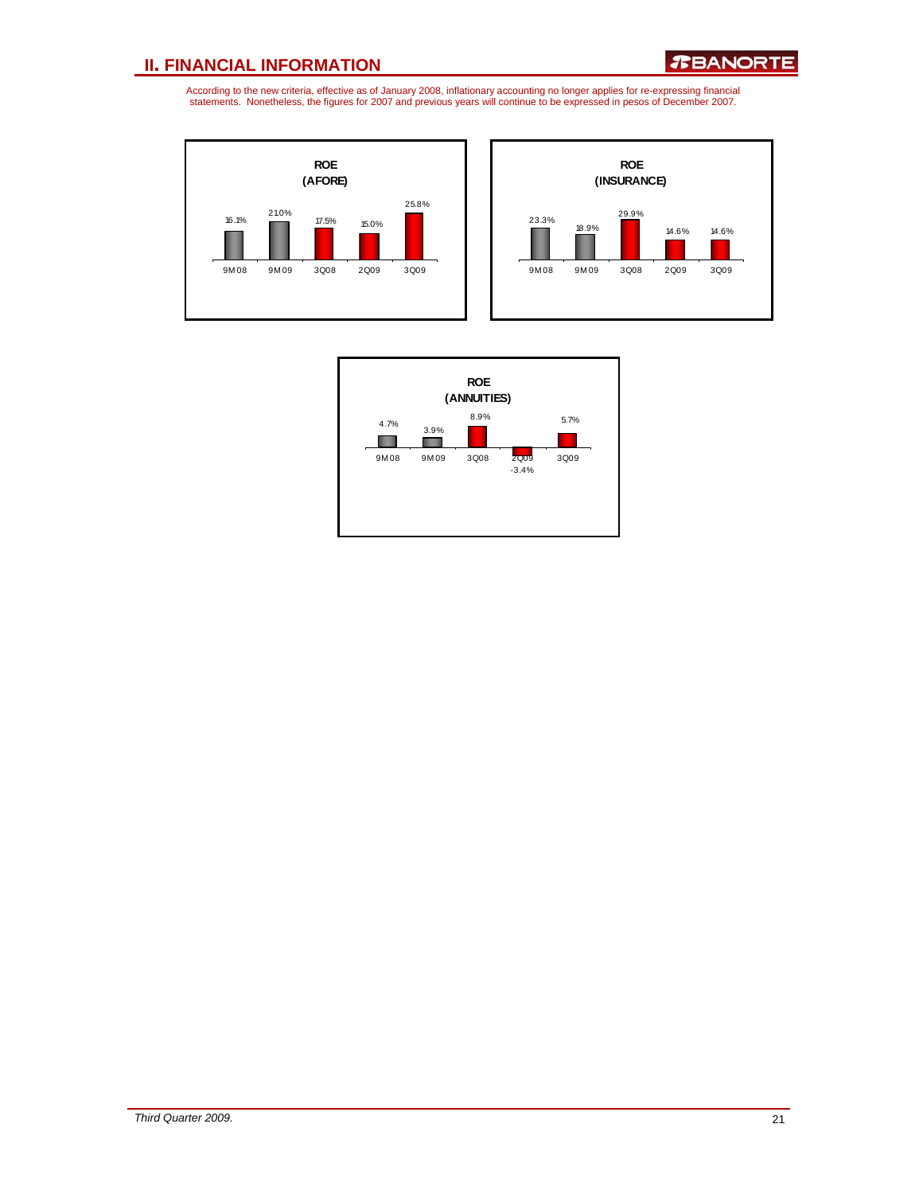



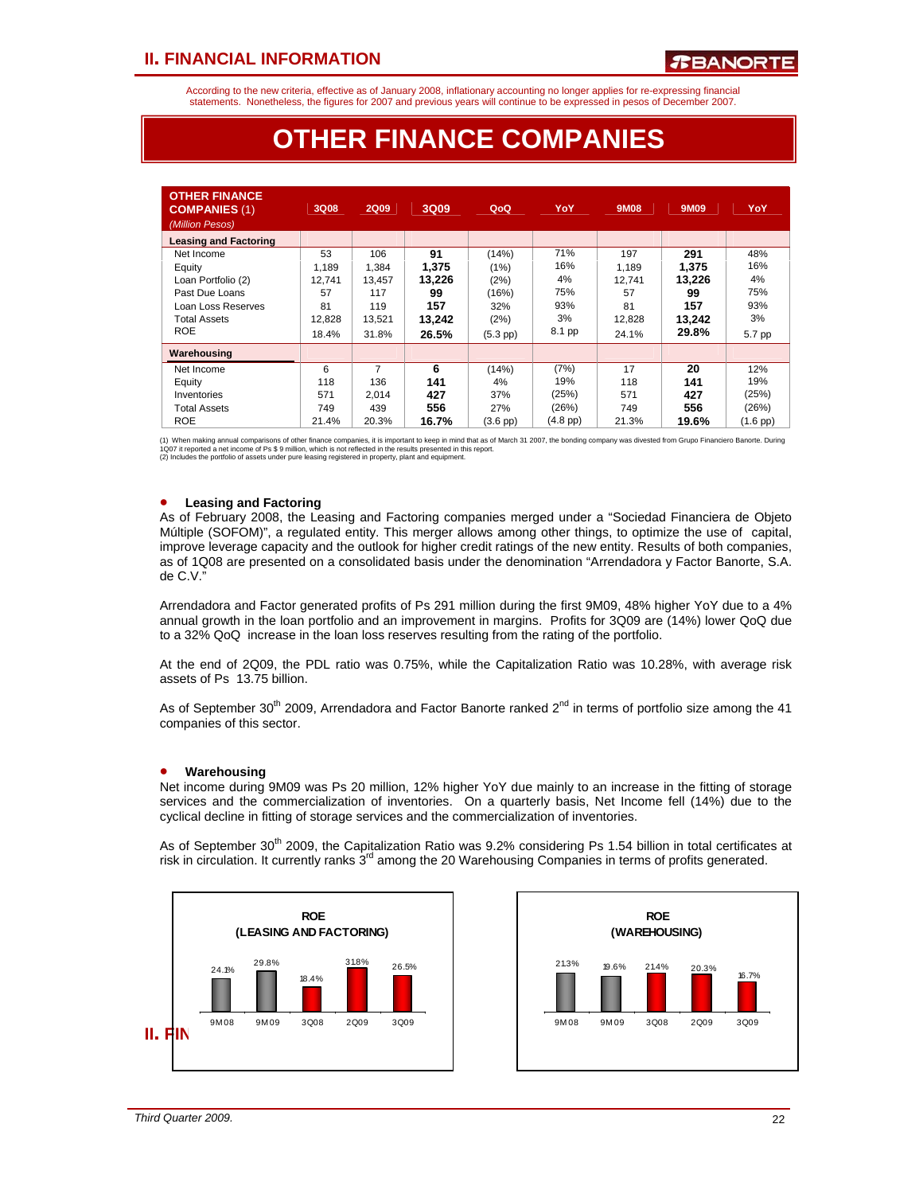According to the new criteria, effective as of January 2008, inflationary accounting no longer applies for re-expressing financial statements. Nonetheless, the figures for 2007 and previous years will continue to be expressed in pesos of December 2007.

# **OTHER FINANCE COMPANIES**

| <b>OTHER FINANCE</b><br><b>COMPANIES (1)</b><br>(Million Pesos) | 3Q08   | <b>2Q09</b> | 3Q09   | QoQ               | YoY           | 9M08   | 9M09   | YoY        |
|-----------------------------------------------------------------|--------|-------------|--------|-------------------|---------------|--------|--------|------------|
| <b>Leasing and Factoring</b>                                    |        |             |        |                   |               |        |        |            |
| Net Income                                                      | 53     | 106         | 91     | (14%)             | 71%           | 197    | 291    | 48%        |
| Equity                                                          | 1.189  | 1,384       | 1.375  | (1%)              | 16%           | 1.189  | 1.375  | 16%        |
| Loan Portfolio (2)                                              | 12.741 | 13,457      | 13.226 | (2%)              | 4%            | 12.741 | 13.226 | 4%         |
| Past Due Loans                                                  | 57     | 117         | 99     | (16%)             | 75%           | 57     | 99     | 75%        |
| Loan Loss Reserves                                              | 81     | 119         | 157    | 32%               | 93%           | 81     | 157    | 93%        |
| <b>Total Assets</b>                                             | 12.828 | 13.521      | 13,242 | (2%)              | 3%            | 12.828 | 13,242 | 3%         |
| <b>ROE</b>                                                      | 18.4%  | 31.8%       | 26.5%  | $(5.3$ pp $)$     | 8.1 pp        | 24.1%  | 29.8%  | 5.7 pp     |
| Warehousing                                                     |        |             |        |                   |               |        |        |            |
| Net Income                                                      | 6      | 7           | 6      | (14%)             | (7%)          | 17     | 20     | 12%        |
| Equity                                                          | 118    | 136         | 141    | 4%                | 19%           | 118    | 141    | 19%        |
| Inventories                                                     | 571    | 2.014       | 427    | 37%               | (25%)         | 571    | 427    | (25%)      |
| <b>Total Assets</b>                                             | 749    | 439         | 556    | 27%               | (26%)         | 749    | 556    | (26%)      |
| <b>ROE</b>                                                      | 21.4%  | 20.3%       | 16.7%  | $(3.6~\text{pp})$ | $(4.8$ pp $)$ | 21.3%  | 19.6%  | $(1.6$ pp) |

(1) When making annual comparisons of other finance companies, it is important to keep in mind that as of March 31 2007, the bonding company was divested from Grupo Financiero Banorte. During<br>1Q07 it reported a net income

### • **Leasing and Factoring**

As of February 2008, the Leasing and Factoring companies merged under a "Sociedad Financiera de Objeto Múltiple (SOFOM)", a regulated entity. This merger allows among other things, to optimize the use of capital, improve leverage capacity and the outlook for higher credit ratings of the new entity. Results of both companies, as of 1Q08 are presented on a consolidated basis under the denomination "Arrendadora y Factor Banorte, S.A. de C.V."

Arrendadora and Factor generated profits of Ps 291 million during the first 9M09, 48% higher YoY due to a 4% annual growth in the loan portfolio and an improvement in margins. Profits for 3Q09 are (14%) lower QoQ due to a 32% QoQ increase in the loan loss reserves resulting from the rating of the portfolio.

At the end of 2Q09, the PDL ratio was 0.75%, while the Capitalization Ratio was 10.28%, with average risk assets of Ps 13.75 billion.

As of September 30<sup>th</sup> 2009, Arrendadora and Factor Banorte ranked 2<sup>nd</sup> in terms of portfolio size among the 41 companies of this sector.

### • **Warehousing**

Net income during 9M09 was Ps 20 million, 12% higher YoY due mainly to an increase in the fitting of storage services and the commercialization of inventories. On a quarterly basis, Net Income fell (14%) due to the cyclical decline in fitting of storage services and the commercialization of inventories.

As of September 30<sup>th</sup> 2009, the Capitalization Ratio was 9.2% considering Ps 1.54 billion in total certificates at risk in circulation. It currently ranks  $3<sup>rd</sup>$  among the 20 Warehousing Companies in terms of profits generated.



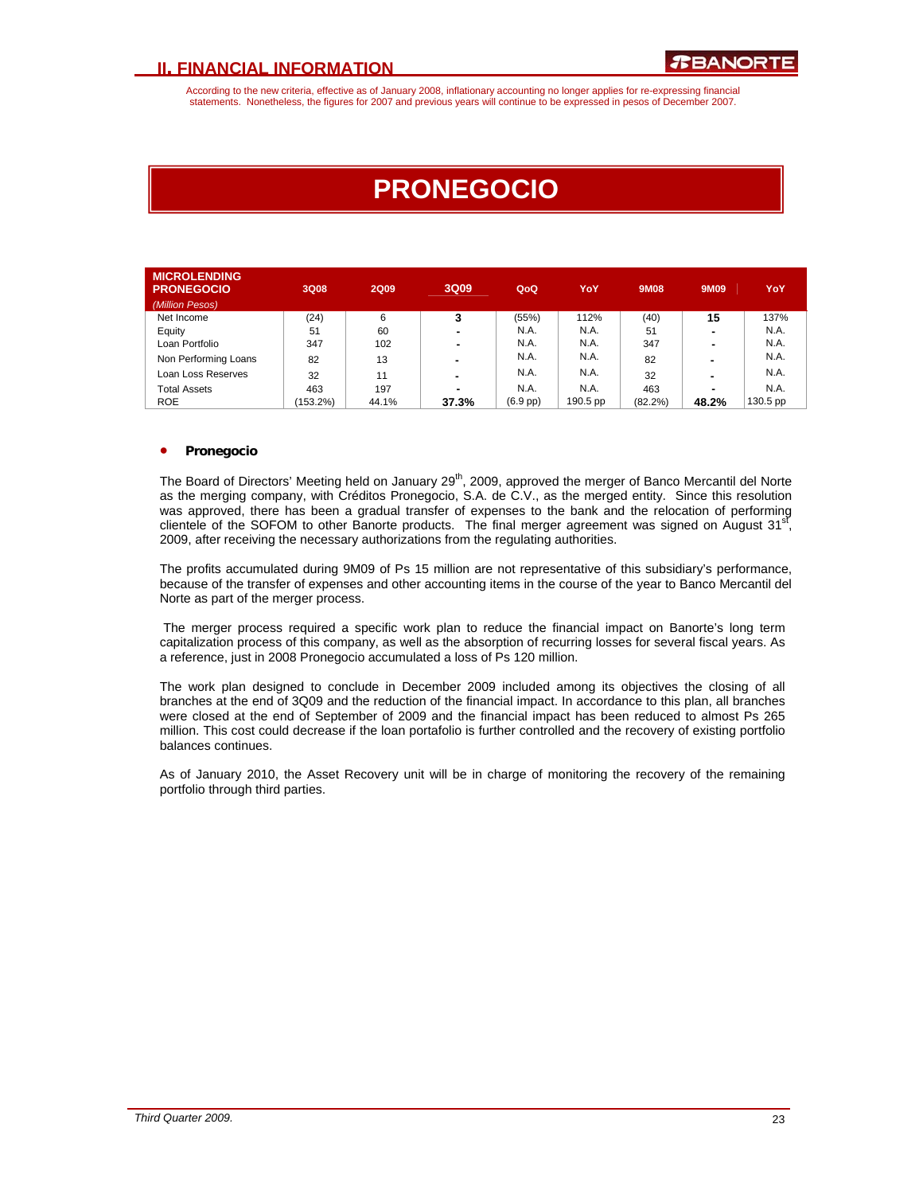According to the new criteria, effective as of January 2008, inflationary accounting no longer applies for re-expressing financial statements. Nonetheless, the figures for 2007 and previous years will continue to be expressed in pesos of December 2007.

# **PRONEGOCIO**

| <b>MICROLENDING</b>  |             |             |       |               |          |         |                |          |
|----------------------|-------------|-------------|-------|---------------|----------|---------|----------------|----------|
| <b>PRONEGOCIO</b>    | 3Q08        | <b>2Q09</b> | 3Q09  | QoQ           | YoY      | 9M08    | 9M09           | YoY      |
| (Million Pesos)      |             |             |       |               |          |         |                |          |
| Net Income           | (24)        | 6           | 3     | (55%)         | 112%     | (40)    | 15             | 137%     |
| Equity               | 51          | 60          | -     | N.A.          | N.A.     | 51      | -              | N.A.     |
| Loan Portfolio       | 347         | 102         | ۰     | N.A.          | N.A.     | 347     | $\blacksquare$ | N.A.     |
| Non Performing Loans | 82          | 13          | -     | N.A.          | N.A.     | 82      | $\blacksquare$ | N.A.     |
| Loan Loss Reserves   | 32          | 11          | -     | N.A.          | N.A.     | 32      | -              | N.A.     |
| Total Assets         | 463         | 197         | ۰     | N.A.          | N.A.     | 463     | $\blacksquare$ | N.A.     |
| <b>ROE</b>           | $(153.2\%)$ | 44.1%       | 37.3% | $(6.9$ pp $)$ | 190.5 pp | (82.2%) | 48.2%          | 130.5 pp |

### • **Pronegocio**

The Board of Directors' Meeting held on January 29<sup>th</sup>, 2009, approved the merger of Banco Mercantil del Norte as the merging company, with Créditos Pronegocio, S.A. de C.V., as the merged entity. Since this resolution was approved, there has been a gradual transfer of expenses to the bank and the relocation of performing clientele of the SOFOM to other Banorte products. The final merger agreement was signed on August  $31<sup>s</sup>$ 2009, after receiving the necessary authorizations from the regulating authorities.

The profits accumulated during 9M09 of Ps 15 million are not representative of this subsidiary's performance, because of the transfer of expenses and other accounting items in the course of the year to Banco Mercantil del Norte as part of the merger process.

 The merger process required a specific work plan to reduce the financial impact on Banorte's long term capitalization process of this company, as well as the absorption of recurring losses for several fiscal years. As a reference, just in 2008 Pronegocio accumulated a loss of Ps 120 million.

The work plan designed to conclude in December 2009 included among its objectives the closing of all branches at the end of 3Q09 and the reduction of the financial impact. In accordance to this plan, all branches were closed at the end of September of 2009 and the financial impact has been reduced to almost Ps 265 million. This cost could decrease if the loan portafolio is further controlled and the recovery of existing portfolio balances continues.

As of January 2010, the Asset Recovery unit will be in charge of monitoring the recovery of the remaining portfolio through third parties.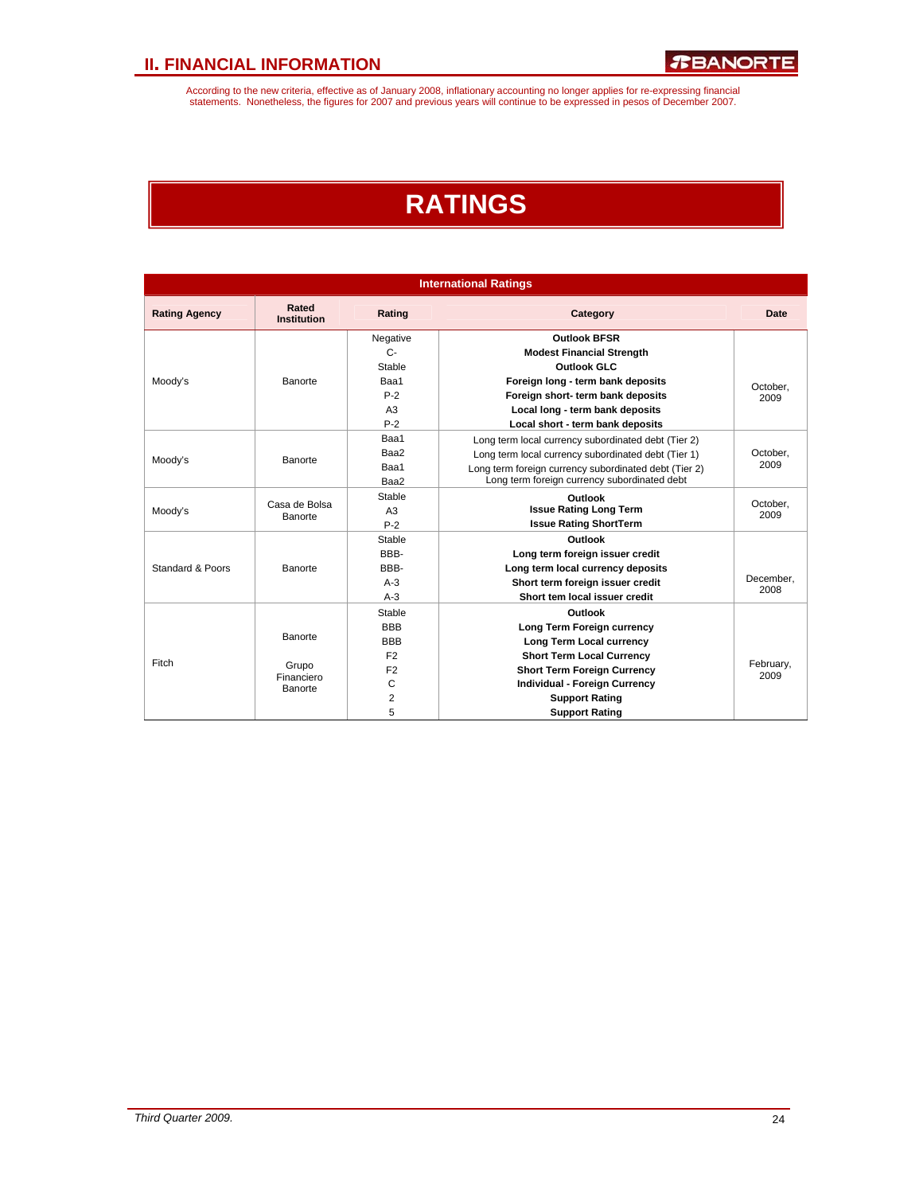According to the new criteria, effective as of January 2008, inflationary accounting no longer applies for re-expressing financial<br>statements. Nonetheless, the figures for 2007 and previous years will continue to be expres

# **RATINGS**

| <b>International Ratings</b> |                             |                |                                                       |                   |  |
|------------------------------|-----------------------------|----------------|-------------------------------------------------------|-------------------|--|
| <b>Rating Agency</b>         | Rated<br><b>Institution</b> | Rating         | Category                                              | <b>Date</b>       |  |
|                              |                             | Negative       | <b>Outlook BFSR</b>                                   |                   |  |
|                              |                             | $C -$          | <b>Modest Financial Strength</b>                      |                   |  |
|                              |                             | Stable         | <b>Outlook GLC</b>                                    |                   |  |
| Moody's                      | Banorte                     | Baa1           | Foreign long - term bank deposits                     | October,          |  |
|                              |                             | $P-2$          | Foreign short- term bank deposits                     | 2009              |  |
|                              |                             | A <sub>3</sub> | Local long - term bank deposits                       |                   |  |
|                              |                             | $P-2$          | Local short - term bank deposits                      |                   |  |
|                              |                             | Baa1           | Long term local currency subordinated debt (Tier 2)   |                   |  |
| Moody's                      | Banorte                     | Baa2           | Long term local currency subordinated debt (Tier 1)   | October,          |  |
|                              |                             | Baa1           | Long term foreign currency subordinated debt (Tier 2) | 2009              |  |
|                              |                             | Baa2           | Long term foreign currency subordinated debt          |                   |  |
|                              | Casa de Bolsa               | Stable         | Outlook                                               | October.          |  |
| Moody's                      | Banorte                     | A3             | <b>Issue Rating Long Term</b>                         | 2009              |  |
|                              |                             | $P-2$          | <b>Issue Rating ShortTerm</b>                         |                   |  |
|                              |                             | Stable         | Outlook                                               |                   |  |
|                              |                             | BBB-           | Long term foreign issuer credit                       |                   |  |
| Standard & Poors             | Banorte                     | BBB-           | Long term local currency deposits                     |                   |  |
|                              |                             | $A-3$          | Short term foreign issuer credit                      | December.<br>2008 |  |
|                              |                             | $A-3$          | Short tem local issuer credit                         |                   |  |
|                              |                             | Stable         | Outlook                                               |                   |  |
|                              |                             | <b>BBB</b>     | Long Term Foreign currency                            |                   |  |
|                              | Banorte                     | <b>BBB</b>     | Long Term Local currency                              |                   |  |
| Fitch                        |                             | F <sub>2</sub> | <b>Short Term Local Currency</b>                      |                   |  |
|                              | Grupo<br>Financiero         | F <sub>2</sub> | <b>Short Term Foreign Currency</b>                    | February,<br>2009 |  |
|                              | Banorte                     | C              | Individual - Foreign Currency                         |                   |  |
|                              |                             | $\overline{2}$ | <b>Support Rating</b>                                 |                   |  |
|                              |                             | 5              | <b>Support Rating</b>                                 |                   |  |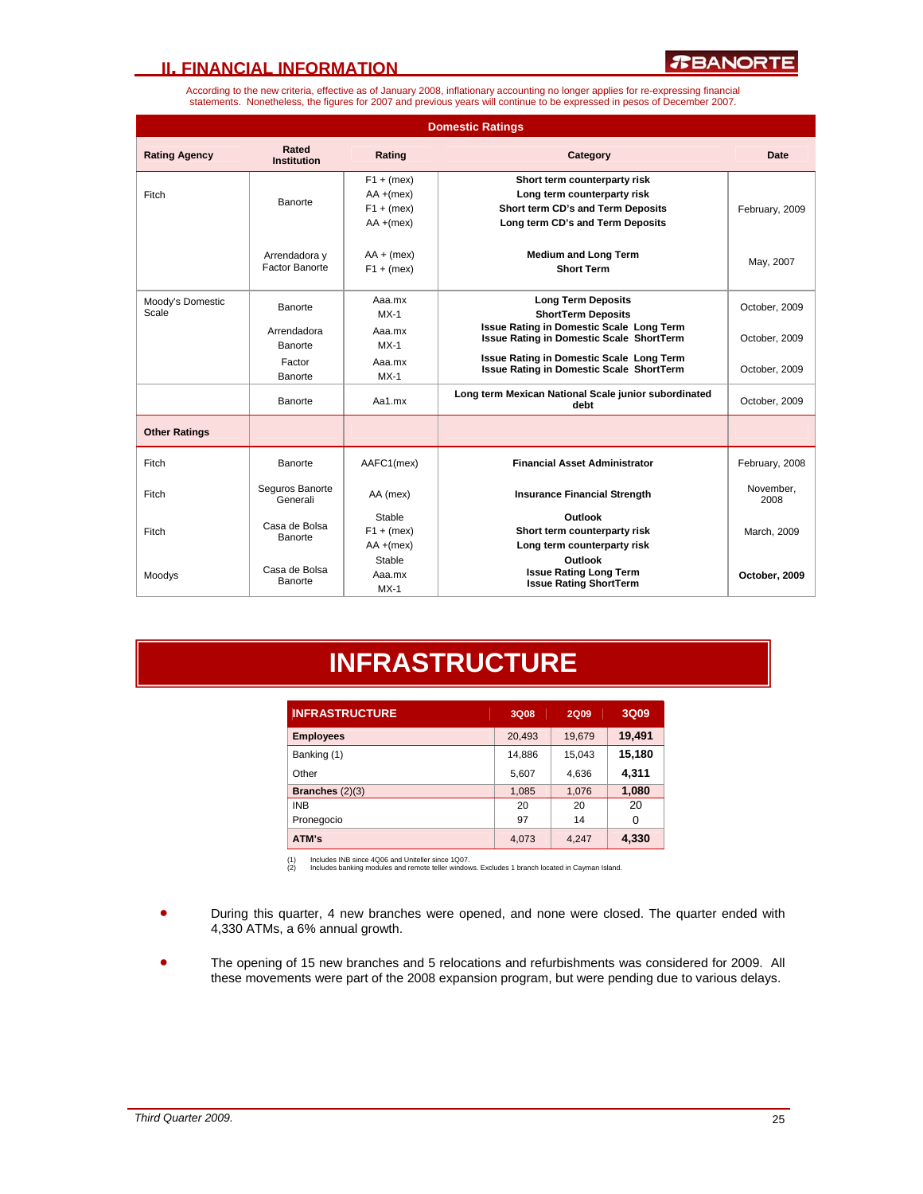

According to the new criteria, effective as of January 2008, inflationary accounting no longer applies for re-expressing financial statements. Nonetheless, the figures for 2007 and previous years will continue to be expressed in pesos of December 2007.

| <b>Domestic Ratings</b>   |                                 |                                                              |                                                                                                                                      |                   |
|---------------------------|---------------------------------|--------------------------------------------------------------|--------------------------------------------------------------------------------------------------------------------------------------|-------------------|
| <b>Rating Agency</b>      | Rated<br><b>Institution</b>     | Rating                                                       | Category                                                                                                                             | Date              |
| Fitch                     | <b>Banorte</b>                  | $F1 + (mex)$<br>$AA + (mex)$<br>$F1 + (mex)$<br>$AA + (mex)$ | Short term counterparty risk<br>Long term counterparty risk<br>Short term CD's and Term Deposits<br>Long term CD's and Term Deposits | February, 2009    |
|                           | Arrendadora y<br>Factor Banorte | $AA + (mex)$<br>$F1 + (mex)$                                 | <b>Medium and Long Term</b><br><b>Short Term</b>                                                                                     | May, 2007         |
| Moody's Domestic<br>Scale | Banorte                         | Aaa.mx<br>$MX-1$                                             | <b>Long Term Deposits</b><br><b>ShortTerm Deposits</b>                                                                               | October, 2009     |
|                           | Arrendadora<br>Banorte          | Aaa.mx<br>$MX-1$                                             | <b>Issue Rating in Domestic Scale Long Term</b><br><b>Issue Rating in Domestic Scale ShortTerm</b>                                   | October, 2009     |
|                           | Factor<br>Banorte               | Aaa.mx<br>$MX-1$                                             | <b>Issue Rating in Domestic Scale Long Term</b><br><b>Issue Rating in Domestic Scale ShortTerm</b>                                   | October, 2009     |
|                           | Banorte                         | Aa1.mx                                                       | Long term Mexican National Scale junior subordinated<br>debt                                                                         | October, 2009     |
| <b>Other Ratings</b>      |                                 |                                                              |                                                                                                                                      |                   |
| Fitch                     | Banorte                         | AAFC1(mex)                                                   | <b>Financial Asset Administrator</b>                                                                                                 | February, 2008    |
| Fitch                     | Seguros Banorte<br>Generali     | AA (mex)                                                     | <b>Insurance Financial Strength</b>                                                                                                  | November,<br>2008 |
| Fitch                     | Casa de Bolsa<br>Banorte        | Stable<br>$F1 + (mex)$<br>$AA + (mex)$                       | Outlook<br>Short term counterparty risk<br>Long term counterparty risk                                                               | March, 2009       |
| Moodys                    | Casa de Bolsa<br>Banorte        | Stable<br>Aaa.mx<br>$MX-1$                                   | Outlook<br><b>Issue Rating Long Term</b><br><b>Issue Rating ShortTerm</b>                                                            | October, 2009     |

# **INFRASTRUCTURE**

| <b>INFRASTRUCTURE</b> | 3Q08   | <b>2Q09</b> | 3Q09   |
|-----------------------|--------|-------------|--------|
| <b>Employees</b>      | 20,493 | 19,679      | 19,491 |
| Banking (1)           | 14,886 | 15,043      | 15,180 |
| Other                 | 5,607  | 4,636       | 4,311  |
| Branches $(2)(3)$     | 1,085  | 1,076       | 1,080  |
| <b>INB</b>            | 20     | 20          | 20     |
| Pronegocio            | 97     | 14          | 0      |
| ATM's                 | 4,073  | 4.247       | 4,330  |

(1) Includes INB since 4Q06 and Uniteller since 1Q07. (2) Includes banking modules and remote teller windows. Excludes 1 branch located in Cayman Island.

- During this quarter, 4 new branches were opened, and none were closed. The quarter ended with 4,330 ATMs, a 6% annual growth.
- The opening of 15 new branches and 5 relocations and refurbishments was considered for 2009. All these movements were part of the 2008 expansion program, but were pending due to various delays.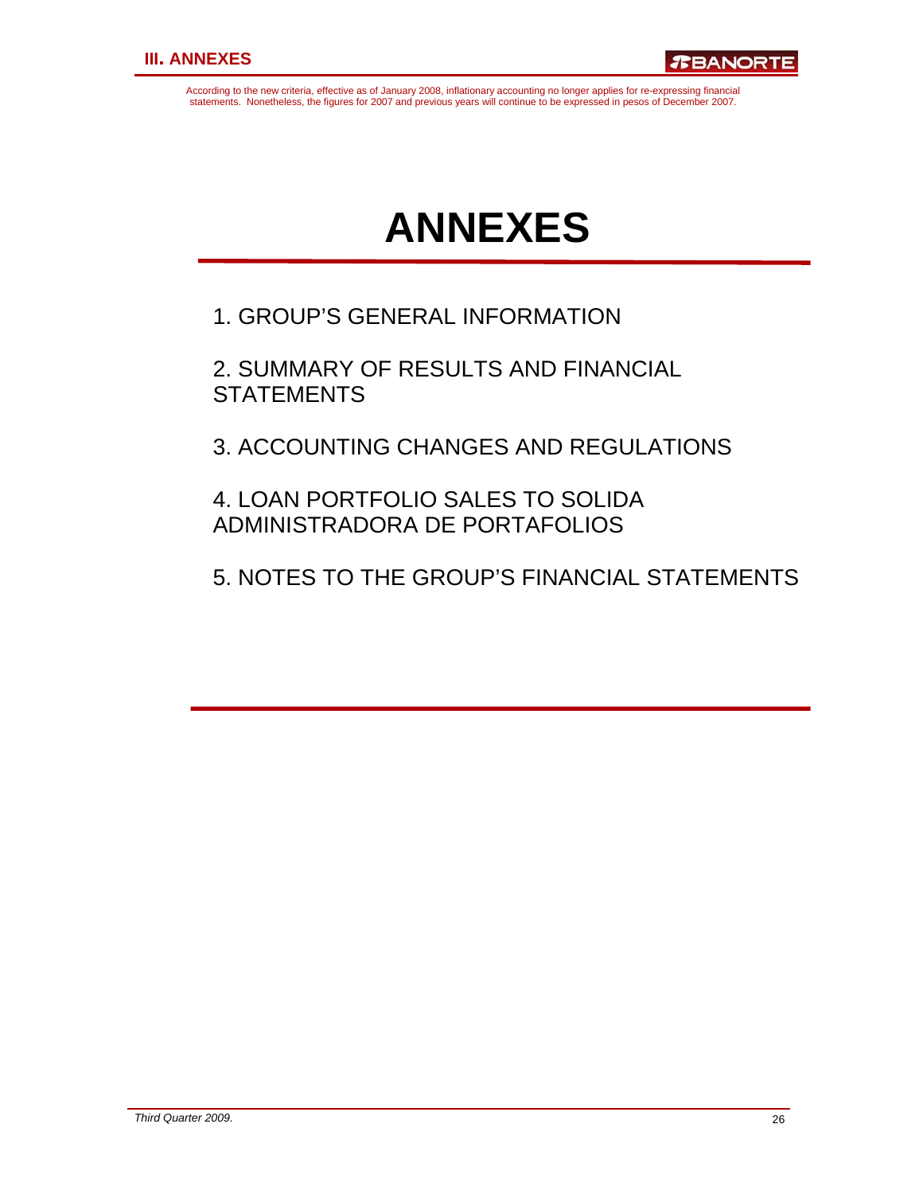According to the new criteria, effective as of January 2008, inflationary accounting no longer applies for re-expressing financial statements. Nonetheless, the figures for 2007 and previous years will continue to be expressed in pesos of December 2007.

# **ANNEXES**

1. GROUP'S GENERAL INFORMATION

2. SUMMARY OF RESULTS AND FINANCIAL **STATEMENTS** 

3. ACCOUNTING CHANGES AND REGULATIONS

4. LOAN PORTFOLIO SALES TO SOLIDA ADMINISTRADORA DE PORTAFOLIOS

5. NOTES TO THE GROUP'S FINANCIAL STATEMENTS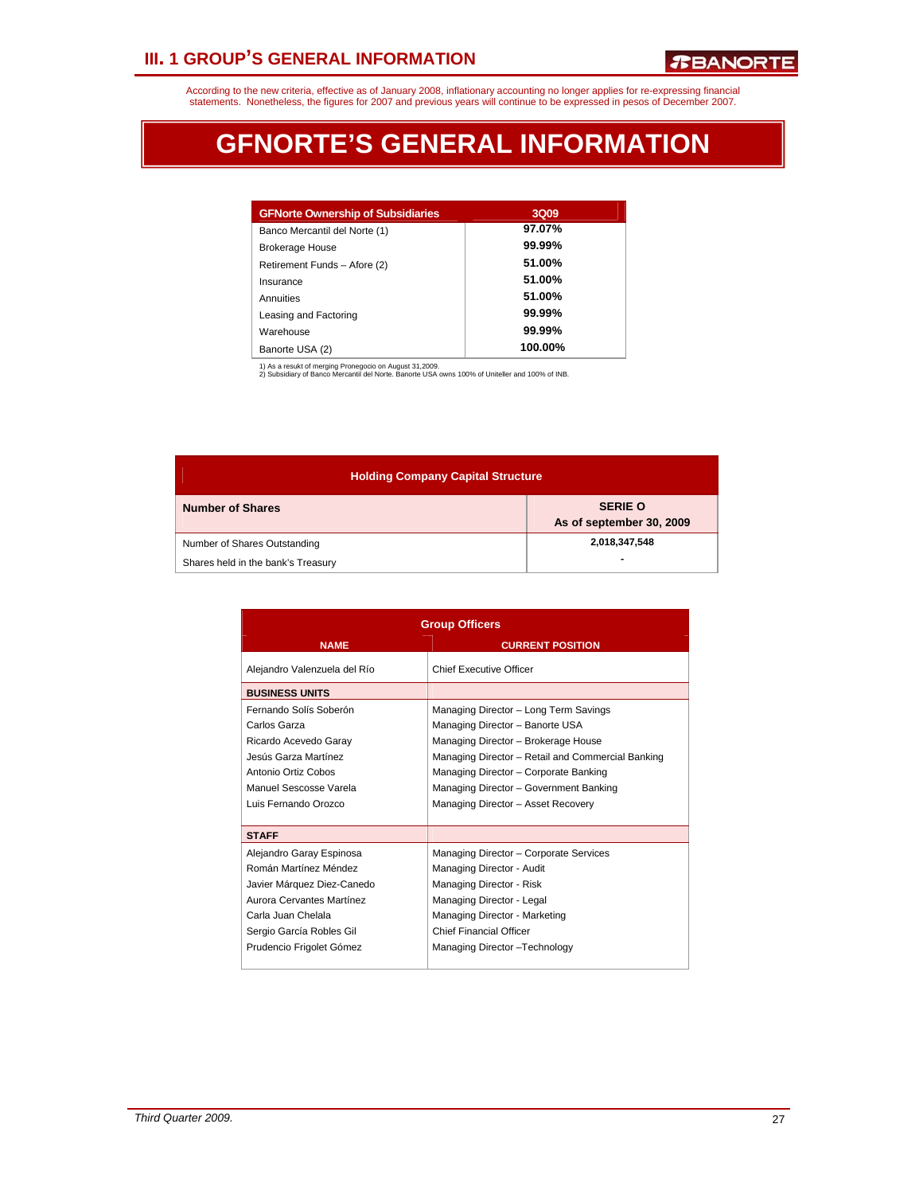# **III. 1 GROUP'S GENERAL INFORMATION**

According to the new criteria, effective as of January 2008, inflationary accounting no longer applies for re-expressing financial<br>statements. Nonetheless, the figures for 2007 and previous years will continue to be expres

# **GFNORTE'S GENERAL INFORMATION**

| <b>GFNorte Ownership of Subsidiaries</b> | 3Q09    |
|------------------------------------------|---------|
| Banco Mercantil del Norte (1)            | 97.07%  |
| <b>Brokerage House</b>                   | 99.99%  |
| Retirement Funds - Afore (2)             | 51.00%  |
| Insurance                                | 51.00%  |
| Annuities                                | 51.00%  |
| Leasing and Factoring                    | 99.99%  |
| Warehouse                                | 99.99%  |
| Banorte USA (2)                          | 100.00% |

1) As a resukt of merging Pronegocio on August 31,2009. 2) Subsidiary of Banco Mercantil del Norte. Banorte USA owns 100% of Uniteller and 100% of INB.

| <b>Holding Company Capital Structure</b> |                                            |  |  |  |
|------------------------------------------|--------------------------------------------|--|--|--|
| <b>Number of Shares</b>                  | <b>SERIE O</b><br>As of september 30, 2009 |  |  |  |
| Number of Shares Outstanding             | 2,018,347,548                              |  |  |  |
| Shares held in the bank's Treasury       | -                                          |  |  |  |

| <b>Group Officers</b>                                                                                                                                                                      |                                                                                                                                                                                                                                                                                               |  |  |  |
|--------------------------------------------------------------------------------------------------------------------------------------------------------------------------------------------|-----------------------------------------------------------------------------------------------------------------------------------------------------------------------------------------------------------------------------------------------------------------------------------------------|--|--|--|
| <b>NAME</b>                                                                                                                                                                                | <b>CURRENT POSITION</b>                                                                                                                                                                                                                                                                       |  |  |  |
| Alejandro Valenzuela del Río                                                                                                                                                               | <b>Chief Executive Officer</b>                                                                                                                                                                                                                                                                |  |  |  |
| <b>BUSINESS UNITS</b>                                                                                                                                                                      |                                                                                                                                                                                                                                                                                               |  |  |  |
| Fernando Solís Soberón<br>Carlos Garza<br>Ricardo Acevedo Garay<br>Jesús Garza Martínez<br>Antonio Ortiz Cobos<br>Manuel Sescosse Varela<br>Luis Fernando Orozco                           | Managing Director - Long Term Savings<br>Managing Director - Banorte USA<br>Managing Director - Brokerage House<br>Managing Director - Retail and Commercial Banking<br>Managing Director - Corporate Banking<br>Managing Director - Government Banking<br>Managing Director - Asset Recovery |  |  |  |
| <b>STAFF</b>                                                                                                                                                                               |                                                                                                                                                                                                                                                                                               |  |  |  |
| Alejandro Garay Espinosa<br>Román Martínez Méndez<br>Javier Márquez Diez-Canedo<br>Aurora Cervantes Martínez<br>Carla Juan Chelala<br>Sergio García Robles Gil<br>Prudencio Frigolet Gómez | Managing Director - Corporate Services<br>Managing Director - Audit<br>Managing Director - Risk<br>Managing Director - Legal<br>Managing Director - Marketing<br>Chief Financial Officer<br>Managing Director - Technology                                                                    |  |  |  |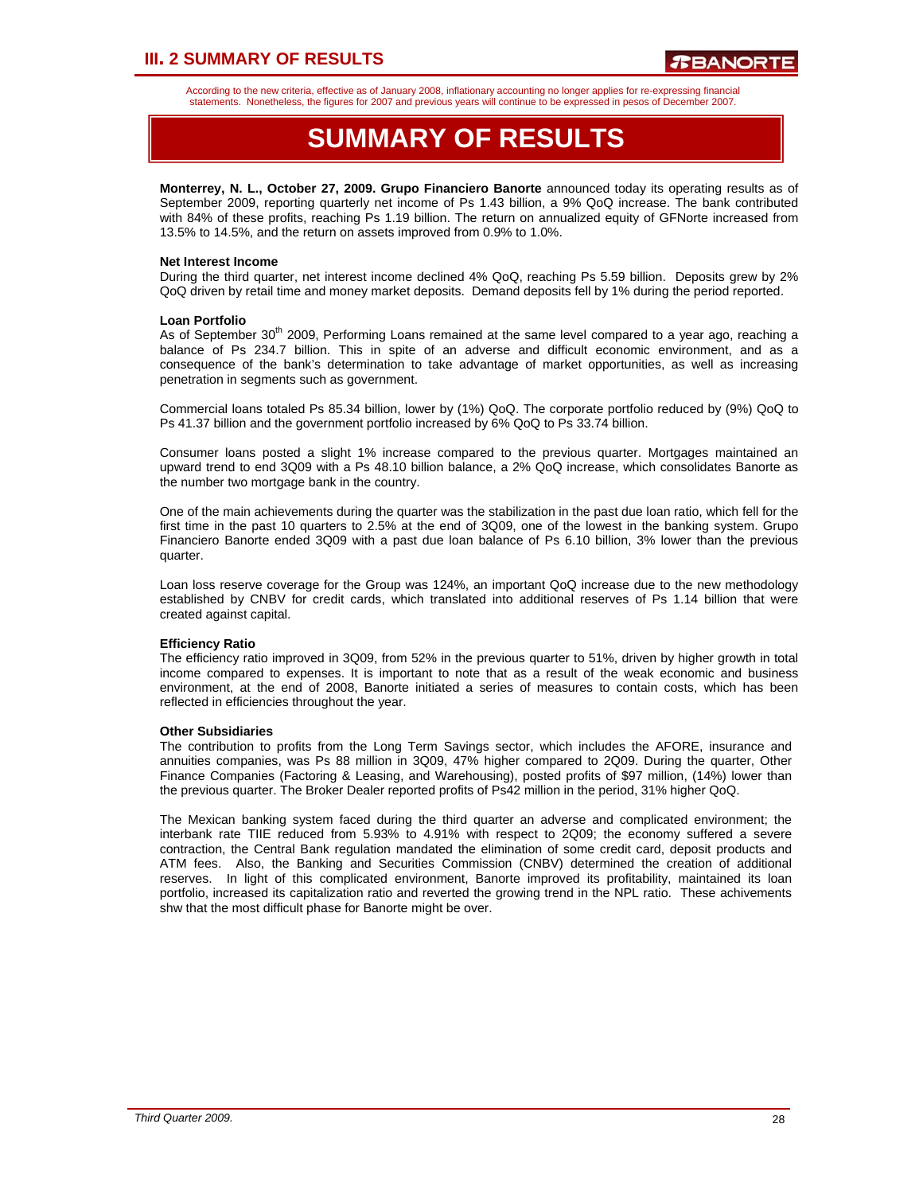# **III. 2 SUMMARY OF RESULTS**

According to the new criteria, effective as of January 2008, inflationary accounting no longer applies for re-expressing financial statements. Nonetheless, the figures for 2007 and previous years will continue to be expressed in pesos of December 2007.

# **SUMMARY OF RESULTS**

**Monterrey, N. L., October 27, 2009. Grupo Financiero Banorte** announced today its operating results as of September 2009, reporting quarterly net income of Ps 1.43 billion, a 9% QoQ increase. The bank contributed with 84% of these profits, reaching Ps 1.19 billion. The return on annualized equity of GFNorte increased from 13.5% to 14.5%, and the return on assets improved from 0.9% to 1.0%.

### **Net Interest Income**

During the third quarter, net interest income declined 4% QoQ, reaching Ps 5.59 billion. Deposits grew by 2% QoQ driven by retail time and money market deposits. Demand deposits fell by 1% during the period reported.

#### **Loan Portfolio**

As of September 30<sup>th</sup> 2009, Performing Loans remained at the same level compared to a year ago, reaching a balance of Ps 234.7 billion. This in spite of an adverse and difficult economic environment, and as a consequence of the bank's determination to take advantage of market opportunities, as well as increasing penetration in segments such as government.

Commercial loans totaled Ps 85.34 billion, lower by (1%) QoQ. The corporate portfolio reduced by (9%) QoQ to Ps 41.37 billion and the government portfolio increased by 6% QoQ to Ps 33.74 billion.

Consumer loans posted a slight 1% increase compared to the previous quarter. Mortgages maintained an upward trend to end 3Q09 with a Ps 48.10 billion balance, a 2% QoQ increase, which consolidates Banorte as the number two mortgage bank in the country.

One of the main achievements during the quarter was the stabilization in the past due loan ratio, which fell for the first time in the past 10 quarters to 2.5% at the end of 3Q09, one of the lowest in the banking system. Grupo Financiero Banorte ended 3Q09 with a past due loan balance of Ps 6.10 billion, 3% lower than the previous quarter.

Loan loss reserve coverage for the Group was 124%, an important QoQ increase due to the new methodology established by CNBV for credit cards, which translated into additional reserves of Ps 1.14 billion that were created against capital.

### **Efficiency Ratio**

The efficiency ratio improved in 3Q09, from 52% in the previous quarter to 51%, driven by higher growth in total income compared to expenses. It is important to note that as a result of the weak economic and business environment, at the end of 2008, Banorte initiated a series of measures to contain costs, which has been reflected in efficiencies throughout the year.

#### **Other Subsidiaries**

The contribution to profits from the Long Term Savings sector, which includes the AFORE, insurance and annuities companies, was Ps 88 million in 3Q09, 47% higher compared to 2Q09. During the quarter, Other Finance Companies (Factoring & Leasing, and Warehousing), posted profits of \$97 million, (14%) lower than the previous quarter. The Broker Dealer reported profits of Ps42 million in the period, 31% higher QoQ.

The Mexican banking system faced during the third quarter an adverse and complicated environment; the interbank rate TIIE reduced from 5.93% to 4.91% with respect to 2Q09; the economy suffered a severe contraction, the Central Bank regulation mandated the elimination of some credit card, deposit products and ATM fees. Also, the Banking and Securities Commission (CNBV) determined the creation of additional reserves. In light of this complicated environment, Banorte improved its profitability, maintained its loan portfolio, increased its capitalization ratio and reverted the growing trend in the NPL ratio. These achivements shw that the most difficult phase for Banorte might be over.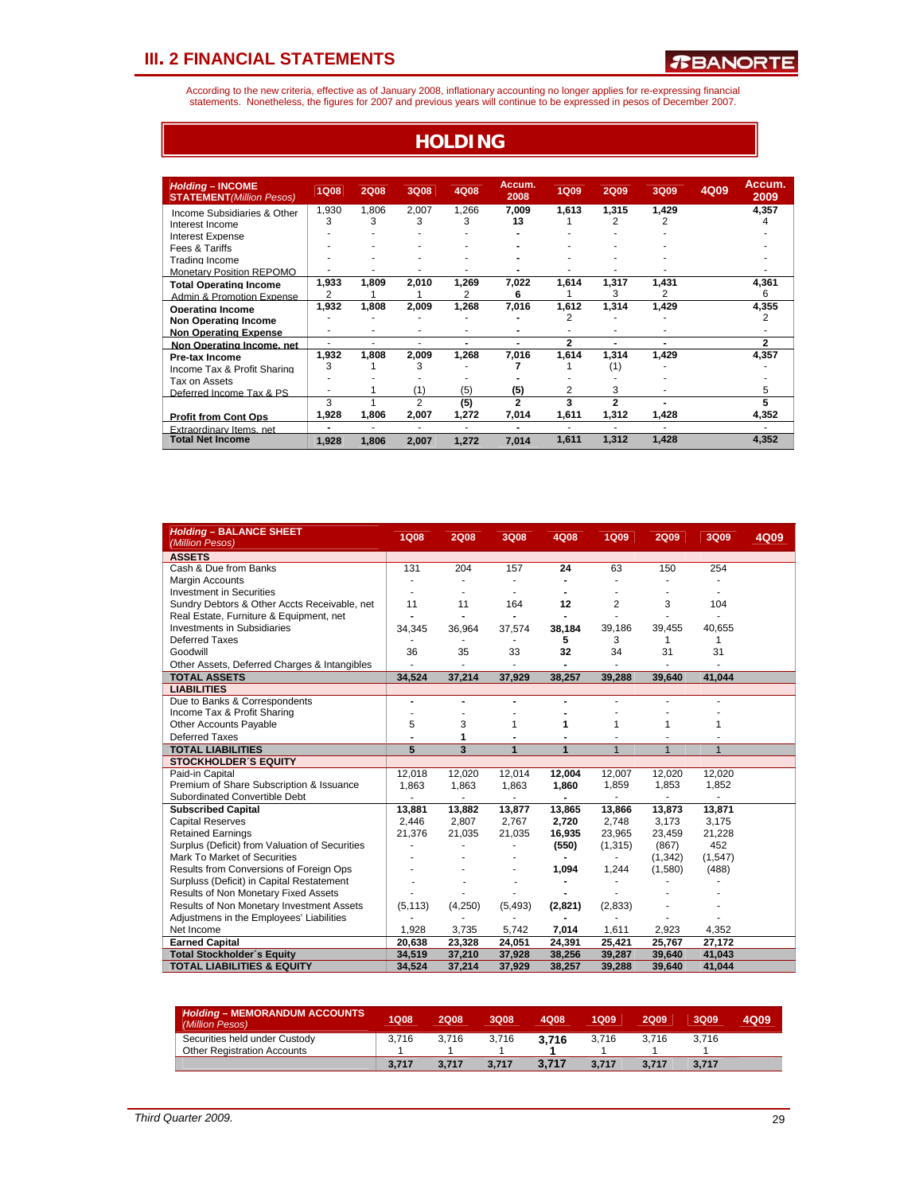According to the new criteria, effective as of January 2008, inflationary accounting no longer applies for re-expressing financial<br>statements. Nonetheless, the figures for 2007 and previous years will continue to be expres

**HOLDING**

| <b>Holding - INCOME</b><br><b>STATEMENT</b> (Million Pesos) | <b>1Q08</b>              | <b>2Q08</b> | 3Q08           | 4Q08       | Accum.<br>2008           | <b>1Q09</b> | <b>2Q09</b> | <b>3Q09</b>    | 4Q09 | Accum.<br>2009 |
|-------------------------------------------------------------|--------------------------|-------------|----------------|------------|--------------------------|-------------|-------------|----------------|------|----------------|
| Income Subsidiaries & Other                                 | 1,930<br>3               | 1,806<br>3  | 2,007<br>3     | 1,266<br>3 | 7,009<br>13              | 1,613       | 1,315<br>2  | 1,429<br>2     |      | 4,357          |
| Interest Income                                             |                          |             |                |            |                          |             |             |                |      | 4              |
| Interest Expense                                            |                          |             |                |            |                          |             |             |                |      |                |
| Fees & Tariffs                                              |                          |             |                |            |                          |             |             |                |      |                |
| Trading Income                                              |                          |             |                |            |                          |             |             |                |      |                |
| <b>Monetary Position REPOMO</b>                             |                          |             |                |            |                          |             |             |                |      |                |
| <b>Total Operating Income</b>                               | 1,933                    | 1,809       | 2,010          | 1,269      | 7,022                    | 1,614       | 1,317       | 1,431          |      | 4,361          |
| Admin & Promotion Expense                                   | 2                        |             |                | 2          | 6                        |             | 3           | 2              |      | 6              |
| <b>Operating Income</b>                                     | 1,932                    | 1,808       | 2.009          | 1.268      | 7,016                    | 1.612       | 1,314       | 1,429          |      | 4,355          |
| <b>Non Operating Income</b>                                 |                          |             |                |            |                          | 2           |             |                |      | 2              |
| <b>Non Operating Expense</b>                                |                          | ٠           | ٠              |            |                          |             |             | ۰              |      |                |
| Non Operating Income, net                                   |                          | ÷.          | ٠              | -          |                          | 2           | ۰           | $\overline{a}$ |      | 2              |
| <b>Pre-tax Income</b>                                       | 1,932                    | 1,808       | 2.009          | 1,268      | 7,016                    | 1,614       | 1,314       | 1,429          |      | 4,357          |
| Income Tax & Profit Sharing                                 | 3                        |             | 3              |            |                          |             | (1)         |                |      |                |
| Tax on Assets                                               |                          |             |                |            |                          |             |             |                |      |                |
| Deferred Income Tax & PS                                    |                          |             | (1)            | (5)        | (5)                      | 2           | 3           |                |      | 5              |
|                                                             | 3                        |             | $\overline{2}$ | (5)        | $\overline{2}$           | 3           | 2           |                |      |                |
| <b>Profit from Cont Ops</b>                                 | 1,928                    | 1,806       | 2.007          | 1.272      | 7,014                    | 1,611       | 1,312       | 1,428          |      | 4,352          |
| <b>Extraordinary Items net</b>                              | $\overline{\phantom{0}}$ | ٠           | ۰              | ۰          | $\overline{\phantom{0}}$ | ٠           | ٠           | ٠              |      |                |
| <b>Total Net Income</b>                                     | 1,928                    | 1,806       | 2,007          | 1,272      | 7,014                    | 1,611       | 1.312       | 1,428          |      | 4,352          |

| <b>Holding - BALANCE SHEET</b><br>(Million Pesos) | <b>1Q08</b>    | <b>2Q08</b> | 3Q08                     | 4Q08    | <b>1Q09</b>    | <b>2Q09</b>    | 3Q09    | 4Q09 |
|---------------------------------------------------|----------------|-------------|--------------------------|---------|----------------|----------------|---------|------|
| <b>ASSETS</b>                                     |                |             |                          |         |                |                |         |      |
| Cash & Due from Banks                             | 131            | 204         | 157                      | 24      | 63             | 150            | 254     |      |
| <b>Margin Accounts</b>                            | ٠              |             |                          |         |                |                |         |      |
| <b>Investment in Securities</b>                   | ٠              |             |                          |         |                |                |         |      |
| Sundry Debtors & Other Accts Receivable, net      | 11             | 11          | 164                      | 12      | $\overline{2}$ | 3              | 104     |      |
| Real Estate, Furniture & Equipment, net           |                |             |                          |         |                |                |         |      |
| <b>Investments in Subsidiaries</b>                | 34,345         | 36,964      | 37.574                   | 38,184  | 39,186         | 39,455         | 40.655  |      |
| <b>Deferred Taxes</b>                             |                |             |                          | 5       | 3              | 1              |         |      |
| Goodwill                                          | 36             | 35          | 33                       | 32      | 34             | 31             | 31      |      |
| Other Assets, Deferred Charges & Intangibles      |                |             |                          |         |                |                |         |      |
| <b>TOTAL ASSETS</b>                               | 34,524         | 37,214      | 37,929                   | 38,257  | 39,288         | 39,640         | 41.044  |      |
| <b>LIABILITIES</b>                                |                |             |                          |         |                |                |         |      |
| Due to Banks & Correspondents                     |                |             |                          |         |                |                |         |      |
| Income Tax & Profit Sharing                       |                |             |                          |         |                |                |         |      |
| Other Accounts Payable                            | 5              | 3           | 1                        | 1       | 1              | 1              |         |      |
| <b>Deferred Taxes</b>                             |                | 1           |                          |         |                |                |         |      |
| <b>TOTAL LIABILITIES</b>                          | $\overline{5}$ | 3           | 1                        | 1       | $\overline{1}$ | $\overline{1}$ | 1       |      |
| <b>STOCKHOLDER'S EQUITY</b>                       |                |             |                          |         |                |                |         |      |
| Paid-in Capital                                   | 12,018         | 12,020      | 12.014                   | 12,004  | 12,007         | 12,020         | 12,020  |      |
| Premium of Share Subscription & Issuance          | 1.863          | 1,863       | 1,863                    | 1,860   | 1,859          | 1,853          | 1,852   |      |
| Subordinated Convertible Debt                     |                |             | $\overline{\phantom{a}}$ |         |                |                |         |      |
| <b>Subscribed Capital</b>                         | 13,881         | 13,882      | 13,877                   | 13,865  | 13,866         | 13,873         | 13,871  |      |
| <b>Capital Reserves</b>                           | 2,446          | 2,807       | 2,767                    | 2,720   | 2,748          | 3,173          | 3,175   |      |
| <b>Retained Earnings</b>                          | 21,376         | 21,035      | 21,035                   | 16,935  | 23,965         | 23,459         | 21,228  |      |
| Surplus (Deficit) from Valuation of Securities    |                |             |                          | (550)   | (1, 315)       | (867)          | 452     |      |
| Mark To Market of Securities                      |                |             |                          |         |                | (1, 342)       | (1,547) |      |
| Results from Conversions of Foreign Ops           |                |             |                          | 1,094   | 1,244          | (1,580)        | (488)   |      |
| Surpluss (Deficit) in Capital Restatement         |                |             |                          |         |                |                |         |      |
| Results of Non Monetary Fixed Assets              |                |             |                          |         |                |                |         |      |
| Results of Non Monetary Investment Assets         | (5, 113)       | (4,250)     | (5, 493)                 | (2,821) | (2,833)        |                |         |      |
| Adjustmens in the Employees' Liabilities          |                |             |                          |         |                |                |         |      |
| Net Income                                        | 1,928          | 3,735       | 5,742                    | 7,014   | 1,611          | 2,923          | 4,352   |      |
| <b>Earned Capital</b>                             | 20,638         | 23,328      | 24,051                   | 24,391  | 25,421         | 25,767         | 27,172  |      |
| <b>Total Stockholder's Equity</b>                 | 34,519         | 37,210      | 37,928                   | 38,256  | 39,287         | 39,640         | 41,043  |      |
| <b>TOTAL LIABILITIES &amp; EQUITY</b>             | 34,524         | 37,214      | 37,929                   | 38,257  | 39,288         | 39,640         | 41,044  |      |

| <b>Holding - MEMORANDUM ACCOUNTS</b><br>(Million Pesos) | 1Q08  | 2008  | 3Q08  | 4008  | 1Q09  | 2009  | 3Q09  | 4Q09 |
|---------------------------------------------------------|-------|-------|-------|-------|-------|-------|-------|------|
| Securities held under Custody                           | 3.716 | 3.716 | 3.716 | 3.716 | 3.716 | 3.716 | 3.716 |      |
| <b>Other Registration Accounts</b>                      |       |       |       |       |       |       |       |      |
|                                                         | 3.717 | 3.717 | 3.717 | 3.717 | 3.717 | 3.717 | 3,717 |      |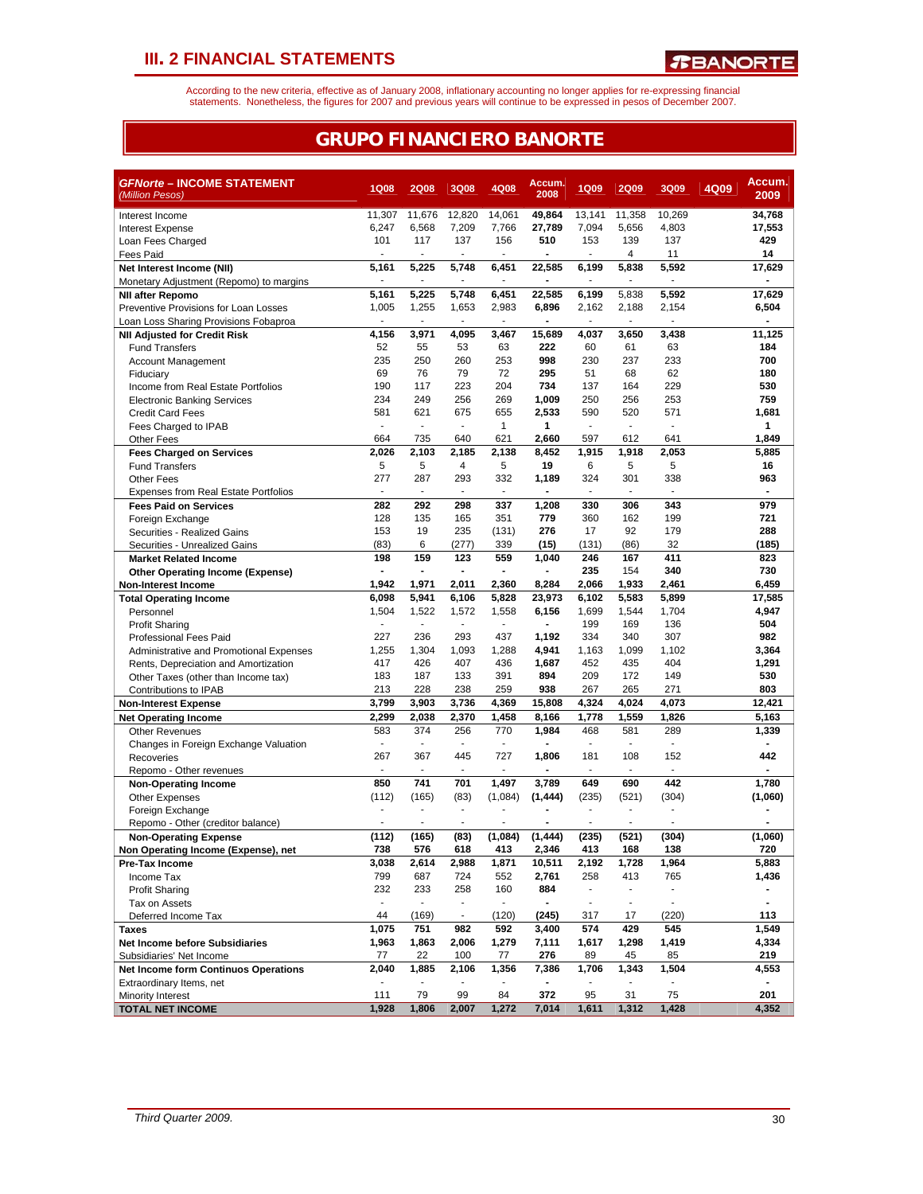According to the new criteria, effective as of January 2008, inflationary accounting no longer applies for re-expressing financial<br>statements. Nonetheless, the figures for 2007 and previous years will continue to be expres

## **GRUPO FINANCIERO BANORTE**

| <b>GFNorte - INCOME STATEMENT</b>                                       | <b>1Q08</b>              | <b>2Q08</b>              | 3Q08                     | 4Q08                     | Accum.<br>2008 | <b>1Q09</b>              | <b>2Q09</b>              | 3Q09                  | 4Q09 | Accum.         |
|-------------------------------------------------------------------------|--------------------------|--------------------------|--------------------------|--------------------------|----------------|--------------------------|--------------------------|-----------------------|------|----------------|
| (Million Pesos)                                                         |                          |                          |                          |                          |                |                          |                          |                       |      | 2009           |
| Interest Income                                                         | 11,307                   | 11,676                   | 12,820                   | 14,061                   | 49,864         | 13,141                   | 11,358                   | 10,269                |      | 34,768         |
| <b>Interest Expense</b>                                                 | 6,247                    | 6,568                    | 7,209                    | 7,766                    | 27,789         | 7,094                    | 5,656                    | 4,803                 |      | 17,553         |
| Loan Fees Charged                                                       | 101                      | 117                      | 137                      | 156<br>٠                 | 510            | 153<br>٠                 | 139<br>4                 | 137<br>11             |      | 429<br>14      |
| Fees Paid                                                               | 5,161                    | 5,225                    | 5,748                    | 6,451                    | 22,585         | 6,199                    | 5,838                    | 5,592                 |      | 17,629         |
| Net Interest Income (NII)<br>Monetary Adjustment (Repomo) to margins    |                          |                          |                          | $\overline{\phantom{a}}$ |                |                          |                          |                       |      |                |
| <b>NII after Repomo</b>                                                 | 5,161                    | 5,225                    | 5,748                    | 6,451                    | 22,585         | 6,199                    | 5,838                    | 5,592                 |      | 17,629         |
| Preventive Provisions for Loan Losses                                   | 1,005                    | 1,255                    | 1,653                    | 2,983                    | 6,896          | 2,162                    | 2,188                    | 2,154                 |      | 6,504          |
| Loan Loss Sharing Provisions Fobaproa                                   | $\overline{a}$           |                          |                          | $\overline{\phantom{a}}$ |                | $\blacksquare$           | $\blacksquare$           | $\blacksquare$        |      |                |
| <b>NII Adjusted for Credit Risk</b>                                     | 4,156                    | 3,971                    | 4,095                    | 3,467                    | 15,689         | 4,037                    | 3,650                    | 3,438                 |      | 11,125         |
| <b>Fund Transfers</b>                                                   | 52                       | 55                       | 53                       | 63                       | 222            | 60                       | 61                       | 63                    |      | 184            |
| Account Management                                                      | 235                      | 250                      | 260                      | 253                      | 998            | 230                      | 237                      | 233                   |      | 700            |
| Fiduciary                                                               | 69                       | 76                       | 79                       | 72                       | 295            | 51                       | 68                       | 62                    |      | 180            |
| Income from Real Estate Portfolios                                      | 190                      | 117                      | 223                      | 204                      | 734            | 137                      | 164                      | 229                   |      | 530            |
| <b>Electronic Banking Services</b>                                      | 234                      | 249                      | 256                      | 269                      | 1,009          | 250                      | 256                      | 253                   |      | 759            |
| <b>Credit Card Fees</b>                                                 | 581                      | 621                      | 675                      | 655                      | 2,533          | 590                      | 520                      | 571                   |      | 1,681          |
| Fees Charged to IPAB                                                    | ÷,                       |                          | $\overline{a}$           | $\mathbf{1}$             | 1              | $\overline{\phantom{a}}$ | $\blacksquare$           | $\blacksquare$        |      | 1              |
| Other Fees                                                              | 664                      | 735                      | 640                      | 621                      | 2,660          | 597                      | 612                      | 641                   |      | 1,849          |
| <b>Fees Charged on Services</b>                                         | 2,026                    | 2,103                    | 2,185                    | 2,138                    | 8,452          | 1,915                    | 1,918                    | 2,053                 |      | 5,885          |
| <b>Fund Transfers</b>                                                   | 5                        | 5                        | 4                        | 5                        | 19             | 6                        | 5                        | 5                     |      | 16             |
| <b>Other Fees</b>                                                       | 277                      | 287                      | 293                      | 332                      | 1,189          | 324                      | 301                      | 338                   |      | 963            |
| <b>Expenses from Real Estate Portfolios</b>                             | $\sim$                   | ÷                        | ÷,                       | ÷.                       |                | ÷                        | ÷,                       | $\sim$                |      | ÷,             |
| <b>Fees Paid on Services</b>                                            | 282                      | 292                      | 298                      | 337                      | 1,208          | 330                      | 306                      | 343                   |      | 979            |
| Foreign Exchange                                                        | 128                      | 135                      | 165                      | 351                      | 779            | 360                      | 162                      | 199                   |      | 721            |
| Securities - Realized Gains                                             | 153<br>(83)              | 19<br>6                  | 235<br>(277)             | (131)<br>339             | 276            | 17                       | 92<br>(86)               | 179<br>32             |      | 288<br>(185)   |
| Securities - Unrealized Gains                                           | 198                      | 159                      | 123                      | 559                      | (15)<br>1,040  | (131)<br>246             | 167                      | 411                   |      | 823            |
| <b>Market Related Income</b><br><b>Other Operating Income (Expense)</b> | $\blacksquare$           | $\blacksquare$           |                          | $\blacksquare$           |                | 235                      | 154                      | 340                   |      | 730            |
| Non-Interest Income                                                     | 1,942                    | 1,971                    | 2,011                    | 2,360                    | 8,284          | 2,066                    | 1,933                    | 2,461                 |      | 6,459          |
| <b>Total Operating Income</b>                                           | 6,098                    | 5,941                    | 6,106                    | 5,828                    | 23,973         | 6,102                    | 5,583                    | 5,899                 |      | 17,585         |
| Personnel                                                               | 1,504                    | 1,522                    | 1,572                    | 1,558                    | 6,156          | 1,699                    | 1,544                    | 1,704                 |      | 4,947          |
| <b>Profit Sharing</b>                                                   |                          |                          |                          |                          |                | 199                      | 169                      | 136                   |      | 504            |
| Professional Fees Paid                                                  | 227                      | 236                      | 293                      | 437                      | 1,192          | 334                      | 340                      | 307                   |      | 982            |
| Administrative and Promotional Expenses                                 | 1,255                    | 1,304                    | 1,093                    | 1,288                    | 4,941          | 1,163                    | 1,099                    | 1,102                 |      | 3,364          |
| Rents, Depreciation and Amortization                                    | 417                      | 426                      | 407                      | 436                      | 1,687          | 452                      | 435                      | 404                   |      | 1,291          |
| Other Taxes (other than Income tax)                                     | 183                      | 187                      | 133                      | 391                      | 894            | 209                      | 172                      | 149                   |      | 530            |
| Contributions to IPAB                                                   | 213                      | 228                      | 238                      | 259                      | 938            | 267                      | 265                      | 271                   |      | 803            |
| <b>Non-Interest Expense</b>                                             | 3,799                    | 3,903                    | 3,736                    | 4,369                    | 15,808         | 4,324                    | 4,024                    | 4,073                 |      | 12,421         |
| <b>Net Operating Income</b>                                             | 2,299                    | 2,038                    | 2,370                    | 1,458                    | 8,166          | 1,778                    | 1,559                    | 1,826                 |      | 5,163          |
| <b>Other Revenues</b>                                                   | 583                      | 374                      | 256                      | 770                      | 1,984          | 468                      | 581                      | 289                   |      | 1,339          |
| Changes in Foreign Exchange Valuation                                   | $\overline{\phantom{a}}$ | $\blacksquare$           | $\overline{a}$           | $\overline{\phantom{a}}$ |                | ÷,                       | $\overline{\phantom{a}}$ | $\blacksquare$        |      |                |
| Recoveries                                                              | 267                      | 367                      | 445                      | 727                      | 1,806          | 181                      | 108                      | 152                   |      | 442            |
| Repomo - Other revenues                                                 | ٠                        | ٠                        | $\blacksquare$           | ٠                        |                | ۰                        | $\overline{\phantom{a}}$ | $\sim$                |      |                |
| <b>Non-Operating Income</b>                                             | 850                      | 741                      | 701                      | 1,497                    | 3,789          | 649                      | 690                      | 442                   |      | 1,780          |
| <b>Other Expenses</b>                                                   | (112)                    | (165)                    | (83)                     | (1,084)                  | (1, 444)       | (235)                    | (521)                    | (304)                 |      | (1,060)        |
| Foreign Exchange                                                        |                          |                          | $\overline{a}$           |                          |                |                          |                          |                       |      |                |
| Repomo - Other (creditor balance)                                       |                          |                          |                          |                          |                |                          |                          |                       |      |                |
| <b>Non-Operating Expense</b>                                            | (112)                    | (165)                    | (83)                     | (1.084)                  | (1, 444)       | (235)                    | (521)                    | (304)                 |      | (1,060)        |
| Non Operating Income (Expense), net                                     | 738                      | 576                      | 618                      | 413                      | 2,346          | 413                      | 168                      | 138                   |      | 720            |
| Pre-Tax Income                                                          | 3,038                    | 2,614                    | 2,988                    | 1,871                    | 10,511         | 2,192                    | 1,728                    | 1,964                 |      | 5,883          |
| Income Tax                                                              | 799<br>232               | 687<br>233               | 724<br>258               | 552<br>160               | 2,761<br>884   | 258<br>$\blacksquare$    | 413<br>$\blacksquare$    | 765<br>$\blacksquare$ |      | 1,436          |
| <b>Profit Sharing</b><br>Tax on Assets                                  | $\blacksquare$           | $\overline{\phantom{a}}$ | $\overline{\phantom{a}}$ | $\overline{\phantom{a}}$ | $\blacksquare$ | $\blacksquare$           | $\blacksquare$           | $\blacksquare$        |      | $\blacksquare$ |
| Deferred Income Tax                                                     | 44                       | (169)                    | $\overline{\phantom{a}}$ | (120)                    | (245)          | 317                      | 17                       | (220)                 |      | 113            |
| Taxes                                                                   | 1,075                    | 751                      | 982                      | 592                      | 3,400          | 574                      | 429                      | 545                   |      | 1,549          |
| <b>Net Income before Subsidiaries</b>                                   | 1,963                    | 1,863                    | 2,006                    | 1,279                    | 7,111          | 1,617                    | 1,298                    | 1,419                 |      | 4,334          |
| Subsidiaries' Net Income                                                | 77                       | 22                       | 100                      | 77                       | 276            | 89                       | 45                       | 85                    |      | 219            |
| Net Income form Continuos Operations                                    | 2,040                    | 1,885                    | 2,106                    | 1,356                    | 7,386          | 1,706                    | 1,343                    | 1,504                 |      | 4,553          |
| Extraordinary Items, net                                                |                          |                          |                          |                          |                |                          |                          |                       |      |                |
| Minority Interest                                                       | 111                      | 79                       | 99                       | 84                       | 372            | 95                       | 31                       | 75                    |      | 201            |
| <b>TOTAL NET INCOME</b>                                                 | 1,928                    | 1,806                    | 2,007                    | 1,272                    | 7,014          | 1,611                    | 1,312                    | 1,428                 |      | 4,352          |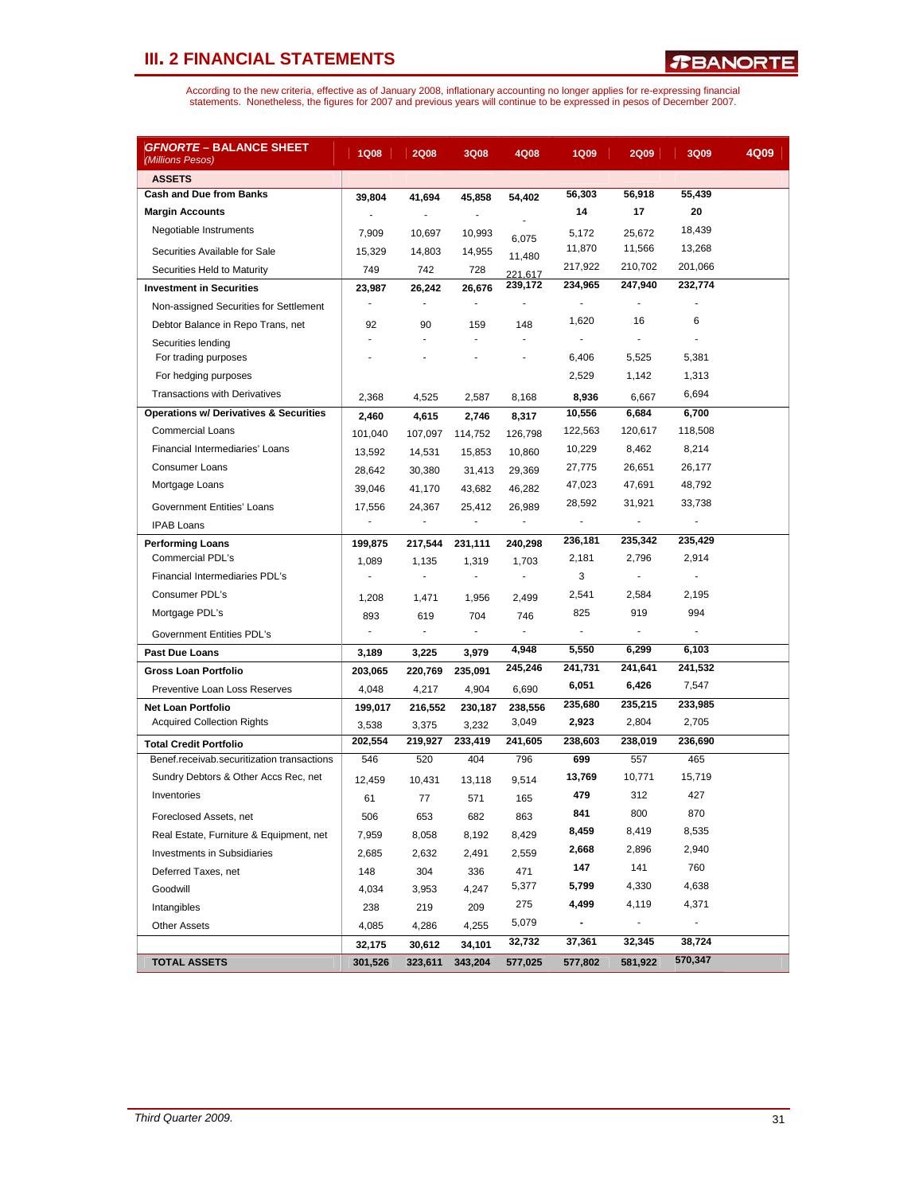| <i>GFNORTE –</i> BALANCE SHEET<br>(Millions Pesos) | <b>1Q08</b>              | <b>2Q08</b>              | 3Q08           | 4Q08    | <b>1Q09</b>                  | <b>2Q09</b>    | 3Q09           | 4Q09 |
|----------------------------------------------------|--------------------------|--------------------------|----------------|---------|------------------------------|----------------|----------------|------|
| <b>ASSETS</b>                                      |                          |                          |                |         |                              |                |                |      |
| <b>Cash and Due from Banks</b>                     | 39,804                   | 41,694                   | 45,858         | 54,402  | 56,303                       | 56,918         | 55,439         |      |
| <b>Margin Accounts</b>                             | $\blacksquare$           |                          | $\blacksquare$ |         | 14                           | 17             | 20             |      |
| Negotiable Instruments                             | 7,909                    | 10,697                   | 10,993         | 6,075   | 5,172                        | 25,672         | 18,439         |      |
| Securities Available for Sale                      | 15,329                   | 14,803                   | 14,955         | 11,480  | 11,870                       | 11,566         | 13,268         |      |
| Securities Held to Maturity                        | 749                      | 742                      | 728            | 221.617 | 217,922                      | 210,702        | 201,066        |      |
| <b>Investment in Securities</b>                    | 23,987                   | 26,242                   | 26,676         | 239,172 | 234.965                      | 247,940        | 232.774        |      |
| Non-assigned Securities for Settlement             | $\overline{\phantom{a}}$ | ÷.                       | ÷.             |         | $\sim$                       | ÷,             |                |      |
| Debtor Balance in Repo Trans, net                  | 92                       | 90                       | 159            | 148     | 1,620                        | 16             | 6              |      |
| Securities lending                                 | ÷.                       | $\overline{\phantom{a}}$ | ÷              |         | $\blacksquare$               | $\blacksquare$ |                |      |
| For trading purposes                               |                          |                          |                |         | 6,406                        | 5,525          | 5,381          |      |
| For hedging purposes                               |                          |                          |                |         | 2,529                        | 1,142          | 1,313          |      |
| <b>Transactions with Derivatives</b>               | 2,368                    | 4,525                    | 2,587          | 8,168   | 8,936                        | 6,667          | 6,694          |      |
| <b>Operations w/ Derivatives &amp; Securities</b>  | 2,460                    | 4,615                    | 2,746          | 8,317   | 10,556                       | 6,684          | 6,700          |      |
| <b>Commercial Loans</b>                            | 101,040                  | 107,097                  | 114,752        | 126,798 | 122,563                      | 120,617        | 118,508        |      |
| Financial Intermediaries' Loans                    | 13,592                   | 14,531                   | 15,853         | 10,860  | 10,229                       | 8,462          | 8,214          |      |
| <b>Consumer Loans</b>                              | 28,642                   | 30,380                   | 31,413         | 29,369  | 27,775                       | 26,651         | 26,177         |      |
| Mortgage Loans                                     | 39,046                   | 41,170                   | 43,682         | 46,282  | 47,023                       | 47,691         | 48,792         |      |
| <b>Government Entities' Loans</b>                  | 17,556                   | 24,367                   | 25,412         | 26,989  | 28,592                       | 31,921         | 33,738         |      |
| <b>IPAB Loans</b>                                  | ٠                        | ä,                       |                | ÷,      | ÷,                           | $\overline{a}$ | $\overline{a}$ |      |
| <b>Performing Loans</b>                            | 199,875                  | 217,544                  | 231,111        | 240,298 | 236,181                      | 235,342        | 235,429        |      |
| Commercial PDL's                                   | 1,089                    | 1,135                    | 1,319          | 1,703   | 2,181                        | 2,796          | 2,914          |      |
| Financial Intermediaries PDL's                     | $\sim$                   | ÷.                       | $\blacksquare$ | ÷.      | 3                            | $\sim$         | $\overline{a}$ |      |
| Consumer PDL's                                     | 1,208                    | 1,471                    | 1,956          | 2,499   | 2,541                        | 2,584          | 2,195          |      |
| Mortgage PDL's                                     | 893                      | 619                      | 704            | 746     | 825                          | 919            | 994            |      |
| Government Entities PDL's                          | $\sim$                   | $\sim$                   | $\blacksquare$ | ÷.      | $\mathbf{r}$                 | $\overline{a}$ | $\overline{a}$ |      |
| Past Due Loans                                     | 3,189                    | 3,225                    | 3,979          | 4,948   | 5,550                        | 6,299          | 6,103          |      |
| Gross Loan Portfolio                               | 203,065                  | 220,769                  | 235,091        | 245,246 | 241,731                      | 241,641        | 241,532        |      |
| Preventive Loan Loss Reserves                      | 4,048                    | 4,217                    | 4,904          | 6,690   | 6,051                        | 6,426          | 7,547          |      |
| <b>Net Loan Portfolio</b>                          | 199,017                  | 216,552                  | 230,187        | 238,556 | 235,680                      | 235,215        | 233,985        |      |
| <b>Acquired Collection Rights</b>                  | 3,538                    | 3,375                    | 3,232          | 3,049   | 2,923                        | 2,804          | 2,705          |      |
| <b>Total Credit Portfolio</b>                      | 202,554                  | 219,927                  | 233,419        | 241,605 | 238,603                      | 238,019        | 236,690        |      |
| Benef.receivab.securitization transactions         | 546                      | 520                      | 404            | 796     | 699                          | 557            | 465            |      |
| Sundry Debtors & Other Accs Rec, net               | 12,459                   | 10,431                   | 13,118         | 9,514   | 13,769                       | 10,771         | 15,719         |      |
| Inventories                                        | 61                       | 77                       | 571            | 165     | 479                          | 312            | 427            |      |
| Foreclosed Assets, net                             | 506                      | 653                      | 682            | 863     | 841                          | 800            | 870            |      |
| Real Estate, Furniture & Equipment, net            | 7,959                    | 8,058                    | 8,192          | 8,429   | 8,459                        | 8,419          | 8,535          |      |
| Investments in Subsidiaries                        | 2,685                    | 2,632                    | 2,491          | 2,559   | 2,668                        | 2,896          | 2,940          |      |
| Deferred Taxes, net                                | 148                      | 304                      | 336            | 471     | 147                          | 141            | 760            |      |
| Goodwill                                           | 4,034                    | 3,953                    | 4,247          | 5,377   | 5,799                        | 4,330          | 4,638          |      |
| Intangibles                                        | 238                      | 219                      | 209            | 275     | 4,499                        | 4,119          | 4,371          |      |
| <b>Other Assets</b>                                | 4,085                    | 4,286                    | 4,255          | 5,079   | $\qquad \qquad \blacksquare$ |                |                |      |
|                                                    | 32,175                   | 30,612                   | 34,101         | 32,732  | 37,361                       | 32,345         | 38,724         |      |
| <b>TOTAL ASSETS</b>                                | 301,526                  | 323,611                  | 343,204        | 577,025 | 577,802                      | 581,922        | 570,347        |      |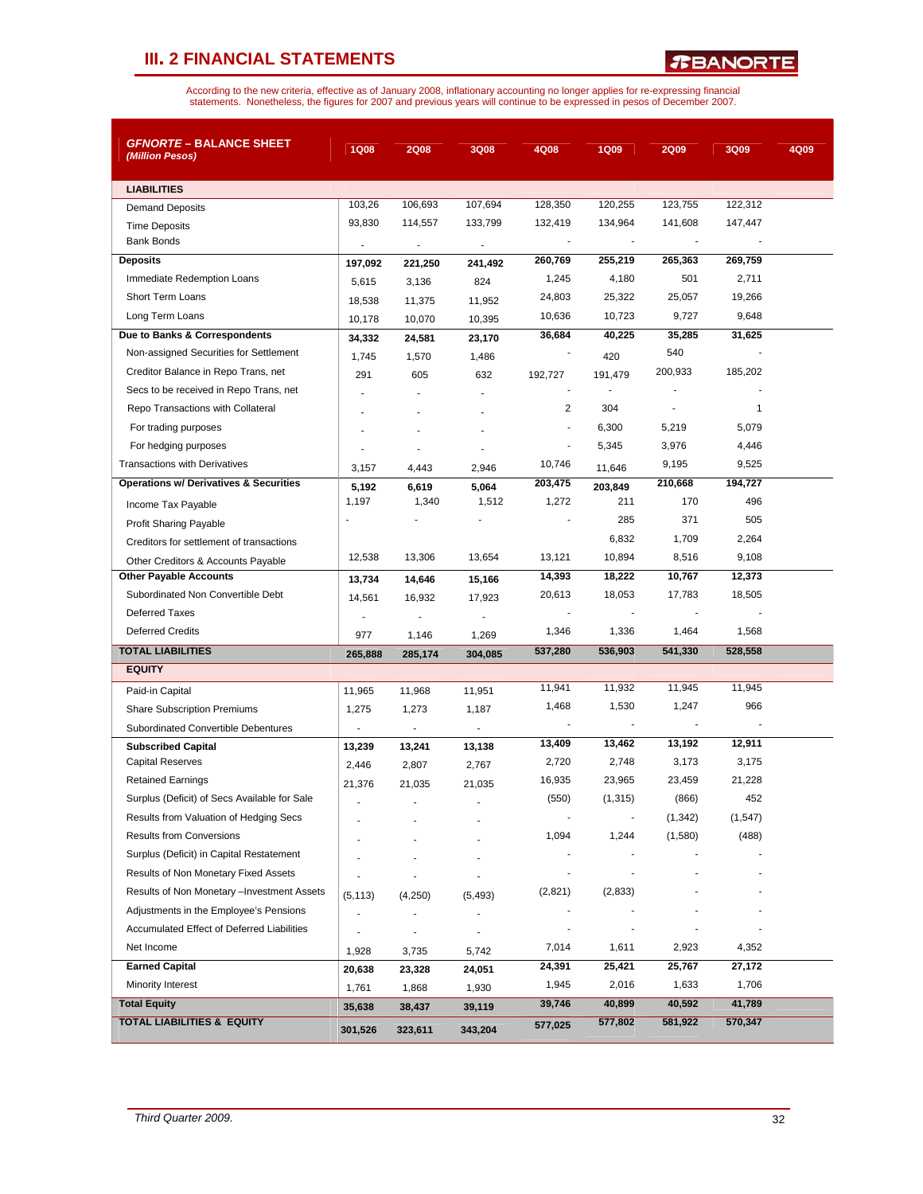*T***BANORTE** 

| <b><i>GFNORTE –</i> BALANCE SHEET</b><br>(Million Pesos) | <b>1Q08</b>    | <b>2Q08</b>              | 3Q08                     | 4Q08                     | <b>1Q09</b> | <b>2Q09</b> | 3Q09        | 4Q09 |
|----------------------------------------------------------|----------------|--------------------------|--------------------------|--------------------------|-------------|-------------|-------------|------|
|                                                          |                |                          |                          |                          |             |             |             |      |
| <b>LIABILITIES</b>                                       | 103,26         | 106,693                  | 107,694                  | 128,350                  | 120,255     | 123,755     | 122,312     |      |
| <b>Demand Deposits</b>                                   | 93,830         | 114,557                  | 133,799                  | 132,419                  | 134,964     | 141,608     | 147,447     |      |
| <b>Time Deposits</b><br><b>Bank Bonds</b>                |                |                          |                          | $\overline{\phantom{a}}$ |             |             |             |      |
| <b>Deposits</b>                                          | $\overline{a}$ | $\overline{\phantom{a}}$ | $\overline{\phantom{a}}$ | 260,769                  | 255,219     | 265,363     | 269,759     |      |
| Immediate Redemption Loans                               | 197,092        | 221,250                  | 241,492                  | 1,245                    | 4,180       | 501         | 2,711       |      |
| <b>Short Term Loans</b>                                  | 5,615          | 3,136                    | 824                      | 24,803                   | 25,322      | 25,057      | 19,266      |      |
| Long Term Loans                                          | 18,538         | 11,375                   | 11,952                   | 10,636                   | 10,723      | 9,727       | 9,648       |      |
| Due to Banks & Correspondents                            | 10,178         | 10,070                   | 10,395                   | 36,684                   | 40,225      | 35,285      | 31,625      |      |
| Non-assigned Securities for Settlement                   | 34,332         | 24,581                   | 23,170                   |                          |             | 540         |             |      |
| Creditor Balance in Repo Trans, net                      | 1,745          | 1,570                    | 1,486                    |                          | 420         | 200,933     | 185,202     |      |
| Secs to be received in Repo Trans, net                   | 291            | 605                      | 632                      | 192,727                  | 191,479     |             |             |      |
| Repo Transactions with Collateral                        |                |                          |                          | 2                        | 304         |             | $\mathbf 1$ |      |
| For trading purposes                                     |                |                          |                          | $\overline{\phantom{a}}$ | 6,300       | 5,219       | 5,079       |      |
| For hedging purposes                                     |                |                          |                          | $\overline{a}$           | 5,345       | 3,976       | 4,446       |      |
| <b>Transactions with Derivatives</b>                     | 3,157          | 4,443                    | 2,946                    | 10,746                   | 11,646      | 9,195       | 9,525       |      |
| <b>Operations w/ Derivatives &amp; Securities</b>        | 5,192          | 6,619                    | 5,064                    | 203,475                  | 203,849     | 210,668     | 194,727     |      |
| Income Tax Payable                                       | 1,197          | 1,340                    | 1,512                    | 1,272                    | 211         | 170         | 496         |      |
| Profit Sharing Payable                                   |                |                          |                          |                          | 285         | 371         | 505         |      |
| Creditors for settlement of transactions                 |                |                          |                          |                          | 6,832       | 1,709       | 2,264       |      |
| Other Creditors & Accounts Payable                       | 12,538         | 13,306                   | 13,654                   | 13,121                   | 10,894      | 8,516       | 9,108       |      |
| <b>Other Payable Accounts</b>                            | 13,734         | 14,646                   | 15,166                   | 14,393                   | 18,222      | 10,767      | 12,373      |      |
| Subordinated Non Convertible Debt                        | 14,561         | 16,932                   | 17,923                   | 20,613                   | 18,053      | 17,783      | 18,505      |      |
| <b>Deferred Taxes</b>                                    | ÷              |                          | ÷,                       |                          |             |             |             |      |
| <b>Deferred Credits</b>                                  | 977            | 1,146                    | 1,269                    | 1,346                    | 1,336       | 1,464       | 1,568       |      |
| <b>TOTAL LIABILITIES</b>                                 | 265,888        | 285,174                  | 304,085                  | 537,280                  | 536,903     | 541,330     | 528,558     |      |
| <b>EQUITY</b>                                            |                |                          |                          |                          |             |             |             |      |
| Paid-in Capital                                          | 11,965         | 11,968                   | 11,951                   | 11,941                   | 11,932      | 11,945      | 11,945      |      |
| <b>Share Subscription Premiums</b>                       | 1,275          | 1,273                    | 1,187                    | 1,468                    | 1,530       | 1,247       | 966         |      |
| Subordinated Convertible Debentures                      | $\blacksquare$ | $\blacksquare$           | $\overline{\phantom{a}}$ | $\overline{\phantom{a}}$ |             |             |             |      |
| <b>Subscribed Capital</b>                                | 13,239         | 13,241                   | 13,138                   | 13,409                   | 13,462      | 13,192      | 12,911      |      |
| <b>Capital Reserves</b>                                  | 2,446          | 2,807                    | 2,767                    | 2,720                    | 2,748       | 3,173       | 3,175       |      |
| <b>Retained Earnings</b>                                 | 21,376         | 21,035                   | 21,035                   | 16,935                   | 23,965      | 23,459      | 21,228      |      |
| Surplus (Deficit) of Secs Available for Sale             |                |                          |                          | (550)                    | (1, 315)    | (866)       | 452         |      |
| Results from Valuation of Hedging Secs                   |                |                          |                          |                          |             | (1, 342)    | (1, 547)    |      |
| <b>Results from Conversions</b>                          |                |                          |                          | 1,094                    | 1,244       | (1,580)     | (488)       |      |
| Surplus (Deficit) in Capital Restatement                 |                |                          |                          |                          |             |             |             |      |
| Results of Non Monetary Fixed Assets                     |                |                          |                          |                          |             |             |             |      |
| Results of Non Monetary -Investment Assets               | (5, 113)       | (4,250)                  | (5, 493)                 | (2,821)                  | (2,833)     |             |             |      |
| Adjustments in the Employee's Pensions                   |                |                          |                          |                          |             |             |             |      |
| Accumulated Effect of Deferred Liabilities               |                |                          |                          | $\overline{\phantom{a}}$ |             |             |             |      |
| Net Income                                               | 1,928          | 3,735                    | 5,742                    | 7,014                    | 1,611       | 2,923       | 4,352       |      |
| <b>Earned Capital</b>                                    | 20,638         | 23,328                   | 24,051                   | 24,391                   | 25,421      | 25,767      | 27,172      |      |
| Minority Interest                                        | 1,761          | 1,868                    | 1,930                    | 1,945                    | 2,016       | 1,633       | 1,706       |      |
| <b>Total Equity</b>                                      | 35,638         | 38,437                   | 39,119                   | 39,746                   | 40,899      | 40,592      | 41,789      |      |
| <b>TOTAL LIABILITIES &amp; EQUITY</b>                    | 301,526        | 323,611                  | 343,204                  | 577,025                  | 577,802     | 581,922     | 570,347     |      |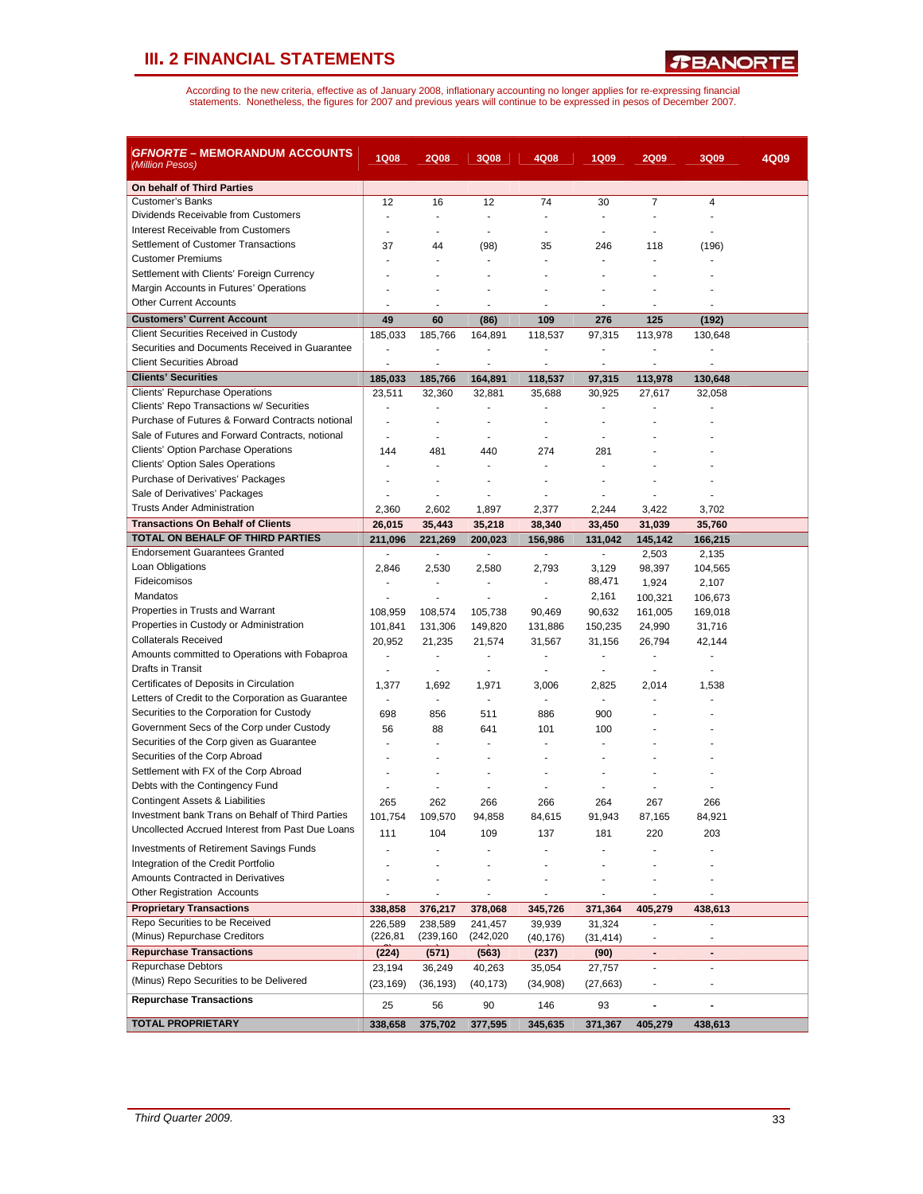| <i>GFNORTE</i> – MEMORANDUM ACCOUNTS<br>(Million Pesos) | <b>1Q08</b>              | <b>2Q08</b>                         | <b>3Q08</b>              | 4Q08                     | 1Q09                               | <b>2Q09</b>                        | <b>3Q09</b>                        | 4Q09 |
|---------------------------------------------------------|--------------------------|-------------------------------------|--------------------------|--------------------------|------------------------------------|------------------------------------|------------------------------------|------|
| On behalf of Third Parties                              |                          |                                     |                          |                          |                                    |                                    |                                    |      |
| <b>Customer's Banks</b>                                 | 12                       | 16                                  | 12                       | 74                       | 30                                 | 7                                  | $\overline{\mathbf{4}}$            |      |
| Dividends Receivable from Customers                     | $\overline{a}$           | $\blacksquare$                      | $\sim$                   | $\blacksquare$           | $\overline{a}$                     |                                    | ÷                                  |      |
| Interest Receivable from Customers                      |                          | $\overline{a}$                      |                          | $\overline{a}$           |                                    |                                    |                                    |      |
| Settlement of Customer Transactions                     | 37                       | 44                                  | (98)                     | 35                       | 246                                | 118                                | (196)                              |      |
| <b>Customer Premiums</b>                                |                          |                                     |                          |                          |                                    |                                    |                                    |      |
| Settlement with Clients' Foreign Currency               |                          | ٠                                   |                          |                          |                                    |                                    |                                    |      |
| Margin Accounts in Futures' Operations                  |                          |                                     |                          |                          |                                    |                                    |                                    |      |
| <b>Other Current Accounts</b>                           |                          | ٠                                   | $\blacksquare$           | ٠                        | $\blacksquare$                     | ٠                                  | ٠                                  |      |
| <b>Customers' Current Account</b>                       | 49                       | 60                                  | (86)                     | 109                      | 276                                | 125                                | (192)                              |      |
| <b>Client Securities Received in Custody</b>            | 185,033                  | 185,766                             | 164,891                  | 118,537                  | 97,315                             | 113,978                            | 130,648                            |      |
| Securities and Documents Received in Guarantee          | ÷,                       | ÷,                                  | $\overline{a}$           | $\overline{\phantom{a}}$ | $\blacksquare$                     | ÷                                  | $\overline{a}$                     |      |
| <b>Client Securities Abroad</b>                         | ä,                       | ÷,                                  | $\blacksquare$           | ÷,                       | $\blacksquare$                     | $\blacksquare$                     | ä,                                 |      |
| <b>Clients' Securities</b>                              | 185,033                  | 185,766                             | 164,891                  | 118,537                  | 97,315                             | 113,978                            | 130,648                            |      |
| Clients' Repurchase Operations                          | 23,511                   | 32,360                              | 32,881                   | 35,688                   | 30,925                             | 27,617                             | 32,058                             |      |
| Clients' Repo Transactions w/ Securities                |                          |                                     |                          |                          |                                    |                                    |                                    |      |
| Purchase of Futures & Forward Contracts notional        | $\overline{a}$           | ÷                                   |                          | ٠                        |                                    |                                    |                                    |      |
| Sale of Futures and Forward Contracts, notional         |                          | ÷                                   |                          | ÷                        |                                    |                                    |                                    |      |
| <b>Clients' Option Parchase Operations</b>              | 144                      | 481                                 | 440                      | 274                      | 281                                |                                    |                                    |      |
| <b>Clients' Option Sales Operations</b>                 |                          | ÷                                   |                          | ÷                        |                                    |                                    |                                    |      |
| Purchase of Derivatives' Packages                       |                          |                                     |                          |                          |                                    |                                    |                                    |      |
| Sale of Derivatives' Packages                           |                          | ÷.                                  |                          | ٠                        |                                    |                                    |                                    |      |
| <b>Trusts Ander Administration</b>                      | 2,360                    | 2,602                               | 1,897                    | 2,377                    | 2,244                              | 3,422                              | 3,702                              |      |
| <b>Transactions On Behalf of Clients</b>                | 26,015                   | 35,443                              | 35,218                   | 38,340                   | 33,450                             | 31,039                             | 35,760                             |      |
| TOTAL ON BEHALF OF THIRD PARTIES                        | 211,096                  | 221,269                             | 200,023                  | 156,986                  | 131,042                            | 145,142                            | 166,215                            |      |
| <b>Endorsement Guarantees Granted</b>                   | $\overline{\phantom{a}}$ | $\blacksquare$                      | $\overline{\phantom{a}}$ | $\blacksquare$           | $\blacksquare$                     | 2,503                              | 2,135                              |      |
| Loan Obligations<br>Fideicomisos                        | 2,846                    | 2,530                               | 2,580                    | 2,793                    | 3,129                              | 98,397                             | 104,565                            |      |
| Mandatos                                                | $\blacksquare$           | $\overline{\phantom{a}}$            | $\blacksquare$           | $\blacksquare$           | 88,471                             | 1,924                              | 2,107                              |      |
| Properties in Trusts and Warrant                        |                          | ÷,                                  |                          | $\blacksquare$           | 2,161                              | 100,321                            | 106,673                            |      |
| Properties in Custody or Administration                 | 108,959                  | 108,574                             | 105,738                  | 90,469                   | 90,632                             | 161,005                            | 169,018                            |      |
| <b>Collaterals Received</b>                             | 101,841                  | 131,306                             | 149,820                  | 131,886                  | 150,235                            | 24,990                             | 31,716                             |      |
| Amounts committed to Operations with Fobaproa           | 20,952                   | 21,235<br>$\overline{\phantom{a}}$  | 21,574                   | 31,567<br>$\blacksquare$ | 31,156<br>$\overline{\phantom{a}}$ | 26,794<br>$\overline{\phantom{a}}$ | 42,144<br>$\overline{\phantom{a}}$ |      |
| Drafts in Transit                                       | $\blacksquare$           | $\overline{\phantom{a}}$            | $\overline{\phantom{a}}$ | $\overline{\phantom{a}}$ | $\overline{a}$                     | $\blacksquare$                     | ä,                                 |      |
| Certificates of Deposits in Circulation                 | 1,377                    | 1,692                               | 1,971                    | 3,006                    | 2,825                              | 2,014                              | 1,538                              |      |
| Letters of Credit to the Corporation as Guarantee       | $\blacksquare$           | ÷,                                  | $\blacksquare$           | $\overline{\phantom{a}}$ | $\blacksquare$                     | ä,                                 |                                    |      |
| Securities to the Corporation for Custody               | 698                      | 856                                 | 511                      | 886                      | 900                                |                                    |                                    |      |
| Government Secs of the Corp under Custody               | 56                       | 88                                  | 641                      | 101                      | 100                                |                                    |                                    |      |
| Securities of the Corp given as Guarantee               | ٠                        | $\overline{a}$                      |                          |                          |                                    |                                    |                                    |      |
| Securities of the Corp Abroad                           |                          |                                     |                          |                          |                                    |                                    |                                    |      |
| Settlement with FX of the Corp Abroad                   |                          | ٠                                   | $\blacksquare$           | ٠                        |                                    |                                    |                                    |      |
| Debts with the Contingency Fund                         |                          |                                     |                          |                          |                                    |                                    |                                    |      |
| <b>Contingent Assets &amp; Liabilities</b>              | 265                      | 262                                 | 266                      | 266                      | 264                                | 267                                | 266                                |      |
| Investment bank Trans on Behalf of Third Parties        | 101,754                  | 109,570                             | 94,858                   | 84,615                   | 91,943                             | 87,165                             | 84,921                             |      |
| Uncollected Accrued Interest from Past Due Loans        | 111                      | 104                                 | 109                      | 137                      | 181                                | 220                                | 203                                |      |
| <b>Investments of Retirement Savings Funds</b>          |                          |                                     |                          |                          |                                    |                                    |                                    |      |
| Integration of the Credit Portfolio                     |                          |                                     |                          |                          |                                    |                                    |                                    |      |
| Amounts Contracted in Derivatives                       |                          |                                     |                          |                          |                                    |                                    |                                    |      |
| <b>Other Registration Accounts</b>                      |                          |                                     |                          |                          |                                    |                                    |                                    |      |
| <b>Proprietary Transactions</b>                         |                          | $\overline{\phantom{a}}$<br>376,217 | $\overline{\phantom{a}}$ | $\overline{\phantom{a}}$ | $\overline{a}$                     |                                    | $\overline{a}$                     |      |
| Repo Securities to be Received                          | 338,858                  | 238,589                             | 378,068<br>241,457       | 345,726                  | 371,364                            | 405,279                            | 438,613<br>ä,                      |      |
| (Minus) Repurchase Creditors                            | 226,589<br>(226, 81)     | (239,160                            | (242, 020)               | 39,939                   | 31,324                             |                                    |                                    |      |
| <b>Repurchase Transactions</b>                          |                          |                                     |                          | (40, 176)                | (31,414)                           |                                    |                                    |      |
| <b>Repurchase Debtors</b>                               | (224)<br>23,194          | (571)<br>36,249                     | (563)<br>40,263          | (237)<br>35,054          | (90)                               | $\blacksquare$<br>$\sim$           | $\blacksquare$<br>÷                |      |
| (Minus) Repo Securities to be Delivered                 |                          |                                     |                          |                          | 27,757                             |                                    |                                    |      |
|                                                         | (23, 169)                | (36, 193)                           | (40, 173)                | (34, 908)                | (27, 663)                          |                                    | $\overline{a}$                     |      |
| <b>Repurchase Transactions</b>                          | 25                       | 56                                  | 90                       | 146                      | 93                                 | $\blacksquare$                     |                                    |      |
| <b>TOTAL PROPRIETARY</b>                                | 338,658                  | 375,702                             | 377,595                  | 345,635                  | 371,367                            | 405,279                            | 438,613                            |      |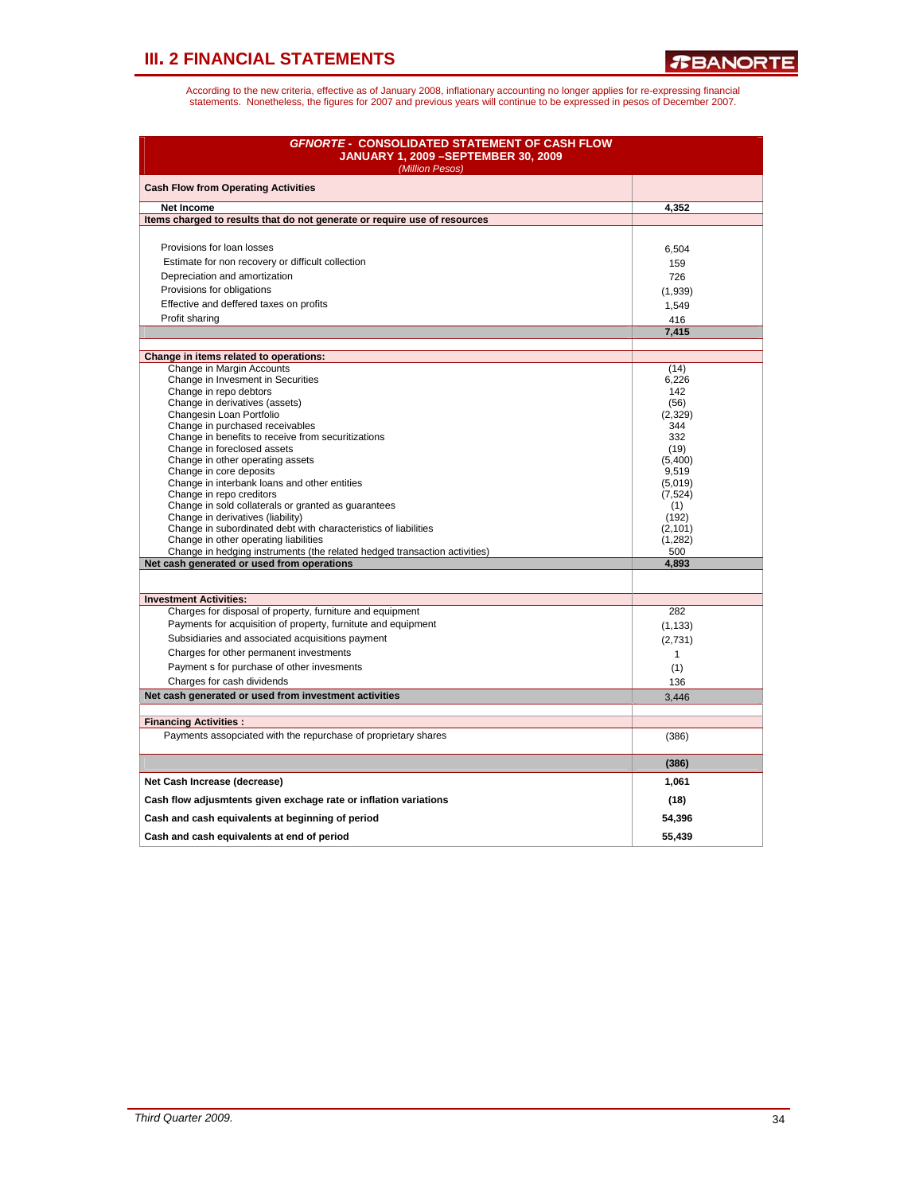| <b>GFNORTE - CONSOLIDATED STATEMENT OF CASH FLOW</b><br><b>JANUARY 1, 2009 - SEPTEMBER 30, 2009</b><br>(Million Pesos) |              |
|------------------------------------------------------------------------------------------------------------------------|--------------|
| <b>Cash Flow from Operating Activities</b>                                                                             |              |
| <b>Net Income</b>                                                                                                      | 4,352        |
| Items charged to results that do not generate or require use of resources                                              |              |
|                                                                                                                        |              |
| Provisions for loan losses                                                                                             | 6,504        |
| Estimate for non recovery or difficult collection                                                                      | 159          |
| Depreciation and amortization                                                                                          | 726          |
| Provisions for obligations                                                                                             | (1,939)      |
| Effective and deffered taxes on profits                                                                                | 1,549        |
| Profit sharing                                                                                                         | 416          |
|                                                                                                                        | 7,415        |
|                                                                                                                        |              |
| Change in items related to operations:<br>Change in Margin Accounts                                                    | (14)         |
| Change in Invesment in Securities                                                                                      | 6.226        |
| Change in repo debtors                                                                                                 | 142          |
| Change in derivatives (assets)                                                                                         | (56)         |
| Changesin Loan Portfolio                                                                                               | (2, 329)     |
| Change in purchased receivables                                                                                        | 344<br>332   |
| Change in benefits to receive from securitizations<br>Change in foreclosed assets                                      | (19)         |
| Change in other operating assets                                                                                       | (5,400)      |
| Change in core deposits                                                                                                | 9,519        |
| Change in interbank loans and other entities                                                                           | (5,019)      |
| Change in repo creditors                                                                                               | (7, 524)     |
| Change in sold collaterals or granted as guarantees<br>Change in derivatives (liability)                               | (1)<br>(192) |
| Change in subordinated debt with characteristics of liabilities                                                        | (2, 101)     |
| Change in other operating liabilities                                                                                  | (1, 282)     |
| Change in hedging instruments (the related hedged transaction activities)                                              | 500          |
| Net cash generated or used from operations                                                                             | 4,893        |
|                                                                                                                        |              |
| <b>Investment Activities:</b>                                                                                          |              |
| Charges for disposal of property, furniture and equipment                                                              | 282          |
| Payments for acquisition of property, furnitute and equipment                                                          | (1, 133)     |
| Subsidiaries and associated acquisitions payment                                                                       | (2,731)      |
| Charges for other permanent investments                                                                                | $\mathbf{1}$ |
| Payment s for purchase of other invesments                                                                             | (1)          |
| Charges for cash dividends                                                                                             | 136          |
| Net cash generated or used from investment activities                                                                  | 3,446        |
| <b>Financing Activities:</b>                                                                                           |              |
| Payments assopciated with the repurchase of proprietary shares                                                         | (386)        |
|                                                                                                                        | (386)        |
| Net Cash Increase (decrease)                                                                                           | 1,061        |
| Cash flow adjusmtents given exchage rate or inflation variations                                                       | (18)         |
| Cash and cash equivalents at beginning of period                                                                       | 54,396       |
| Cash and cash equivalents at end of period                                                                             | 55,439       |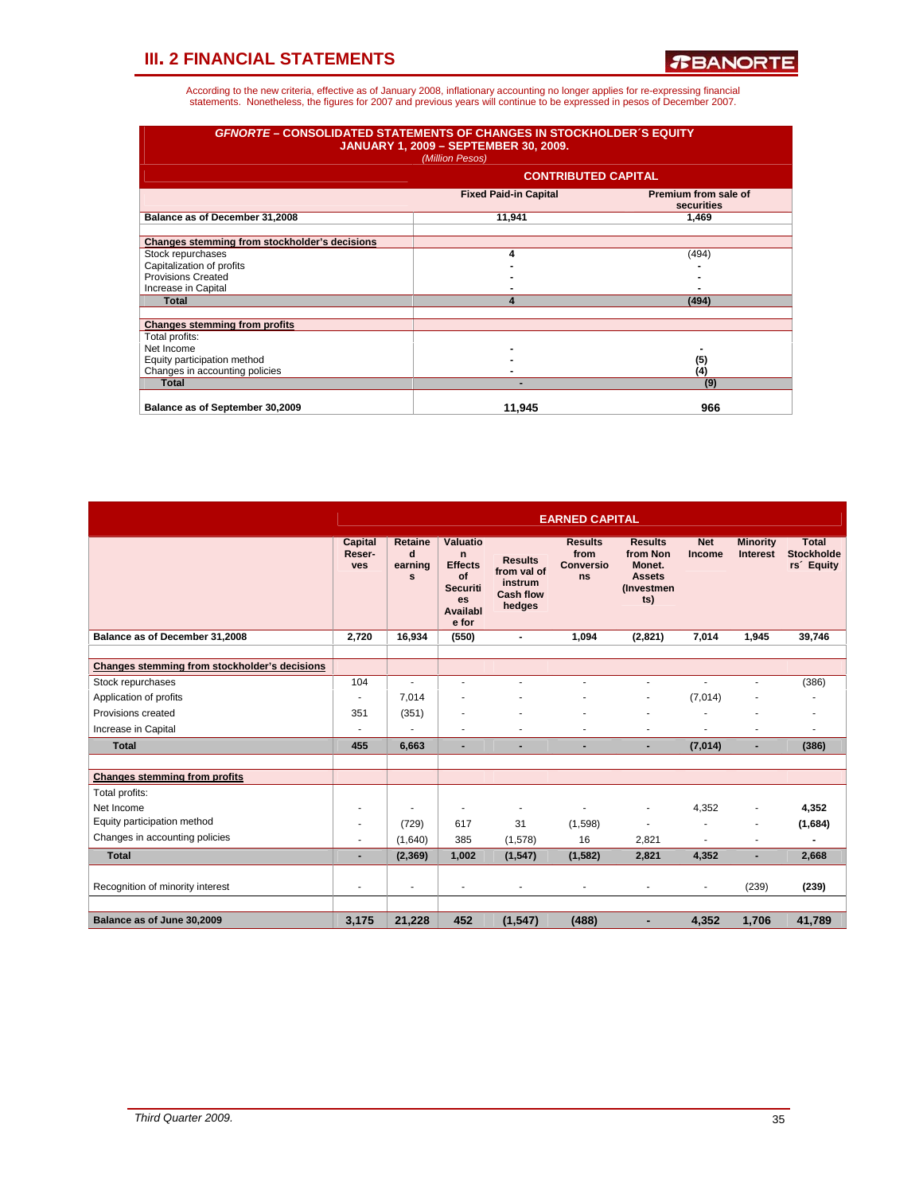| <b>GFNORTE - CONSOLIDATED STATEMENTS OF CHANGES IN STOCKHOLDER'S EQUITY</b> | <b>JANUARY 1, 2009 - SEPTEMBER 30, 2009.</b><br>(Million Pesos) |                                    |
|-----------------------------------------------------------------------------|-----------------------------------------------------------------|------------------------------------|
|                                                                             | <b>CONTRIBUTED CAPITAL</b>                                      |                                    |
|                                                                             | <b>Fixed Paid-in Capital</b>                                    | Premium from sale of<br>securities |
| Balance as of December 31,2008                                              | 11,941                                                          | 1,469                              |
| Changes stemming from stockholder's decisions                               |                                                                 |                                    |
| Stock repurchases                                                           | Δ                                                               | (494)                              |
| Capitalization of profits                                                   |                                                                 |                                    |
| Provisions Created                                                          |                                                                 |                                    |
| Increase in Capital                                                         |                                                                 |                                    |
| <b>Total</b>                                                                | 4                                                               | (494)                              |
| <b>Changes stemming from profits</b>                                        |                                                                 |                                    |
| Total profits:                                                              |                                                                 |                                    |
| Net Income                                                                  |                                                                 |                                    |
| Equity participation method                                                 |                                                                 | (5)                                |
| Changes in accounting policies                                              |                                                                 | (4)                                |
| <b>Total</b>                                                                |                                                                 | (9)                                |
| Balance as of September 30,2009                                             | 11.945                                                          | 966                                |

|                                               |                                 |                                     |                                                                                                       |                                                                        | <b>EARNED CAPITAL</b>                            |                                                                                    |                      |                                    |                                                             |
|-----------------------------------------------|---------------------------------|-------------------------------------|-------------------------------------------------------------------------------------------------------|------------------------------------------------------------------------|--------------------------------------------------|------------------------------------------------------------------------------------|----------------------|------------------------------------|-------------------------------------------------------------|
|                                               | <b>Capital</b><br>Reser-<br>ves | <b>Retaine</b><br>d<br>earning<br>s | Valuatio<br>$\mathsf{n}$<br><b>Effects</b><br>of<br><b>Securiti</b><br><b>es</b><br>Availabl<br>e for | <b>Results</b><br>from val of<br>instrum<br><b>Cash flow</b><br>hedges | <b>Results</b><br>from<br><b>Conversio</b><br>ns | <b>Results</b><br>from Non<br>Monet.<br><b>Assets</b><br><b>(Investmen)</b><br>ts) | <b>Net</b><br>Income | <b>Minority</b><br><b>Interest</b> | <b>Total</b><br><b>Stockholde</b><br>rs <sup>2</sup> Equity |
| Balance as of December 31,2008                | 2,720                           | 16.934                              | (550)                                                                                                 | $\blacksquare$                                                         | 1.094                                            | (2,821)                                                                            | 7.014                | 1.945                              | 39.746                                                      |
| Changes stemming from stockholder's decisions |                                 |                                     |                                                                                                       |                                                                        |                                                  |                                                                                    |                      |                                    |                                                             |
| Stock repurchases                             | 104                             |                                     |                                                                                                       | ÷                                                                      | ä,                                               | $\blacksquare$                                                                     | $\overline{a}$       |                                    | (386)                                                       |
| Application of profits                        |                                 | 7.014                               |                                                                                                       |                                                                        |                                                  | $\blacksquare$                                                                     | (7,014)              |                                    |                                                             |
| Provisions created                            | 351                             | (351)                               |                                                                                                       |                                                                        |                                                  |                                                                                    |                      |                                    |                                                             |
| Increase in Capital                           |                                 |                                     | ٠                                                                                                     | ٠                                                                      |                                                  | $\blacksquare$                                                                     | ٠                    | ٠                                  |                                                             |
| <b>Total</b>                                  | 455                             | 6.663                               | ٠                                                                                                     | $\blacksquare$                                                         | $\blacksquare$                                   | $\overline{\phantom{a}}$                                                           | (7,014)              | ٠                                  | (386)                                                       |
|                                               |                                 |                                     |                                                                                                       |                                                                        |                                                  |                                                                                    |                      |                                    |                                                             |
| <b>Changes stemming from profits</b>          |                                 |                                     |                                                                                                       |                                                                        |                                                  |                                                                                    |                      |                                    |                                                             |
| Total profits:                                |                                 |                                     |                                                                                                       |                                                                        |                                                  |                                                                                    |                      |                                    |                                                             |
| Net Income                                    |                                 |                                     | ÷                                                                                                     | $\blacksquare$                                                         | ÷                                                | ä,                                                                                 | 4,352                |                                    | 4,352                                                       |
| Equity participation method                   |                                 | (729)                               | 617                                                                                                   | 31                                                                     | (1,598)                                          | $\blacksquare$                                                                     | ٠                    |                                    | (1,684)                                                     |
| Changes in accounting policies                |                                 | (1,640)                             | 385                                                                                                   | (1,578)                                                                | 16                                               | 2,821                                                                              |                      |                                    |                                                             |
| <b>Total</b>                                  |                                 | (2, 369)                            | 1.002                                                                                                 | (1, 547)                                                               | (1, 582)                                         | 2.821                                                                              | 4,352                | ä,                                 | 2,668                                                       |
| Recognition of minority interest              |                                 | ٠                                   | ٠                                                                                                     | ٠                                                                      | ٠                                                |                                                                                    |                      | (239)                              | (239)                                                       |
|                                               |                                 |                                     |                                                                                                       |                                                                        |                                                  |                                                                                    |                      |                                    |                                                             |
| Balance as of June 30,2009                    | 3,175                           | 21,228                              | 452                                                                                                   | (1, 547)                                                               | (488)                                            | ۰                                                                                  | 4,352                | 1,706                              | 41,789                                                      |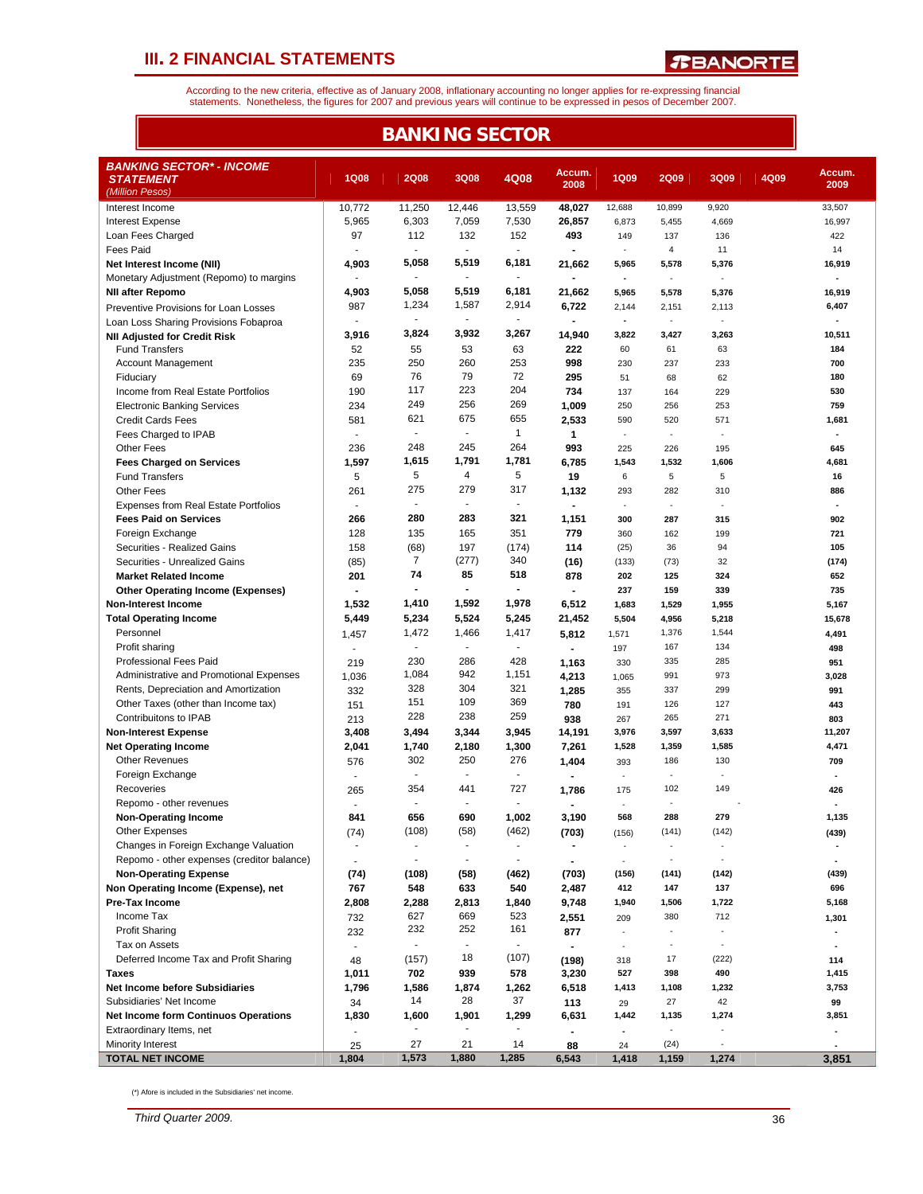*T***BANORTE** 

According to the new criteria, effective as of January 2008, inflationary accounting no longer applies for re-expressing financial<br>statements. Nonetheless, the figures for 2007 and previous years will continue to be expres

|                                                                        | <b>BANKING SECTOR</b>    |                          |                |                          |                |                          |                             |                          |      |                                 |  |  |  |
|------------------------------------------------------------------------|--------------------------|--------------------------|----------------|--------------------------|----------------|--------------------------|-----------------------------|--------------------------|------|---------------------------------|--|--|--|
| <b>BANKING SECTOR* - INCOME</b><br><b>STATEMENT</b><br>(Million Pesos) | <b>1Q08</b>              | <b>2Q08</b>              | 3Q08           | 4Q08                     | Accum.<br>2008 | <b>1Q09</b>              | <b>2Q09</b>                 | 3Q09                     | 4Q09 | Accum.<br>2009                  |  |  |  |
| Interest Income                                                        | 10,772                   | 11,250                   | 12,446         | 13,559                   | 48,027         | 12,688                   | 10,899                      | 9,920                    |      | 33,507                          |  |  |  |
| <b>Interest Expense</b>                                                | 5,965                    | 6,303                    | 7,059          | 7,530                    | 26,857         | 6,873                    | 5,455                       | 4,669                    |      | 16,997                          |  |  |  |
| Loan Fees Charged                                                      | 97                       | 112                      | 132            | 152                      | 493            | 149                      | 137                         | 136                      |      | 422                             |  |  |  |
| <b>Fees Paid</b>                                                       |                          | $\blacksquare$           | $\sim$         | $\blacksquare$           |                | $\overline{\phantom{a}}$ | $\overline{4}$              | 11                       |      | 14                              |  |  |  |
| Net Interest Income (NII)                                              | 4,903                    | 5,058                    | 5,519          | 6,181                    | 21,662         | 5,965                    | 5,578                       | 5,376                    |      | 16,919                          |  |  |  |
| Monetary Adjustment (Repomo) to margins                                | ÷,                       | $\blacksquare$           | $\blacksquare$ | $\overline{\phantom{a}}$ |                | $\blacksquare$           | $\mathbf{r}$                | $\sim$                   |      | ÷,                              |  |  |  |
| <b>NII after Repomo</b>                                                | 4,903                    | 5,058                    | 5,519          | 6,181                    | 21,662         | 5,965                    | 5,578                       | 5,376                    |      | 16,919                          |  |  |  |
| Preventive Provisions for Loan Losses                                  | 987                      | 1,234                    | 1,587          | 2,914                    | 6,722          | 2,144                    | 2,151                       | 2,113                    |      | 6,407                           |  |  |  |
| Loan Loss Sharing Provisions Fobaproa                                  |                          | $\sim$                   | $\sim$         | $\mathbf{r}$             |                | $\blacksquare$           | $\mathcal{L}_{\mathcal{A}}$ | ×,                       |      |                                 |  |  |  |
| <b>NII Adjusted for Credit Risk</b>                                    | 3,916                    | 3,824                    | 3,932          | 3,267                    | 14,940         | 3,822                    | 3,427                       | 3,263                    |      | 10,511                          |  |  |  |
| <b>Fund Transfers</b>                                                  | 52                       | 55                       | 53             | 63                       | 222            | 60                       | 61                          | 63                       |      | 184                             |  |  |  |
| <b>Account Management</b>                                              | 235                      | 250                      | 260            | 253                      | 998            | 230                      | 237                         | 233                      |      | 700                             |  |  |  |
| Fiduciary                                                              | 69                       | 76                       | 79             | 72                       | 295            | 51                       | 68                          | 62                       |      | 180                             |  |  |  |
| Income from Real Estate Portfolios                                     | 190                      | 117                      | 223            | 204                      | 734            | 137                      | 164                         | 229                      |      | 530                             |  |  |  |
| <b>Electronic Banking Services</b>                                     | 234                      | 249                      | 256<br>675     | 269                      | 1,009          | 250                      | 256                         | 253                      |      | 759                             |  |  |  |
| <b>Credit Cards Fees</b>                                               | 581                      | 621<br>$\sim$            | $\blacksquare$ | 655<br>1                 | 2,533          | 590                      | 520                         | 571                      |      | 1,681<br>÷,                     |  |  |  |
| Fees Charged to IPAB                                                   | $\overline{a}$           | 248                      | 245            | 264                      | 1              | ٠                        | ÷.                          | ٠                        |      |                                 |  |  |  |
| <b>Other Fees</b>                                                      | 236                      | 1,615                    | 1,791          | 1,781                    | 993            | 225                      | 226                         | 195                      |      | 645                             |  |  |  |
| <b>Fees Charged on Services</b>                                        | 1,597                    | 5                        | 4              | 5                        | 6,785          | 1,543                    | 1,532                       | 1,606                    |      | 4,681                           |  |  |  |
| <b>Fund Transfers</b>                                                  | 5                        | 275                      | 279            | 317                      | 19             | 6                        | $\,$ 5 $\,$                 | 5                        |      | 16                              |  |  |  |
| <b>Other Fees</b>                                                      | 261<br>÷                 |                          |                | $\overline{a}$           | 1,132          | 293<br>÷.                | 282<br>÷.                   | 310                      |      | 886<br>$\overline{\phantom{a}}$ |  |  |  |
| <b>Expenses from Real Estate Portfolios</b>                            |                          | 280                      | 283            | 321                      |                |                          |                             | $\overline{\phantom{a}}$ |      |                                 |  |  |  |
| <b>Fees Paid on Services</b>                                           | 266                      |                          |                |                          | 1,151          | 300                      | 287                         | 315                      |      | 902                             |  |  |  |
| Foreign Exchange                                                       | 128                      | 135                      | 165            | 351                      | 779            | 360                      | 162                         | 199                      |      | 721<br>105                      |  |  |  |
| Securities - Realized Gains<br>Securities - Unrealized Gains           | 158                      | (68)<br>7                | 197<br>(277)   | (174)<br>340             | 114            | (25)                     | 36                          | 94                       |      |                                 |  |  |  |
| <b>Market Related Income</b>                                           | (85)<br>201              | 74                       | 85             | 518                      | (16)<br>878    | (133)<br>202             | (73)<br>125                 | 32<br>324                |      | (174)<br>652                    |  |  |  |
| <b>Other Operating Income (Expenses)</b>                               |                          | $\blacksquare$           | $\blacksquare$ | $\blacksquare$           |                | 237                      | 159                         | 339                      |      | 735                             |  |  |  |
| <b>Non-Interest Income</b>                                             | 1,532                    | 1,410                    | 1,592          | 1,978                    | 6,512          | 1,683                    | 1,529                       | 1,955                    |      | 5,167                           |  |  |  |
| <b>Total Operating Income</b>                                          | 5,449                    | 5,234                    | 5,524          | 5,245                    | 21,452         | 5,504                    | 4,956                       | 5,218                    |      | 15,678                          |  |  |  |
| Personnel                                                              |                          | 1,472                    | 1,466          | 1,417                    |                |                          | 1,376                       | 1,544                    |      |                                 |  |  |  |
| Profit sharing                                                         | 1,457                    | ٠                        | $\sim$         | $\overline{\phantom{a}}$ | 5,812          | 1,571                    | 167                         | 134                      |      | 4,491                           |  |  |  |
| <b>Professional Fees Paid</b>                                          |                          | 230                      | 286            | 428                      | $\blacksquare$ | 197                      | 335                         | 285                      |      | 498<br>951                      |  |  |  |
| Administrative and Promotional Expenses                                | 219<br>1,036             | 1,084                    | 942            | 1,151                    | 1,163          | 330                      | 991                         | 973                      |      | 3,028                           |  |  |  |
| Rents, Depreciation and Amortization                                   | 332                      | 328                      | 304            | 321                      | 4,213          | 1,065<br>355             | 337                         | 299                      |      | 991                             |  |  |  |
| Other Taxes (other than Income tax)                                    | 151                      | 151                      | 109            | 369                      | 1,285<br>780   | 191                      | 126                         | 127                      |      | 443                             |  |  |  |
| Contribuitons to IPAB                                                  | 213                      | 228                      | 238            | 259                      | 938            | 267                      | 265                         | 271                      |      | 803                             |  |  |  |
| <b>Non-Interest Expense</b>                                            | 3,408                    | 3,494                    | 3,344          | 3,945                    | 14,191         | 3,976                    | 3,597                       | 3,633                    |      | 11,207                          |  |  |  |
| <b>Net Operating Income</b>                                            | 2,041                    | 1,740                    | 2,180          | 1,300                    | 7,261          | 1,528                    | 1,359                       | 1,585                    |      | 4,471                           |  |  |  |
| <b>Other Revenues</b>                                                  | 576                      | 302                      | 250            | 276                      | 1,404          | 393                      | 186                         | 130                      |      | 709                             |  |  |  |
| Foreign Exchange                                                       |                          |                          |                |                          |                | ÷.                       | ÷.                          |                          |      |                                 |  |  |  |
| Recoveries                                                             | 265                      | 354                      | 441            | 727                      | 1,786          | 175                      | 102                         | 149                      |      | 426                             |  |  |  |
| Repomo - other revenues                                                |                          |                          |                |                          |                |                          |                             |                          |      |                                 |  |  |  |
| <b>Non-Operating Income</b>                                            | 841                      | 656                      | 690            | 1,002                    | 3,190          | 568                      | 288                         | 279                      |      | 1,135                           |  |  |  |
| <b>Other Expenses</b>                                                  | (74)                     | (108)                    | (58)           | (462)                    | (703)          | (156)                    | (141)                       | (142)                    |      | (439)                           |  |  |  |
| Changes in Foreign Exchange Valuation                                  | $\overline{\phantom{a}}$ | $\sim$                   | $\blacksquare$ | $\overline{\phantom{a}}$ |                | $\overline{\phantom{a}}$ | $\blacksquare$              | $\overline{\phantom{a}}$ |      | $\blacksquare$                  |  |  |  |
| Repomo - other expenses (creditor balance)                             | $\blacksquare$           | $\sim$                   |                | $\overline{\phantom{a}}$ |                | ÷                        | $\overline{\phantom{a}}$    | $\overline{\phantom{a}}$ |      |                                 |  |  |  |
| <b>Non-Operating Expense</b>                                           | (74)                     | (108)                    | (58)           | (462)                    | (703)          | (156)                    | (141)                       | (142)                    |      | (439)                           |  |  |  |
| Non Operating Income (Expense), net                                    | 767                      | 548                      | 633            | 540                      | 2,487          | 412                      | 147                         | 137                      |      | 696                             |  |  |  |
| Pre-Tax Income                                                         | 2,808                    | 2,288                    | 2,813          | 1,840                    | 9,748          | 1,940                    | 1,506                       | 1,722                    |      | 5,168                           |  |  |  |
| Income Tax                                                             | 732                      | 627                      | 669            | 523                      | 2,551          | 209                      | 380                         | 712                      |      | 1,301                           |  |  |  |
| <b>Profit Sharing</b>                                                  | 232                      | 232                      | 252            | 161                      | 877            | $\blacksquare$           | $\blacksquare$              |                          |      |                                 |  |  |  |
| Tax on Assets                                                          | ٠                        | $\blacksquare$           | $\blacksquare$ | $\blacksquare$           | $\blacksquare$ | $\overline{\phantom{a}}$ | $\overline{\phantom{a}}$    | $\overline{\phantom{a}}$ |      | ٠                               |  |  |  |
| Deferred Income Tax and Profit Sharing                                 | 48                       | (157)                    | 18             | (107)                    | (198)          | 318                      | 17                          | (222)                    |      | 114                             |  |  |  |
| <b>Taxes</b>                                                           | 1,011                    | 702                      | 939            | 578                      | 3,230          | 527                      | 398                         | 490                      |      | 1,415                           |  |  |  |
| <b>Net Income before Subsidiaries</b>                                  | 1,796                    | 1,586                    | 1,874          | 1,262                    | 6,518          | 1,413                    | 1,108                       | 1,232                    |      | 3,753                           |  |  |  |
| Subsidiaries' Net Income                                               | 34                       | 14                       | 28             | 37                       | 113            | 29                       | 27                          | 42                       |      | 99                              |  |  |  |
| <b>Net Income form Continuos Operations</b>                            | 1,830                    | 1,600                    | 1,901          | 1,299                    | 6,631          | 1,442                    | 1,135                       | 1,274                    |      | 3,851                           |  |  |  |
| Extraordinary Items, net                                               | ÷.                       | $\overline{\phantom{a}}$ |                | $\overline{\phantom{a}}$ | $\blacksquare$ | $\overline{\phantom{a}}$ | $\blacksquare$              |                          |      |                                 |  |  |  |
| Minority Interest                                                      | 25                       | 27                       | 21             | 14                       | 88             | 24                       | (24)                        | ÷                        |      | $\overline{\phantom{a}}$        |  |  |  |
| <b>TOTAL NET INCOME</b>                                                | 1,804                    | 1,573                    | 1,880          | 1,285                    | 6,543          | 1,418                    | 1,159                       | 1,274                    |      | 3,851                           |  |  |  |

(\*) Afore is included in the Subsidiaries' net income.

*Third Quarter 2009.* 36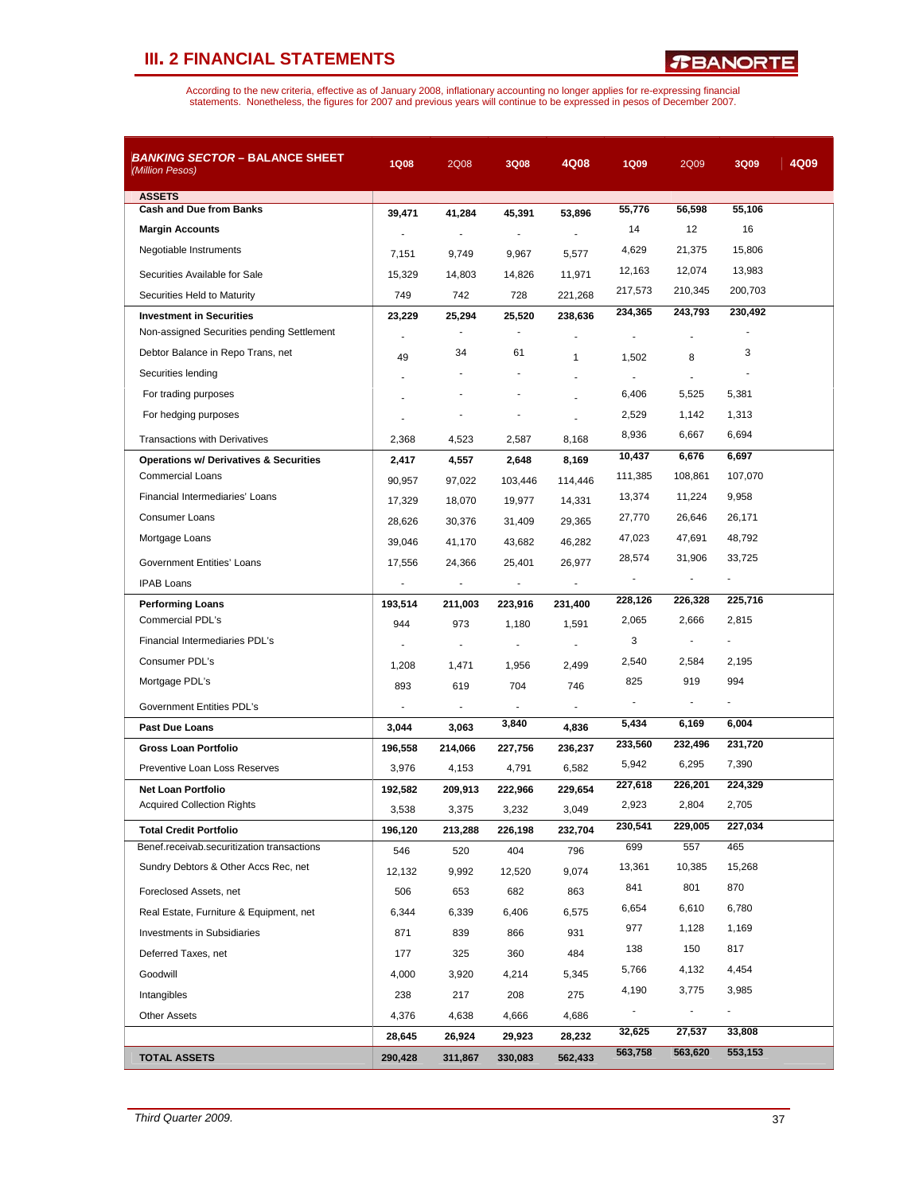| <b>ASSETS</b><br><b>Cash and Due from Banks</b><br><b>Margin Accounts</b><br>Negotiable Instruments | 39.471<br>÷,<br>7,151 | 41,284<br>$\overline{a}$ | 45,391            |                          |         |                |                |  |
|-----------------------------------------------------------------------------------------------------|-----------------------|--------------------------|-------------------|--------------------------|---------|----------------|----------------|--|
|                                                                                                     |                       |                          |                   |                          | 55,776  | 56,598         | 55,106         |  |
|                                                                                                     |                       |                          |                   | 53,896                   | 14      | 12             | 16             |  |
|                                                                                                     |                       |                          | $\overline{a}$    |                          | 4,629   | 21,375         | 15,806         |  |
|                                                                                                     |                       | 9,749                    | 9,967             | 5,577                    | 12,163  | 12,074         | 13,983         |  |
| Securities Available for Sale                                                                       | 15,329                | 14,803                   | 14,826            | 11,971                   | 217,573 | 210,345        | 200,703        |  |
| Securities Held to Maturity                                                                         | 749                   | 742                      | 728               | 221,268                  | 234,365 | 243,793        | 230,492        |  |
| <b>Investment in Securities</b><br>Non-assigned Securities pending Settlement                       | 23,229                | 25,294                   | 25,520            | 238,636                  |         |                |                |  |
|                                                                                                     | ä,                    | 34                       | 61                |                          |         |                | 3              |  |
| Debtor Balance in Repo Trans, net                                                                   | 49                    |                          |                   | $\mathbf{1}$             | 1,502   | 8              |                |  |
| Securities lending                                                                                  |                       |                          |                   |                          |         |                |                |  |
| For trading purposes                                                                                |                       |                          |                   |                          | 6,406   | 5,525          | 5,381          |  |
| For hedging purposes                                                                                |                       |                          |                   |                          | 2,529   | 1,142          | 1,313          |  |
| <b>Transactions with Derivatives</b>                                                                | 2,368                 | 4,523                    | 2,587             | 8,168                    | 8,936   | 6,667          | 6,694          |  |
| <b>Operations w/ Derivatives &amp; Securities</b>                                                   | 2,417                 | 4,557                    | 2,648             | 8,169                    | 10,437  | 6,676          | 6,697          |  |
| <b>Commercial Loans</b>                                                                             | 90,957                | 97,022                   | 103,446           | 114,446                  | 111,385 | 108,861        | 107,070        |  |
| Financial Intermediaries' Loans                                                                     | 17,329                | 18,070                   | 19,977            | 14,331                   | 13,374  | 11,224         | 9,958          |  |
| <b>Consumer Loans</b>                                                                               | 28,626                | 30.376                   | 31,409            | 29,365                   | 27,770  | 26,646         | 26,171         |  |
| Mortgage Loans                                                                                      | 39,046                | 41,170                   | 43,682            | 46,282                   | 47,023  | 47,691         | 48,792         |  |
| <b>Government Entities' Loans</b>                                                                   | 17,556                | 24,366                   | 25,401            | 26,977                   | 28,574  | 31,906         | 33,725         |  |
| <b>IPAB Loans</b>                                                                                   | ÷,                    |                          |                   | $\overline{\phantom{a}}$ |         |                |                |  |
| <b>Performing Loans</b>                                                                             | 193,514               | 211,003                  | 223,916           | 231,400                  | 228,126 | 226,328        | 225,716        |  |
| Commercial PDL's                                                                                    | 944                   | 973                      | 1,180             | 1,591                    | 2,065   | 2,666          | 2,815          |  |
| Financial Intermediaries PDL's                                                                      |                       |                          |                   |                          | 3       |                |                |  |
| Consumer PDL's                                                                                      | 1,208                 | 1,471                    | 1,956             | 2,499                    | 2,540   | 2,584          | 2,195          |  |
| Mortgage PDL's                                                                                      | 893                   | 619                      | 704               | 746                      | 825     | 919            | 994            |  |
| Government Entities PDL's                                                                           | ÷.                    | $\blacksquare$           |                   | $\overline{a}$           |         | $\overline{a}$ | -              |  |
| <b>Past Due Loans</b>                                                                               | 3,044                 | 3,063                    | 3,840             | 4,836                    | 5,434   | 6,169          | 6,004          |  |
| <b>Gross Loan Portfolio</b>                                                                         | 196,558               | 214,066                  | 227,756           | 236,237                  | 233,560 | 232,496        | 231,720        |  |
| Preventive Loan Loss Reserves                                                                       | 3,976                 | 4,153                    | 4,791             | 6,582                    | 5,942   | 6,295          | 7,390          |  |
| <b>Net Loan Portfolio</b>                                                                           | 192,582               | 209,913                  | 222,966           | 229,654                  | 227,618 | 226,201        | 224,329        |  |
| <b>Acquired Collection Rights</b>                                                                   | 3,538                 | 3,375                    | 3,232             | 3,049                    | 2,923   | 2,804          | 2,705          |  |
| <b>Total Credit Portfolio</b>                                                                       | 196,120               | 213,288                  | 226,198           | 232,704                  | 230,541 | 229,005        | 227,034        |  |
| Benef.receivab.securitization transactions                                                          | 546                   | 520                      | 404               | 796                      | 699     | 557            | 465            |  |
| Sundry Debtors & Other Accs Rec, net                                                                | 12,132                | 9,992                    | 12,520            | 9,074                    | 13,361  | 10,385         | 15,268         |  |
| Foreclosed Assets, net                                                                              | 506                   | 653                      | 682               | 863                      | 841     | 801            | 870            |  |
| Real Estate, Furniture & Equipment, net                                                             | 6,344                 | 6,339                    | 6,406             | 6,575                    | 6,654   | 6,610          | 6,780          |  |
| <b>Investments in Subsidiaries</b>                                                                  | 871                   | 839                      | 866               | 931                      | 977     | 1,128          | 1,169          |  |
| Deferred Taxes, net                                                                                 | 177                   | 325                      | 360               | 484                      | 138     | 150            | 817            |  |
| Goodwill                                                                                            | 4,000                 | 3,920                    | 4,214             | 5,345                    | 5,766   | 4,132          | 4,454          |  |
| Intangibles                                                                                         | 238                   | 217                      | 208               | 275                      | 4,190   | 3,775          | 3,985          |  |
| <b>Other Assets</b>                                                                                 | 4,376                 | 4,638                    | 4,666             | 4,686                    |         |                | $\blacksquare$ |  |
|                                                                                                     |                       |                          |                   |                          | 32,625  | 27,537         | 33,808         |  |
| <b>TOTAL ASSETS</b>                                                                                 | 28,645<br>290,428     | 26,924<br>311,867        | 29,923<br>330,083 | 28,232<br>562,433        | 563,758 | 563,620        | 553,153        |  |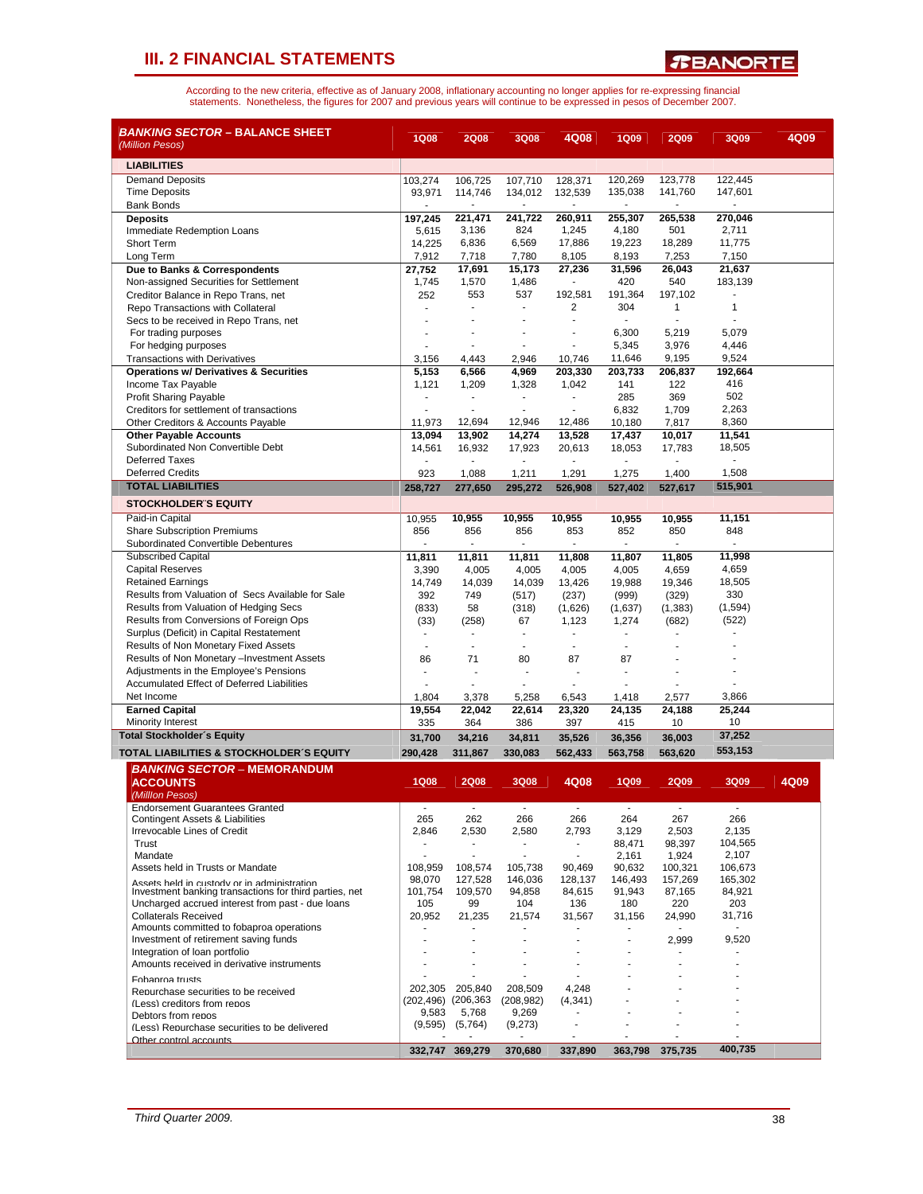*T***BANORTE** 

| <b>LIABILITIES</b><br><b>Demand Deposits</b><br>103,274<br>106,725<br>107,710<br>128,371<br>120,269<br>123,778<br>122,445<br>135,038<br><b>Time Deposits</b><br>93,971<br>114,746<br>134,012<br>132,539<br>141,760<br>147,601<br><b>Bank Bonds</b><br>٠<br>٠<br>٠<br>260,911<br>255,307<br>197,245<br>221,471<br>241,722<br>265,538<br>270,046<br><b>Deposits</b><br>3,136<br>824<br>1,245<br>4,180<br>501<br>2,711<br>Immediate Redemption Loans<br>5,615<br>6,836<br>6,569<br>17,886<br>19,223<br>18,289<br>11,775<br>Short Term<br>14,225<br>7,253<br>7,718<br>7,780<br>8,105<br>8,193<br>7,150<br>Long Term<br>7,912<br>Due to Banks & Correspondents<br>27,752<br>17,691<br>15,173<br>27,236<br>31.596<br>26,043<br>21,637<br>420<br>540<br>1,745<br>1,570<br>1,486<br>183,139<br>Non-assigned Securities for Settlement<br>192,581<br>191,364<br>197,102<br>Creditor Balance in Repo Trans, net<br>252<br>553<br>537<br>304<br>1<br>2<br>1<br>Repo Transactions with Collateral<br>$\blacksquare$<br>Secs to be received in Repo Trans, net<br>ä,<br>ä,<br>ä,<br>6,300<br>5,219<br>5,079<br>For trading purposes<br>٠<br>ä,<br>5,345<br>3,976<br>For hedging purposes<br>4,446<br>٠<br>11,646<br>9,195<br>9,524<br><b>Transactions with Derivatives</b><br>3,156<br>4,443<br>2,946<br>10,746<br>6,566<br>203,330<br>203,733<br>206,837<br>192,664<br><b>Operations w/ Derivatives &amp; Securities</b><br>5,153<br>4,969<br>1,121<br>1,209<br>1,328<br>141<br>122<br>416<br>Income Tax Payable<br>1,042<br>502<br><b>Profit Sharing Payable</b><br>285<br>369<br>ä,<br>٠<br>2,263<br>Creditors for settlement of transactions<br>6,832<br>1,709<br>ä,<br>ä,<br>12,694<br>12,946<br>12,486<br>8,360<br>11,973<br>7,817<br>Other Creditors & Accounts Payable<br>10,180<br>11,541<br><b>Other Payable Accounts</b><br>13,094<br>13,902<br>14,274<br>13,528<br>17,437<br>10,017<br>Subordinated Non Convertible Debt<br>17,923<br>18,505<br>14,561<br>16,932<br>20,613<br>18,053<br>17,783<br><b>Deferred Taxes</b><br>$\overline{\phantom{a}}$<br>$\overline{\phantom{a}}$<br>$\overline{\phantom{a}}$<br>$\overline{\phantom{a}}$<br>$\sim$<br>$\overline{a}$<br>÷.<br>1,508<br><b>Deferred Credits</b><br>923<br>1,088<br>1,211<br>1,291<br>1,275<br>1,400<br><b>TOTAL LIABILITIES</b><br>515,901<br>258,727<br>277,650<br>295,272<br>526,908<br>527,402<br>527,617<br><b>STOCKHOLDER'S EQUITY</b><br>10,955<br>10,955<br>10,955<br>10,955<br>10,955<br>10,955<br>11,151<br>Paid-in Capital<br>856<br><b>Share Subscription Premiums</b><br>856<br>856<br>853<br>852<br>850<br>848<br>Subordinated Convertible Debentures<br>$\overline{\phantom{a}}$<br><b>Subscribed Capital</b><br>11,998<br>11,811<br>11,811<br>11,811<br>11,808<br>11,807<br>11,805<br><b>Capital Reserves</b><br>3,390<br>4,005<br>4,005<br>4,659<br>4,659<br>4,005<br>4,005<br><b>Retained Earnings</b><br>14,039<br>14,039<br>19,988<br>19,346<br>18,505<br>14,749<br>13,426<br>330<br>Results from Valuation of Secs Available for Sale<br>392<br>(999)<br>(329)<br>749<br>(517)<br>(237)<br>Results from Valuation of Hedging Secs<br>(1, 594)<br>(833)<br>58<br>(318)<br>(1,626)<br>(1,637)<br>(1, 383)<br>Results from Conversions of Foreign Ops<br>(522)<br>(33)<br>(258)<br>67<br>1,123<br>1,274<br>(682)<br>Surplus (Deficit) in Capital Restatement<br>$\overline{\phantom{a}}$<br>$\overline{a}$<br>Results of Non Monetary Fixed Assets<br>÷.<br>÷.<br>÷<br>٠<br>٠<br>Results of Non Monetary -Investment Assets<br>86<br>71<br>80<br>87<br>87<br>Adjustments in the Employee's Pensions<br>$\overline{a}$<br>Accumulated Effect of Deferred Liabilities<br>٠<br>Net Income<br>3,866<br>1,804<br>3,378<br>5,258<br>6,543<br>1,418<br>2,577<br><b>Earned Capital</b><br>25,244<br>19,554<br>22,042<br>22,614<br>23,320<br>24,135<br>24,188<br><b>Minority Interest</b><br>397<br>10<br>335<br>364<br>386<br>415<br>10<br><b>Total Stockholder's Equity</b><br>37,252<br>31,700<br>34,216<br>34,811<br>35,526<br>36,356<br>36,003<br>553,153<br>TOTAL LIABILITIES & STOCKHOLDER'S EQUITY<br>290.428<br>311,867<br>330,083<br>562,433<br>563,758<br>563,620<br><b>BANKING SECTOR - MEMORANDUM</b><br>4Q08<br>4Q09<br><b>1Q08</b><br><b>2Q08</b><br>3Q08<br><b>1Q09</b><br><b>2Q09</b><br>3Q09<br><b>ACCOUNTS</b><br>(Milllon Pesos)<br><b>Endorsement Guarantees Granted</b><br>$\sim$<br>$\sim$<br>$\blacksquare$<br>$\sim$<br>$\sim$<br>$\blacksquare$<br>$\blacksquare$<br>266<br><b>Contingent Assets &amp; Liabilities</b><br>265<br>262<br>266<br>266<br>264<br>267<br>Irrevocable Lines of Credit<br>2,135<br>2,846<br>2,530<br>2,580<br>2,793<br>3,129<br>2,503<br>Trust<br>98,397<br>104,565<br>88,471<br>$\sim$<br>$\blacksquare$<br>$\overline{\phantom{a}}$<br>2,107<br>Mandate<br>2,161<br>1,924<br>Assets held in Trusts or Mandate<br>108,959<br>108,574<br>105,738<br>90,469<br>90,632<br>100,321<br>106,673<br>165,302<br>98,070<br>127,528<br>146,036<br>128,137<br>146,493<br>157,269<br>Assets held in custody or in administration<br>84,921<br>Investment banking transactions for third parties, net<br>101,754<br>109,570<br>94,858<br>84,615<br>91,943<br>87,165<br>203<br>Uncharged accrued interest from past - due loans<br>105<br>99<br>104<br>136<br>180<br>220<br><b>Collaterals Received</b><br>20,952<br>21,235<br>24,990<br>21,574<br>31,567<br>31,156<br>31,716<br>Amounts committed to fobaproa operations<br>Investment of retirement saving funds<br>9,520<br>2,999<br>Integration of loan portfolio<br>٠<br>٠<br>٠<br>Amounts received in derivative instruments<br>Fobaproa trusts<br>205,840<br>4,248<br>202,305<br>208,509<br>Renurchase securities to be received<br>(202,496) (206,363<br>(208, 982)<br>(4, 341)<br>(I ess) creditors from repos<br>9,583<br>5,768<br>9,269<br>Debtors from repos<br>(9, 595)<br>(9,273)<br>(5,764)<br>(Less) Renurchase securities to be delivered<br>٠<br>Other control accounts<br>400,735<br>332,747 369,279<br>370,680<br>363,798<br>375,735<br>337,890 | <i>BANKING SECTOR –</i> BALANCE SHEET<br>(Million Pesos) | <b>1Q08</b> | <b>2Q08</b> | <b>3Q08</b> | 4Q08 | <b>1Q09</b> | <b>2Q09</b> | 3Q09 | 4Q09 |
|--------------------------------------------------------------------------------------------------------------------------------------------------------------------------------------------------------------------------------------------------------------------------------------------------------------------------------------------------------------------------------------------------------------------------------------------------------------------------------------------------------------------------------------------------------------------------------------------------------------------------------------------------------------------------------------------------------------------------------------------------------------------------------------------------------------------------------------------------------------------------------------------------------------------------------------------------------------------------------------------------------------------------------------------------------------------------------------------------------------------------------------------------------------------------------------------------------------------------------------------------------------------------------------------------------------------------------------------------------------------------------------------------------------------------------------------------------------------------------------------------------------------------------------------------------------------------------------------------------------------------------------------------------------------------------------------------------------------------------------------------------------------------------------------------------------------------------------------------------------------------------------------------------------------------------------------------------------------------------------------------------------------------------------------------------------------------------------------------------------------------------------------------------------------------------------------------------------------------------------------------------------------------------------------------------------------------------------------------------------------------------------------------------------------------------------------------------------------------------------------------------------------------------------------------------------------------------------------------------------------------------------------------------------------------------------------------------------------------------------------------------------------------------------------------------------------------------------------------------------------------------------------------------------------------------------------------------------------------------------------------------------------------------------------------------------------------------------------------------------------------------------------------------------------------------------------------------------------------------------------------------------------------------------------------------------------------------------------------------------------------------------------------------------------------------------------------------------------------------------------------------------------------------------------------------------------------------------------------------------------------------------------------------------------------------------------------------------------------------------------------------------------------------------------------------------------------------------------------------------------------------------------------------------------------------------------------------------------------------------------------------------------------------------------------------------------------------------------------------------------------------------------------------------------------------------------------------------------------------------------------------------------------------------------------------------------------------------------------------------------------------------------------------------------------------------------------------------------------------------------------------------------------------------------------------------------------------------------------------------------------------------------------------------------------------------------------------------------------------------------------------------------------------------------------------------------------------------------------------------------------------------------------------------------------------------------------------------------------------------------------------------------------------------------------------------------------------------------------------------------------------------------------------------------------------------------------------------------------------------------------------------------------------------------------------------------------------------------------------------------------------------------------------------------------------------------------------------------------------------------------------------------------------------------------------------------------------------------------------------------------------------------------------------------------------------------------------------------------------------------------------------------------------------------------------------------------------------------------------------------------------------------------------------------------------------------------------------------------------------------------------------------------------|----------------------------------------------------------|-------------|-------------|-------------|------|-------------|-------------|------|------|
|                                                                                                                                                                                                                                                                                                                                                                                                                                                                                                                                                                                                                                                                                                                                                                                                                                                                                                                                                                                                                                                                                                                                                                                                                                                                                                                                                                                                                                                                                                                                                                                                                                                                                                                                                                                                                                                                                                                                                                                                                                                                                                                                                                                                                                                                                                                                                                                                                                                                                                                                                                                                                                                                                                                                                                                                                                                                                                                                                                                                                                                                                                                                                                                                                                                                                                                                                                                                                                                                                                                                                                                                                                                                                                                                                                                                                                                                                                                                                                                                                                                                                                                                                                                                                                                                                                                                                                                                                                                                                                                                                                                                                                                                                                                                                                                                                                                                                                                                                                                                                                                                                                                                                                                                                                                                                                                                                                                                                                                                                                                                                                                                                                                                                                                                                                                                                                                                                                                                                                                                                                |                                                          |             |             |             |      |             |             |      |      |
|                                                                                                                                                                                                                                                                                                                                                                                                                                                                                                                                                                                                                                                                                                                                                                                                                                                                                                                                                                                                                                                                                                                                                                                                                                                                                                                                                                                                                                                                                                                                                                                                                                                                                                                                                                                                                                                                                                                                                                                                                                                                                                                                                                                                                                                                                                                                                                                                                                                                                                                                                                                                                                                                                                                                                                                                                                                                                                                                                                                                                                                                                                                                                                                                                                                                                                                                                                                                                                                                                                                                                                                                                                                                                                                                                                                                                                                                                                                                                                                                                                                                                                                                                                                                                                                                                                                                                                                                                                                                                                                                                                                                                                                                                                                                                                                                                                                                                                                                                                                                                                                                                                                                                                                                                                                                                                                                                                                                                                                                                                                                                                                                                                                                                                                                                                                                                                                                                                                                                                                                                                |                                                          |             |             |             |      |             |             |      |      |
|                                                                                                                                                                                                                                                                                                                                                                                                                                                                                                                                                                                                                                                                                                                                                                                                                                                                                                                                                                                                                                                                                                                                                                                                                                                                                                                                                                                                                                                                                                                                                                                                                                                                                                                                                                                                                                                                                                                                                                                                                                                                                                                                                                                                                                                                                                                                                                                                                                                                                                                                                                                                                                                                                                                                                                                                                                                                                                                                                                                                                                                                                                                                                                                                                                                                                                                                                                                                                                                                                                                                                                                                                                                                                                                                                                                                                                                                                                                                                                                                                                                                                                                                                                                                                                                                                                                                                                                                                                                                                                                                                                                                                                                                                                                                                                                                                                                                                                                                                                                                                                                                                                                                                                                                                                                                                                                                                                                                                                                                                                                                                                                                                                                                                                                                                                                                                                                                                                                                                                                                                                |                                                          |             |             |             |      |             |             |      |      |
|                                                                                                                                                                                                                                                                                                                                                                                                                                                                                                                                                                                                                                                                                                                                                                                                                                                                                                                                                                                                                                                                                                                                                                                                                                                                                                                                                                                                                                                                                                                                                                                                                                                                                                                                                                                                                                                                                                                                                                                                                                                                                                                                                                                                                                                                                                                                                                                                                                                                                                                                                                                                                                                                                                                                                                                                                                                                                                                                                                                                                                                                                                                                                                                                                                                                                                                                                                                                                                                                                                                                                                                                                                                                                                                                                                                                                                                                                                                                                                                                                                                                                                                                                                                                                                                                                                                                                                                                                                                                                                                                                                                                                                                                                                                                                                                                                                                                                                                                                                                                                                                                                                                                                                                                                                                                                                                                                                                                                                                                                                                                                                                                                                                                                                                                                                                                                                                                                                                                                                                                                                |                                                          |             |             |             |      |             |             |      |      |
|                                                                                                                                                                                                                                                                                                                                                                                                                                                                                                                                                                                                                                                                                                                                                                                                                                                                                                                                                                                                                                                                                                                                                                                                                                                                                                                                                                                                                                                                                                                                                                                                                                                                                                                                                                                                                                                                                                                                                                                                                                                                                                                                                                                                                                                                                                                                                                                                                                                                                                                                                                                                                                                                                                                                                                                                                                                                                                                                                                                                                                                                                                                                                                                                                                                                                                                                                                                                                                                                                                                                                                                                                                                                                                                                                                                                                                                                                                                                                                                                                                                                                                                                                                                                                                                                                                                                                                                                                                                                                                                                                                                                                                                                                                                                                                                                                                                                                                                                                                                                                                                                                                                                                                                                                                                                                                                                                                                                                                                                                                                                                                                                                                                                                                                                                                                                                                                                                                                                                                                                                                |                                                          |             |             |             |      |             |             |      |      |
|                                                                                                                                                                                                                                                                                                                                                                                                                                                                                                                                                                                                                                                                                                                                                                                                                                                                                                                                                                                                                                                                                                                                                                                                                                                                                                                                                                                                                                                                                                                                                                                                                                                                                                                                                                                                                                                                                                                                                                                                                                                                                                                                                                                                                                                                                                                                                                                                                                                                                                                                                                                                                                                                                                                                                                                                                                                                                                                                                                                                                                                                                                                                                                                                                                                                                                                                                                                                                                                                                                                                                                                                                                                                                                                                                                                                                                                                                                                                                                                                                                                                                                                                                                                                                                                                                                                                                                                                                                                                                                                                                                                                                                                                                                                                                                                                                                                                                                                                                                                                                                                                                                                                                                                                                                                                                                                                                                                                                                                                                                                                                                                                                                                                                                                                                                                                                                                                                                                                                                                                                                |                                                          |             |             |             |      |             |             |      |      |
|                                                                                                                                                                                                                                                                                                                                                                                                                                                                                                                                                                                                                                                                                                                                                                                                                                                                                                                                                                                                                                                                                                                                                                                                                                                                                                                                                                                                                                                                                                                                                                                                                                                                                                                                                                                                                                                                                                                                                                                                                                                                                                                                                                                                                                                                                                                                                                                                                                                                                                                                                                                                                                                                                                                                                                                                                                                                                                                                                                                                                                                                                                                                                                                                                                                                                                                                                                                                                                                                                                                                                                                                                                                                                                                                                                                                                                                                                                                                                                                                                                                                                                                                                                                                                                                                                                                                                                                                                                                                                                                                                                                                                                                                                                                                                                                                                                                                                                                                                                                                                                                                                                                                                                                                                                                                                                                                                                                                                                                                                                                                                                                                                                                                                                                                                                                                                                                                                                                                                                                                                                |                                                          |             |             |             |      |             |             |      |      |
|                                                                                                                                                                                                                                                                                                                                                                                                                                                                                                                                                                                                                                                                                                                                                                                                                                                                                                                                                                                                                                                                                                                                                                                                                                                                                                                                                                                                                                                                                                                                                                                                                                                                                                                                                                                                                                                                                                                                                                                                                                                                                                                                                                                                                                                                                                                                                                                                                                                                                                                                                                                                                                                                                                                                                                                                                                                                                                                                                                                                                                                                                                                                                                                                                                                                                                                                                                                                                                                                                                                                                                                                                                                                                                                                                                                                                                                                                                                                                                                                                                                                                                                                                                                                                                                                                                                                                                                                                                                                                                                                                                                                                                                                                                                                                                                                                                                                                                                                                                                                                                                                                                                                                                                                                                                                                                                                                                                                                                                                                                                                                                                                                                                                                                                                                                                                                                                                                                                                                                                                                                |                                                          |             |             |             |      |             |             |      |      |
|                                                                                                                                                                                                                                                                                                                                                                                                                                                                                                                                                                                                                                                                                                                                                                                                                                                                                                                                                                                                                                                                                                                                                                                                                                                                                                                                                                                                                                                                                                                                                                                                                                                                                                                                                                                                                                                                                                                                                                                                                                                                                                                                                                                                                                                                                                                                                                                                                                                                                                                                                                                                                                                                                                                                                                                                                                                                                                                                                                                                                                                                                                                                                                                                                                                                                                                                                                                                                                                                                                                                                                                                                                                                                                                                                                                                                                                                                                                                                                                                                                                                                                                                                                                                                                                                                                                                                                                                                                                                                                                                                                                                                                                                                                                                                                                                                                                                                                                                                                                                                                                                                                                                                                                                                                                                                                                                                                                                                                                                                                                                                                                                                                                                                                                                                                                                                                                                                                                                                                                                                                |                                                          |             |             |             |      |             |             |      |      |
|                                                                                                                                                                                                                                                                                                                                                                                                                                                                                                                                                                                                                                                                                                                                                                                                                                                                                                                                                                                                                                                                                                                                                                                                                                                                                                                                                                                                                                                                                                                                                                                                                                                                                                                                                                                                                                                                                                                                                                                                                                                                                                                                                                                                                                                                                                                                                                                                                                                                                                                                                                                                                                                                                                                                                                                                                                                                                                                                                                                                                                                                                                                                                                                                                                                                                                                                                                                                                                                                                                                                                                                                                                                                                                                                                                                                                                                                                                                                                                                                                                                                                                                                                                                                                                                                                                                                                                                                                                                                                                                                                                                                                                                                                                                                                                                                                                                                                                                                                                                                                                                                                                                                                                                                                                                                                                                                                                                                                                                                                                                                                                                                                                                                                                                                                                                                                                                                                                                                                                                                                                |                                                          |             |             |             |      |             |             |      |      |
|                                                                                                                                                                                                                                                                                                                                                                                                                                                                                                                                                                                                                                                                                                                                                                                                                                                                                                                                                                                                                                                                                                                                                                                                                                                                                                                                                                                                                                                                                                                                                                                                                                                                                                                                                                                                                                                                                                                                                                                                                                                                                                                                                                                                                                                                                                                                                                                                                                                                                                                                                                                                                                                                                                                                                                                                                                                                                                                                                                                                                                                                                                                                                                                                                                                                                                                                                                                                                                                                                                                                                                                                                                                                                                                                                                                                                                                                                                                                                                                                                                                                                                                                                                                                                                                                                                                                                                                                                                                                                                                                                                                                                                                                                                                                                                                                                                                                                                                                                                                                                                                                                                                                                                                                                                                                                                                                                                                                                                                                                                                                                                                                                                                                                                                                                                                                                                                                                                                                                                                                                                |                                                          |             |             |             |      |             |             |      |      |
|                                                                                                                                                                                                                                                                                                                                                                                                                                                                                                                                                                                                                                                                                                                                                                                                                                                                                                                                                                                                                                                                                                                                                                                                                                                                                                                                                                                                                                                                                                                                                                                                                                                                                                                                                                                                                                                                                                                                                                                                                                                                                                                                                                                                                                                                                                                                                                                                                                                                                                                                                                                                                                                                                                                                                                                                                                                                                                                                                                                                                                                                                                                                                                                                                                                                                                                                                                                                                                                                                                                                                                                                                                                                                                                                                                                                                                                                                                                                                                                                                                                                                                                                                                                                                                                                                                                                                                                                                                                                                                                                                                                                                                                                                                                                                                                                                                                                                                                                                                                                                                                                                                                                                                                                                                                                                                                                                                                                                                                                                                                                                                                                                                                                                                                                                                                                                                                                                                                                                                                                                                |                                                          |             |             |             |      |             |             |      |      |
|                                                                                                                                                                                                                                                                                                                                                                                                                                                                                                                                                                                                                                                                                                                                                                                                                                                                                                                                                                                                                                                                                                                                                                                                                                                                                                                                                                                                                                                                                                                                                                                                                                                                                                                                                                                                                                                                                                                                                                                                                                                                                                                                                                                                                                                                                                                                                                                                                                                                                                                                                                                                                                                                                                                                                                                                                                                                                                                                                                                                                                                                                                                                                                                                                                                                                                                                                                                                                                                                                                                                                                                                                                                                                                                                                                                                                                                                                                                                                                                                                                                                                                                                                                                                                                                                                                                                                                                                                                                                                                                                                                                                                                                                                                                                                                                                                                                                                                                                                                                                                                                                                                                                                                                                                                                                                                                                                                                                                                                                                                                                                                                                                                                                                                                                                                                                                                                                                                                                                                                                                                |                                                          |             |             |             |      |             |             |      |      |
|                                                                                                                                                                                                                                                                                                                                                                                                                                                                                                                                                                                                                                                                                                                                                                                                                                                                                                                                                                                                                                                                                                                                                                                                                                                                                                                                                                                                                                                                                                                                                                                                                                                                                                                                                                                                                                                                                                                                                                                                                                                                                                                                                                                                                                                                                                                                                                                                                                                                                                                                                                                                                                                                                                                                                                                                                                                                                                                                                                                                                                                                                                                                                                                                                                                                                                                                                                                                                                                                                                                                                                                                                                                                                                                                                                                                                                                                                                                                                                                                                                                                                                                                                                                                                                                                                                                                                                                                                                                                                                                                                                                                                                                                                                                                                                                                                                                                                                                                                                                                                                                                                                                                                                                                                                                                                                                                                                                                                                                                                                                                                                                                                                                                                                                                                                                                                                                                                                                                                                                                                                |                                                          |             |             |             |      |             |             |      |      |
|                                                                                                                                                                                                                                                                                                                                                                                                                                                                                                                                                                                                                                                                                                                                                                                                                                                                                                                                                                                                                                                                                                                                                                                                                                                                                                                                                                                                                                                                                                                                                                                                                                                                                                                                                                                                                                                                                                                                                                                                                                                                                                                                                                                                                                                                                                                                                                                                                                                                                                                                                                                                                                                                                                                                                                                                                                                                                                                                                                                                                                                                                                                                                                                                                                                                                                                                                                                                                                                                                                                                                                                                                                                                                                                                                                                                                                                                                                                                                                                                                                                                                                                                                                                                                                                                                                                                                                                                                                                                                                                                                                                                                                                                                                                                                                                                                                                                                                                                                                                                                                                                                                                                                                                                                                                                                                                                                                                                                                                                                                                                                                                                                                                                                                                                                                                                                                                                                                                                                                                                                                |                                                          |             |             |             |      |             |             |      |      |
|                                                                                                                                                                                                                                                                                                                                                                                                                                                                                                                                                                                                                                                                                                                                                                                                                                                                                                                                                                                                                                                                                                                                                                                                                                                                                                                                                                                                                                                                                                                                                                                                                                                                                                                                                                                                                                                                                                                                                                                                                                                                                                                                                                                                                                                                                                                                                                                                                                                                                                                                                                                                                                                                                                                                                                                                                                                                                                                                                                                                                                                                                                                                                                                                                                                                                                                                                                                                                                                                                                                                                                                                                                                                                                                                                                                                                                                                                                                                                                                                                                                                                                                                                                                                                                                                                                                                                                                                                                                                                                                                                                                                                                                                                                                                                                                                                                                                                                                                                                                                                                                                                                                                                                                                                                                                                                                                                                                                                                                                                                                                                                                                                                                                                                                                                                                                                                                                                                                                                                                                                                |                                                          |             |             |             |      |             |             |      |      |
|                                                                                                                                                                                                                                                                                                                                                                                                                                                                                                                                                                                                                                                                                                                                                                                                                                                                                                                                                                                                                                                                                                                                                                                                                                                                                                                                                                                                                                                                                                                                                                                                                                                                                                                                                                                                                                                                                                                                                                                                                                                                                                                                                                                                                                                                                                                                                                                                                                                                                                                                                                                                                                                                                                                                                                                                                                                                                                                                                                                                                                                                                                                                                                                                                                                                                                                                                                                                                                                                                                                                                                                                                                                                                                                                                                                                                                                                                                                                                                                                                                                                                                                                                                                                                                                                                                                                                                                                                                                                                                                                                                                                                                                                                                                                                                                                                                                                                                                                                                                                                                                                                                                                                                                                                                                                                                                                                                                                                                                                                                                                                                                                                                                                                                                                                                                                                                                                                                                                                                                                                                |                                                          |             |             |             |      |             |             |      |      |
|                                                                                                                                                                                                                                                                                                                                                                                                                                                                                                                                                                                                                                                                                                                                                                                                                                                                                                                                                                                                                                                                                                                                                                                                                                                                                                                                                                                                                                                                                                                                                                                                                                                                                                                                                                                                                                                                                                                                                                                                                                                                                                                                                                                                                                                                                                                                                                                                                                                                                                                                                                                                                                                                                                                                                                                                                                                                                                                                                                                                                                                                                                                                                                                                                                                                                                                                                                                                                                                                                                                                                                                                                                                                                                                                                                                                                                                                                                                                                                                                                                                                                                                                                                                                                                                                                                                                                                                                                                                                                                                                                                                                                                                                                                                                                                                                                                                                                                                                                                                                                                                                                                                                                                                                                                                                                                                                                                                                                                                                                                                                                                                                                                                                                                                                                                                                                                                                                                                                                                                                                                |                                                          |             |             |             |      |             |             |      |      |
|                                                                                                                                                                                                                                                                                                                                                                                                                                                                                                                                                                                                                                                                                                                                                                                                                                                                                                                                                                                                                                                                                                                                                                                                                                                                                                                                                                                                                                                                                                                                                                                                                                                                                                                                                                                                                                                                                                                                                                                                                                                                                                                                                                                                                                                                                                                                                                                                                                                                                                                                                                                                                                                                                                                                                                                                                                                                                                                                                                                                                                                                                                                                                                                                                                                                                                                                                                                                                                                                                                                                                                                                                                                                                                                                                                                                                                                                                                                                                                                                                                                                                                                                                                                                                                                                                                                                                                                                                                                                                                                                                                                                                                                                                                                                                                                                                                                                                                                                                                                                                                                                                                                                                                                                                                                                                                                                                                                                                                                                                                                                                                                                                                                                                                                                                                                                                                                                                                                                                                                                                                |                                                          |             |             |             |      |             |             |      |      |
|                                                                                                                                                                                                                                                                                                                                                                                                                                                                                                                                                                                                                                                                                                                                                                                                                                                                                                                                                                                                                                                                                                                                                                                                                                                                                                                                                                                                                                                                                                                                                                                                                                                                                                                                                                                                                                                                                                                                                                                                                                                                                                                                                                                                                                                                                                                                                                                                                                                                                                                                                                                                                                                                                                                                                                                                                                                                                                                                                                                                                                                                                                                                                                                                                                                                                                                                                                                                                                                                                                                                                                                                                                                                                                                                                                                                                                                                                                                                                                                                                                                                                                                                                                                                                                                                                                                                                                                                                                                                                                                                                                                                                                                                                                                                                                                                                                                                                                                                                                                                                                                                                                                                                                                                                                                                                                                                                                                                                                                                                                                                                                                                                                                                                                                                                                                                                                                                                                                                                                                                                                |                                                          |             |             |             |      |             |             |      |      |
|                                                                                                                                                                                                                                                                                                                                                                                                                                                                                                                                                                                                                                                                                                                                                                                                                                                                                                                                                                                                                                                                                                                                                                                                                                                                                                                                                                                                                                                                                                                                                                                                                                                                                                                                                                                                                                                                                                                                                                                                                                                                                                                                                                                                                                                                                                                                                                                                                                                                                                                                                                                                                                                                                                                                                                                                                                                                                                                                                                                                                                                                                                                                                                                                                                                                                                                                                                                                                                                                                                                                                                                                                                                                                                                                                                                                                                                                                                                                                                                                                                                                                                                                                                                                                                                                                                                                                                                                                                                                                                                                                                                                                                                                                                                                                                                                                                                                                                                                                                                                                                                                                                                                                                                                                                                                                                                                                                                                                                                                                                                                                                                                                                                                                                                                                                                                                                                                                                                                                                                                                                |                                                          |             |             |             |      |             |             |      |      |
|                                                                                                                                                                                                                                                                                                                                                                                                                                                                                                                                                                                                                                                                                                                                                                                                                                                                                                                                                                                                                                                                                                                                                                                                                                                                                                                                                                                                                                                                                                                                                                                                                                                                                                                                                                                                                                                                                                                                                                                                                                                                                                                                                                                                                                                                                                                                                                                                                                                                                                                                                                                                                                                                                                                                                                                                                                                                                                                                                                                                                                                                                                                                                                                                                                                                                                                                                                                                                                                                                                                                                                                                                                                                                                                                                                                                                                                                                                                                                                                                                                                                                                                                                                                                                                                                                                                                                                                                                                                                                                                                                                                                                                                                                                                                                                                                                                                                                                                                                                                                                                                                                                                                                                                                                                                                                                                                                                                                                                                                                                                                                                                                                                                                                                                                                                                                                                                                                                                                                                                                                                |                                                          |             |             |             |      |             |             |      |      |
|                                                                                                                                                                                                                                                                                                                                                                                                                                                                                                                                                                                                                                                                                                                                                                                                                                                                                                                                                                                                                                                                                                                                                                                                                                                                                                                                                                                                                                                                                                                                                                                                                                                                                                                                                                                                                                                                                                                                                                                                                                                                                                                                                                                                                                                                                                                                                                                                                                                                                                                                                                                                                                                                                                                                                                                                                                                                                                                                                                                                                                                                                                                                                                                                                                                                                                                                                                                                                                                                                                                                                                                                                                                                                                                                                                                                                                                                                                                                                                                                                                                                                                                                                                                                                                                                                                                                                                                                                                                                                                                                                                                                                                                                                                                                                                                                                                                                                                                                                                                                                                                                                                                                                                                                                                                                                                                                                                                                                                                                                                                                                                                                                                                                                                                                                                                                                                                                                                                                                                                                                                |                                                          |             |             |             |      |             |             |      |      |
|                                                                                                                                                                                                                                                                                                                                                                                                                                                                                                                                                                                                                                                                                                                                                                                                                                                                                                                                                                                                                                                                                                                                                                                                                                                                                                                                                                                                                                                                                                                                                                                                                                                                                                                                                                                                                                                                                                                                                                                                                                                                                                                                                                                                                                                                                                                                                                                                                                                                                                                                                                                                                                                                                                                                                                                                                                                                                                                                                                                                                                                                                                                                                                                                                                                                                                                                                                                                                                                                                                                                                                                                                                                                                                                                                                                                                                                                                                                                                                                                                                                                                                                                                                                                                                                                                                                                                                                                                                                                                                                                                                                                                                                                                                                                                                                                                                                                                                                                                                                                                                                                                                                                                                                                                                                                                                                                                                                                                                                                                                                                                                                                                                                                                                                                                                                                                                                                                                                                                                                                                                |                                                          |             |             |             |      |             |             |      |      |
|                                                                                                                                                                                                                                                                                                                                                                                                                                                                                                                                                                                                                                                                                                                                                                                                                                                                                                                                                                                                                                                                                                                                                                                                                                                                                                                                                                                                                                                                                                                                                                                                                                                                                                                                                                                                                                                                                                                                                                                                                                                                                                                                                                                                                                                                                                                                                                                                                                                                                                                                                                                                                                                                                                                                                                                                                                                                                                                                                                                                                                                                                                                                                                                                                                                                                                                                                                                                                                                                                                                                                                                                                                                                                                                                                                                                                                                                                                                                                                                                                                                                                                                                                                                                                                                                                                                                                                                                                                                                                                                                                                                                                                                                                                                                                                                                                                                                                                                                                                                                                                                                                                                                                                                                                                                                                                                                                                                                                                                                                                                                                                                                                                                                                                                                                                                                                                                                                                                                                                                                                                |                                                          |             |             |             |      |             |             |      |      |
|                                                                                                                                                                                                                                                                                                                                                                                                                                                                                                                                                                                                                                                                                                                                                                                                                                                                                                                                                                                                                                                                                                                                                                                                                                                                                                                                                                                                                                                                                                                                                                                                                                                                                                                                                                                                                                                                                                                                                                                                                                                                                                                                                                                                                                                                                                                                                                                                                                                                                                                                                                                                                                                                                                                                                                                                                                                                                                                                                                                                                                                                                                                                                                                                                                                                                                                                                                                                                                                                                                                                                                                                                                                                                                                                                                                                                                                                                                                                                                                                                                                                                                                                                                                                                                                                                                                                                                                                                                                                                                                                                                                                                                                                                                                                                                                                                                                                                                                                                                                                                                                                                                                                                                                                                                                                                                                                                                                                                                                                                                                                                                                                                                                                                                                                                                                                                                                                                                                                                                                                                                |                                                          |             |             |             |      |             |             |      |      |
|                                                                                                                                                                                                                                                                                                                                                                                                                                                                                                                                                                                                                                                                                                                                                                                                                                                                                                                                                                                                                                                                                                                                                                                                                                                                                                                                                                                                                                                                                                                                                                                                                                                                                                                                                                                                                                                                                                                                                                                                                                                                                                                                                                                                                                                                                                                                                                                                                                                                                                                                                                                                                                                                                                                                                                                                                                                                                                                                                                                                                                                                                                                                                                                                                                                                                                                                                                                                                                                                                                                                                                                                                                                                                                                                                                                                                                                                                                                                                                                                                                                                                                                                                                                                                                                                                                                                                                                                                                                                                                                                                                                                                                                                                                                                                                                                                                                                                                                                                                                                                                                                                                                                                                                                                                                                                                                                                                                                                                                                                                                                                                                                                                                                                                                                                                                                                                                                                                                                                                                                                                |                                                          |             |             |             |      |             |             |      |      |
|                                                                                                                                                                                                                                                                                                                                                                                                                                                                                                                                                                                                                                                                                                                                                                                                                                                                                                                                                                                                                                                                                                                                                                                                                                                                                                                                                                                                                                                                                                                                                                                                                                                                                                                                                                                                                                                                                                                                                                                                                                                                                                                                                                                                                                                                                                                                                                                                                                                                                                                                                                                                                                                                                                                                                                                                                                                                                                                                                                                                                                                                                                                                                                                                                                                                                                                                                                                                                                                                                                                                                                                                                                                                                                                                                                                                                                                                                                                                                                                                                                                                                                                                                                                                                                                                                                                                                                                                                                                                                                                                                                                                                                                                                                                                                                                                                                                                                                                                                                                                                                                                                                                                                                                                                                                                                                                                                                                                                                                                                                                                                                                                                                                                                                                                                                                                                                                                                                                                                                                                                                |                                                          |             |             |             |      |             |             |      |      |
|                                                                                                                                                                                                                                                                                                                                                                                                                                                                                                                                                                                                                                                                                                                                                                                                                                                                                                                                                                                                                                                                                                                                                                                                                                                                                                                                                                                                                                                                                                                                                                                                                                                                                                                                                                                                                                                                                                                                                                                                                                                                                                                                                                                                                                                                                                                                                                                                                                                                                                                                                                                                                                                                                                                                                                                                                                                                                                                                                                                                                                                                                                                                                                                                                                                                                                                                                                                                                                                                                                                                                                                                                                                                                                                                                                                                                                                                                                                                                                                                                                                                                                                                                                                                                                                                                                                                                                                                                                                                                                                                                                                                                                                                                                                                                                                                                                                                                                                                                                                                                                                                                                                                                                                                                                                                                                                                                                                                                                                                                                                                                                                                                                                                                                                                                                                                                                                                                                                                                                                                                                |                                                          |             |             |             |      |             |             |      |      |
|                                                                                                                                                                                                                                                                                                                                                                                                                                                                                                                                                                                                                                                                                                                                                                                                                                                                                                                                                                                                                                                                                                                                                                                                                                                                                                                                                                                                                                                                                                                                                                                                                                                                                                                                                                                                                                                                                                                                                                                                                                                                                                                                                                                                                                                                                                                                                                                                                                                                                                                                                                                                                                                                                                                                                                                                                                                                                                                                                                                                                                                                                                                                                                                                                                                                                                                                                                                                                                                                                                                                                                                                                                                                                                                                                                                                                                                                                                                                                                                                                                                                                                                                                                                                                                                                                                                                                                                                                                                                                                                                                                                                                                                                                                                                                                                                                                                                                                                                                                                                                                                                                                                                                                                                                                                                                                                                                                                                                                                                                                                                                                                                                                                                                                                                                                                                                                                                                                                                                                                                                                |                                                          |             |             |             |      |             |             |      |      |
|                                                                                                                                                                                                                                                                                                                                                                                                                                                                                                                                                                                                                                                                                                                                                                                                                                                                                                                                                                                                                                                                                                                                                                                                                                                                                                                                                                                                                                                                                                                                                                                                                                                                                                                                                                                                                                                                                                                                                                                                                                                                                                                                                                                                                                                                                                                                                                                                                                                                                                                                                                                                                                                                                                                                                                                                                                                                                                                                                                                                                                                                                                                                                                                                                                                                                                                                                                                                                                                                                                                                                                                                                                                                                                                                                                                                                                                                                                                                                                                                                                                                                                                                                                                                                                                                                                                                                                                                                                                                                                                                                                                                                                                                                                                                                                                                                                                                                                                                                                                                                                                                                                                                                                                                                                                                                                                                                                                                                                                                                                                                                                                                                                                                                                                                                                                                                                                                                                                                                                                                                                |                                                          |             |             |             |      |             |             |      |      |
|                                                                                                                                                                                                                                                                                                                                                                                                                                                                                                                                                                                                                                                                                                                                                                                                                                                                                                                                                                                                                                                                                                                                                                                                                                                                                                                                                                                                                                                                                                                                                                                                                                                                                                                                                                                                                                                                                                                                                                                                                                                                                                                                                                                                                                                                                                                                                                                                                                                                                                                                                                                                                                                                                                                                                                                                                                                                                                                                                                                                                                                                                                                                                                                                                                                                                                                                                                                                                                                                                                                                                                                                                                                                                                                                                                                                                                                                                                                                                                                                                                                                                                                                                                                                                                                                                                                                                                                                                                                                                                                                                                                                                                                                                                                                                                                                                                                                                                                                                                                                                                                                                                                                                                                                                                                                                                                                                                                                                                                                                                                                                                                                                                                                                                                                                                                                                                                                                                                                                                                                                                |                                                          |             |             |             |      |             |             |      |      |
|                                                                                                                                                                                                                                                                                                                                                                                                                                                                                                                                                                                                                                                                                                                                                                                                                                                                                                                                                                                                                                                                                                                                                                                                                                                                                                                                                                                                                                                                                                                                                                                                                                                                                                                                                                                                                                                                                                                                                                                                                                                                                                                                                                                                                                                                                                                                                                                                                                                                                                                                                                                                                                                                                                                                                                                                                                                                                                                                                                                                                                                                                                                                                                                                                                                                                                                                                                                                                                                                                                                                                                                                                                                                                                                                                                                                                                                                                                                                                                                                                                                                                                                                                                                                                                                                                                                                                                                                                                                                                                                                                                                                                                                                                                                                                                                                                                                                                                                                                                                                                                                                                                                                                                                                                                                                                                                                                                                                                                                                                                                                                                                                                                                                                                                                                                                                                                                                                                                                                                                                                                |                                                          |             |             |             |      |             |             |      |      |
|                                                                                                                                                                                                                                                                                                                                                                                                                                                                                                                                                                                                                                                                                                                                                                                                                                                                                                                                                                                                                                                                                                                                                                                                                                                                                                                                                                                                                                                                                                                                                                                                                                                                                                                                                                                                                                                                                                                                                                                                                                                                                                                                                                                                                                                                                                                                                                                                                                                                                                                                                                                                                                                                                                                                                                                                                                                                                                                                                                                                                                                                                                                                                                                                                                                                                                                                                                                                                                                                                                                                                                                                                                                                                                                                                                                                                                                                                                                                                                                                                                                                                                                                                                                                                                                                                                                                                                                                                                                                                                                                                                                                                                                                                                                                                                                                                                                                                                                                                                                                                                                                                                                                                                                                                                                                                                                                                                                                                                                                                                                                                                                                                                                                                                                                                                                                                                                                                                                                                                                                                                |                                                          |             |             |             |      |             |             |      |      |
|                                                                                                                                                                                                                                                                                                                                                                                                                                                                                                                                                                                                                                                                                                                                                                                                                                                                                                                                                                                                                                                                                                                                                                                                                                                                                                                                                                                                                                                                                                                                                                                                                                                                                                                                                                                                                                                                                                                                                                                                                                                                                                                                                                                                                                                                                                                                                                                                                                                                                                                                                                                                                                                                                                                                                                                                                                                                                                                                                                                                                                                                                                                                                                                                                                                                                                                                                                                                                                                                                                                                                                                                                                                                                                                                                                                                                                                                                                                                                                                                                                                                                                                                                                                                                                                                                                                                                                                                                                                                                                                                                                                                                                                                                                                                                                                                                                                                                                                                                                                                                                                                                                                                                                                                                                                                                                                                                                                                                                                                                                                                                                                                                                                                                                                                                                                                                                                                                                                                                                                                                                |                                                          |             |             |             |      |             |             |      |      |
|                                                                                                                                                                                                                                                                                                                                                                                                                                                                                                                                                                                                                                                                                                                                                                                                                                                                                                                                                                                                                                                                                                                                                                                                                                                                                                                                                                                                                                                                                                                                                                                                                                                                                                                                                                                                                                                                                                                                                                                                                                                                                                                                                                                                                                                                                                                                                                                                                                                                                                                                                                                                                                                                                                                                                                                                                                                                                                                                                                                                                                                                                                                                                                                                                                                                                                                                                                                                                                                                                                                                                                                                                                                                                                                                                                                                                                                                                                                                                                                                                                                                                                                                                                                                                                                                                                                                                                                                                                                                                                                                                                                                                                                                                                                                                                                                                                                                                                                                                                                                                                                                                                                                                                                                                                                                                                                                                                                                                                                                                                                                                                                                                                                                                                                                                                                                                                                                                                                                                                                                                                |                                                          |             |             |             |      |             |             |      |      |
|                                                                                                                                                                                                                                                                                                                                                                                                                                                                                                                                                                                                                                                                                                                                                                                                                                                                                                                                                                                                                                                                                                                                                                                                                                                                                                                                                                                                                                                                                                                                                                                                                                                                                                                                                                                                                                                                                                                                                                                                                                                                                                                                                                                                                                                                                                                                                                                                                                                                                                                                                                                                                                                                                                                                                                                                                                                                                                                                                                                                                                                                                                                                                                                                                                                                                                                                                                                                                                                                                                                                                                                                                                                                                                                                                                                                                                                                                                                                                                                                                                                                                                                                                                                                                                                                                                                                                                                                                                                                                                                                                                                                                                                                                                                                                                                                                                                                                                                                                                                                                                                                                                                                                                                                                                                                                                                                                                                                                                                                                                                                                                                                                                                                                                                                                                                                                                                                                                                                                                                                                                |                                                          |             |             |             |      |             |             |      |      |
|                                                                                                                                                                                                                                                                                                                                                                                                                                                                                                                                                                                                                                                                                                                                                                                                                                                                                                                                                                                                                                                                                                                                                                                                                                                                                                                                                                                                                                                                                                                                                                                                                                                                                                                                                                                                                                                                                                                                                                                                                                                                                                                                                                                                                                                                                                                                                                                                                                                                                                                                                                                                                                                                                                                                                                                                                                                                                                                                                                                                                                                                                                                                                                                                                                                                                                                                                                                                                                                                                                                                                                                                                                                                                                                                                                                                                                                                                                                                                                                                                                                                                                                                                                                                                                                                                                                                                                                                                                                                                                                                                                                                                                                                                                                                                                                                                                                                                                                                                                                                                                                                                                                                                                                                                                                                                                                                                                                                                                                                                                                                                                                                                                                                                                                                                                                                                                                                                                                                                                                                                                |                                                          |             |             |             |      |             |             |      |      |
|                                                                                                                                                                                                                                                                                                                                                                                                                                                                                                                                                                                                                                                                                                                                                                                                                                                                                                                                                                                                                                                                                                                                                                                                                                                                                                                                                                                                                                                                                                                                                                                                                                                                                                                                                                                                                                                                                                                                                                                                                                                                                                                                                                                                                                                                                                                                                                                                                                                                                                                                                                                                                                                                                                                                                                                                                                                                                                                                                                                                                                                                                                                                                                                                                                                                                                                                                                                                                                                                                                                                                                                                                                                                                                                                                                                                                                                                                                                                                                                                                                                                                                                                                                                                                                                                                                                                                                                                                                                                                                                                                                                                                                                                                                                                                                                                                                                                                                                                                                                                                                                                                                                                                                                                                                                                                                                                                                                                                                                                                                                                                                                                                                                                                                                                                                                                                                                                                                                                                                                                                                |                                                          |             |             |             |      |             |             |      |      |
|                                                                                                                                                                                                                                                                                                                                                                                                                                                                                                                                                                                                                                                                                                                                                                                                                                                                                                                                                                                                                                                                                                                                                                                                                                                                                                                                                                                                                                                                                                                                                                                                                                                                                                                                                                                                                                                                                                                                                                                                                                                                                                                                                                                                                                                                                                                                                                                                                                                                                                                                                                                                                                                                                                                                                                                                                                                                                                                                                                                                                                                                                                                                                                                                                                                                                                                                                                                                                                                                                                                                                                                                                                                                                                                                                                                                                                                                                                                                                                                                                                                                                                                                                                                                                                                                                                                                                                                                                                                                                                                                                                                                                                                                                                                                                                                                                                                                                                                                                                                                                                                                                                                                                                                                                                                                                                                                                                                                                                                                                                                                                                                                                                                                                                                                                                                                                                                                                                                                                                                                                                |                                                          |             |             |             |      |             |             |      |      |
|                                                                                                                                                                                                                                                                                                                                                                                                                                                                                                                                                                                                                                                                                                                                                                                                                                                                                                                                                                                                                                                                                                                                                                                                                                                                                                                                                                                                                                                                                                                                                                                                                                                                                                                                                                                                                                                                                                                                                                                                                                                                                                                                                                                                                                                                                                                                                                                                                                                                                                                                                                                                                                                                                                                                                                                                                                                                                                                                                                                                                                                                                                                                                                                                                                                                                                                                                                                                                                                                                                                                                                                                                                                                                                                                                                                                                                                                                                                                                                                                                                                                                                                                                                                                                                                                                                                                                                                                                                                                                                                                                                                                                                                                                                                                                                                                                                                                                                                                                                                                                                                                                                                                                                                                                                                                                                                                                                                                                                                                                                                                                                                                                                                                                                                                                                                                                                                                                                                                                                                                                                |                                                          |             |             |             |      |             |             |      |      |
|                                                                                                                                                                                                                                                                                                                                                                                                                                                                                                                                                                                                                                                                                                                                                                                                                                                                                                                                                                                                                                                                                                                                                                                                                                                                                                                                                                                                                                                                                                                                                                                                                                                                                                                                                                                                                                                                                                                                                                                                                                                                                                                                                                                                                                                                                                                                                                                                                                                                                                                                                                                                                                                                                                                                                                                                                                                                                                                                                                                                                                                                                                                                                                                                                                                                                                                                                                                                                                                                                                                                                                                                                                                                                                                                                                                                                                                                                                                                                                                                                                                                                                                                                                                                                                                                                                                                                                                                                                                                                                                                                                                                                                                                                                                                                                                                                                                                                                                                                                                                                                                                                                                                                                                                                                                                                                                                                                                                                                                                                                                                                                                                                                                                                                                                                                                                                                                                                                                                                                                                                                |                                                          |             |             |             |      |             |             |      |      |
|                                                                                                                                                                                                                                                                                                                                                                                                                                                                                                                                                                                                                                                                                                                                                                                                                                                                                                                                                                                                                                                                                                                                                                                                                                                                                                                                                                                                                                                                                                                                                                                                                                                                                                                                                                                                                                                                                                                                                                                                                                                                                                                                                                                                                                                                                                                                                                                                                                                                                                                                                                                                                                                                                                                                                                                                                                                                                                                                                                                                                                                                                                                                                                                                                                                                                                                                                                                                                                                                                                                                                                                                                                                                                                                                                                                                                                                                                                                                                                                                                                                                                                                                                                                                                                                                                                                                                                                                                                                                                                                                                                                                                                                                                                                                                                                                                                                                                                                                                                                                                                                                                                                                                                                                                                                                                                                                                                                                                                                                                                                                                                                                                                                                                                                                                                                                                                                                                                                                                                                                                                |                                                          |             |             |             |      |             |             |      |      |
|                                                                                                                                                                                                                                                                                                                                                                                                                                                                                                                                                                                                                                                                                                                                                                                                                                                                                                                                                                                                                                                                                                                                                                                                                                                                                                                                                                                                                                                                                                                                                                                                                                                                                                                                                                                                                                                                                                                                                                                                                                                                                                                                                                                                                                                                                                                                                                                                                                                                                                                                                                                                                                                                                                                                                                                                                                                                                                                                                                                                                                                                                                                                                                                                                                                                                                                                                                                                                                                                                                                                                                                                                                                                                                                                                                                                                                                                                                                                                                                                                                                                                                                                                                                                                                                                                                                                                                                                                                                                                                                                                                                                                                                                                                                                                                                                                                                                                                                                                                                                                                                                                                                                                                                                                                                                                                                                                                                                                                                                                                                                                                                                                                                                                                                                                                                                                                                                                                                                                                                                                                |                                                          |             |             |             |      |             |             |      |      |
|                                                                                                                                                                                                                                                                                                                                                                                                                                                                                                                                                                                                                                                                                                                                                                                                                                                                                                                                                                                                                                                                                                                                                                                                                                                                                                                                                                                                                                                                                                                                                                                                                                                                                                                                                                                                                                                                                                                                                                                                                                                                                                                                                                                                                                                                                                                                                                                                                                                                                                                                                                                                                                                                                                                                                                                                                                                                                                                                                                                                                                                                                                                                                                                                                                                                                                                                                                                                                                                                                                                                                                                                                                                                                                                                                                                                                                                                                                                                                                                                                                                                                                                                                                                                                                                                                                                                                                                                                                                                                                                                                                                                                                                                                                                                                                                                                                                                                                                                                                                                                                                                                                                                                                                                                                                                                                                                                                                                                                                                                                                                                                                                                                                                                                                                                                                                                                                                                                                                                                                                                                |                                                          |             |             |             |      |             |             |      |      |
|                                                                                                                                                                                                                                                                                                                                                                                                                                                                                                                                                                                                                                                                                                                                                                                                                                                                                                                                                                                                                                                                                                                                                                                                                                                                                                                                                                                                                                                                                                                                                                                                                                                                                                                                                                                                                                                                                                                                                                                                                                                                                                                                                                                                                                                                                                                                                                                                                                                                                                                                                                                                                                                                                                                                                                                                                                                                                                                                                                                                                                                                                                                                                                                                                                                                                                                                                                                                                                                                                                                                                                                                                                                                                                                                                                                                                                                                                                                                                                                                                                                                                                                                                                                                                                                                                                                                                                                                                                                                                                                                                                                                                                                                                                                                                                                                                                                                                                                                                                                                                                                                                                                                                                                                                                                                                                                                                                                                                                                                                                                                                                                                                                                                                                                                                                                                                                                                                                                                                                                                                                |                                                          |             |             |             |      |             |             |      |      |
|                                                                                                                                                                                                                                                                                                                                                                                                                                                                                                                                                                                                                                                                                                                                                                                                                                                                                                                                                                                                                                                                                                                                                                                                                                                                                                                                                                                                                                                                                                                                                                                                                                                                                                                                                                                                                                                                                                                                                                                                                                                                                                                                                                                                                                                                                                                                                                                                                                                                                                                                                                                                                                                                                                                                                                                                                                                                                                                                                                                                                                                                                                                                                                                                                                                                                                                                                                                                                                                                                                                                                                                                                                                                                                                                                                                                                                                                                                                                                                                                                                                                                                                                                                                                                                                                                                                                                                                                                                                                                                                                                                                                                                                                                                                                                                                                                                                                                                                                                                                                                                                                                                                                                                                                                                                                                                                                                                                                                                                                                                                                                                                                                                                                                                                                                                                                                                                                                                                                                                                                                                |                                                          |             |             |             |      |             |             |      |      |
|                                                                                                                                                                                                                                                                                                                                                                                                                                                                                                                                                                                                                                                                                                                                                                                                                                                                                                                                                                                                                                                                                                                                                                                                                                                                                                                                                                                                                                                                                                                                                                                                                                                                                                                                                                                                                                                                                                                                                                                                                                                                                                                                                                                                                                                                                                                                                                                                                                                                                                                                                                                                                                                                                                                                                                                                                                                                                                                                                                                                                                                                                                                                                                                                                                                                                                                                                                                                                                                                                                                                                                                                                                                                                                                                                                                                                                                                                                                                                                                                                                                                                                                                                                                                                                                                                                                                                                                                                                                                                                                                                                                                                                                                                                                                                                                                                                                                                                                                                                                                                                                                                                                                                                                                                                                                                                                                                                                                                                                                                                                                                                                                                                                                                                                                                                                                                                                                                                                                                                                                                                |                                                          |             |             |             |      |             |             |      |      |
|                                                                                                                                                                                                                                                                                                                                                                                                                                                                                                                                                                                                                                                                                                                                                                                                                                                                                                                                                                                                                                                                                                                                                                                                                                                                                                                                                                                                                                                                                                                                                                                                                                                                                                                                                                                                                                                                                                                                                                                                                                                                                                                                                                                                                                                                                                                                                                                                                                                                                                                                                                                                                                                                                                                                                                                                                                                                                                                                                                                                                                                                                                                                                                                                                                                                                                                                                                                                                                                                                                                                                                                                                                                                                                                                                                                                                                                                                                                                                                                                                                                                                                                                                                                                                                                                                                                                                                                                                                                                                                                                                                                                                                                                                                                                                                                                                                                                                                                                                                                                                                                                                                                                                                                                                                                                                                                                                                                                                                                                                                                                                                                                                                                                                                                                                                                                                                                                                                                                                                                                                                |                                                          |             |             |             |      |             |             |      |      |
|                                                                                                                                                                                                                                                                                                                                                                                                                                                                                                                                                                                                                                                                                                                                                                                                                                                                                                                                                                                                                                                                                                                                                                                                                                                                                                                                                                                                                                                                                                                                                                                                                                                                                                                                                                                                                                                                                                                                                                                                                                                                                                                                                                                                                                                                                                                                                                                                                                                                                                                                                                                                                                                                                                                                                                                                                                                                                                                                                                                                                                                                                                                                                                                                                                                                                                                                                                                                                                                                                                                                                                                                                                                                                                                                                                                                                                                                                                                                                                                                                                                                                                                                                                                                                                                                                                                                                                                                                                                                                                                                                                                                                                                                                                                                                                                                                                                                                                                                                                                                                                                                                                                                                                                                                                                                                                                                                                                                                                                                                                                                                                                                                                                                                                                                                                                                                                                                                                                                                                                                                                |                                                          |             |             |             |      |             |             |      |      |
|                                                                                                                                                                                                                                                                                                                                                                                                                                                                                                                                                                                                                                                                                                                                                                                                                                                                                                                                                                                                                                                                                                                                                                                                                                                                                                                                                                                                                                                                                                                                                                                                                                                                                                                                                                                                                                                                                                                                                                                                                                                                                                                                                                                                                                                                                                                                                                                                                                                                                                                                                                                                                                                                                                                                                                                                                                                                                                                                                                                                                                                                                                                                                                                                                                                                                                                                                                                                                                                                                                                                                                                                                                                                                                                                                                                                                                                                                                                                                                                                                                                                                                                                                                                                                                                                                                                                                                                                                                                                                                                                                                                                                                                                                                                                                                                                                                                                                                                                                                                                                                                                                                                                                                                                                                                                                                                                                                                                                                                                                                                                                                                                                                                                                                                                                                                                                                                                                                                                                                                                                                |                                                          |             |             |             |      |             |             |      |      |
|                                                                                                                                                                                                                                                                                                                                                                                                                                                                                                                                                                                                                                                                                                                                                                                                                                                                                                                                                                                                                                                                                                                                                                                                                                                                                                                                                                                                                                                                                                                                                                                                                                                                                                                                                                                                                                                                                                                                                                                                                                                                                                                                                                                                                                                                                                                                                                                                                                                                                                                                                                                                                                                                                                                                                                                                                                                                                                                                                                                                                                                                                                                                                                                                                                                                                                                                                                                                                                                                                                                                                                                                                                                                                                                                                                                                                                                                                                                                                                                                                                                                                                                                                                                                                                                                                                                                                                                                                                                                                                                                                                                                                                                                                                                                                                                                                                                                                                                                                                                                                                                                                                                                                                                                                                                                                                                                                                                                                                                                                                                                                                                                                                                                                                                                                                                                                                                                                                                                                                                                                                |                                                          |             |             |             |      |             |             |      |      |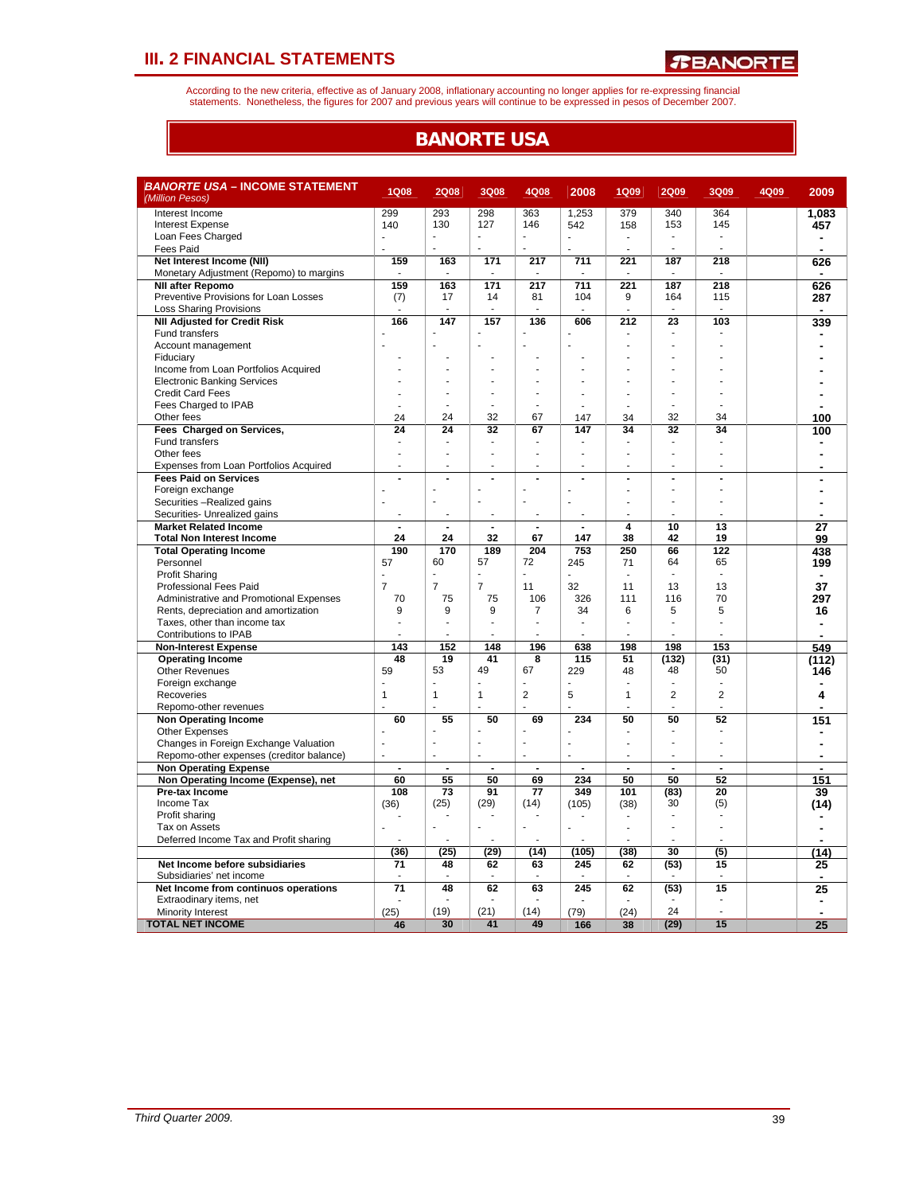According to the new criteria, effective as of January 2008, inflationary accounting no longer applies for re-expressing financial<br>statements. Nonetheless, the figures for 2007 and previous years will continue to be expres

### **BANORTE USA**

| <b>BANORTE USA – INCOME STATEMENT</b><br>(Million Pesos)     | <b>1Q08</b>    | <b>2Q08</b>    | <b>3Q08</b>              | 4Q08           | 2008                     | <b>1Q09</b>    | <b>2Q09</b>              | 3Q09           | 4Q09 | 2009           |
|--------------------------------------------------------------|----------------|----------------|--------------------------|----------------|--------------------------|----------------|--------------------------|----------------|------|----------------|
| Interest Income                                              | 299            | 293            | 298                      | 363            | 1,253                    | 379            | 340                      | 364            |      | 1.083          |
| <b>Interest Expense</b>                                      | 140            | 130            | 127                      | 146            | 542                      | 158            | 153                      | 145            |      | 457            |
| Loan Fees Charged                                            |                | L              |                          | ÷,             |                          |                | ä,                       |                |      |                |
| Fees Paid                                                    |                |                |                          | L.             |                          |                | ÷.                       |                |      | ä,             |
| Net Interest Income (NII)                                    | 159            | 163            | 171                      | 217            | 711                      | 221            | 187                      | 218            |      | 626            |
| Monetary Adjustment (Repomo) to margins                      |                |                |                          |                |                          |                |                          |                |      |                |
| <b>NII after Repomo</b>                                      | 159            | 163            | 171                      | 217            | 711                      | 221            | 187                      | 218            |      | 626            |
| Preventive Provisions for Loan Losses                        | (7)            | 17             | 14                       | 81             | 104                      | 9              | 164                      | 115            |      | 287            |
| <b>Loss Sharing Provisions</b>                               |                |                | ÷.                       |                |                          |                |                          |                |      |                |
| <b>NII Adjusted for Credit Risk</b>                          | 166            | 147            | 157                      | 136            | 606                      | 212            | 23                       | 103            |      | 339            |
| Fund transfers                                               |                |                |                          |                |                          |                |                          |                |      |                |
| Account management                                           |                |                |                          |                |                          |                |                          |                |      |                |
| Fiduciary                                                    |                |                |                          |                |                          |                |                          |                |      |                |
| Income from Loan Portfolios Acquired                         |                |                |                          |                |                          |                |                          |                |      |                |
| <b>Electronic Banking Services</b>                           |                |                |                          |                |                          |                |                          |                |      |                |
| <b>Credit Card Fees</b>                                      |                |                |                          |                |                          |                |                          |                |      |                |
| Fees Charged to IPAB                                         | ä,             |                |                          |                | ÷.                       |                | J.                       | J.             |      |                |
| Other fees                                                   | 24             | 24             | 32                       | 67             | 147                      | 34             | 32                       | 34             |      | 100            |
| Fees Charged on Services,                                    | 24             | 24             | 32                       | 67             | 147                      | 34             | 32                       | 34             |      | 100            |
| Fund transfers                                               |                |                |                          |                |                          |                |                          |                |      |                |
| Other fees                                                   | ä,             | ÷.             | ÷.                       |                | ÷                        | J.             | ÷.                       | J.             |      |                |
| Expenses from Loan Portfolios Acquired                       |                |                | $\overline{a}$           |                | ÷                        |                | ÷                        | ٠              |      |                |
| <b>Fees Paid on Services</b>                                 | ÷              |                | $\overline{a}$           |                | $\overline{a}$           | ÷.             | $\blacksquare$           | ÷,             |      |                |
| Foreign exchange                                             |                |                | ÷.                       |                |                          |                |                          |                |      |                |
| Securities -Realized gains                                   |                |                | $\overline{\phantom{a}}$ | $\overline{a}$ |                          |                |                          |                |      |                |
| Securities- Unrealized gains<br><b>Market Related Income</b> | ÷,             |                | $\overline{a}$           |                | $\blacksquare$           | 4              | 10                       | 13             |      |                |
| <b>Total Non Interest Income</b>                             | 24             | 24             | 32                       | 67             | 147                      | 38             | 42                       | 19             |      | 27             |
| <b>Total Operating Income</b>                                | 190            | 170            | 189                      | 204            | 753                      | 250            | 66                       | 122            |      | 99             |
| Personnel                                                    | 57             | 60             | 57                       | 72             | 245                      | 71             | 64                       | 65             |      | 438<br>199     |
| <b>Profit Sharing</b>                                        |                |                |                          |                |                          |                |                          |                |      |                |
| Professional Fees Paid                                       | $\overline{7}$ | $\overline{7}$ | $\overline{7}$           | 11             | 32                       | 11             | 13                       | 13             |      | 37             |
| Administrative and Promotional Expenses                      | 70             | 75             | 75                       | 106            | 326                      | 111            | 116                      | 70             |      | 297            |
| Rents, depreciation and amortization                         | 9              | 9              | 9                        | 7              | 34                       | 6              | 5                        | 5              |      | 16             |
| Taxes, other than income tax                                 |                |                |                          |                | ÷,                       |                | ä,                       |                |      |                |
| Contributions to IPAB                                        |                |                |                          |                | ÷,                       |                |                          |                |      |                |
| <b>Non-Interest Expense</b>                                  | 143            | 152            | 148                      | 196            | 638                      | 198            | 198                      | 153            |      | 549            |
| <b>Operating Income</b>                                      | 48             | 19             | 41                       | 8              | 115                      | 51             | (132)                    | (31)           |      | (112)          |
| <b>Other Revenues</b>                                        | 59             | 53             | 49                       | 67             | 229                      | 48             | 48                       | 50             |      | 146            |
| Foreign exchange                                             |                |                |                          |                |                          |                |                          | ÷,             |      |                |
| Recoveries                                                   | $\overline{1}$ | 1              | $\mathbf{1}$             | $\overline{2}$ | 5                        | $\mathbf{1}$   | $\overline{2}$           | $\overline{2}$ |      | 4              |
| Repomo-other revenues                                        |                |                |                          |                |                          |                |                          |                |      |                |
| <b>Non Operating Income</b>                                  | 60             | 55             | 50                       | 69             | 234                      | 50             | 50                       | 52             |      | 151            |
| <b>Other Expenses</b>                                        |                |                |                          |                | Ĭ.                       |                |                          |                |      |                |
| Changes in Foreign Exchange Valuation                        | L.             | L.             | ÷.                       | ÷.             | Ĭ.                       |                | ÷                        |                |      |                |
| Repomo-other expenses (creditor balance)                     | ÷,             | ä,             | $\overline{a}$           | ä,             | $\overline{\phantom{a}}$ |                | $\overline{\phantom{a}}$ | ٠              |      | $\blacksquare$ |
| <b>Non Operating Expense</b>                                 | $\overline{a}$ | $\overline{a}$ | $\overline{a}$           | $\overline{a}$ | $\overline{a}$           | $\overline{a}$ | $\overline{a}$           | $\overline{a}$ |      |                |
| Non Operating Income (Expense), net                          | 60             | 55             | 50                       | 69             | 234                      | 50             | 50                       | 52             |      | 151            |
| Pre-tax Income                                               | 108            | 73             | 91                       | 77             | 349                      | 101            | (83)                     | 20             |      | 39             |
| Income Tax                                                   | (36)           | (25)           | (29)                     | (14)           | (105)                    | (38)           | 30                       | (5)            |      | (14)           |
| Profit sharing                                               |                |                |                          |                |                          |                |                          |                |      |                |
| Tax on Assets                                                |                |                | ÷,                       | $\blacksquare$ | Ĩ.                       |                |                          |                |      |                |
| Deferred Income Tax and Profit sharing                       |                |                |                          |                |                          |                |                          |                |      |                |
|                                                              | (36)           | (25)           | (29)                     | (14)           | (105)                    | (38)           | 30                       | (5)            |      | (14            |
| Net Income before subsidiaries                               | 71             | 48             | 62                       | 63             | 245                      | 62             | (53)                     | 15             |      | 25             |
| Subsidiaries' net income                                     |                |                |                          |                |                          |                |                          |                |      | $\blacksquare$ |
| Net Income from continuos operations                         | 71             | 48             | 62                       | 63             | 245                      | 62             | (53)                     | 15             |      | 25             |
| Extraodinary items, net                                      |                |                |                          |                |                          |                |                          |                |      |                |
| Minority Interest                                            | (25)           | (19)           | (21)                     | (14)           | (79)                     | (24)           | 24                       | J.             |      | $\blacksquare$ |
| <b>TOTAL NET INCOME</b>                                      | 46             | 30             | 41                       | 49             | 166                      | 38             | (29)                     | 15             |      | 25             |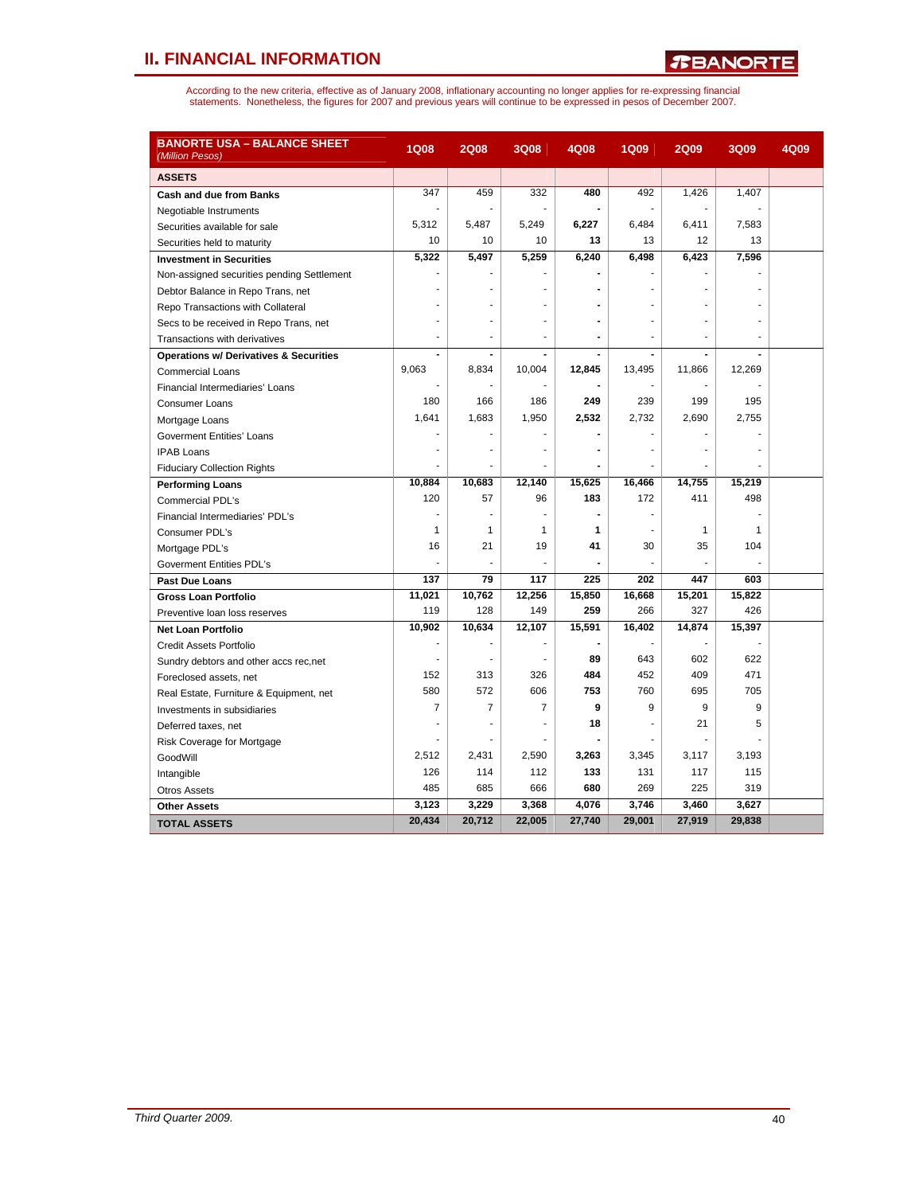## **II. FINANCIAL INFORMATION**

| <b>BANORTE USA – BALANCE SHEET</b><br>(Million Pesos) | <b>1Q08</b> | <b>2Q08</b> | <b>3Q08</b>    | 4Q08   | <b>1Q09</b> | <b>2Q09</b>  | <b>3Q09</b> | 4Q09 |
|-------------------------------------------------------|-------------|-------------|----------------|--------|-------------|--------------|-------------|------|
| <b>ASSETS</b>                                         |             |             |                |        |             |              |             |      |
| <b>Cash and due from Banks</b>                        | 347         | 459         | 332            | 480    | 492         | 1,426        | 1,407       |      |
| Negotiable Instruments                                |             |             |                |        |             |              |             |      |
| Securities available for sale                         | 5,312       | 5,487       | 5,249          | 6,227  | 6,484       | 6,411        | 7,583       |      |
| Securities held to maturity                           | 10          | 10          | 10             | 13     | 13          | 12           | 13          |      |
| <b>Investment in Securities</b>                       | 5,322       | 5,497       | 5,259          | 6,240  | 6,498       | 6,423        | 7,596       |      |
| Non-assigned securities pending Settlement            |             |             |                |        |             |              |             |      |
| Debtor Balance in Repo Trans, net                     |             |             |                |        |             |              |             |      |
| Repo Transactions with Collateral                     |             |             |                |        |             |              |             |      |
| Secs to be received in Repo Trans, net                |             |             |                |        |             |              |             |      |
| Transactions with derivatives                         |             |             |                |        |             |              |             |      |
| <b>Operations w/ Derivatives &amp; Securities</b>     |             |             |                |        |             |              |             |      |
| <b>Commercial Loans</b>                               | 9.063       | 8,834       | 10,004         | 12,845 | 13,495      | 11.866       | 12,269      |      |
| Financial Intermediaries' Loans                       |             |             |                |        |             |              |             |      |
| Consumer Loans                                        | 180         | 166         | 186            | 249    | 239         | 199          | 195         |      |
| Mortgage Loans                                        | 1,641       | 1,683       | 1,950          | 2,532  | 2,732       | 2,690        | 2,755       |      |
| Goverment Entities' Loans                             |             |             |                |        |             |              |             |      |
| <b>IPAB Loans</b>                                     |             |             |                |        |             |              |             |      |
| <b>Fiduciary Collection Rights</b>                    |             |             |                |        |             |              |             |      |
| <b>Performing Loans</b>                               | 10.884      | 10,683      | 12.140         | 15,625 | 16.466      | 14.755       | 15,219      |      |
| Commercial PDL's                                      | 120         | 57          | 96             | 183    | 172         | 411          | 498         |      |
| Financial Intermediaries' PDL's                       | ÷           | ٠           |                |        |             |              |             |      |
| Consumer PDL's                                        | 1           | 1           | $\mathbf{1}$   | 1      |             | $\mathbf{1}$ | 1           |      |
| Mortgage PDL's                                        | 16          | 21          | 19             | 41     | 30          | 35           | 104         |      |
| <b>Goverment Entities PDL's</b>                       |             |             |                |        |             |              |             |      |
| <b>Past Due Loans</b>                                 | 137         | 79          | 117            | 225    | 202         | 447          | 603         |      |
| <b>Gross Loan Portfolio</b>                           | 11,021      | 10,762      | 12,256         | 15,850 | 16,668      | 15,201       | 15,822      |      |
| Preventive loan loss reserves                         | 119         | 128         | 149            | 259    | 266         | 327          | 426         |      |
| <b>Net Loan Portfolio</b>                             | 10,902      | 10,634      | 12,107         | 15,591 | 16,402      | 14,874       | 15,397      |      |
| Credit Assets Portfolio                               |             |             |                |        |             |              |             |      |
| Sundry debtors and other accs rec, net                | ٠           | ٠           |                | 89     | 643         | 602          | 622         |      |
| Foreclosed assets, net                                | 152         | 313         | 326            | 484    | 452         | 409          | 471         |      |
| Real Estate, Furniture & Equipment, net               | 580         | 572         | 606            | 753    | 760         | 695          | 705         |      |
| Investments in subsidiaries                           | 7           | 7           | $\overline{7}$ | 9      | 9           | 9            | 9           |      |
| Deferred taxes, net                                   |             |             |                | 18     |             | 21           | 5           |      |
| Risk Coverage for Mortgage                            |             |             |                |        |             |              |             |      |
| GoodWill                                              | 2,512       | 2,431       | 2,590          | 3,263  | 3,345       | 3,117        | 3,193       |      |
| Intangible                                            | 126         | 114         | 112            | 133    | 131         | 117          | 115         |      |
| <b>Otros Assets</b>                                   | 485         | 685         | 666            | 680    | 269         | 225          | 319         |      |
| <b>Other Assets</b>                                   | 3,123       | 3,229       | 3,368          | 4,076  | 3,746       | 3,460        | 3,627       |      |
| <b>TOTAL ASSETS</b>                                   | 20,434      | 20,712      | 22,005         | 27,740 | 29,001      | 27,919       | 29,838      |      |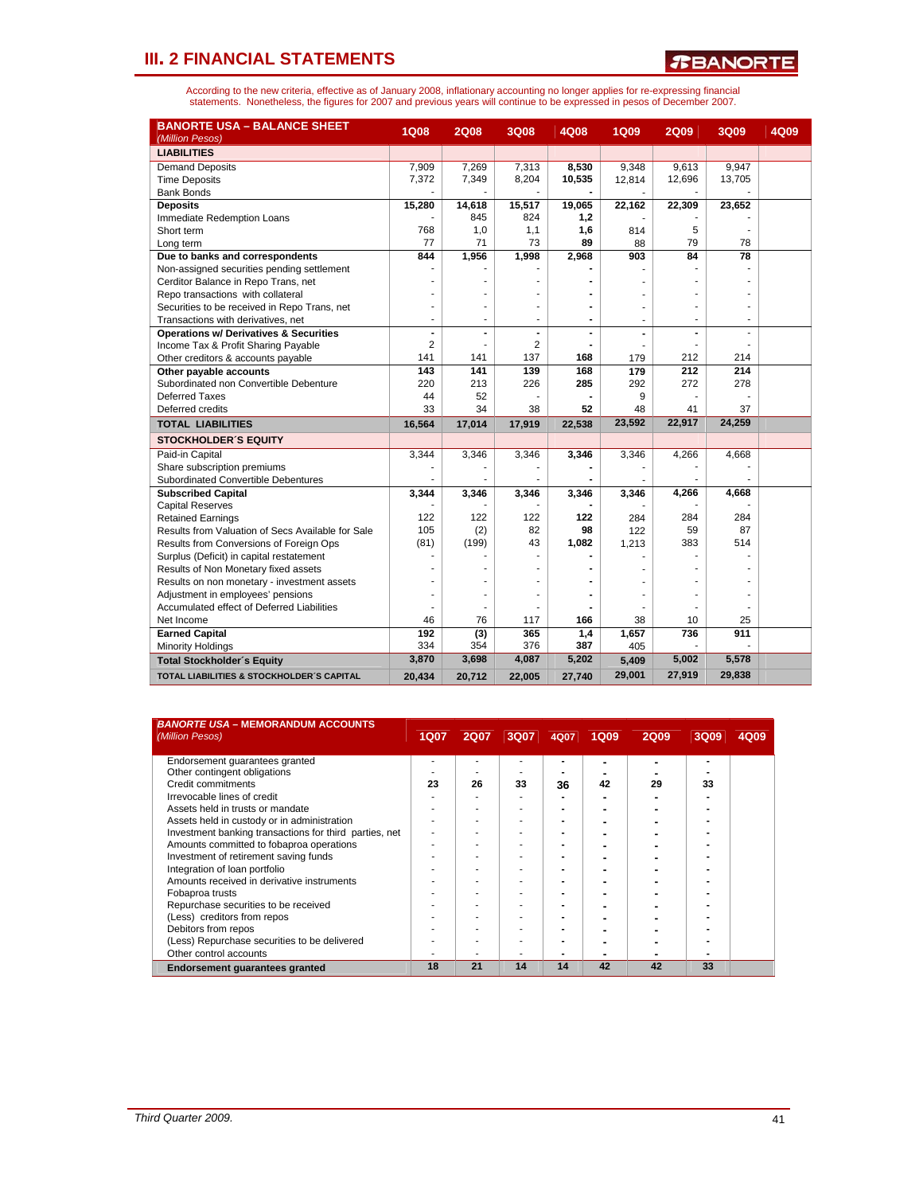*T***BANORTE** 

| <b>BANORTE USA - BALANCE SHEET</b><br>(Million Pesos) | <b>1Q08</b>    | <b>2Q08</b> | <b>3Q08</b> | 4Q08                         | <b>1Q09</b> | <b>2Q09</b>    | 3Q09   | 4Q09 |
|-------------------------------------------------------|----------------|-------------|-------------|------------------------------|-------------|----------------|--------|------|
| <b>LIABILITIES</b>                                    |                |             |             |                              |             |                |        |      |
| <b>Demand Deposits</b>                                | 7,909          | 7,269       | 7,313       | 8,530                        | 9,348       | 9,613          | 9,947  |      |
| <b>Time Deposits</b>                                  | 7,372          | 7,349       | 8,204       | 10,535                       | 12,814      | 12,696         | 13,705 |      |
| <b>Bank Bonds</b>                                     |                |             |             |                              |             |                |        |      |
| <b>Deposits</b>                                       | 15,280         | 14,618      | 15,517      | 19,065                       | 22,162      | 22,309         | 23,652 |      |
| Immediate Redemption Loans                            |                | 845         | 824         | 1,2                          |             |                |        |      |
| Short term                                            | 768            | 1,0         | 1,1         | 1,6                          | 814         | 5              |        |      |
| Long term                                             | 77             | 71          | 73          | 89                           | 88          | 79             | 78     |      |
| Due to banks and correspondents                       | 844            | 1,956       | 1,998       | 2,968                        | 903         | 84             | 78     |      |
| Non-assigned securities pending settlement            |                |             |             |                              |             |                |        |      |
| Cerditor Balance in Repo Trans, net                   |                |             |             |                              |             |                |        |      |
| Repo transactions with collateral                     |                |             |             |                              |             |                |        |      |
| Securities to be received in Repo Trans, net          |                |             |             | $\qquad \qquad \blacksquare$ | ä,          |                |        |      |
| Transactions with derivatives, net                    | ÷              | ÷           | ٠           | $\blacksquare$               |             | ٠              |        |      |
| <b>Operations w/ Derivatives &amp; Securities</b>     | $\blacksquare$ |             |             | $\qquad \qquad \blacksquare$ |             | $\blacksquare$ |        |      |
| Income Tax & Profit Sharing Payable                   | 2              |             | 2           |                              |             |                |        |      |
| Other creditors & accounts payable                    | 141            | 141         | 137         | 168                          | 179         | 212            | 214    |      |
| Other payable accounts                                | 143            | 141         | 139         | 168                          | 179         | 212            | 214    |      |
| Subordinated non Convertible Debenture                | 220            | 213         | 226         | 285                          | 292         | 272            | 278    |      |
| <b>Deferred Taxes</b>                                 | 44             | 52          |             |                              | 9           |                |        |      |
| Deferred credits                                      | 33             | 34          | 38          | 52                           | 48          | 41             | 37     |      |
| <b>TOTAL LIABILITIES</b>                              | 16,564         | 17,014      | 17,919      | 22,538                       | 23,592      | 22,917         | 24,259 |      |
| <b>STOCKHOLDER'S EQUITY</b>                           |                |             |             |                              |             |                |        |      |
| Paid-in Capital                                       | 3,344          | 3,346       | 3,346       | 3,346                        | 3,346       | 4,266          | 4,668  |      |
| Share subscription premiums                           |                |             |             |                              |             |                |        |      |
| Subordinated Convertible Debentures                   |                |             |             |                              |             |                |        |      |
| <b>Subscribed Capital</b>                             | 3,344          | 3,346       | 3,346       | 3,346                        | 3,346       | 4,266          | 4,668  |      |
| <b>Capital Reserves</b>                               |                |             |             |                              |             |                |        |      |
| <b>Retained Earnings</b>                              | 122            | 122         | 122         | 122                          | 284         | 284            | 284    |      |
| Results from Valuation of Secs Available for Sale     | 105            | (2)         | 82          | 98                           | 122         | 59             | 87     |      |
| Results from Conversions of Foreign Ops               | (81)           | (199)       | 43          | 1,082                        | 1,213       | 383            | 514    |      |
| Surplus (Deficit) in capital restatement              |                |             |             |                              |             |                |        |      |
| Results of Non Monetary fixed assets                  |                |             |             |                              |             |                |        |      |
| Results on non monetary - investment assets           |                |             |             |                              |             |                |        |      |
| Adjustment in employees' pensions                     |                |             |             |                              |             |                |        |      |
| Accumulated effect of Deferred Liabilities            |                |             |             |                              |             |                |        |      |
| Net Income                                            | 46             | 76          | 117         | 166                          | 38          | 10             | 25     |      |
| <b>Earned Capital</b>                                 | 192            | (3)         | 365         | 1,4                          | 1,657       | 736            | 911    |      |
| <b>Minority Holdings</b>                              | 334            | 354         | 376         | 387                          | 405         |                |        |      |
| <b>Total Stockholder's Equity</b>                     | 3,870          | 3,698       | 4,087       | 5,202                        | 5,409       | 5,002          | 5,578  |      |
| <b>TOTAL LIABILITIES &amp; STOCKHOLDER'S CAPITAL</b>  | 20,434         | 20,712      | 22,005      | 27,740                       | 29,001      | 27,919         | 29,838 |      |

| <b>BANORTE USA - MEMORANDUM ACCOUNTS</b><br>(Million Pesos) | <b>1Q07</b> | <b>2Q07</b> | 3Q07 | 4Q07 | <b>1Q09</b> | <b>2Q09</b> | 3Q09 | 4Q09 |
|-------------------------------------------------------------|-------------|-------------|------|------|-------------|-------------|------|------|
|                                                             |             |             |      |      |             |             |      |      |
| Endorsement quarantees granted                              |             |             |      |      |             |             | ٠    |      |
| Other contingent obligations                                |             |             |      |      |             |             |      |      |
| Credit commitments                                          | 23          | 26          | 33   | 36   | 42          | 29          | 33   |      |
| Irrevocable lines of credit                                 |             |             |      |      |             |             |      |      |
| Assets held in trusts or mandate                            |             |             |      |      |             |             |      |      |
| Assets held in custody or in administration                 |             |             |      |      |             |             |      |      |
| Investment banking transactions for third parties, net      |             |             |      |      |             |             |      |      |
| Amounts committed to fobaproa operations                    |             |             |      |      |             |             |      |      |
| Investment of retirement saving funds                       |             |             |      |      |             |             |      |      |
| Integration of loan portfolio                               |             |             |      |      |             |             |      |      |
| Amounts received in derivative instruments                  |             |             |      |      |             |             |      |      |
| Fobaproa trusts                                             |             |             |      |      |             |             |      |      |
| Repurchase securities to be received                        |             |             |      |      |             |             |      |      |
| (Less) creditors from repos                                 |             |             |      |      |             |             |      |      |
| Debitors from repos                                         |             |             |      |      |             |             |      |      |
| (Less) Repurchase securities to be delivered                |             |             |      |      |             |             |      |      |
| Other control accounts                                      |             |             |      |      |             |             |      |      |
| <b>Endorsement quarantees granted</b>                       | 18          | 21          | 14   | 14   | 42          | 42          | 33   |      |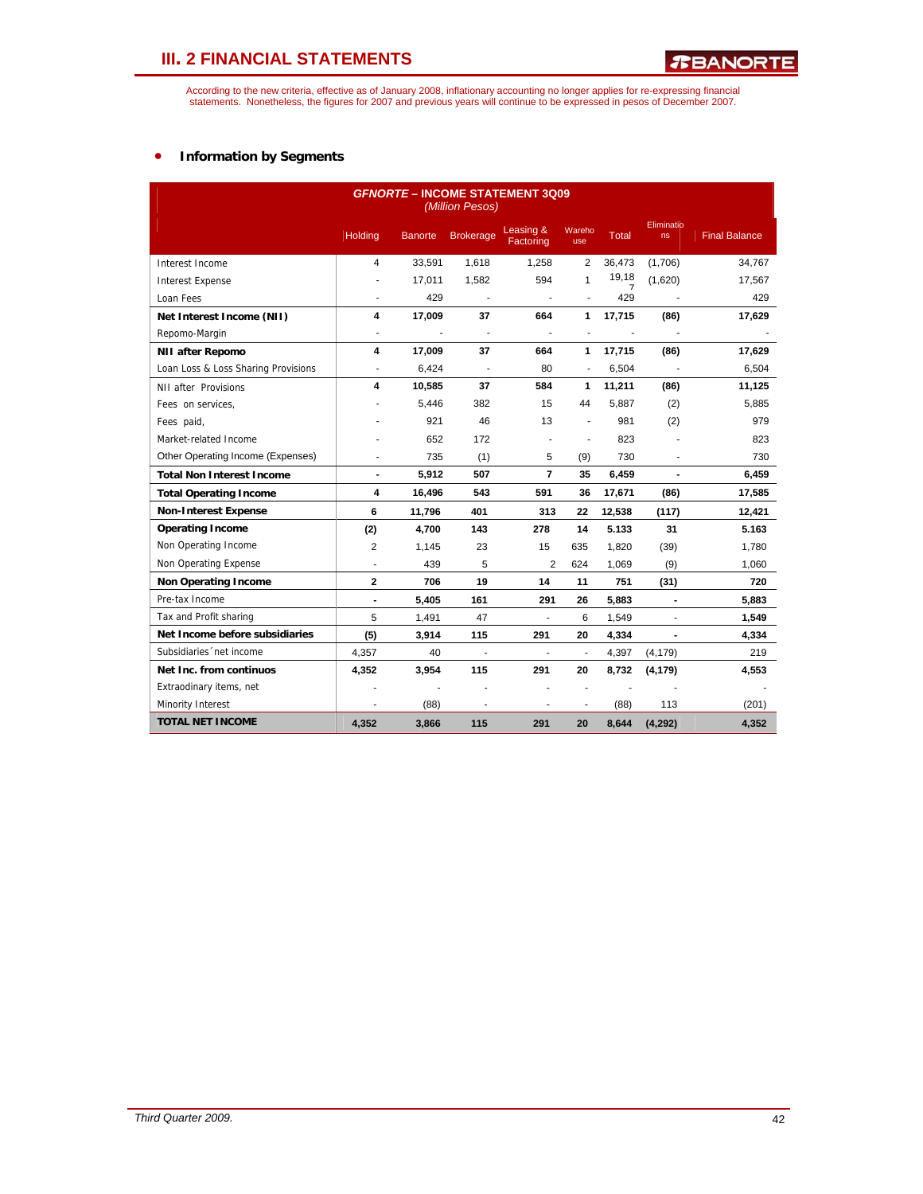According to the new criteria, effective as of January 2008, inflationary accounting no longer applies for re-expressing financial<br>statements. Nonetheless, the figures for 2007 and previous years will continue to be expres

### • **Information by Segments**

|                                     |                          |                | (Million Pesos)          | <b>GFNORTE - INCOME STATEMENT 3Q09</b> |                          |                          |                  |                      |
|-------------------------------------|--------------------------|----------------|--------------------------|----------------------------------------|--------------------------|--------------------------|------------------|----------------------|
|                                     | <b>Holding</b>           | <b>Banorte</b> | <b>Brokerage</b>         | Leasing &<br>Factoring                 | Wareho<br>use            | <b>Total</b>             | Eliminatio<br>ns | <b>Final Balance</b> |
| Interest Income                     | 4                        | 33,591         | 1,618                    | 1,258                                  | 2                        | 36,473                   | (1,706)          | 34,767               |
| <b>Interest Expense</b>             | ÷.                       | 17,011         | 1,582                    | 594                                    | 1                        | 19,18                    | (1,620)          | 17,567               |
| Loan Fees                           | ä,                       | 429            |                          |                                        | $\overline{\phantom{a}}$ | 429                      |                  | 429                  |
| Net Interest Income (NII)           | 4                        | 17,009         | 37                       | 664                                    | 1                        | 17,715                   | (86)             | 17,629               |
| Repomo-Margin                       | $\overline{\phantom{a}}$ | $\overline{a}$ | $\blacksquare$           | $\overline{\phantom{a}}$               | $\blacksquare$           | $\overline{\phantom{a}}$ | $\blacksquare$   |                      |
| <b>NII after Repomo</b>             | 4                        | 17,009         | 37                       | 664                                    | $\mathbf{1}$             | 17,715                   | (86)             | 17,629               |
| Loan Loss & Loss Sharing Provisions | $\overline{\phantom{a}}$ | 6,424          | $\overline{\phantom{a}}$ | 80                                     | $\blacksquare$           | 6,504                    |                  | 6,504                |
| NII after Provisions                | 4                        | 10,585         | 37                       | 584                                    | 1                        | 11,211                   | (86)             | 11,125               |
| Fees on services,                   |                          | 5,446          | 382                      | 15                                     | 44                       | 5,887                    | (2)              | 5,885                |
| Fees paid,                          |                          | 921            | 46                       | 13                                     | $\blacksquare$           | 981                      | (2)              | 979                  |
| Market-related Income               |                          | 652            | 172                      |                                        | ä,                       | 823                      |                  | 823                  |
| Other Operating Income (Expenses)   | ٠                        | 735            | (1)                      | 5                                      | (9)                      | 730                      | $\overline{a}$   | 730                  |
| <b>Total Non Interest Income</b>    | $\blacksquare$           | 5,912          | 507                      | $\overline{7}$                         | 35                       | 6,459                    | $\overline{a}$   | 6,459                |
| <b>Total Operating Income</b>       | 4                        | 16,496         | 543                      | 591                                    | 36                       | 17,671                   | (86)             | 17,585               |
| <b>Non-Interest Expense</b>         | 6                        | 11,796         | 401                      | 313                                    | 22                       | 12,538                   | (117)            | 12,421               |
| <b>Operating Income</b>             | (2)                      | 4.700          | 143                      | 278                                    | 14                       | 5.133                    | 31               | 5.163                |
| Non Operating Income                | 2                        | 1,145          | 23                       | 15                                     | 635                      | 1,820                    | (39)             | 1,780                |
| Non Operating Expense               | ÷,                       | 439            | 5                        | $\overline{2}$                         | 624                      | 1,069                    | (9)              | 1,060                |
| <b>Non Operating Income</b>         | $\mathbf{2}$             | 706            | 19                       | 14                                     | 11                       | 751                      | (31)             | 720                  |
| Pre-tax Income                      | $\blacksquare$           | 5,405          | 161                      | 291                                    | 26                       | 5,883                    |                  | 5,883                |
| Tax and Profit sharing              | 5                        | 1,491          | 47                       | $\overline{a}$                         | 6                        | 1,549                    |                  | 1,549                |
| Net Income before subsidiaries      | (5)                      | 3,914          | 115                      | 291                                    | 20                       | 4,334                    | $\blacksquare$   | 4,334                |
| Subsidiaries 'net income            | 4,357                    | 40             | $\overline{\phantom{a}}$ | $\blacksquare$                         | ä,                       | 4,397                    | (4, 179)         | 219                  |
| Net Inc. from continuos             | 4,352                    | 3,954          | 115                      | 291                                    | 20                       | 8,732                    | (4, 179)         | 4,553                |
| Extraodinary items, net             | Ĭ.                       |                |                          |                                        | $\overline{a}$           |                          |                  |                      |
| Minority Interest                   |                          | (88)           |                          |                                        |                          | (88)                     | 113              | (201)                |
| <b>TOTAL NET INCOME</b>             | 4,352                    | 3,866          | 115                      | 291                                    | 20                       | 8,644                    | (4, 292)         | 4,352                |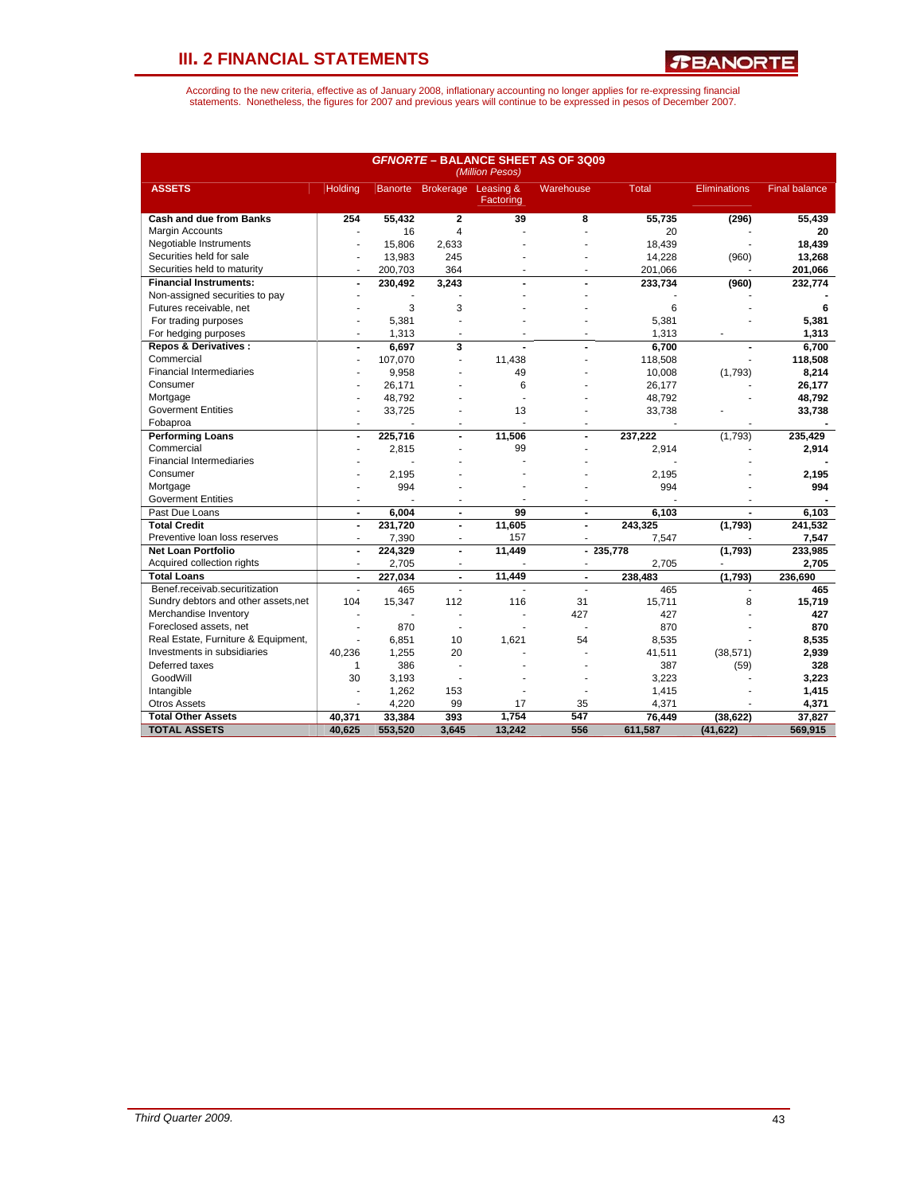*T***BANORTE** 

|                                                     |                      |                |                      | (Million Pesos)          | <b>GFNORTE - BALANCE SHEET AS OF 3Q09</b> |                |                     |                      |
|-----------------------------------------------------|----------------------|----------------|----------------------|--------------------------|-------------------------------------------|----------------|---------------------|----------------------|
| <b>ASSETS</b>                                       | Holding              |                | Banorte Brokerage    | Leasing &<br>Factoring   | Warehouse                                 | <b>Total</b>   | <b>Eliminations</b> | <b>Final balance</b> |
| <b>Cash and due from Banks</b>                      | 254                  | 55,432         | $\overline{2}$       | 39                       | 8                                         | 55,735         | (296)               | 55,439               |
| Margin Accounts                                     |                      | 16             | 4                    |                          |                                           | 20             |                     | 20                   |
| Negotiable Instruments                              |                      | 15.806         | 2,633                |                          |                                           | 18.439         |                     | 18.439               |
| Securities held for sale                            |                      | 13,983         | 245                  |                          |                                           | 14,228         | (960)               | 13,268               |
| Securities held to maturity                         |                      | 200.703        | 364                  |                          |                                           | 201.066        |                     | 201,066              |
| <b>Financial Instruments:</b>                       | $\blacksquare$       | 230,492        | 3,243                | $\overline{\phantom{0}}$ |                                           | 233,734        | (960)               | 232,774              |
| Non-assigned securities to pay                      |                      |                |                      |                          |                                           |                |                     |                      |
| Futures receivable, net                             |                      | 3              | 3                    |                          |                                           | 6              |                     | 6                    |
| For trading purposes                                |                      | 5,381          |                      |                          |                                           | 5,381          |                     | 5,381                |
| For hedging purposes                                |                      | 1,313          |                      |                          |                                           | 1,313          |                     | 1,313                |
| <b>Repos &amp; Derivatives:</b>                     | $\blacksquare$       | 6,697          | 3                    | ÷,                       |                                           | 6.700          |                     | 6.700                |
| Commercial                                          | J.                   | 107,070        | ÷.                   | 11,438                   |                                           | 118,508        |                     | 118,508              |
| <b>Financial Intermediaries</b>                     |                      | 9,958          |                      | 49                       |                                           | 10.008         | (1,793)             | 8,214                |
| Consumer                                            |                      | 26,171         |                      | 6                        |                                           | 26,177         |                     | 26,177               |
| Mortgage                                            |                      | 48,792         |                      |                          |                                           | 48,792         |                     | 48,792               |
| <b>Goverment Entities</b>                           |                      | 33,725         |                      | 13                       |                                           | 33,738         |                     | 33,738               |
| Fobaproa                                            |                      |                |                      |                          |                                           |                |                     |                      |
| <b>Performing Loans</b>                             |                      | 225,716        |                      | 11,506                   |                                           | 237,222        | (1,793)             | 235,429              |
| Commercial                                          |                      | 2,815          |                      | 99                       |                                           | 2,914          |                     | 2,914                |
| <b>Financial Intermediaries</b>                     |                      |                |                      |                          |                                           |                |                     |                      |
| Consumer                                            |                      | 2.195          |                      |                          |                                           | 2.195          |                     | 2,195                |
| Mortgage                                            |                      | 994            |                      |                          |                                           | 994            |                     | 994                  |
| <b>Goverment Entities</b>                           | ÷                    |                |                      |                          |                                           |                |                     |                      |
| Past Due Loans                                      | $\blacksquare$       | 6,004          | $\blacksquare$       | 99                       | $\blacksquare$                            | 6,103          | $\blacksquare$      | 6.103                |
| <b>Total Credit</b>                                 | $\blacksquare$       | 231,720        | $\blacksquare$       | 11,605                   | $\overline{a}$                            | 243,325        | (1,793)             | 241,532              |
| Preventive loan loss reserves                       |                      | 7,390          |                      | 157                      |                                           | 7,547          |                     | 7,547                |
| <b>Net Loan Portfolio</b>                           | $\overline{a}$       | 224,329        | $\blacksquare$       | 11,449                   | $\blacksquare$                            | 235,778        | (1,793)             | 233,985              |
| Acquired collection rights                          | ٠                    | 2,705          | ÷                    |                          | ٠                                         | 2,705          |                     | 2,705                |
|                                                     |                      |                |                      | 11.449                   |                                           |                |                     |                      |
| <b>Total Loans</b><br>Benef.receivab.securitization | $\blacksquare$<br>÷, | 227,034<br>465 | $\blacksquare$<br>ä, |                          | $\blacksquare$<br>÷.                      | 238,483<br>465 | (1,793)             | 236,690              |
|                                                     |                      |                |                      |                          |                                           |                | $\blacksquare$      | 465                  |
| Sundry debtors and other assets, net                | 104                  | 15,347         | 112                  | 116                      | 31                                        | 15,711         | 8                   | 15,719               |
| Merchandise Inventory                               | ٠                    |                | ÷                    | ä,                       | 427                                       | 427            |                     | 427                  |
| Foreclosed assets, net                              |                      | 870            |                      |                          |                                           | 870            |                     | 870                  |
| Real Estate, Furniture & Equipment,                 | ÷                    | 6,851          | 10                   | 1,621                    | 54                                        | 8,535          |                     | 8,535                |
| Investments in subsidiaries                         | 40,236               | 1,255          | 20                   |                          |                                           | 41,511         | (38, 571)           | 2,939                |
| Deferred taxes                                      | 1                    | 386            | ÷                    |                          |                                           | 387            | (59)                | 328                  |
| GoodWill                                            | 30                   | 3.193          |                      |                          |                                           | 3.223          |                     | 3,223                |
| Intangible                                          |                      | 1,262          | 153                  |                          |                                           | 1,415          |                     | 1,415                |
| <b>Otros Assets</b>                                 |                      | 4,220          | 99                   | 17                       | 35                                        | 4,371          |                     | 4,371                |
| <b>Total Other Assets</b>                           | 40.371               | 33,384         | 393                  | 1.754                    | 547                                       | 76.449         | (38, 622)           | 37.827               |
| <b>TOTAL ASSETS</b>                                 | 40,625               | 553,520        | 3,645                | 13,242                   | 556                                       | 611.587        | (41, 622)           | 569,915              |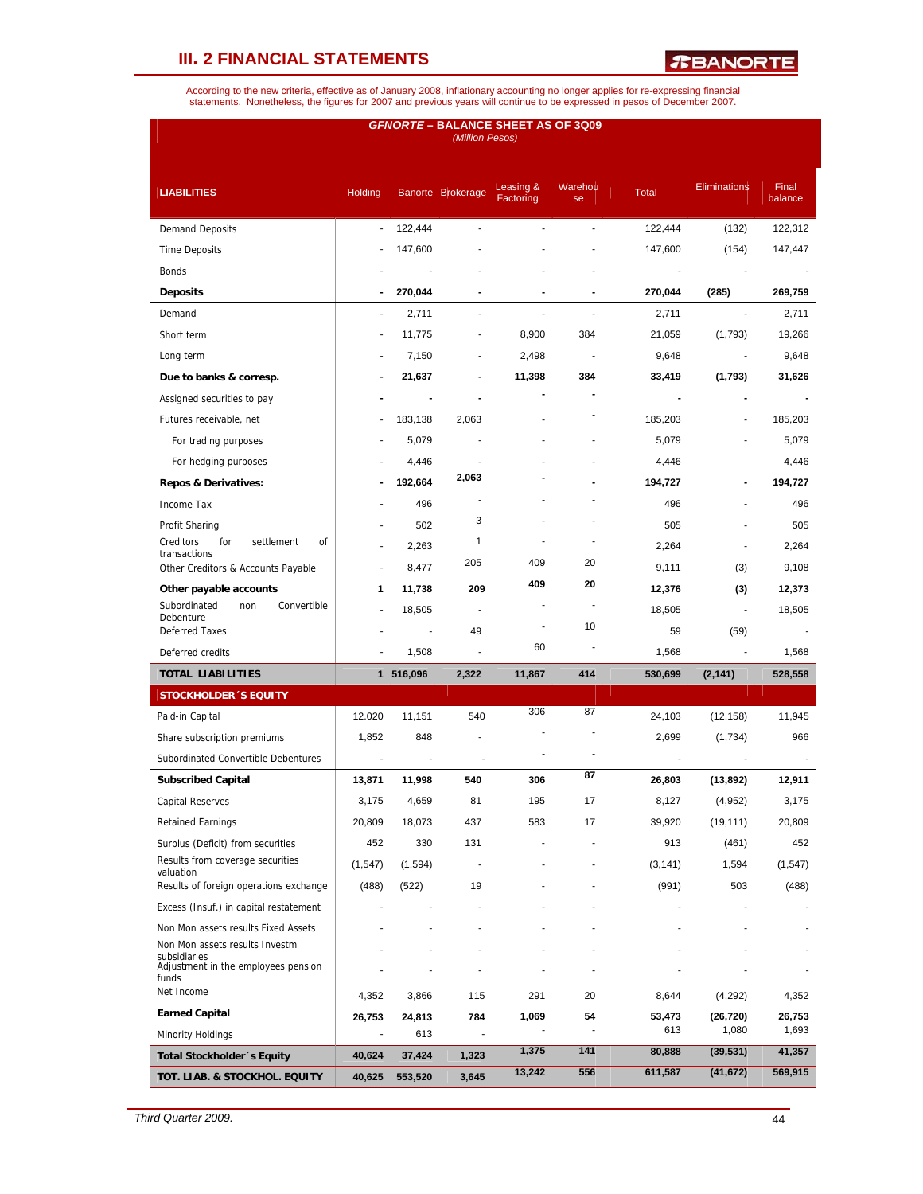*R***BANORTE** 

|                                                                       |                              |                | (Million Pesos)   | <b>GFNORTE – BALANCE SHEET AS OF 3Q09</b> |               |                |                          |                  |
|-----------------------------------------------------------------------|------------------------------|----------------|-------------------|-------------------------------------------|---------------|----------------|--------------------------|------------------|
| <b>LIABILITIES</b>                                                    | Holding                      |                | Banorte Brokerage | Leasing &<br>Factoring                    | Warehou<br>se | <b>Total</b>   | <b>Eliminations</b>      | Final<br>balance |
| <b>Demand Deposits</b>                                                | ÷.                           | 122,444        |                   |                                           |               | 122,444        | (132)                    | 122,312          |
| <b>Time Deposits</b>                                                  |                              | 147,600        |                   |                                           |               | 147,600        | (154)                    | 147,447          |
| Bonds                                                                 |                              |                |                   |                                           |               | $\blacksquare$ |                          |                  |
| <b>Deposits</b>                                                       | $\qquad \qquad \blacksquare$ | 270,044        |                   |                                           |               | 270,044        | (285)                    | 269,759          |
| Demand                                                                | ÷.                           | 2,711          | ä,                |                                           |               | 2,711          | ÷                        | 2,711            |
| Short term                                                            |                              | 11,775         | ÷,                | 8,900                                     | 384           | 21,059         | (1,793)                  | 19,266           |
| Long term                                                             |                              | 7,150          |                   | 2,498                                     |               | 9,648          |                          | 9,648            |
| Due to banks & corresp.                                               | $\qquad \qquad \blacksquare$ | 21,637         |                   | 11,398                                    | 384           | 33,419         | (1,793)                  | 31,626           |
| Assigned securities to pay                                            |                              | $\blacksquare$ |                   |                                           |               |                |                          |                  |
| Futures receivable, net                                               |                              | 183,138        | 2,063             |                                           |               | 185,203        |                          | 185,203          |
| For trading purposes                                                  |                              | 5,079          |                   |                                           |               | 5,079          |                          | 5,079            |
| For hedging purposes                                                  |                              | 4,446          |                   |                                           |               | 4,446          |                          | 4,446            |
| <b>Repos &amp; Derivatives:</b>                                       |                              | 192,664        | 2,063             |                                           |               | 194,727        |                          | 194,727          |
| Income Tax                                                            |                              | 496            | ÷,                |                                           |               | 496            |                          | 496              |
| Profit Sharing                                                        |                              | 502            | 3                 |                                           |               | 505            |                          | 505              |
| for<br>Creditors<br>settlement<br>οf                                  |                              | 2,263          | 1                 |                                           |               | 2,264          | ÷.                       | 2,264            |
| transactions<br>Other Creditors & Accounts Payable                    | ÷,                           | 8,477          | 205               | 409                                       | 20            | 9,111          | (3)                      | 9,108            |
| Other payable accounts                                                | 1                            | 11,738         | 209               | 409                                       | 20            | 12,376         | (3)                      | 12,373           |
| Subordinated<br>Convertible<br>non                                    |                              | 18,505         | $\blacksquare$    |                                           |               | 18,505         | $\overline{\phantom{a}}$ | 18,505           |
| Debenture<br><b>Deferred Taxes</b>                                    |                              |                | 49                |                                           | 10            | 59             | (59)                     |                  |
| Deferred credits                                                      |                              | 1,508          |                   | 60                                        |               | 1,568          |                          | 1,568            |
| <b>TOTAL LIABILITIES</b>                                              |                              | 1 516,096      | 2,322             | 11,867                                    | 414           | 530,699        | (2, 141)                 | 528,558          |
| <b>STOCKHOLDER 'S EQUITY</b>                                          |                              |                |                   |                                           |               |                |                          |                  |
| Paid-in Capital                                                       | 12.020                       | 11,151         | 540               | 306                                       | 87            | 24,103         | (12, 158)                | 11,945           |
| Share subscription premiums                                           | 1,852                        | 848            |                   |                                           |               | 2,699          | (1,734)                  | 966              |
| Subordinated Convertible Debentures                                   |                              |                |                   |                                           |               |                |                          |                  |
| <b>Subscribed Capital</b>                                             | 13,871                       | 11,998         | 540               | 306                                       | 87            | 26,803         | (13, 892)                | 12,911           |
| <b>Capital Reserves</b>                                               | 3,175                        | 4,659          | 81                | 195                                       | 17            | 8,127          |                          | 3,175            |
|                                                                       | 20,809                       | 18,073         | 437               | 583                                       | 17            | 39,920         | (4,952)                  | 20,809           |
| <b>Retained Earnings</b>                                              |                              |                |                   |                                           |               |                | (19, 111)                |                  |
| Surplus (Deficit) from securities<br>Results from coverage securities | 452                          | 330            | 131               |                                           |               | 913            | (461)                    | 452              |
| valuation                                                             | (1, 547)                     | (1,594)        |                   |                                           |               | (3, 141)       | 1,594                    | (1, 547)         |
| Results of foreign operations exchange                                | (488)                        | (522)          | 19                |                                           |               | (991)          | 503                      | (488)            |
| Excess (Insuf.) in capital restatement                                |                              |                |                   |                                           |               |                |                          |                  |
| Non Mon assets results Fixed Assets<br>Non Mon assets results Investm |                              |                |                   |                                           |               |                |                          |                  |
| subsidiaries<br>Adjustment in the employees pension<br>funds          |                              |                |                   |                                           |               |                |                          |                  |
| Net Income                                                            | 4,352                        | 3,866          | 115               | 291                                       | 20            | 8,644          | (4,292)                  | 4,352            |
| <b>Earned Capital</b>                                                 | 26,753                       | 24,813         | 784               | 1,069                                     | 54            | 53,473         | (26, 720)                | 26,753           |
| <b>Minority Holdings</b>                                              |                              | 613            |                   |                                           |               | 613            | 1,080                    | 1,693            |
| Total Stockholder 's Equity                                           | 40,624                       | 37,424         | 1,323             | 1,375                                     | 141           | 80,888         | (39, 531)                | 41,357           |
| TOT. LIAB. & STOCKHOL. EQUITY                                         | 40,625                       | 553,520        | 3,645             | 13,242                                    | 556           | 611,587        | (41, 672)                | 569,915          |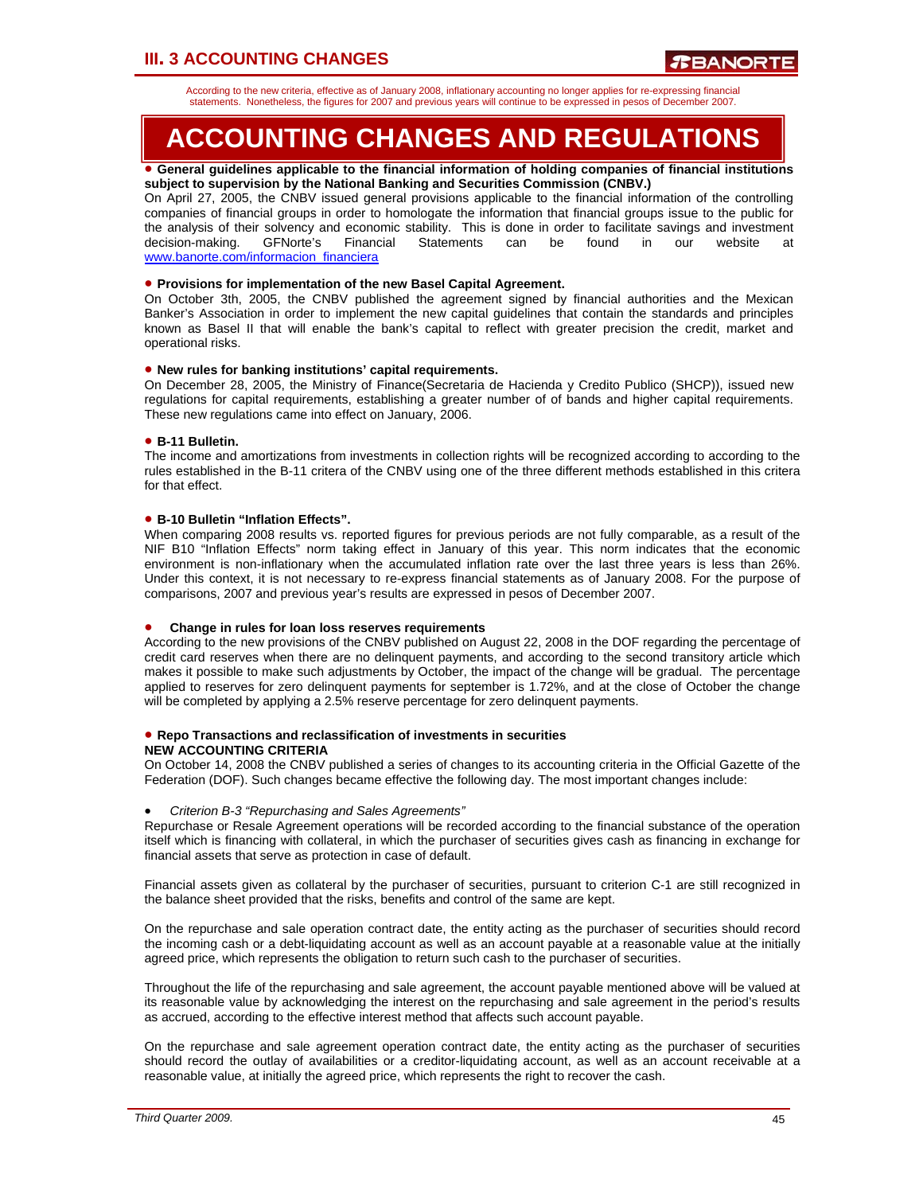According to the new criteria, effective as of January 2008, inflationary accounting no longer applies for re-expressing financial statements. Nonetheless, the figures for 2007 and previous years will continue to be expressed in pesos of December 2007.

# **ACCOUNTING CHANGES AND REGULATIONS**

#### • **General guidelines applicable to the financial information of holding companies of financial institutions subject to supervision by the National Banking and Securities Commission (CNBV.)**

On April 27, 2005, the CNBV issued general provisions applicable to the financial information of the controlling companies of financial groups in order to homologate the information that financial groups issue to the public for the analysis of their solvency and economic stability. This is done in order to facilitate savings and investment decision-making. GFNorte's Financial Statements can be found in our website at www.banorte.com/informacion\_financiera

### • **Provisions for implementation of the new Basel Capital Agreement.**

On October 3th, 2005, the CNBV published the agreement signed by financial authorities and the Mexican Banker's Association in order to implement the new capital guidelines that contain the standards and principles known as Basel II that will enable the bank's capital to reflect with greater precision the credit, market and operational risks.

### • **New rules for banking institutions' capital requirements.**

On December 28, 2005, the Ministry of Finance(Secretaria de Hacienda y Credito Publico (SHCP)), issued new regulations for capital requirements, establishing a greater number of of bands and higher capital requirements. These new regulations came into effect on January, 2006.

### • **B-11 Bulletin.**

The income and amortizations from investments in collection rights will be recognized according to according to the rules established in the B-11 critera of the CNBV using one of the three different methods established in this critera for that effect.

### • **B-10 Bulletin "Inflation Effects".**

When comparing 2008 results vs. reported figures for previous periods are not fully comparable, as a result of the NIF B10 "Inflation Effects" norm taking effect in January of this year. This norm indicates that the economic environment is non-inflationary when the accumulated inflation rate over the last three years is less than 26%. Under this context, it is not necessary to re-express financial statements as of January 2008. For the purpose of comparisons, 2007 and previous year's results are expressed in pesos of December 2007.

#### • **Change in rules for loan loss reserves requirements**

According to the new provisions of the CNBV published on August 22, 2008 in the DOF regarding the percentage of credit card reserves when there are no delinquent payments, and according to the second transitory article which makes it possible to make such adjustments by October, the impact of the change will be gradual. The percentage applied to reserves for zero delinquent payments for september is 1.72%, and at the close of October the change will be completed by applying a 2.5% reserve percentage for zero delinquent payments.

#### • **Repo Transactions and reclassification of investments in securities NEW ACCOUNTING CRITERIA**

On October 14, 2008 the CNBV published a series of changes to its accounting criteria in the Official Gazette of the Federation (DOF). Such changes became effective the following day. The most important changes include:

#### • *Criterion B-3 "Repurchasing and Sales Agreements"*

Repurchase or Resale Agreement operations will be recorded according to the financial substance of the operation itself which is financing with collateral, in which the purchaser of securities gives cash as financing in exchange for financial assets that serve as protection in case of default.

Financial assets given as collateral by the purchaser of securities, pursuant to criterion C-1 are still recognized in the balance sheet provided that the risks, benefits and control of the same are kept.

On the repurchase and sale operation contract date, the entity acting as the purchaser of securities should record the incoming cash or a debt-liquidating account as well as an account payable at a reasonable value at the initially agreed price, which represents the obligation to return such cash to the purchaser of securities.

Throughout the life of the repurchasing and sale agreement, the account payable mentioned above will be valued at its reasonable value by acknowledging the interest on the repurchasing and sale agreement in the period's results as accrued, according to the effective interest method that affects such account payable.

On the repurchase and sale agreement operation contract date, the entity acting as the purchaser of securities should record the outlay of availabilities or a creditor-liquidating account, as well as an account receivable at a reasonable value, at initially the agreed price, which represents the right to recover the cash.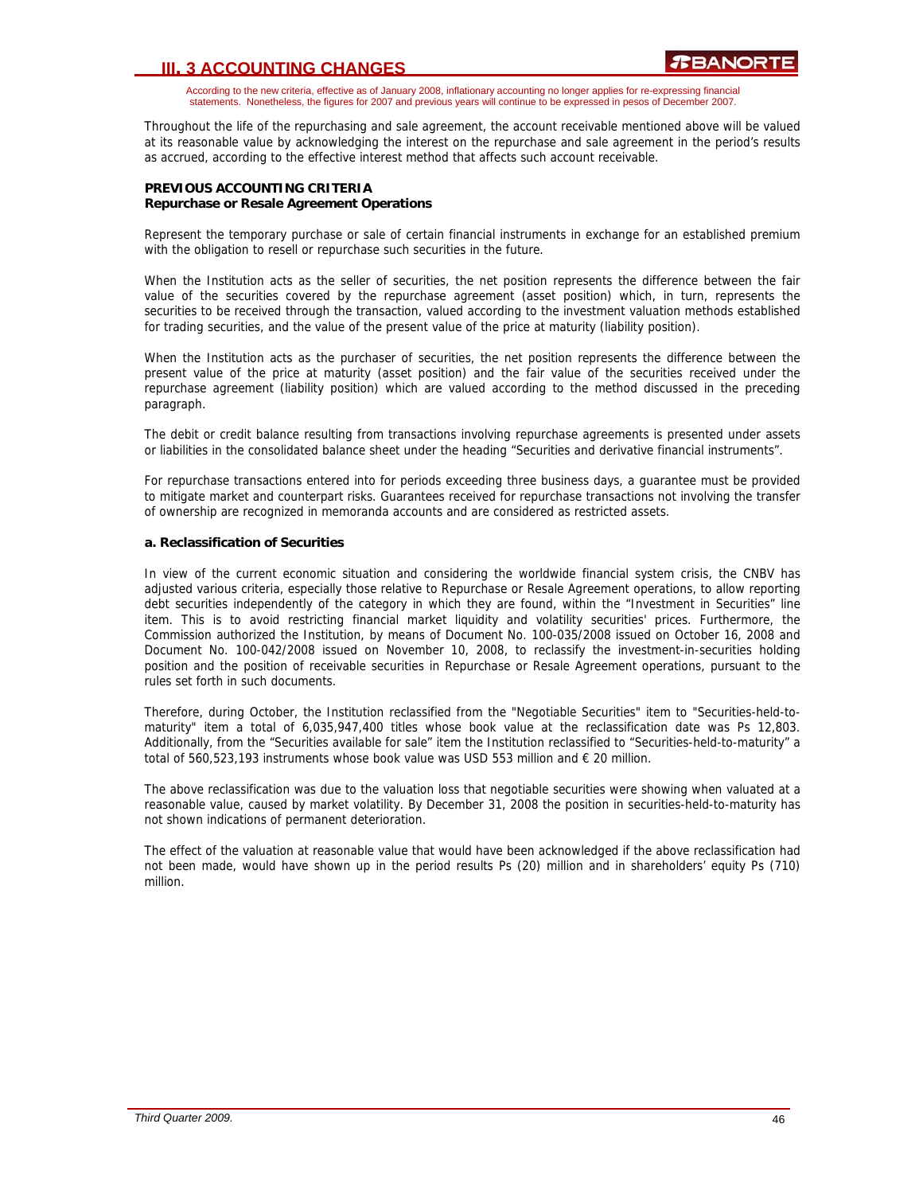According to the new criteria, effective as of January 2008, inflationary accounting no longer applies for re-expressing financial statements. Nonetheless, the figures for 2007 and previous years will continue to be expressed in pesos of December 2007.

Throughout the life of the repurchasing and sale agreement, the account receivable mentioned above will be valued at its reasonable value by acknowledging the interest on the repurchase and sale agreement in the period's results as accrued, according to the effective interest method that affects such account receivable.

### **PREVIOUS ACCOUNTING CRITERIA Repurchase or Resale Agreement Operations**

Represent the temporary purchase or sale of certain financial instruments in exchange for an established premium with the obligation to resell or repurchase such securities in the future.

When the Institution acts as the seller of securities, the net position represents the difference between the fair value of the securities covered by the repurchase agreement (asset position) which, in turn, represents the securities to be received through the transaction, valued according to the investment valuation methods established for trading securities, and the value of the present value of the price at maturity (liability position).

When the Institution acts as the purchaser of securities, the net position represents the difference between the present value of the price at maturity (asset position) and the fair value of the securities received under the repurchase agreement (liability position) which are valued according to the method discussed in the preceding paragraph.

The debit or credit balance resulting from transactions involving repurchase agreements is presented under assets or liabilities in the consolidated balance sheet under the heading "Securities and derivative financial instruments".

For repurchase transactions entered into for periods exceeding three business days, a guarantee must be provided to mitigate market and counterpart risks. Guarantees received for repurchase transactions not involving the transfer of ownership are recognized in memoranda accounts and are considered as restricted assets.

### **a. Reclassification of Securities**

In view of the current economic situation and considering the worldwide financial system crisis, the CNBV has adjusted various criteria, especially those relative to Repurchase or Resale Agreement operations, to allow reporting debt securities independently of the category in which they are found, within the "Investment in Securities" line item. This is to avoid restricting financial market liquidity and volatility securities' prices. Furthermore, the Commission authorized the Institution, by means of Document No. 100-035/2008 issued on October 16, 2008 and Document No. 100-042/2008 issued on November 10, 2008, to reclassify the investment-in-securities holding position and the position of receivable securities in Repurchase or Resale Agreement operations, pursuant to the rules set forth in such documents.

Therefore, during October, the Institution reclassified from the "Negotiable Securities" item to "Securities-held-tomaturity" item a total of 6,035,947,400 titles whose book value at the reclassification date was Ps 12,803. Additionally, from the "Securities available for sale" item the Institution reclassified to "Securities-held-to-maturity" a total of 560,523,193 instruments whose book value was USD 553 million and  $\epsilon$  20 million.

The above reclassification was due to the valuation loss that negotiable securities were showing when valuated at a reasonable value, caused by market volatility. By December 31, 2008 the position in securities-held-to-maturity has not shown indications of permanent deterioration.

The effect of the valuation at reasonable value that would have been acknowledged if the above reclassification had not been made, would have shown up in the period results Ps (20) million and in shareholders' equity Ps (710) million.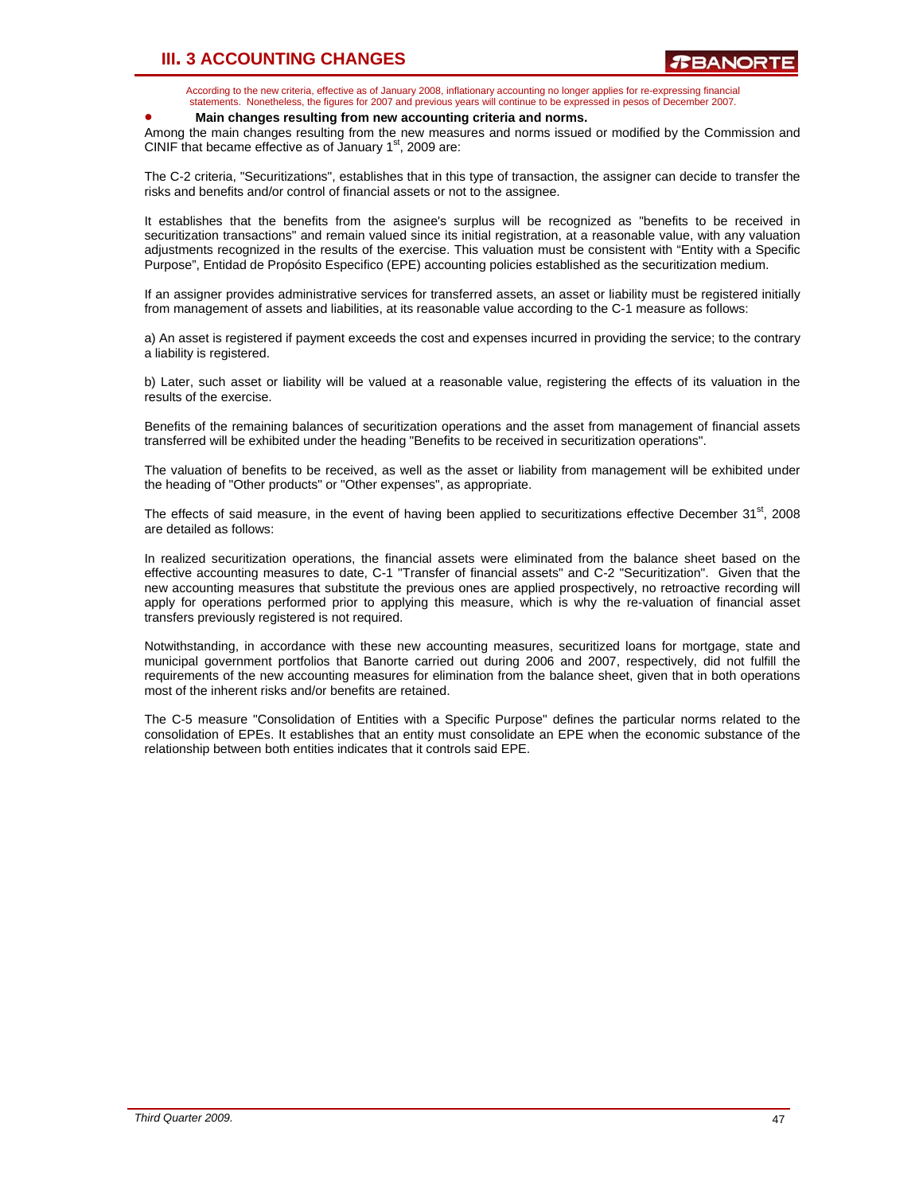According to the new criteria, effective as of January 2008, inflationary accounting no longer applies for re-expressing financial statements. Nonetheless, the figures for 2007 and previous years will continue to be expressed in pesos of December 2007.

#### • **Main changes resulting from new accounting criteria and norms.**

Among the main changes resulting from the new measures and norms issued or modified by the Commission and CINIF that became effective as of January  $1<sup>st</sup>$ , 2009 are:

The C-2 criteria, "Securitizations", establishes that in this type of transaction, the assigner can decide to transfer the risks and benefits and/or control of financial assets or not to the assignee.

It establishes that the benefits from the asignee's surplus will be recognized as "benefits to be received in securitization transactions" and remain valued since its initial registration, at a reasonable value, with any valuation adjustments recognized in the results of the exercise. This valuation must be consistent with "Entity with a Specific Purpose", Entidad de Propósito Especifico (EPE) accounting policies established as the securitization medium.

If an assigner provides administrative services for transferred assets, an asset or liability must be registered initially from management of assets and liabilities, at its reasonable value according to the C-1 measure as follows:

a) An asset is registered if payment exceeds the cost and expenses incurred in providing the service; to the contrary a liability is registered.

b) Later, such asset or liability will be valued at a reasonable value, registering the effects of its valuation in the results of the exercise.

Benefits of the remaining balances of securitization operations and the asset from management of financial assets transferred will be exhibited under the heading "Benefits to be received in securitization operations".

The valuation of benefits to be received, as well as the asset or liability from management will be exhibited under the heading of "Other products" or "Other expenses", as appropriate.

The effects of said measure, in the event of having been applied to securitizations effective December  $31<sup>st</sup>$ , 2008 are detailed as follows:

In realized securitization operations, the financial assets were eliminated from the balance sheet based on the effective accounting measures to date, C-1 "Transfer of financial assets" and C-2 "Securitization". Given that the new accounting measures that substitute the previous ones are applied prospectively, no retroactive recording will apply for operations performed prior to applying this measure, which is why the re-valuation of financial asset transfers previously registered is not required.

Notwithstanding, in accordance with these new accounting measures, securitized loans for mortgage, state and municipal government portfolios that Banorte carried out during 2006 and 2007, respectively, did not fulfill the requirements of the new accounting measures for elimination from the balance sheet, given that in both operations most of the inherent risks and/or benefits are retained.

The C-5 measure "Consolidation of Entities with a Specific Purpose" defines the particular norms related to the consolidation of EPEs. It establishes that an entity must consolidate an EPE when the economic substance of the relationship between both entities indicates that it controls said EPE.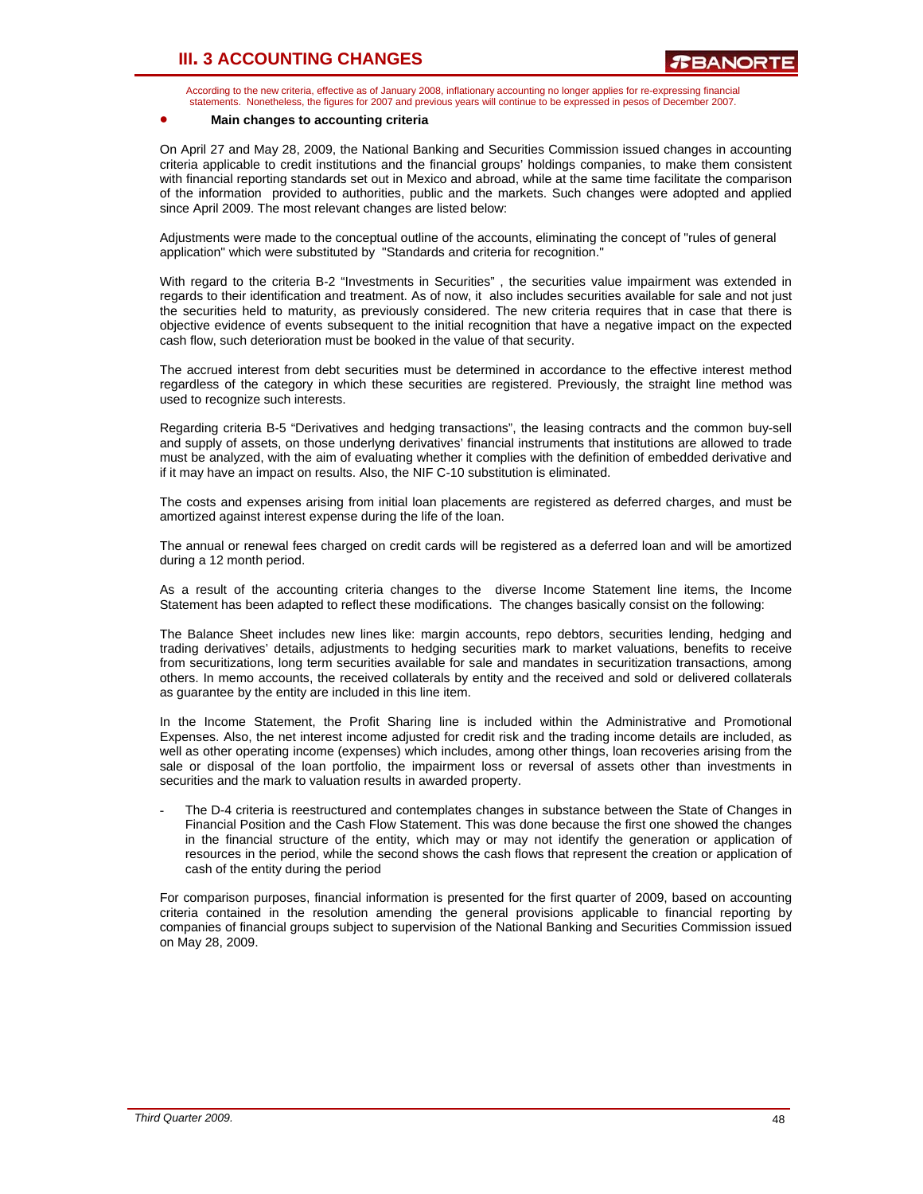According to the new criteria, effective as of January 2008, inflationary accounting no longer applies for re-expressing financial statements. Nonetheless, the figures for 2007 and previous years will continue to be expressed in pesos of December 2007.

#### • **Main changes to accounting criteria**

On April 27 and May 28, 2009, the National Banking and Securities Commission issued changes in accounting criteria applicable to credit institutions and the financial groups' holdings companies, to make them consistent with financial reporting standards set out in Mexico and abroad, while at the same time facilitate the comparison of the information provided to authorities, public and the markets. Such changes were adopted and applied since April 2009. The most relevant changes are listed below:

Adjustments were made to the conceptual outline of the accounts, eliminating the concept of "rules of general application" which were substituted by "Standards and criteria for recognition."

With regard to the criteria B-2 "Investments in Securities" , the securities value impairment was extended in regards to their identification and treatment. As of now, it also includes securities available for sale and not just the securities held to maturity, as previously considered. The new criteria requires that in case that there is objective evidence of events subsequent to the initial recognition that have a negative impact on the expected cash flow, such deterioration must be booked in the value of that security.

The accrued interest from debt securities must be determined in accordance to the effective interest method regardless of the category in which these securities are registered. Previously, the straight line method was used to recognize such interests.

Regarding criteria B-5 "Derivatives and hedging transactions", the leasing contracts and the common buy-sell and supply of assets, on those underlyng derivatives' financial instruments that institutions are allowed to trade must be analyzed, with the aim of evaluating whether it complies with the definition of embedded derivative and if it may have an impact on results. Also, the NIF C-10 substitution is eliminated.

The costs and expenses arising from initial loan placements are registered as deferred charges, and must be amortized against interest expense during the life of the loan.

The annual or renewal fees charged on credit cards will be registered as a deferred loan and will be amortized during a 12 month period.

As a result of the accounting criteria changes to the diverse Income Statement line items, the Income Statement has been adapted to reflect these modifications. The changes basically consist on the following:

The Balance Sheet includes new lines like: margin accounts, repo debtors, securities lending, hedging and trading derivatives' details, adjustments to hedging securities mark to market valuations, benefits to receive from securitizations, long term securities available for sale and mandates in securitization transactions, among others. In memo accounts, the received collaterals by entity and the received and sold or delivered collaterals as guarantee by the entity are included in this line item.

In the Income Statement, the Profit Sharing line is included within the Administrative and Promotional Expenses. Also, the net interest income adjusted for credit risk and the trading income details are included, as well as other operating income (expenses) which includes, among other things, loan recoveries arising from the sale or disposal of the loan portfolio, the impairment loss or reversal of assets other than investments in securities and the mark to valuation results in awarded property.

The D-4 criteria is reestructured and contemplates changes in substance between the State of Changes in Financial Position and the Cash Flow Statement. This was done because the first one showed the changes in the financial structure of the entity, which may or may not identify the generation or application of resources in the period, while the second shows the cash flows that represent the creation or application of cash of the entity during the period

For comparison purposes, financial information is presented for the first quarter of 2009, based on accounting criteria contained in the resolution amending the general provisions applicable to financial reporting by companies of financial groups subject to supervision of the National Banking and Securities Commission issued on May 28, 2009.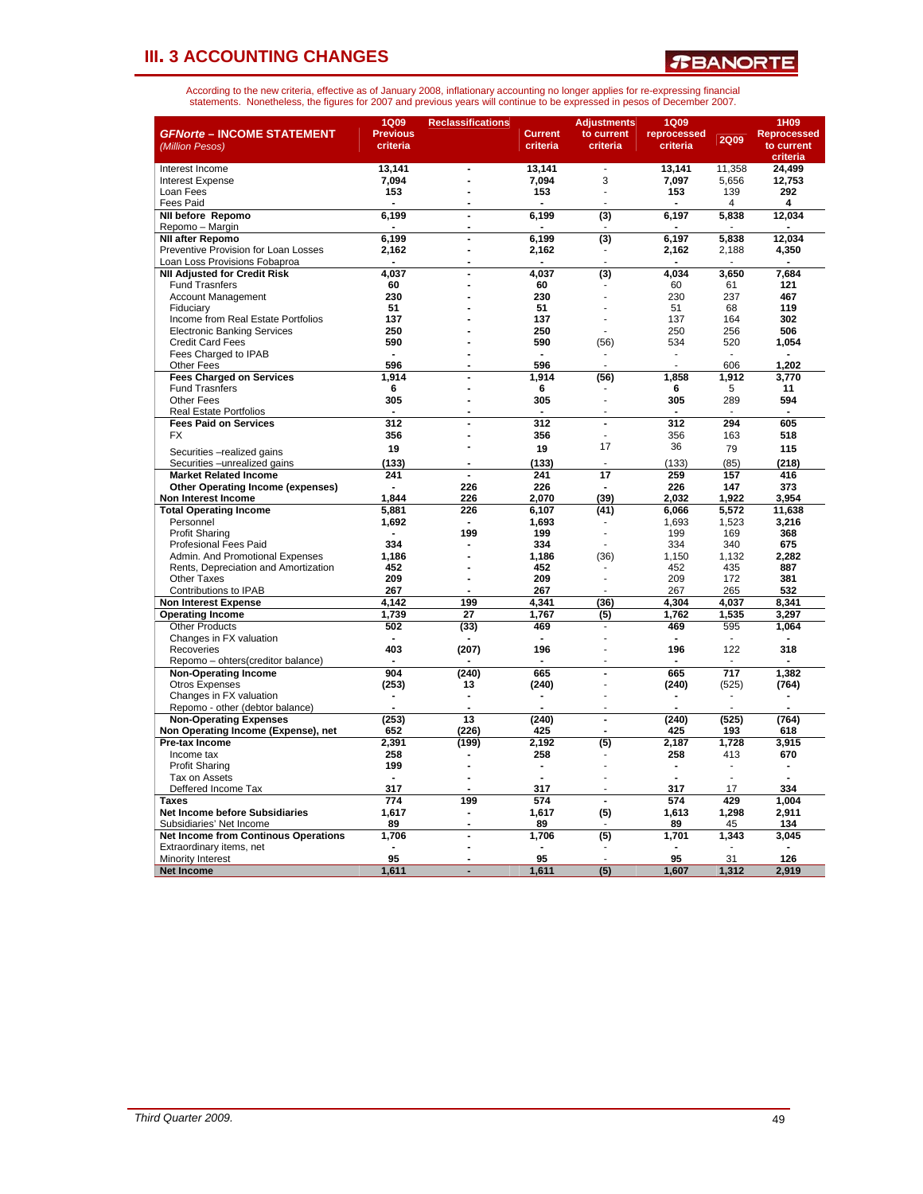*T***BANORTE** 

| <b>GFNorte - INCOME STATEMENT</b><br>(Million Pesos)                 | <b>1Q09</b><br><b>Previous</b><br>criteria | <b>Reclassifications</b> | <b>Current</b><br>criteria | <b>Adjustments</b><br>to current<br>criteria | <b>1Q09</b><br>reprocessed<br>criteria | <b>2Q09</b>  | 1H09<br><b>Reprocessed</b><br>to current<br>criteria |
|----------------------------------------------------------------------|--------------------------------------------|--------------------------|----------------------------|----------------------------------------------|----------------------------------------|--------------|------------------------------------------------------|
| Interest Income                                                      | 13.141                                     | $\blacksquare$           | 13,141                     | $\overline{\phantom{a}}$                     | 13,141                                 | 11,358       | 24.499                                               |
| <b>Interest Expense</b>                                              | 7,094                                      | Ĭ.                       | 7,094                      | 3                                            | 7,097                                  | 5,656        | 12,753                                               |
| Loan Fees                                                            | 153                                        | Ĭ.                       | 153                        | ä,                                           | 153                                    | 139          | 292                                                  |
| <b>Fees Paid</b>                                                     |                                            |                          |                            |                                              |                                        | 4            | 4                                                    |
| <b>NII before Repomo</b>                                             | 6,199                                      | $\overline{\phantom{a}}$ | 6,199                      | (3)                                          | 6,197                                  | 5,838        | 12,034                                               |
| Repomo - Margin                                                      |                                            |                          |                            |                                              |                                        |              |                                                      |
| <b>NII after Repomo</b>                                              | 6.199                                      | Ĭ.                       | 6.199                      | (3)                                          | 6.197                                  | 5.838        | 12.034                                               |
| Preventive Provision for Loan Losses                                 | 2,162                                      | ÷,                       | 2,162                      |                                              | 2,162                                  | 2,188        | 4,350                                                |
| Loan Loss Provisions Fobaproa                                        |                                            | Ĭ.                       |                            |                                              |                                        |              |                                                      |
| <b>NII Adiusted for Credit Risk</b>                                  | 4.037<br>60                                | Ĭ.<br>Ĭ.                 | 4,037<br>60                | $\overline{3}$                               | 4,034<br>60                            | 3,650<br>61  | 7.684<br>121                                         |
| <b>Fund Trasnfers</b><br><b>Account Management</b>                   | 230                                        |                          | 230                        |                                              | 230                                    | 237          | 467                                                  |
| Fiduciary                                                            | 51                                         |                          | 51                         |                                              | 51                                     | 68           | 119                                                  |
| Income from Real Estate Portfolios                                   | 137                                        |                          | 137                        |                                              | 137                                    | 164          | 302                                                  |
| <b>Electronic Banking Services</b>                                   | 250                                        |                          | 250                        |                                              | 250                                    | 256          | 506                                                  |
| <b>Credit Card Fees</b>                                              | 590                                        |                          | 590                        | (56)                                         | 534                                    | 520          | 1,054                                                |
| Fees Charged to IPAB                                                 |                                            |                          |                            |                                              |                                        |              |                                                      |
| <b>Other Fees</b>                                                    | 596                                        |                          | 596                        |                                              |                                        | 606          | 1.202                                                |
| <b>Fees Charged on Services</b>                                      | 1,914                                      |                          | 1,914                      | (56)                                         | 1,858                                  | 1,912        | 3,770                                                |
| <b>Fund Trasnfers</b>                                                | 6                                          |                          | 6                          |                                              | 6                                      | 5            | 11                                                   |
| Other Fees                                                           | 305                                        | Ĭ.                       | 305                        |                                              | 305                                    | 289          | 594                                                  |
| <b>Real Estate Portfolios</b>                                        |                                            |                          | $\blacksquare$             |                                              |                                        | ÷.           |                                                      |
| <b>Fees Paid on Services</b>                                         | 312                                        |                          | 312                        | ÷,                                           | 312                                    | 294          | 605                                                  |
| <b>FX</b>                                                            | 356                                        |                          | 356                        |                                              | 356                                    | 163          | 518                                                  |
| Securities - realized gains                                          | 19                                         |                          | 19                         | 17                                           | 36                                     | 79           | 115                                                  |
| Securities - unrealized gains                                        | (133)                                      |                          | (133)                      |                                              | (133)                                  | (85)         | (218)                                                |
| <b>Market Related Income</b>                                         | 241                                        | $\blacksquare$           | 241                        | 17                                           | 259                                    | 157          | 416                                                  |
| <b>Other Operating Income (expenses)</b>                             |                                            | 226                      | 226                        |                                              | 226                                    | 147          | 373                                                  |
| Non Interest Income                                                  | 1.844                                      | 226                      | 2.070                      | (39)                                         | 2.032                                  | 1.922        | 3.954                                                |
| <b>Total Operating Income</b>                                        | 5,881                                      | 226                      | 6,107                      | (41)                                         | 6,066                                  | 5,572        | 11,638                                               |
| Personnel                                                            | 1,692                                      |                          | 1,693                      |                                              | 1.693                                  | 1,523        | 3,216                                                |
| <b>Profit Sharing</b>                                                | $\overline{\phantom{a}}$                   | 199                      | 199                        |                                              | 199                                    | 169          | 368                                                  |
| <b>Profesional Fees Paid</b>                                         | 334                                        |                          | 334                        |                                              | 334                                    | 340          | 675                                                  |
| Admin. And Promotional Expenses                                      | 1,186                                      |                          | 1,186                      | (36)                                         | 1,150                                  | 1,132        | 2,282                                                |
| Rents, Depreciation and Amortization                                 | 452                                        |                          | 452                        |                                              | 452                                    | 435          | 887                                                  |
| <b>Other Taxes</b>                                                   | 209                                        | ÷.                       | 209                        |                                              | 209                                    | 172          | 381                                                  |
| Contributions to IPAB                                                | 267                                        |                          | 267                        |                                              | 267                                    | 265          | 532                                                  |
| <b>Non Interest Expense</b>                                          | 4.142                                      | 199                      | 4,341                      | (36)                                         | 4.304                                  | 4.037        | 8,341                                                |
| <b>Operating Income</b>                                              | 1,739                                      | 27                       | 1,767                      | (5)                                          | 1,762                                  | 1,535        | 3,297                                                |
| <b>Other Products</b>                                                | 502                                        | (33)                     | 469                        |                                              | 469                                    | 595          | 1,064                                                |
| Changes in FX valuation                                              |                                            |                          |                            |                                              |                                        |              |                                                      |
| Recoveries                                                           | 403                                        | (207)                    | 196                        |                                              | 196                                    | 122          | 318                                                  |
| Repomo - ohters(creditor balance)                                    |                                            |                          |                            |                                              |                                        |              |                                                      |
| <b>Non-Operating Income</b>                                          | 904                                        | (240)                    | 665                        | $\overline{a}$                               | 665                                    | 717          | 1,382                                                |
| <b>Otros Expenses</b>                                                | (253)                                      | 13                       | (240)                      |                                              | (240)                                  | (525)        | (764)                                                |
| Changes in FX valuation                                              |                                            |                          |                            |                                              |                                        |              |                                                      |
| Repomo - other (debtor balance)                                      | (253)                                      | 13                       | (240)                      | $\overline{a}$                               | (240)                                  |              | (764)                                                |
| <b>Non-Operating Expenses</b><br>Non Operating Income (Expense), net | 652                                        | (226)                    | 425                        |                                              | 425                                    | (525)<br>193 | 618                                                  |
|                                                                      |                                            |                          |                            |                                              |                                        |              |                                                      |
| Pre-tax Income<br>Income tax                                         | 2,391<br>258                               | (199)                    | 2,192<br>258               | (5)                                          | 2,187<br>258                           | 1,728<br>413 | 3,915<br>670                                         |
| <b>Profit Sharing</b>                                                | 199                                        | ř.                       | ÷                          |                                              |                                        | ÷.           |                                                      |
| Tax on Assets                                                        |                                            | ÷,                       |                            |                                              |                                        |              |                                                      |
| Deffered Income Tax                                                  | 317                                        |                          | 317                        |                                              | 317                                    | 17           | 334                                                  |
| <b>Taxes</b>                                                         | 774                                        | 199                      | 574                        | ÷,                                           | 574                                    | 429          | 1,004                                                |
| <b>Net Income before Subsidiaries</b>                                | 1.617                                      | Ĭ.                       | 1,617                      | (5)                                          | 1.613                                  | 1,298        | 2.911                                                |
| Subsidiaries' Net Income                                             | 89                                         | $\overline{a}$           | 89                         |                                              | 89                                     | 45           | 134                                                  |
| <b>Net Income from Continous Operations</b>                          | 1,706                                      | Ĭ.                       | 1,706                      | (5)                                          | 1,701                                  | 1,343        | 3,045                                                |
| Extraordinary items, net                                             |                                            | ÷,                       |                            |                                              |                                        |              |                                                      |
| Minority Interest                                                    | 95                                         |                          | 95                         |                                              | 95                                     | 31           | 126                                                  |
| <b>Net Income</b>                                                    | 1,611                                      |                          | 1.611                      | $\overline{(5)}$                             | 1.607                                  | 1.312        | 2.919                                                |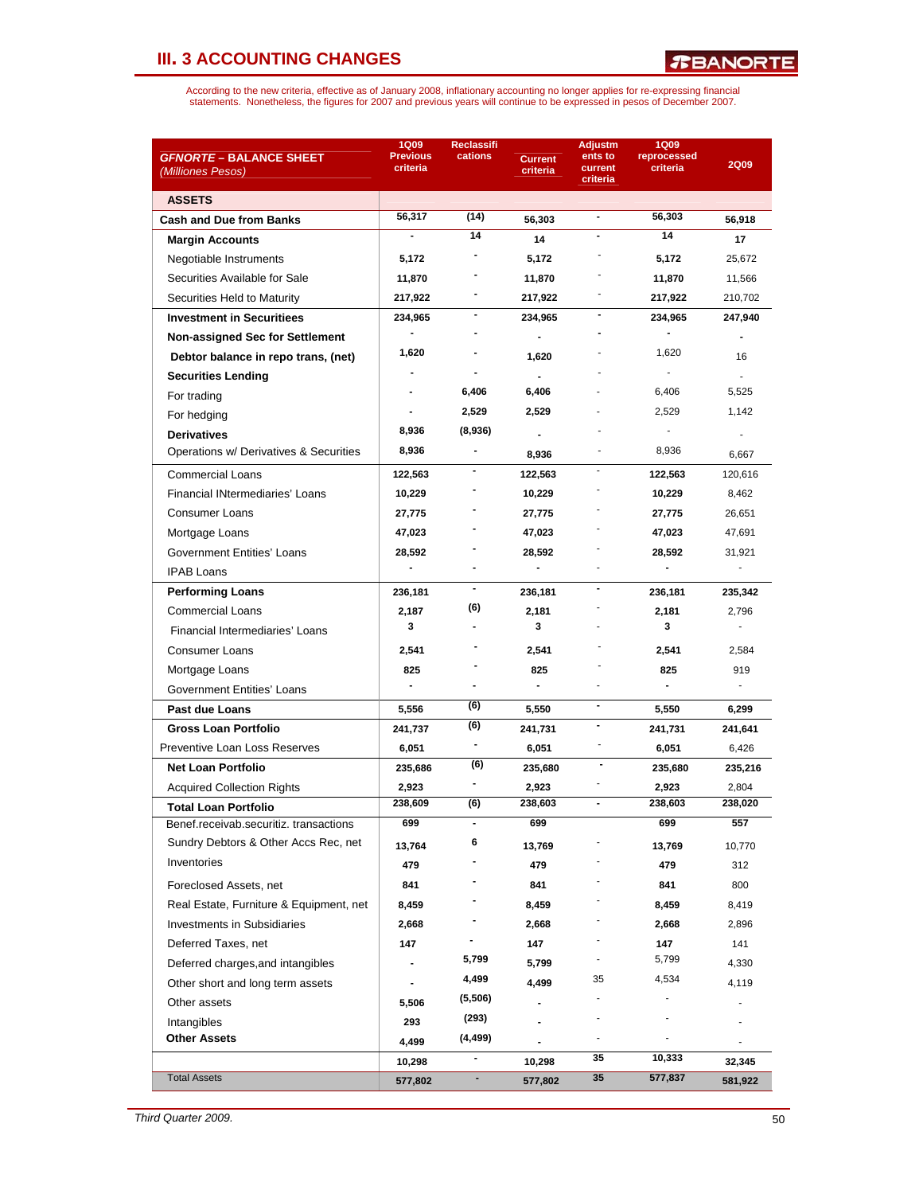| <i><b>GFNORTE – BALANCE SHEET</b></i>   | <b>1Q09</b><br><b>Previous</b> | <b>Reclassifi</b><br>cations | <b>Current</b> | <b>Adjustm</b><br>ents to    | <b>1Q09</b><br>reprocessed |              |
|-----------------------------------------|--------------------------------|------------------------------|----------------|------------------------------|----------------------------|--------------|
| (Milliones Pesos)                       | criteria                       |                              | criteria       | current<br>criteria          | criteria                   | <b>2Q09</b>  |
| <b>ASSETS</b>                           |                                |                              |                |                              |                            |              |
| <b>Cash and Due from Banks</b>          | 56,317                         | (14)                         | 56,303         | $\blacksquare$               | 56,303                     | 56,918       |
| <b>Margin Accounts</b>                  |                                | 14                           | 14             |                              | 14                         | 17           |
| Negotiable Instruments                  | 5,172                          |                              | 5,172          |                              | 5,172                      | 25,672       |
| Securities Available for Sale           | 11,870                         |                              | 11,870         |                              | 11,870                     | 11,566       |
| Securities Held to Maturity             | 217,922                        |                              | 217,922        |                              | 217,922                    | 210,702      |
| <b>Investment in Securitiees</b>        | 234,965                        |                              | 234,965        |                              | 234,965                    | 247,940      |
| <b>Non-assigned Sec for Settlement</b>  |                                |                              | $\blacksquare$ |                              |                            |              |
| Debtor balance in repo trans, (net)     | 1,620                          |                              | 1,620          |                              | 1,620                      | 16           |
| <b>Securities Lending</b>               |                                |                              | $\blacksquare$ |                              |                            |              |
| For trading                             |                                | 6,406                        | 6,406          |                              | 6,406                      | 5,525        |
| For hedging                             |                                | 2,529                        | 2,529          |                              | 2,529                      | 1,142        |
| <b>Derivatives</b>                      | 8,936                          | (8,936)                      |                |                              |                            |              |
| Operations w/ Derivatives & Securities  | 8,936                          |                              | 8,936          |                              | 8,936                      | 6,667        |
| <b>Commercial Loans</b>                 | 122,563                        |                              | 122,563        |                              | 122,563                    | 120,616      |
| <b>Financial INtermediaries' Loans</b>  | 10,229                         |                              | 10,229         |                              | 10,229                     | 8,462        |
| <b>Consumer Loans</b>                   | 27,775                         |                              | 27,775         |                              | 27,775                     | 26,651       |
| Mortgage Loans                          | 47,023                         |                              | 47,023         |                              | 47,023                     | 47,691       |
| Government Entities' Loans              | 28,592                         |                              | 28,592         |                              | 28,592                     | 31,921       |
| <b>IPAB Loans</b>                       |                                |                              | $\blacksquare$ |                              |                            | $\mathbf{r}$ |
| <b>Performing Loans</b>                 | 236,181                        |                              | 236,181        |                              | 236,181                    | 235,342      |
| <b>Commercial Loans</b>                 | 2,187                          | (6)                          | 2,181          |                              | 2,181                      | 2,796        |
| Financial Intermediaries' Loans         | 3                              |                              | 3              |                              | 3                          | ä,           |
| Consumer Loans                          | 2,541                          |                              | 2,541          |                              | 2,541                      | 2,584        |
| Mortgage Loans                          | 825                            |                              | 825            |                              | 825                        | 919          |
| Government Entities' Loans              | $\blacksquare$                 |                              | $\blacksquare$ |                              | $\blacksquare$             | $\sim$       |
| Past due Loans                          | 5,556                          | (6)                          | 5,550          | $\overline{\phantom{a}}$     | 5,550                      | 6,299        |
| <b>Gross Loan Portfolio</b>             | 241,737                        | (6)                          | 241,731        | $\qquad \qquad \blacksquare$ | 241,731                    | 241,641      |
| Preventive Loan Loss Reserves           | 6,051                          | -                            | 6,051          |                              | 6,051                      | 6,426        |
| <b>Net Loan Portfolio</b>               | 235,686                        | (6)                          | 235,680        |                              | 235,680                    | 235,216      |
| <b>Acquired Collection Rights</b>       | 2,923                          |                              | 2,923          |                              | 2,923                      | 2,804        |
| Total Loan Portfolio                    | 238,609                        | (6)                          | 238,603        |                              | 238,603                    | 238,020      |
| Benef.receivab.securitiz. transactions  | 699                            |                              | 699            |                              | 699                        | 557          |
| Sundry Debtors & Other Accs Rec, net    | 13,764                         | 6                            | 13,769         |                              | 13,769                     | 10,770       |
| Inventories                             | 479                            |                              | 479            |                              | 479                        | 312          |
| Foreclosed Assets, net                  | 841                            |                              | 841            |                              | 841                        | 800          |
| Real Estate, Furniture & Equipment, net | 8,459                          |                              | 8,459          |                              | 8,459                      | 8,419        |
| <b>Investments in Subsidiaries</b>      | 2,668                          |                              | 2,668          |                              | 2,668                      | 2,896        |
| Deferred Taxes, net                     | 147                            |                              | 147            |                              | 147                        | 141          |
| Deferred charges, and intangibles       |                                | 5,799                        | 5,799          |                              | 5,799                      | 4,330        |
| Other short and long term assets        |                                | 4,499                        | 4,499          | 35                           | 4,534                      | 4,119        |
| Other assets                            | 5,506                          | (5,506)                      |                |                              |                            |              |
| Intangibles                             | 293                            | (293)                        |                |                              |                            |              |
| <b>Other Assets</b>                     | 4,499                          | (4, 499)                     |                |                              |                            |              |
|                                         | 10,298                         | -                            | 10,298         | 35                           | 10,333                     | 32,345       |
| <b>Total Assets</b>                     | 577,802                        | ٠                            | 577,802        | 35                           | 577,837                    | 581,922      |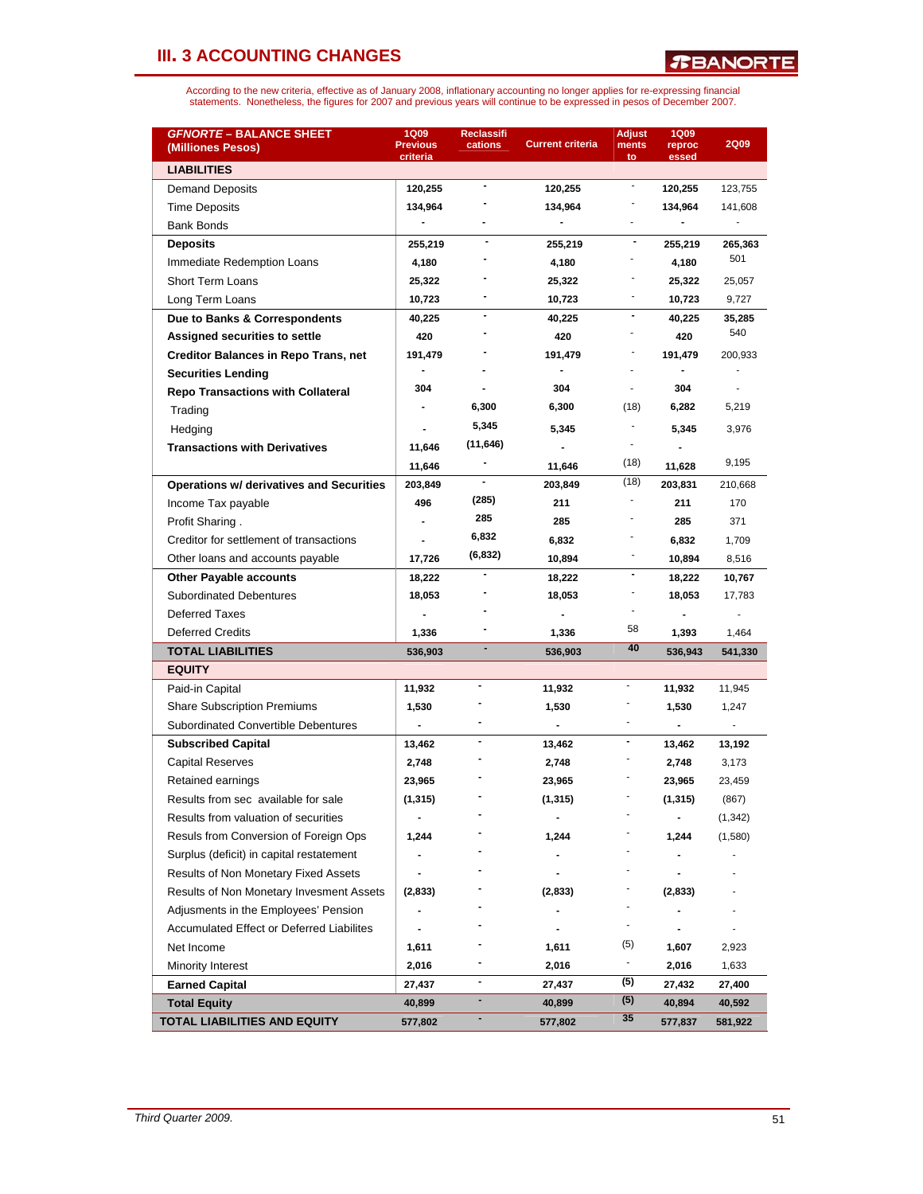| <b>GFNORTE - BALANCE SHEET</b><br>(Milliones Pesos) | <b>1Q09</b><br><b>Previous</b><br>criteria | <b>Reclassifi</b><br>cations | <b>Current criteria</b>  | <b>Adjust</b><br>ments<br>to | <b>1Q09</b><br>reproc<br>essed | <b>2Q09</b> |
|-----------------------------------------------------|--------------------------------------------|------------------------------|--------------------------|------------------------------|--------------------------------|-------------|
| <b>LIABILITIES</b>                                  |                                            |                              |                          |                              |                                |             |
| Demand Deposits                                     | 120,255                                    | $\blacksquare$               | 120,255                  | $\overline{\phantom{a}}$     | 120,255                        | 123,755     |
| <b>Time Deposits</b>                                | 134,964                                    |                              | 134,964                  |                              | 134,964                        | 141,608     |
| <b>Bank Bonds</b>                                   |                                            |                              | $\blacksquare$           | $\overline{a}$               |                                |             |
| <b>Deposits</b>                                     | 255,219                                    |                              | 255,219                  | $\blacksquare$               | 255,219                        | 265,363     |
| Immediate Redemption Loans                          | 4,180                                      |                              | 4,180                    |                              | 4,180                          | 501         |
| <b>Short Term Loans</b>                             | 25,322                                     |                              | 25,322                   |                              | 25,322                         | 25,057      |
| Long Term Loans                                     | 10,723                                     |                              | 10,723                   |                              | 10,723                         | 9,727       |
| Due to Banks & Correspondents                       | 40,225                                     | $\overline{\phantom{a}}$     | 40,225                   | $\overline{\phantom{a}}$     | 40,225                         | 35,285      |
| Assigned securities to settle                       | 420                                        |                              | 420                      |                              | 420                            | 540         |
| <b>Creditor Balances in Repo Trans, net</b>         | 191,479                                    |                              | 191,479                  |                              | 191,479                        | 200,933     |
| <b>Securities Lending</b>                           |                                            |                              |                          |                              |                                |             |
| <b>Repo Transactions with Collateral</b>            | 304                                        |                              | 304                      |                              | 304                            |             |
| Trading                                             |                                            | 6,300                        | 6,300                    | (18)                         | 6,282                          | 5,219       |
| Hedging                                             |                                            | 5,345                        | 5,345                    |                              | 5,345                          | 3,976       |
| <b>Transactions with Derivatives</b>                | 11,646                                     | (11, 646)                    | $\blacksquare$           |                              |                                |             |
|                                                     | 11,646                                     |                              | 11,646                   | (18)                         | 11,628                         | 9,195       |
| <b>Operations w/ derivatives and Securities</b>     | 203,849                                    |                              | 203,849                  | (18)                         | 203,831                        | 210,668     |
| Income Tax payable                                  | 496                                        | (285)                        | 211                      |                              | 211                            | 170         |
| Profit Sharing.                                     |                                            | 285                          | 285                      |                              | 285                            | 371         |
| Creditor for settlement of transactions             |                                            | 6,832                        | 6,832                    |                              | 6,832                          | 1,709       |
| Other loans and accounts payable                    | 17,726                                     | (6, 832)                     | 10,894                   | ٠                            | 10,894                         | 8,516       |
| <b>Other Payable accounts</b>                       | 18,222                                     |                              | 18,222                   | $\blacksquare$               | 18,222                         | 10,767      |
| <b>Subordinated Debentures</b>                      | 18,053                                     |                              | 18,053                   |                              | 18,053                         | 17,783      |
| <b>Deferred Taxes</b>                               |                                            |                              |                          |                              |                                |             |
| <b>Deferred Credits</b>                             | 1,336                                      |                              | 1,336                    | 58                           | 1,393                          | 1,464       |
| <b>TOTAL LIABILITIES</b>                            | 536,903                                    |                              | 536,903                  | 40                           | 536,943                        | 541,330     |
| <b>EQUITY</b>                                       |                                            |                              |                          |                              |                                |             |
| Paid-in Capital                                     | 11,932                                     |                              | 11,932                   |                              | 11,932                         | 11,945      |
| <b>Share Subscription Premiums</b>                  | 1,530                                      |                              | 1,530                    |                              | 1,530                          | 1,247       |
| <b>Subordinated Convertible Debentures</b>          | $\overline{\phantom{a}}$                   |                              | $\overline{\phantom{a}}$ | ä,                           |                                |             |
| <b>Subscribed Capital</b>                           | 13,462                                     | $\blacksquare$               | 13,462                   | $\blacksquare$               | 13,462                         | 13,192      |
| Capital Reserves                                    | 2,748                                      |                              | 2,748                    |                              | 2,748                          | 3,173       |
| Retained earnings                                   | 23,965                                     |                              | 23,965                   |                              | 23,965                         | 23,459      |
| Results from sec available for sale                 | (1, 315)                                   |                              | (1, 315)                 |                              | (1, 315)                       | (867)       |
| Results from valuation of securities                |                                            |                              |                          |                              |                                | (1, 342)    |
| Resuls from Conversion of Foreign Ops               | 1,244                                      |                              | 1,244                    |                              | 1,244                          | (1,580)     |
| Surplus (deficit) in capital restatement            |                                            |                              |                          |                              |                                |             |
| Results of Non Monetary Fixed Assets                |                                            |                              |                          |                              |                                |             |
| Results of Non Monetary Invesment Assets            | (2,833)                                    |                              | (2,833)                  |                              | (2,833)                        |             |
| Adjusments in the Employees' Pension                |                                            |                              |                          |                              |                                |             |
| Accumulated Effect or Deferred Liabilites           |                                            |                              |                          | $\overline{\phantom{a}}$     |                                |             |
| Net Income                                          | 1,611                                      |                              | 1,611                    | (5)                          | 1,607                          | 2,923       |
| Minority Interest                                   | 2,016                                      |                              | 2,016                    | ٠                            | 2,016                          | 1,633       |
| <b>Earned Capital</b>                               | 27,437                                     | ۰                            | 27,437                   | (5)                          | 27,432                         | 27,400      |
| <b>Total Equity</b>                                 | 40,899                                     | ٠                            | 40,899                   | (5)                          | 40,894                         | 40,592      |
| TOTAL LIABILITIES AND EQUITY                        | 577,802                                    |                              | 577,802                  | 35                           | 577,837                        | 581,922     |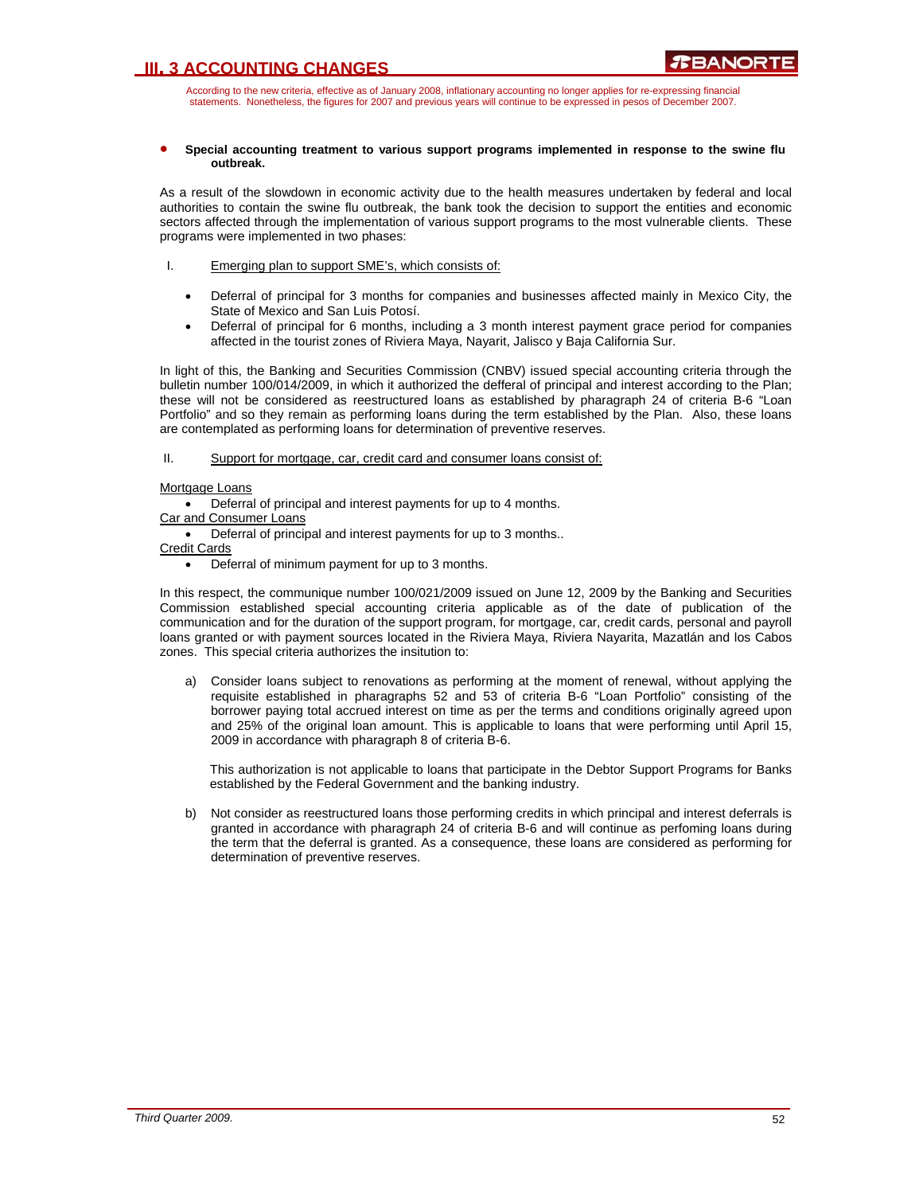According to the new criteria, effective as of January 2008, inflationary accounting no longer applies for re-expressing financial statements. Nonetheless, the figures for 2007 and previous years will continue to be expressed in pesos of December 2007.

#### • **Special accounting treatment to various support programs implemented in response to the swine flu outbreak.**

As a result of the slowdown in economic activity due to the health measures undertaken by federal and local authorities to contain the swine flu outbreak, the bank took the decision to support the entities and economic sectors affected through the implementation of various support programs to the most vulnerable clients. These programs were implemented in two phases:

- I. Emerging plan to support SME's, which consists of:
	- Deferral of principal for 3 months for companies and businesses affected mainly in Mexico City, the State of Mexico and San Luis Potosí.
	- Deferral of principal for 6 months, including a 3 month interest payment grace period for companies affected in the tourist zones of Riviera Maya, Nayarit, Jalisco y Baja California Sur.

In light of this, the Banking and Securities Commission (CNBV) issued special accounting criteria through the bulletin number 100/014/2009, in which it authorized the defferal of principal and interest according to the Plan; these will not be considered as reestructured loans as established by pharagraph 24 of criteria B-6 "Loan Portfolio" and so they remain as performing loans during the term established by the Plan. Also, these loans are contemplated as performing loans for determination of preventive reserves.

### II. Support for mortgage, car, credit card and consumer loans consist of:

### Mortgage Loans

• Deferral of principal and interest payments for up to 4 months.

Car and Consumer Loans

• Deferral of principal and interest payments for up to 3 months..

Credit Cards

• Deferral of minimum payment for up to 3 months.

In this respect, the communique number 100/021/2009 issued on June 12, 2009 by the Banking and Securities Commission established special accounting criteria applicable as of the date of publication of the communication and for the duration of the support program, for mortgage, car, credit cards, personal and payroll loans granted or with payment sources located in the Riviera Maya, Riviera Nayarita, Mazatlán and los Cabos zones. This special criteria authorizes the insitution to:

a) Consider loans subject to renovations as performing at the moment of renewal, without applying the requisite established in pharagraphs 52 and 53 of criteria B-6 "Loan Portfolio" consisting of the borrower paying total accrued interest on time as per the terms and conditions originally agreed upon and 25% of the original loan amount. This is applicable to loans that were performing until April 15, 2009 in accordance with pharagraph 8 of criteria B-6.

This authorization is not applicable to loans that participate in the Debtor Support Programs for Banks established by the Federal Government and the banking industry.

b) Not consider as reestructured loans those performing credits in which principal and interest deferrals is granted in accordance with pharagraph 24 of criteria B-6 and will continue as perfoming loans during the term that the deferral is granted. As a consequence, these loans are considered as performing for determination of preventive reserves.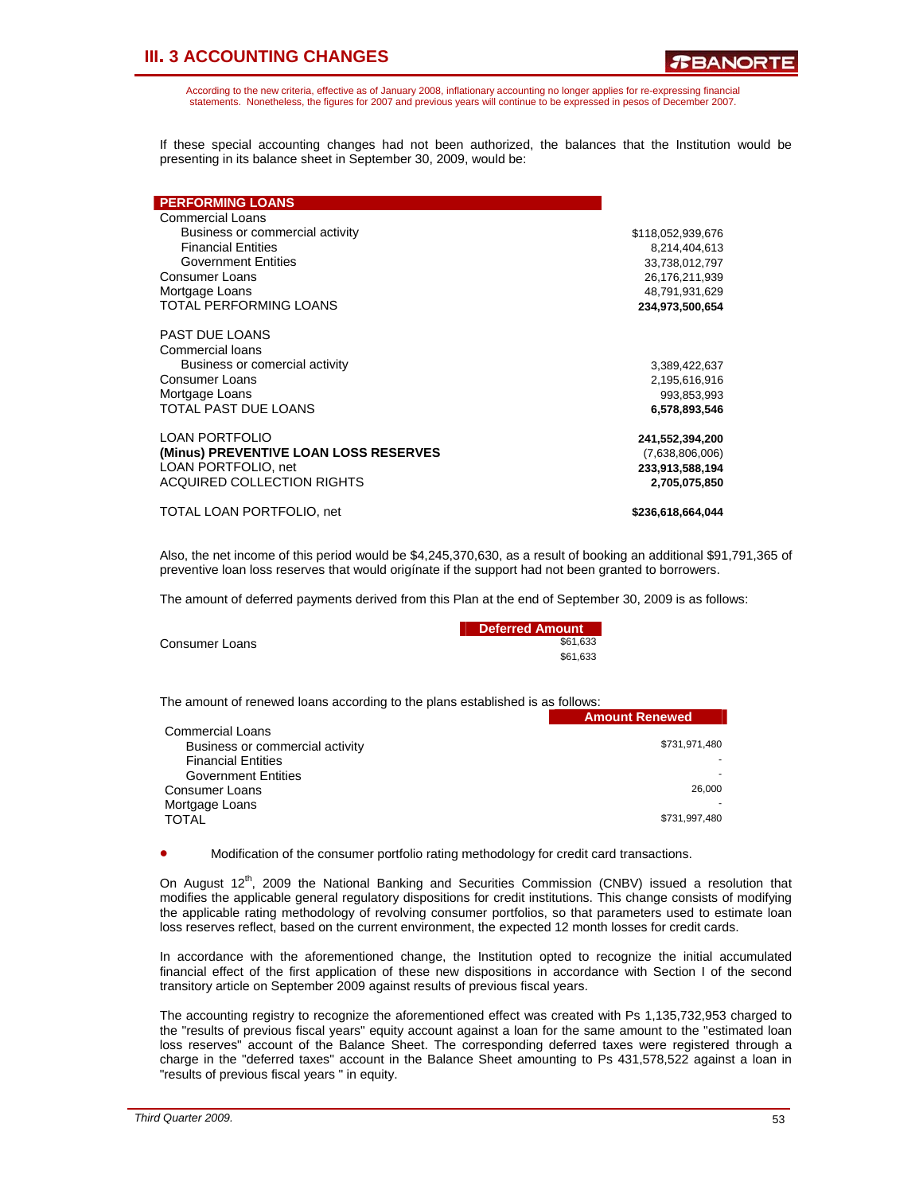According to the new criteria, effective as of January 2008, inflationary accounting no longer applies for re-expressing financial statements. Nonetheless, the figures for 2007 and previous years will continue to be expressed in pesos of December 2007.

If these special accounting changes had not been authorized, the balances that the Institution would be presenting in its balance sheet in September 30, 2009, would be:

| <b>PERFORMING LOANS</b>               |                   |
|---------------------------------------|-------------------|
| Commercial Loans                      |                   |
| Business or commercial activity       | \$118,052,939,676 |
| <b>Financial Entities</b>             | 8,214,404,613     |
| <b>Government Entities</b>            | 33,738,012,797    |
| <b>Consumer Loans</b>                 | 26,176,211,939    |
| Mortgage Loans                        | 48,791,931,629    |
| TOTAL PERFORMING LOANS                | 234,973,500,654   |
| PAST DUE LOANS                        |                   |
| Commercial loans                      |                   |
| Business or comercial activity        | 3,389,422,637     |
| Consumer Loans                        | 2,195,616,916     |
| Mortgage Loans                        | 993,853,993       |
| TOTAL PAST DUE LOANS                  | 6,578,893,546     |
| <b>LOAN PORTFOLIO</b>                 | 241,552,394,200   |
| (Minus) PREVENTIVE LOAN LOSS RESERVES | (7,638,806,006)   |
| LOAN PORTFOLIO, net                   | 233,913,588,194   |
| <b>ACQUIRED COLLECTION RIGHTS</b>     | 2,705,075,850     |
| TOTAL LOAN PORTFOLIO, net             | \$236,618,664,044 |

Also, the net income of this period would be \$4,245,370,630, as a result of booking an additional \$91,791,365 of preventive loan loss reserves that would origínate if the support had not been granted to borrowers.

The amount of deferred payments derived from this Plan at the end of September 30, 2009 is as follows:

|                | Deferred Amount |
|----------------|-----------------|
| Consumer Loans | \$61.633        |
|                | \$61.633        |

The amount of renewed loans according to the plans established is as follows: **Amount Renewed** 

| <b>Commercial Loans</b>         |               |
|---------------------------------|---------------|
| Business or commercial activity | \$731,971,480 |
| <b>Financial Entities</b>       |               |
| <b>Government Entities</b>      |               |
| Consumer Loans                  | 26,000        |
| Mortgage Loans                  |               |
| <b>TOTAL</b>                    | \$731,997,480 |
|                                 |               |

• Modification of the consumer portfolio rating methodology for credit card transactions.

On August  $12^{th}$ , 2009 the National Banking and Securities Commission (CNBV) issued a resolution that modifies the applicable general regulatory dispositions for credit institutions. This change consists of modifying the applicable rating methodology of revolving consumer portfolios, so that parameters used to estimate loan loss reserves reflect, based on the current environment, the expected 12 month losses for credit cards.

In accordance with the aforementioned change, the Institution opted to recognize the initial accumulated financial effect of the first application of these new dispositions in accordance with Section I of the second transitory article on September 2009 against results of previous fiscal years.

The accounting registry to recognize the aforementioned effect was created with Ps 1,135,732,953 charged to the "results of previous fiscal years" equity account against a loan for the same amount to the "estimated loan loss reserves" account of the Balance Sheet. The corresponding deferred taxes were registered through a charge in the "deferred taxes" account in the Balance Sheet amounting to Ps 431,578,522 against a loan in "results of previous fiscal years " in equity.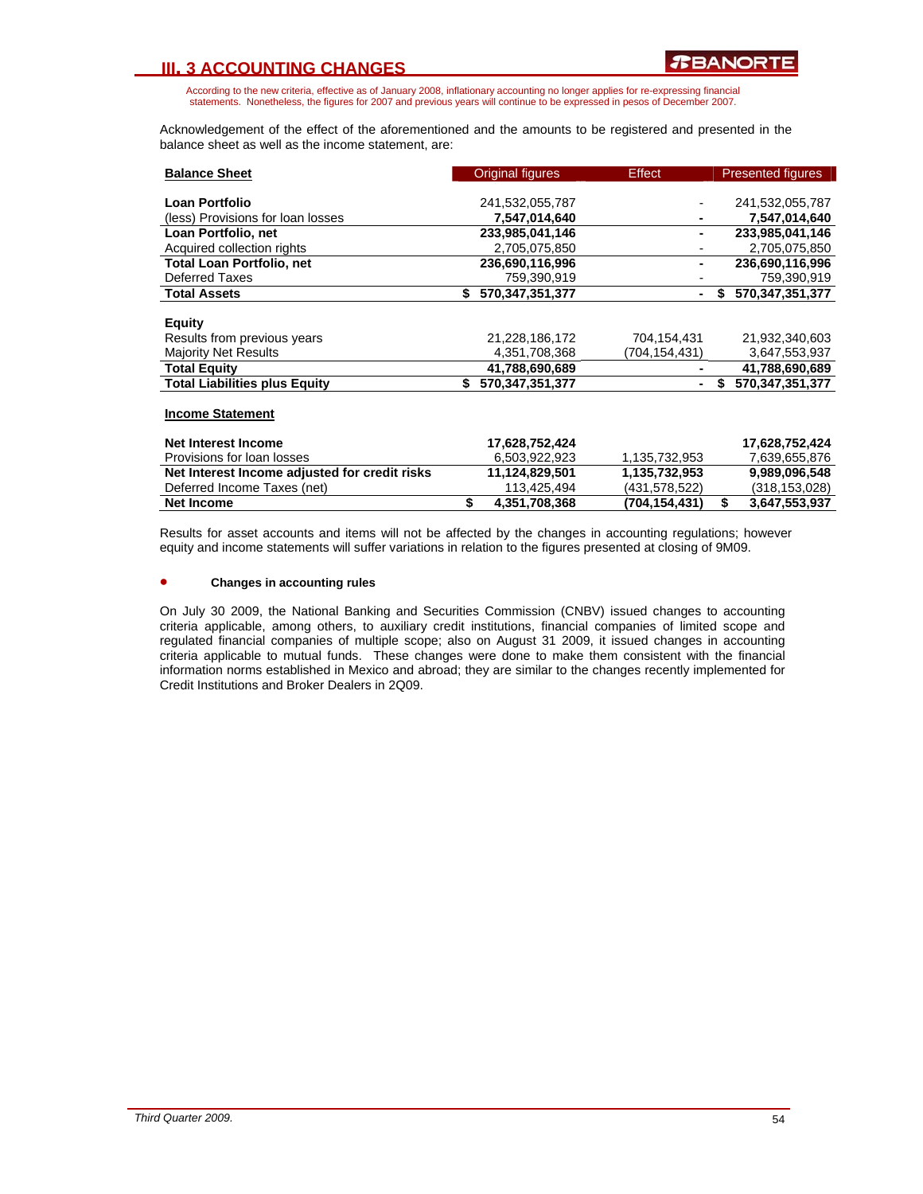According to the new criteria, effective as of January 2008, inflationary accounting no longer applies for re-expressing financial statements. Nonetheless, the figures for 2007 and previous years will continue to be expressed in pesos of December 2007.

Acknowledgement of the effect of the aforementioned and the amounts to be registered and presented in the balance sheet as well as the income statement, are:

| <b>Balance Sheet</b>                          | Original figures       | Effect        | <b>Presented figures</b> |
|-----------------------------------------------|------------------------|---------------|--------------------------|
|                                               |                        |               |                          |
| Loan Portfolio                                | 241,532,055,787        |               | 241,532,055,787          |
| (less) Provisions for loan losses             | 7,547,014,640          |               | 7,547,014,640            |
| Loan Portfolio, net                           | 233,985,041,146        |               | 233,985,041,146          |
| Acquired collection rights                    | 2,705,075,850          |               | 2,705,075,850            |
| <b>Total Loan Portfolio, net</b>              | 236,690,116,996        |               | 236,690,116,996          |
| <b>Deferred Taxes</b>                         | 759,390,919            |               | 759,390,919              |
| <b>Total Assets</b>                           | 570,347,351,377<br>\$. |               | 570,347,351,377<br>S.    |
|                                               |                        |               |                          |
| <b>Equity</b>                                 |                        |               |                          |
| Results from previous years                   | 21,228,186,172         | 704,154,431   | 21,932,340,603           |
| <b>Majority Net Results</b>                   | 4,351,708,368          | (704,154,431) | 3,647,553,937            |
| <b>Total Equity</b>                           | 41,788,690,689         |               | 41,788,690,689           |
| <b>Total Liabilities plus Equity</b>          | 570,347,351,377<br>\$. |               | 570,347,351,377          |
|                                               |                        |               |                          |
| <b>Income Statement</b>                       |                        |               |                          |
|                                               |                        |               |                          |
| <b>Net Interest Income</b>                    | 17,628,752,424         |               | 17,628,752,424           |
| Provisions for loan losses                    | 6,503,922,923          | 1,135,732,953 | 7,639,655,876            |
| Net Interest Income adjusted for credit risks | 11,124,829,501         | 1,135,732,953 | 9,989,096,548            |
| Deferred Income Taxes (net)                   | 113,425,494            | (431,578,522) | (318,153,028)            |
| <b>Net Income</b>                             | \$<br>4,351,708,368    | (704,154,431) | \$<br>3,647,553,937      |

Results for asset accounts and items will not be affected by the changes in accounting regulations; however equity and income statements will suffer variations in relation to the figures presented at closing of 9M09.

#### • **Changes in accounting rules**

On July 30 2009, the National Banking and Securities Commission (CNBV) issued changes to accounting criteria applicable, among others, to auxiliary credit institutions, financial companies of limited scope and regulated financial companies of multiple scope; also on August 31 2009, it issued changes in accounting criteria applicable to mutual funds. These changes were done to make them consistent with the financial information norms established in Mexico and abroad; they are similar to the changes recently implemented for Credit Institutions and Broker Dealers in 2Q09.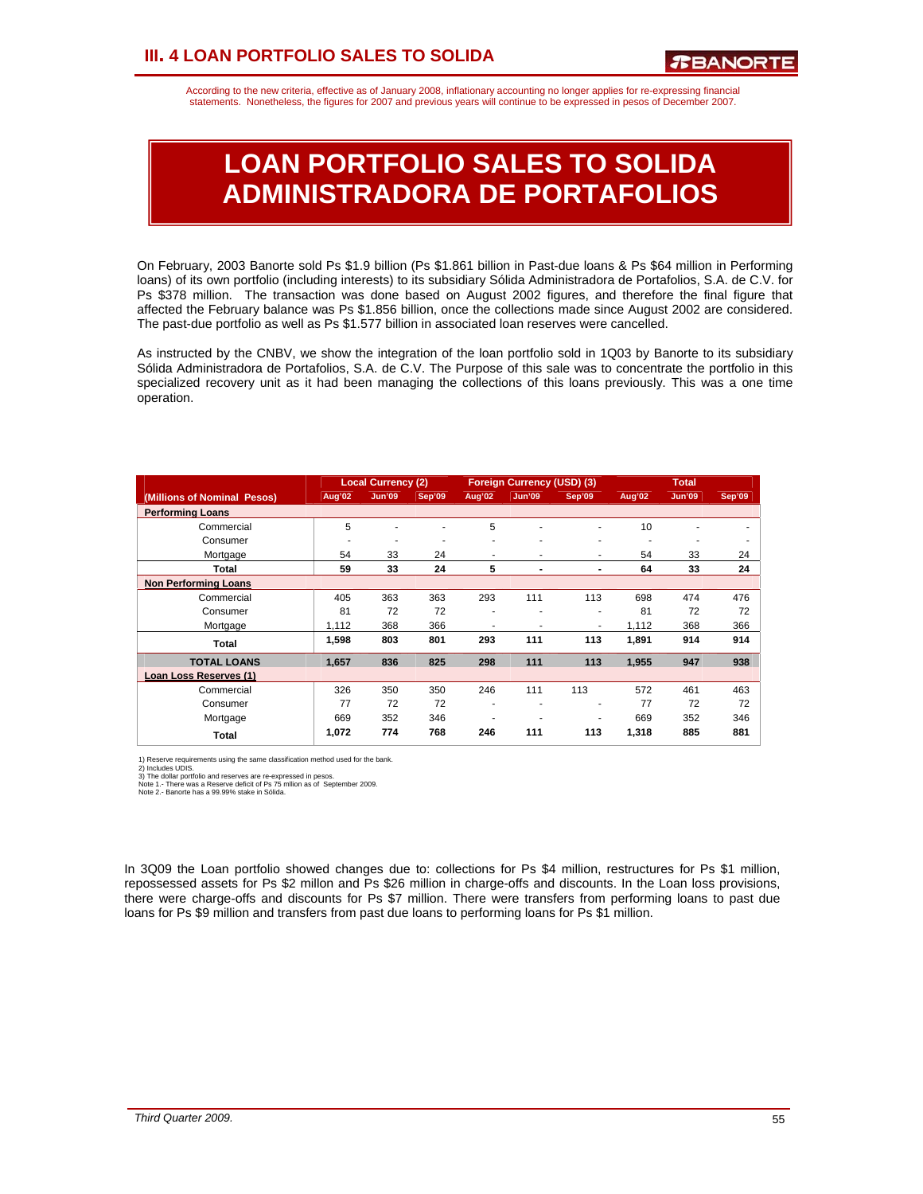### **III. 4 LOAN PORTFOLIO SALES TO SOLIDA**

According to the new criteria, effective as of January 2008, inflationary accounting no longer applies for re-expressing financial statements. Nonetheless, the figures for 2007 and previous years will continue to be expressed in pesos of December 2007.

# **LOAN PORTFOLIO SALES TO SOLIDA ADMINISTRADORA DE PORTAFOLIOS**

On February, 2003 Banorte sold Ps \$1.9 billion (Ps \$1.861 billion in Past-due loans & Ps \$64 million in Performing loans) of its own portfolio (including interests) to its subsidiary Sólida Administradora de Portafolios, S.A. de C.V. for Ps \$378 million. The transaction was done based on August 2002 figures, and therefore the final figure that affected the February balance was Ps \$1.856 billion, once the collections made since August 2002 are considered. The past-due portfolio as well as Ps \$1.577 billion in associated loan reserves were cancelled.

As instructed by the CNBV, we show the integration of the loan portfolio sold in 1Q03 by Banorte to its subsidiary Sólida Administradora de Portafolios, S.A. de C.V. The Purpose of this sale was to concentrate the portfolio in this specialized recovery unit as it had been managing the collections of this loans previously. This was a one time operation.

|                             |        | <b>Local Currency (2)</b> |        |                          | <b>Foreign Currency (USD) (3)</b> |                          | <b>Total</b> |               |        |
|-----------------------------|--------|---------------------------|--------|--------------------------|-----------------------------------|--------------------------|--------------|---------------|--------|
| (Millions of Nominal Pesos) | Aug'02 | <b>Jun'09</b>             | Sep'09 | Aug'02                   | <b>Jun'09</b>                     | Sep'09                   | Aug'02       | <b>Jun'09</b> | Sep'09 |
| <b>Performing Loans</b>     |        |                           |        |                          |                                   |                          |              |               |        |
| Commercial                  | 5      |                           |        | 5                        | ٠                                 | ٠                        | 10           |               |        |
| Consumer                    | ۰      | ۰                         |        |                          | ٠                                 | ٠                        | ٠            | ۰             |        |
| Mortgage                    | 54     | 33                        | 24     |                          | ۰                                 | ۰                        | 54           | 33            | 24     |
| Total                       | 59     | 33                        | 24     | 5                        | $\overline{\phantom{0}}$          | $\overline{\phantom{0}}$ | 64           | 33            | 24     |
| <b>Non Performing Loans</b> |        |                           |        |                          |                                   |                          |              |               |        |
| Commercial                  | 405    | 363                       | 363    | 293                      | 111                               | 113                      | 698          | 474           | 476    |
| Consumer                    | 81     | 72                        | 72     | ۰                        | ۰                                 | ٠                        | 81           | 72            | 72     |
| Mortgage                    | 1.112  | 368                       | 366    | ۰                        | ٠                                 | ٠                        | 1.112        | 368           | 366    |
| Total                       | 1,598  | 803                       | 801    | 293                      | 111                               | 113                      | 1,891        | 914           | 914    |
| <b>TOTAL LOANS</b>          | 1.657  | 836                       | 825    | 298                      | 111                               | 113                      | 1,955        | 947           | 938    |
| Loan Loss Reserves (1)      |        |                           |        |                          |                                   |                          |              |               |        |
| Commercial                  | 326    | 350                       | 350    | 246                      | 111                               | 113                      | 572          | 461           | 463    |
| Consumer                    | 77     | 72                        | 72     | $\overline{\phantom{a}}$ | ٠                                 | ٠                        | 77           | 72            | 72     |
| Mortgage                    | 669    | 352                       | 346    |                          | ٠                                 | ٠                        | 669          | 352           | 346    |
| Total                       | 1,072  | 774                       | 768    | 246                      | 111                               | 113                      | 1,318        | 885           | 881    |

1) Reserve requirements using the same classification method used for the bank.

2) Includes UDIS.<br>3) The dollar portfolio and reserves are re-expressed in pesos.<br>Note 1.- There was a Reserve deficit of Ps 75 mllion as of September 2009.<br>Note 2.- Banorte has a 99.99% stake in Sólida.

In 3Q09 the Loan portfolio showed changes due to: collections for Ps \$4 million, restructures for Ps \$1 million, repossessed assets for Ps \$2 millon and Ps \$26 million in charge-offs and discounts. In the Loan loss provisions, there were charge-offs and discounts for Ps \$7 million. There were transfers from performing loans to past due loans for Ps \$9 million and transfers from past due loans to performing loans for Ps \$1 million.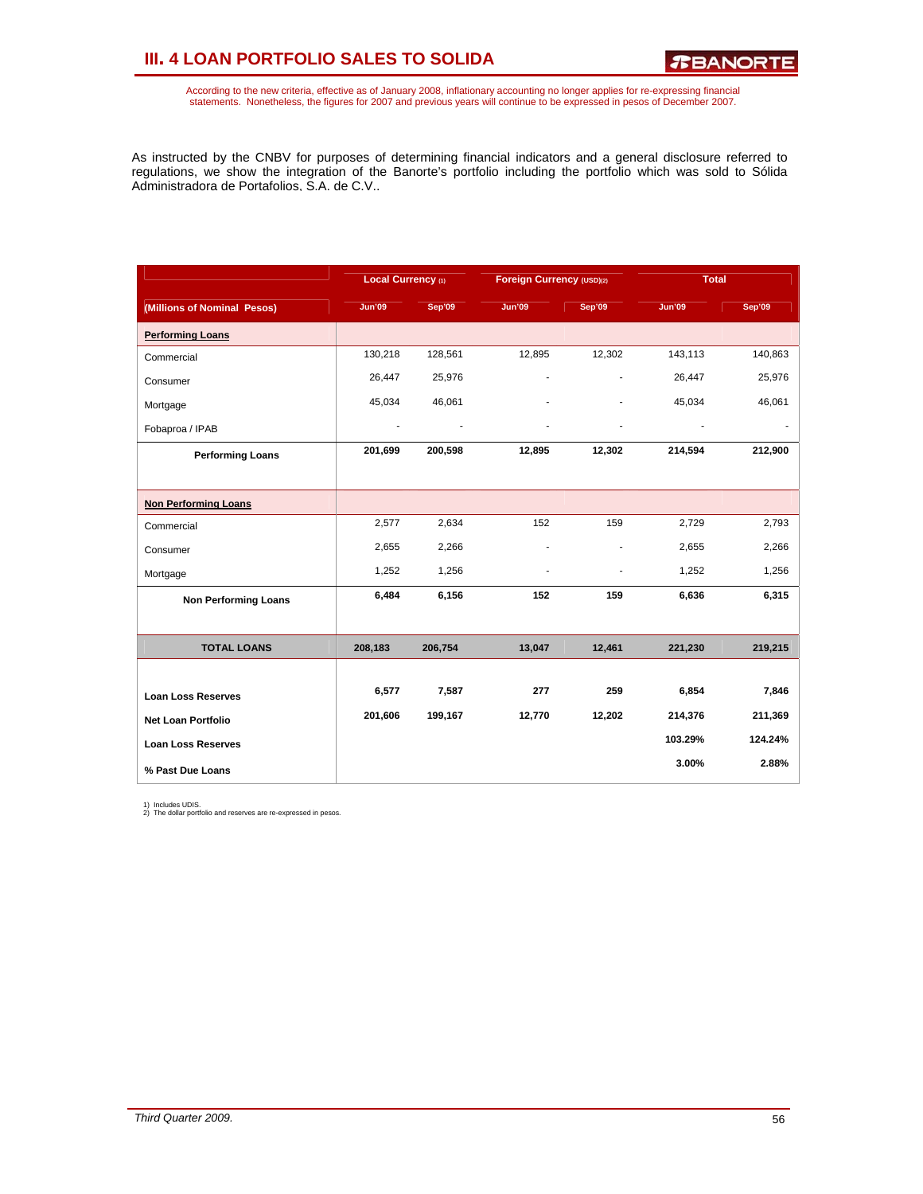## **III. 4 LOAN PORTFOLIO SALES TO SOLIDA**

According to the new criteria, effective as of January 2008, inflationary accounting no longer applies for re-expressing financial<br>statements. Nonetheless, the figures for 2007 and previous years will continue to be expres

As instructed by the CNBV for purposes of determining financial indicators and a general disclosure referred to regulations, we show the integration of the Banorte's portfolio including the portfolio which was sold to Sólida Administradora de Portafolios, S.A. de C.V..

|                             | Local Currency (1)       |         | Foreign Currency (USD)(2) |                | <b>Total</b>             |         |
|-----------------------------|--------------------------|---------|---------------------------|----------------|--------------------------|---------|
| (Millions of Nominal Pesos) | <b>Jun'09</b>            | Sep'09  | <b>Jun'09</b>             | Sep'09         | <b>Jun'09</b>            | Sep'09  |
| <b>Performing Loans</b>     |                          |         |                           |                |                          |         |
| Commercial                  | 130,218                  | 128,561 | 12,895                    | 12,302         | 143,113                  | 140,863 |
| Consumer                    | 26,447                   | 25,976  | ä,                        | $\overline{a}$ | 26,447                   | 25,976  |
| Mortgage                    | 45,034                   | 46,061  |                           |                | 45,034                   | 46,061  |
| Fobaproa / IPAB             | $\overline{\phantom{a}}$ |         | ä,                        | ٠              | $\overline{\phantom{a}}$ |         |
| <b>Performing Loans</b>     | 201,699                  | 200,598 | 12,895                    | 12,302         | 214,594                  | 212,900 |
|                             |                          |         |                           |                |                          |         |
| <b>Non Performing Loans</b> |                          |         |                           |                |                          |         |
| Commercial                  | 2,577                    | 2,634   | 152                       | 159            | 2,729                    | 2,793   |
| Consumer                    | 2,655                    | 2,266   | ٠                         | ٠              | 2,655                    | 2,266   |
| Mortgage                    | 1,252                    | 1,256   | $\overline{a}$            | ٠              | 1,252                    | 1,256   |
| <b>Non Performing Loans</b> | 6,484                    | 6,156   | 152                       | 159            | 6,636                    | 6,315   |
|                             |                          |         |                           |                |                          |         |
| <b>TOTAL LOANS</b>          | 208,183                  | 206,754 | 13,047                    | 12,461         | 221,230                  | 219,215 |
|                             |                          |         |                           |                |                          |         |
| <b>Loan Loss Reserves</b>   | 6,577                    | 7,587   | 277                       | 259            | 6,854                    | 7,846   |
| <b>Net Loan Portfolio</b>   | 201,606                  | 199,167 | 12,770                    | 12,202         | 214,376                  | 211,369 |
| <b>Loan Loss Reserves</b>   |                          |         |                           |                | 103.29%                  | 124.24% |
| % Past Due Loans            |                          |         |                           |                | 3.00%                    | 2.88%   |

1) Includes UDIS. 2) The dollar portfolio and reserves are re-expressed in pesos.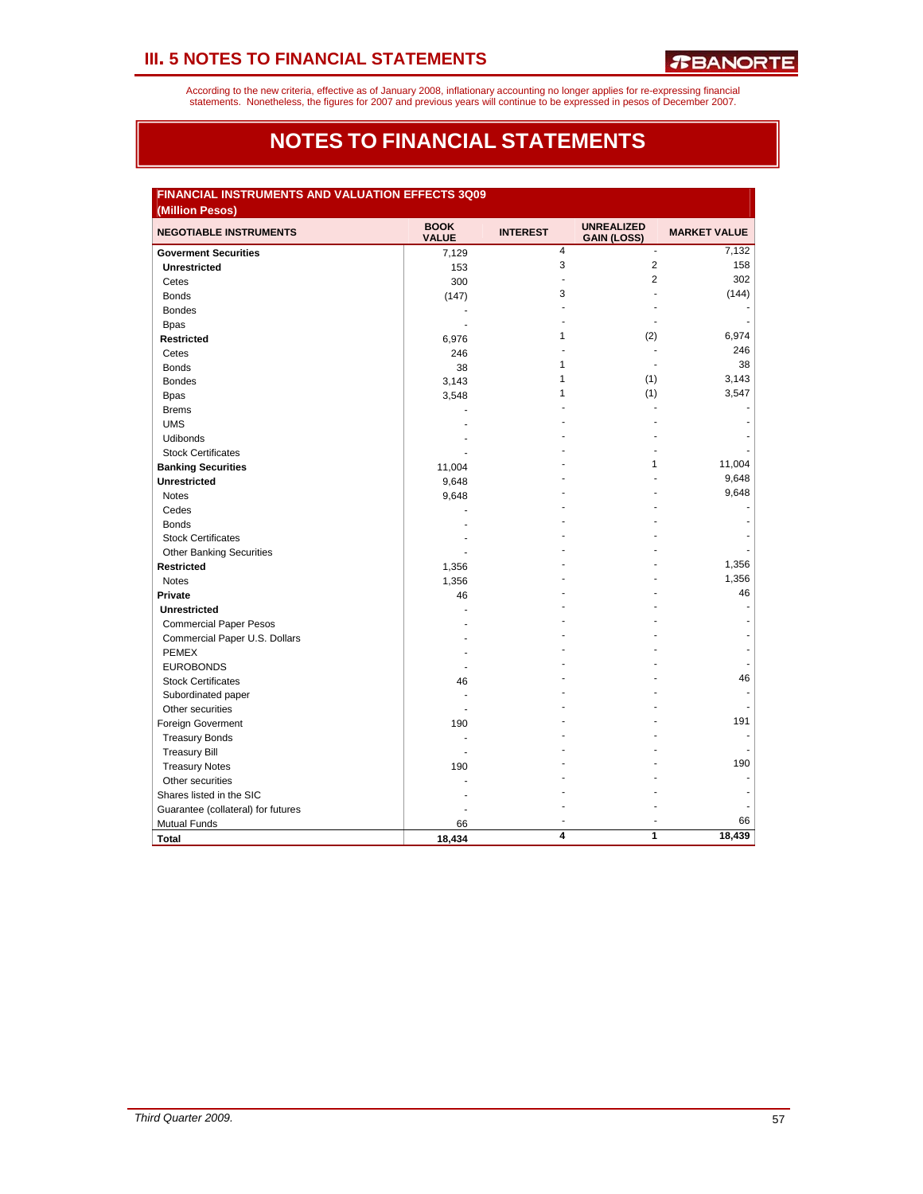According to the new criteria, effective as of January 2008, inflationary accounting no longer applies for re-expressing financial<br>statements. Nonetheless, the figures for 2007 and previous years will continue to be expres

### **NOTES TO FINANCIAL STATEMENTS**

| FINANCIAL INSTRUMENTS AND VALUATION EFFECTS 3Q09<br>(Million Pesos) |                             |                 |                                         |                     |  |  |  |
|---------------------------------------------------------------------|-----------------------------|-----------------|-----------------------------------------|---------------------|--|--|--|
| <b>NEGOTIABLE INSTRUMENTS</b>                                       | <b>BOOK</b><br><b>VALUE</b> | <b>INTEREST</b> | <b>UNREALIZED</b><br><b>GAIN (LOSS)</b> | <b>MARKET VALUE</b> |  |  |  |
| <b>Goverment Securities</b>                                         | 7,129                       | $\overline{4}$  | $\blacksquare$                          | 7,132               |  |  |  |
| <b>Unrestricted</b>                                                 | 153                         | 3               | $\overline{2}$                          | 158                 |  |  |  |
| Cetes                                                               | 300                         |                 | $\overline{2}$                          | 302                 |  |  |  |
| <b>Bonds</b>                                                        | (147)                       | 3               | L.                                      | (144)               |  |  |  |
| <b>Bondes</b>                                                       |                             |                 |                                         |                     |  |  |  |
| <b>Bpas</b>                                                         |                             |                 |                                         |                     |  |  |  |
| <b>Restricted</b>                                                   | 6,976                       | 1               | (2)                                     | 6,974               |  |  |  |
| Cetes                                                               | 246                         |                 |                                         | 246                 |  |  |  |
| <b>Bonds</b>                                                        | 38                          | 1               |                                         | 38                  |  |  |  |
| <b>Bondes</b>                                                       | 3,143                       | 1               | (1)                                     | 3,143               |  |  |  |
| <b>Bpas</b>                                                         | 3,548                       | 1               | (1)                                     | 3,547               |  |  |  |
| <b>Brems</b>                                                        |                             |                 |                                         |                     |  |  |  |
| <b>UMS</b>                                                          |                             |                 |                                         |                     |  |  |  |
| <b>Udibonds</b>                                                     |                             |                 |                                         |                     |  |  |  |
| <b>Stock Certificates</b>                                           |                             |                 |                                         |                     |  |  |  |
| <b>Banking Securities</b>                                           | 11,004                      |                 | 1                                       | 11,004              |  |  |  |
| <b>Unrestricted</b>                                                 | 9,648                       |                 |                                         | 9,648               |  |  |  |
| <b>Notes</b>                                                        | 9,648                       |                 |                                         | 9,648               |  |  |  |
| Cedes                                                               |                             |                 |                                         |                     |  |  |  |
| <b>Bonds</b>                                                        |                             |                 |                                         |                     |  |  |  |
| <b>Stock Certificates</b>                                           |                             |                 |                                         |                     |  |  |  |
| <b>Other Banking Securities</b>                                     |                             |                 |                                         |                     |  |  |  |
| <b>Restricted</b>                                                   | 1,356                       |                 |                                         | 1,356               |  |  |  |
| <b>Notes</b>                                                        | 1,356                       |                 |                                         | 1,356               |  |  |  |
| Private                                                             | 46                          |                 |                                         | 46                  |  |  |  |
| <b>Unrestricted</b>                                                 |                             |                 |                                         |                     |  |  |  |
| <b>Commercial Paper Pesos</b>                                       |                             |                 |                                         |                     |  |  |  |
| Commercial Paper U.S. Dollars                                       |                             |                 |                                         |                     |  |  |  |
| <b>PEMEX</b>                                                        |                             |                 |                                         |                     |  |  |  |
| <b>EUROBONDS</b>                                                    |                             |                 |                                         |                     |  |  |  |
| <b>Stock Certificates</b>                                           | 46                          |                 |                                         | 46                  |  |  |  |
| Subordinated paper                                                  |                             |                 |                                         |                     |  |  |  |
| Other securities                                                    |                             |                 |                                         |                     |  |  |  |
| Foreign Goverment                                                   | 190                         |                 |                                         | 191                 |  |  |  |
| <b>Treasury Bonds</b>                                               |                             |                 |                                         |                     |  |  |  |
| <b>Treasury Bill</b>                                                |                             |                 |                                         |                     |  |  |  |
| <b>Treasury Notes</b>                                               | 190                         |                 |                                         | 190                 |  |  |  |
| Other securities                                                    |                             |                 |                                         |                     |  |  |  |
| Shares listed in the SIC                                            |                             |                 |                                         |                     |  |  |  |
| Guarantee (collateral) for futures                                  |                             |                 |                                         |                     |  |  |  |
| <b>Mutual Funds</b>                                                 | 66                          |                 |                                         | 66                  |  |  |  |
| <b>Total</b>                                                        | 18,434                      | 4               | 1                                       | 18,439              |  |  |  |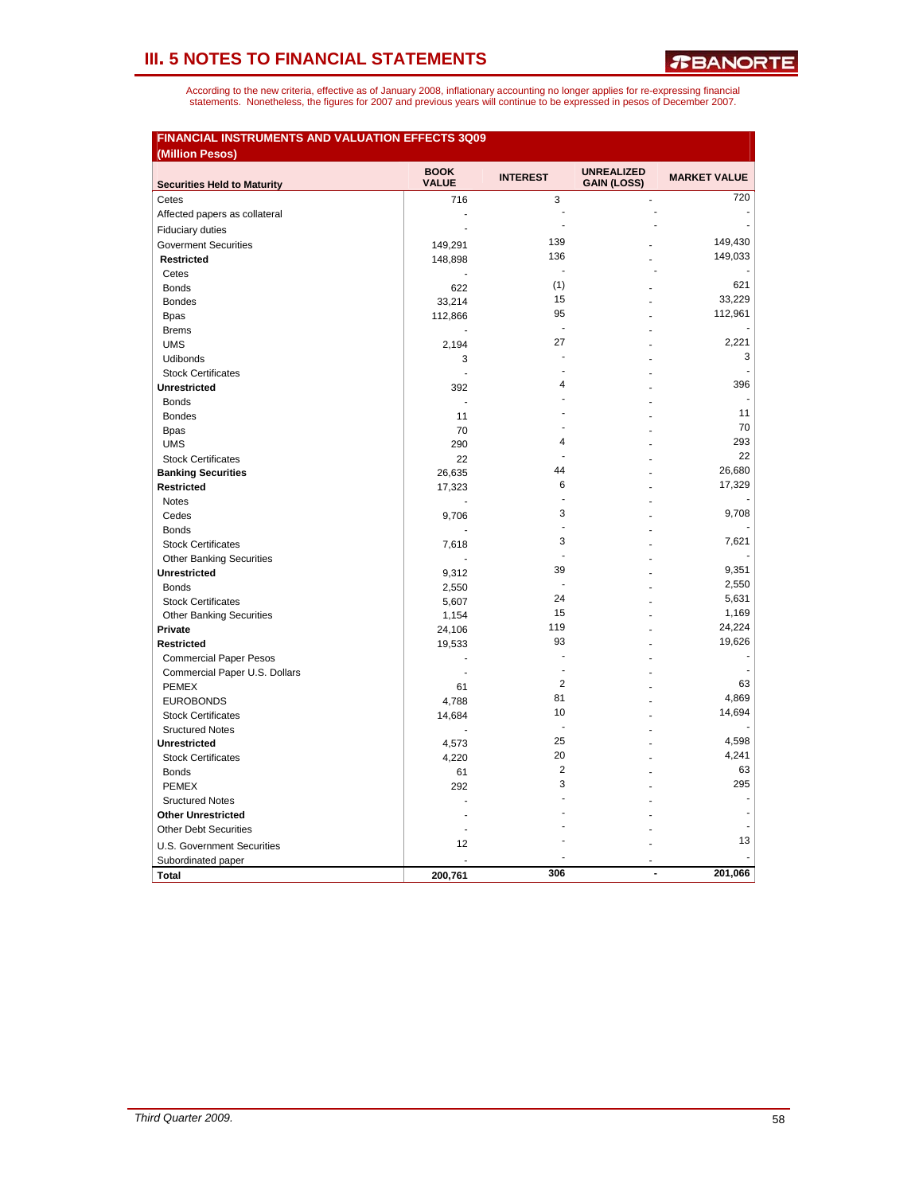|                                    | <b>BOOK</b>              | <b>INTEREST</b> | <b>UNREALIZED</b>  | <b>MARKET VALUE</b> |
|------------------------------------|--------------------------|-----------------|--------------------|---------------------|
| <b>Securities Held to Maturity</b> | <b>VALUE</b>             |                 | <b>GAIN (LOSS)</b> |                     |
| Cetes                              | 716                      | 3               | $\Box$             | 720                 |
| Affected papers as collateral      | J.                       | J.              |                    |                     |
| <b>Fiduciary duties</b>            | $\overline{\phantom{a}}$ |                 |                    |                     |
| <b>Goverment Securities</b>        | 149,291                  | 139             |                    | 149,430             |
| <b>Restricted</b>                  | 148,898                  | 136             |                    | 149,033             |
| Cetes                              |                          | ÷,              |                    |                     |
| <b>Bonds</b>                       | 622                      | (1)             |                    | 621                 |
| <b>Bondes</b>                      | 33,214                   | 15              |                    | 33,229              |
| <b>Bpas</b>                        | 112,866                  | 95              |                    | 112,961             |
| <b>Brems</b>                       |                          | $\overline{a}$  |                    |                     |
| <b>UMS</b>                         | 2,194                    | 27              |                    | 2,221               |
| Udibonds                           | 3                        |                 |                    | 3                   |
| <b>Stock Certificates</b>          | ÷.                       | J.              |                    |                     |
| <b>Unrestricted</b>                | 392                      | 4               |                    | 396                 |
| <b>Bonds</b>                       |                          |                 |                    |                     |
| <b>Bondes</b>                      | 11                       |                 |                    | 11                  |
| <b>Bpas</b>                        | 70                       |                 |                    | 70                  |
| <b>UMS</b>                         | 290                      | 4               |                    | 293                 |
| <b>Stock Certificates</b>          | 22                       |                 |                    | 22                  |
| <b>Banking Securities</b>          | 26,635                   | 44              |                    | 26,680              |
| <b>Restricted</b>                  | 17,323                   | 6               |                    | 17,329              |
| <b>Notes</b>                       |                          | L,              |                    |                     |
| Cedes                              | 9,706                    | 3               |                    | 9,708               |
| <b>Bonds</b>                       |                          | Ĭ.              |                    |                     |
| <b>Stock Certificates</b>          | 7,618                    | 3               |                    | 7.621               |
| <b>Other Banking Securities</b>    |                          | $\overline{a}$  |                    |                     |
| <b>Unrestricted</b>                | 9,312                    | 39              |                    | 9,351               |
| <b>Bonds</b>                       | 2,550                    | J.              |                    | 2,550               |
| <b>Stock Certificates</b>          | 5,607                    | 24              |                    | 5,631               |
| <b>Other Banking Securities</b>    | 1,154                    | 15              |                    | 1,169               |
| Private                            | 24,106                   | 119             |                    | 24,224              |
| <b>Restricted</b>                  | 19,533                   | 93              |                    | 19,626              |
| <b>Commercial Paper Pesos</b>      | $\overline{a}$           |                 |                    |                     |
| Commercial Paper U.S. Dollars      | ÷.                       | L,              |                    |                     |
| <b>PEMEX</b>                       | 61                       | $\overline{2}$  |                    | 63                  |
| <b>EUROBONDS</b>                   | 4,788                    | 81              |                    | 4,869               |
| <b>Stock Certificates</b>          | 14,684                   | 10              |                    | 14,694              |
| <b>Sructured Notes</b>             |                          | $\overline{a}$  |                    |                     |
| <b>Unrestricted</b>                | 4,573                    | 25              |                    | 4,598               |
| <b>Stock Certificates</b>          | 4,220                    | 20              |                    | 4,241               |
| <b>Bonds</b>                       | 61                       | 2               |                    | 63                  |
| <b>PEMEX</b>                       | 292                      | 3               |                    | 295                 |
| <b>Sructured Notes</b>             |                          |                 |                    |                     |
| <b>Other Unrestricted</b>          |                          |                 |                    |                     |
| <b>Other Debt Securities</b>       |                          |                 |                    |                     |
| <b>U.S. Government Securities</b>  | 12                       |                 |                    | 13                  |
| Subordinated paper                 |                          |                 |                    |                     |
| <b>Total</b>                       | 200,761                  | 306             | ÷                  | 201,066             |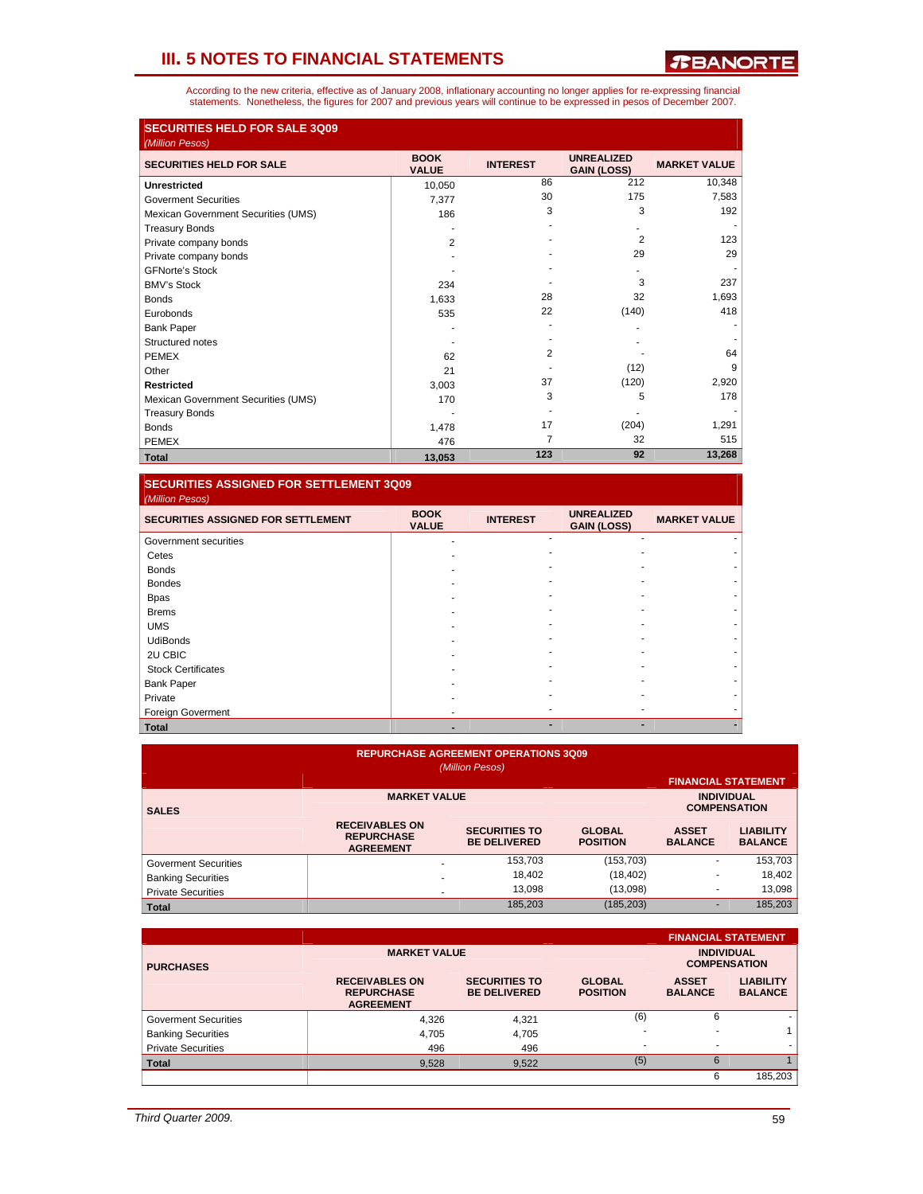According to the new criteria, effective as of January 2008, inflationary accounting no longer applies for re-expressing financial<br>statements. Nonetheless, the figures for 2007 and previous years will continue to be expres

| <b>SECURITIES HELD FOR SALE 3Q09</b><br>(Million Pesos) |                             |                 |                                         |                     |
|---------------------------------------------------------|-----------------------------|-----------------|-----------------------------------------|---------------------|
| <b>SECURITIES HELD FOR SALE</b>                         | <b>BOOK</b><br><b>VALUE</b> | <b>INTEREST</b> | <b>UNREALIZED</b><br><b>GAIN (LOSS)</b> | <b>MARKET VALUE</b> |
| <b>Unrestricted</b>                                     | 10,050                      | 86              | 212                                     | 10,348              |
| <b>Goverment Securities</b>                             | 7,377                       | 30              | 175                                     | 7,583               |
| Mexican Government Securities (UMS)                     | 186                         | 3               | 3                                       | 192                 |
| <b>Treasury Bonds</b>                                   |                             |                 |                                         |                     |
| Private company bonds                                   | 2                           |                 | $\overline{2}$                          | 123                 |
| Private company bonds                                   |                             |                 | 29                                      | 29                  |
| <b>GFNorte's Stock</b>                                  |                             |                 |                                         |                     |
| <b>BMV's Stock</b>                                      | 234                         |                 | 3                                       | 237                 |
| <b>Bonds</b>                                            | 1,633                       | 28              | 32                                      | 1,693               |
| Eurobonds                                               | 535                         | 22              | (140)                                   | 418                 |
| <b>Bank Paper</b>                                       |                             |                 |                                         |                     |
| Structured notes                                        |                             |                 |                                         |                     |
| <b>PEMEX</b>                                            | 62                          | $\overline{2}$  |                                         | 64                  |
| Other                                                   | 21                          |                 | (12)                                    | 9                   |
| <b>Restricted</b>                                       | 3,003                       | 37              | (120)                                   | 2,920               |
| Mexican Government Securities (UMS)                     | 170                         | 3               | 5                                       | 178                 |
| <b>Treasury Bonds</b>                                   |                             |                 |                                         |                     |
| <b>Bonds</b>                                            | 1,478                       | 17              | (204)                                   | 1,291               |
| <b>PEMEX</b>                                            | 476                         | 7               | 32                                      | 515                 |
| <b>Total</b>                                            | 13,053                      | 123             | 92                                      | 13,268              |

**SECURITIES ASSIGNED FOR SETTLEMENT 3Q09**  *(Million Pesos)* 

| <b>SECURITIES ASSIGNED FOR SETTLEMENT</b> | <b>BOOK</b><br><b>VALUE</b> | <b>INTEREST</b> | <b>UNREALIZED</b><br><b>GAIN (LOSS)</b> | <b>MARKET VALUE</b> |
|-------------------------------------------|-----------------------------|-----------------|-----------------------------------------|---------------------|
| Government securities                     |                             |                 |                                         |                     |
| Cetes                                     |                             |                 |                                         |                     |
| <b>Bonds</b>                              |                             |                 |                                         |                     |
| <b>Bondes</b>                             |                             |                 |                                         |                     |
| <b>Bpas</b>                               |                             |                 |                                         |                     |
| <b>Brems</b>                              |                             |                 |                                         |                     |
| <b>UMS</b>                                |                             |                 |                                         |                     |
| <b>UdiBonds</b>                           |                             |                 |                                         |                     |
| 2U CBIC                                   |                             |                 |                                         |                     |
| <b>Stock Certificates</b>                 |                             |                 |                                         |                     |
| <b>Bank Paper</b>                         |                             |                 |                                         |                     |
| Private                                   |                             |                 |                                         |                     |
| Foreign Goverment                         |                             |                 |                                         |                     |
| <b>Total</b>                              |                             |                 |                                         |                     |

| <b>REPURCHASE AGREEMENT OPERATIONS 3Q09</b><br>(Million Pesos)<br><b>FINANCIAL STATEMENT</b> |                                                                |                                             |                                  |                                |                                    |  |  |
|----------------------------------------------------------------------------------------------|----------------------------------------------------------------|---------------------------------------------|----------------------------------|--------------------------------|------------------------------------|--|--|
| <b>SALES</b>                                                                                 | <b>MARKET VALUE</b>                                            |                                             |                                  | <b>INDIVIDUAL</b>              | <b>COMPENSATION</b>                |  |  |
|                                                                                              | <b>RECEIVABLES ON</b><br><b>REPURCHASE</b><br><b>AGREEMENT</b> | <b>SECURITIES TO</b><br><b>BE DELIVERED</b> | <b>GLOBAL</b><br><b>POSITION</b> | <b>ASSET</b><br><b>BALANCE</b> | <b>LIABILITY</b><br><b>BALANCE</b> |  |  |
| <b>Goverment Securities</b>                                                                  |                                                                | 153,703                                     | (153, 703)                       | ۰                              | 153,703                            |  |  |
| <b>Banking Securities</b>                                                                    | ۰                                                              | 18,402                                      | (18, 402)                        |                                | 18,402                             |  |  |
| <b>Private Securities</b>                                                                    | ٠                                                              | 13.098                                      | (13,098)                         |                                | 13.098                             |  |  |
| <b>Total</b>                                                                                 |                                                                | 185,203                                     | (185, 203)                       | ۰                              | 185,203                            |  |  |

|                             |                                                                |                                             |                                  |                                          | <b>FINANCIAL STATEMENT</b>         |
|-----------------------------|----------------------------------------------------------------|---------------------------------------------|----------------------------------|------------------------------------------|------------------------------------|
| <b>PURCHASES</b>            | <b>MARKET VALUE</b>                                            |                                             |                                  | <b>INDIVIDUAL</b><br><b>COMPENSATION</b> |                                    |
|                             | <b>RECEIVABLES ON</b><br><b>REPURCHASE</b><br><b>AGREEMENT</b> | <b>SECURITIES TO</b><br><b>BE DELIVERED</b> | <b>GLOBAL</b><br><b>POSITION</b> | <b>ASSET</b><br><b>BALANCE</b>           | <b>LIABILITY</b><br><b>BALANCE</b> |
| <b>Goverment Securities</b> | 4.326                                                          | 4.321                                       | (6)                              | 6                                        | ۰                                  |
| <b>Banking Securities</b>   | 4.705                                                          | 4,705                                       | ۰                                |                                          |                                    |
| <b>Private Securities</b>   | 496                                                            | 496                                         | ۰                                |                                          |                                    |
| <b>Total</b>                | 9,528                                                          | 9,522                                       | (5)                              | 6                                        |                                    |
|                             |                                                                |                                             |                                  | 6                                        | 185,203                            |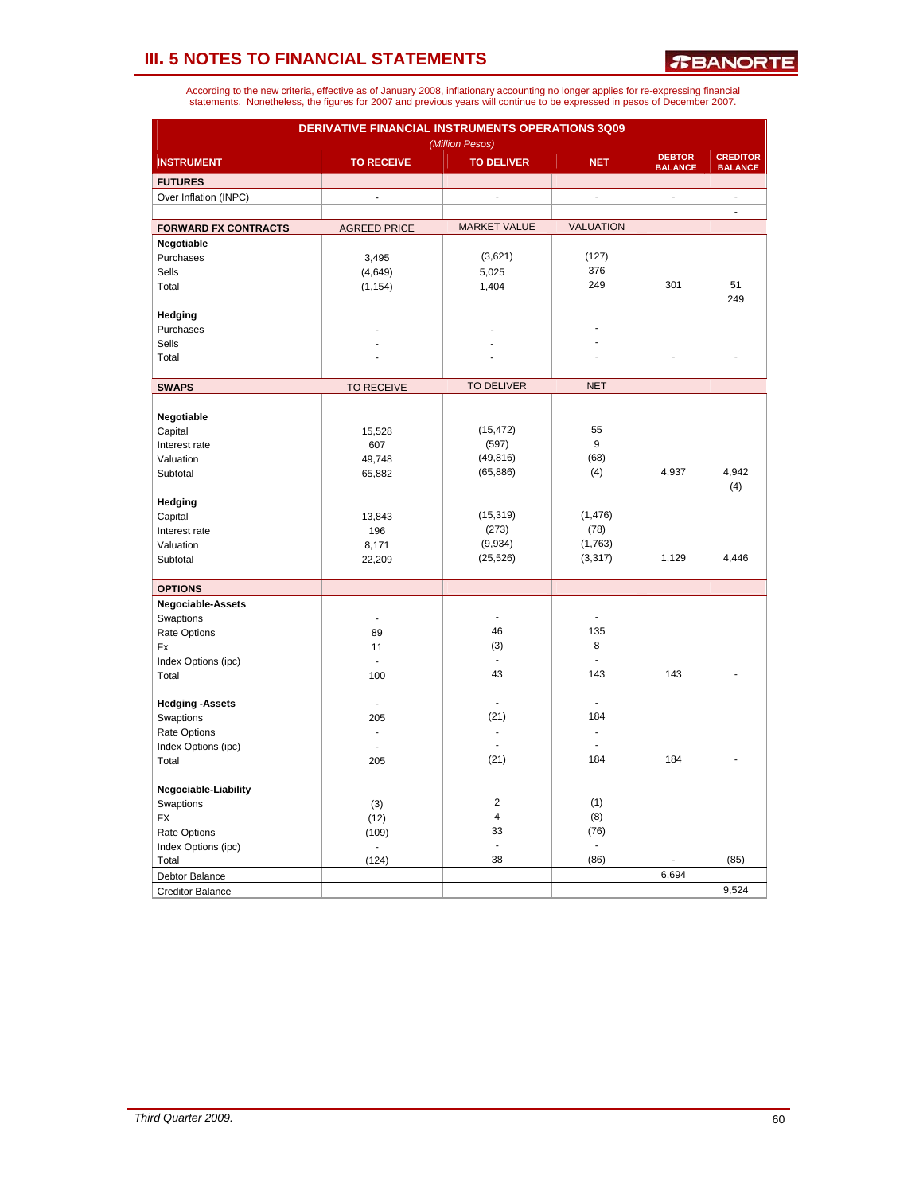*T***BANORTE** 

| <b>DERIVATIVE FINANCIAL INSTRUMENTS OPERATIONS 3Q09</b><br>(Million Pesos) |                     |                     |                          |                                 |                                   |  |  |  |  |
|----------------------------------------------------------------------------|---------------------|---------------------|--------------------------|---------------------------------|-----------------------------------|--|--|--|--|
| <b>INSTRUMENT</b>                                                          | <b>TO RECEIVE</b>   | <b>TO DELIVER</b>   | <b>NET</b>               | <b>DEBTOR</b><br><b>BALANCE</b> | <b>CREDITOR</b><br><b>BALANCE</b> |  |  |  |  |
| <b>FUTURES</b>                                                             |                     |                     |                          |                                 |                                   |  |  |  |  |
| Over Inflation (INPC)                                                      | $\overline{a}$      | ÷,                  | $\overline{\phantom{a}}$ | ÷,                              | ÷,                                |  |  |  |  |
|                                                                            |                     |                     |                          |                                 | $\overline{\phantom{a}}$          |  |  |  |  |
| <b>FORWARD FX CONTRACTS</b>                                                | <b>AGREED PRICE</b> | <b>MARKET VALUE</b> | <b>VALUATION</b>         |                                 |                                   |  |  |  |  |
| Negotiable                                                                 |                     |                     |                          |                                 |                                   |  |  |  |  |
| Purchases                                                                  | 3,495               | (3,621)             | (127)                    |                                 |                                   |  |  |  |  |
| <b>Sells</b>                                                               | (4,649)             | 5,025               | 376                      |                                 |                                   |  |  |  |  |
| Total                                                                      | (1, 154)            | 1,404               | 249                      | 301                             | 51                                |  |  |  |  |
|                                                                            |                     |                     |                          |                                 | 249                               |  |  |  |  |
| Hedging                                                                    |                     |                     |                          |                                 |                                   |  |  |  |  |
| Purchases                                                                  |                     |                     |                          |                                 |                                   |  |  |  |  |
| Sells                                                                      |                     |                     |                          |                                 |                                   |  |  |  |  |
| Total                                                                      |                     |                     |                          |                                 |                                   |  |  |  |  |
|                                                                            |                     |                     |                          |                                 |                                   |  |  |  |  |
| <b>SWAPS</b>                                                               | <b>TO RECEIVE</b>   | <b>TO DELIVER</b>   | <b>NET</b>               |                                 |                                   |  |  |  |  |
|                                                                            |                     |                     |                          |                                 |                                   |  |  |  |  |
| Negotiable                                                                 |                     |                     |                          |                                 |                                   |  |  |  |  |
| Capital                                                                    | 15,528              | (15, 472)           | 55                       |                                 |                                   |  |  |  |  |
| Interest rate                                                              | 607                 | (597)               | 9                        |                                 |                                   |  |  |  |  |
| Valuation                                                                  | 49,748              | (49, 816)           | (68)                     |                                 |                                   |  |  |  |  |
| Subtotal                                                                   | 65,882              | (65, 886)           | (4)                      | 4,937                           | 4,942                             |  |  |  |  |
|                                                                            |                     |                     |                          |                                 | (4)                               |  |  |  |  |
| Hedging                                                                    |                     |                     |                          |                                 |                                   |  |  |  |  |
| Capital                                                                    | 13,843              | (15, 319)           | (1, 476)                 |                                 |                                   |  |  |  |  |
| Interest rate                                                              | 196                 | (273)               | (78)                     |                                 |                                   |  |  |  |  |
| Valuation                                                                  | 8,171               | (9,934)             | (1,763)                  |                                 |                                   |  |  |  |  |
| Subtotal                                                                   | 22,209              | (25, 526)           | (3, 317)                 | 1,129                           | 4,446                             |  |  |  |  |
| <b>OPTIONS</b>                                                             |                     |                     |                          |                                 |                                   |  |  |  |  |
| <b>Negociable-Assets</b>                                                   |                     |                     |                          |                                 |                                   |  |  |  |  |
| Swaptions                                                                  | ä,                  |                     |                          |                                 |                                   |  |  |  |  |
| Rate Options                                                               | 89                  | 46                  | 135                      |                                 |                                   |  |  |  |  |
| Fx                                                                         | 11                  | (3)                 | 8                        |                                 |                                   |  |  |  |  |
| Index Options (ipc)                                                        | $\overline{a}$      |                     |                          |                                 |                                   |  |  |  |  |
| Total                                                                      | 100                 | 43                  | 143                      | 143                             |                                   |  |  |  |  |
|                                                                            |                     |                     |                          |                                 |                                   |  |  |  |  |
| <b>Hedging -Assets</b>                                                     | $\overline{a}$      |                     |                          |                                 |                                   |  |  |  |  |
| Swaptions                                                                  | 205                 | (21)                | 184                      |                                 |                                   |  |  |  |  |
| Rate Options                                                               |                     |                     |                          |                                 |                                   |  |  |  |  |
| Index Options (ipc)                                                        | ä,                  |                     |                          |                                 |                                   |  |  |  |  |
| Total                                                                      | 205                 | (21)                | 184                      | 184                             |                                   |  |  |  |  |
|                                                                            |                     |                     |                          |                                 |                                   |  |  |  |  |
| Negociable-Liability                                                       |                     |                     |                          |                                 |                                   |  |  |  |  |
| Swaptions                                                                  | (3)                 | $\overline{c}$      | (1)                      |                                 |                                   |  |  |  |  |
| <b>FX</b>                                                                  | (12)                | $\overline{4}$      | (8)                      |                                 |                                   |  |  |  |  |
| Rate Options                                                               | (109)               | 33                  | (76)                     |                                 |                                   |  |  |  |  |
| Index Options (ipc)                                                        |                     | ä,                  |                          |                                 |                                   |  |  |  |  |
| Total                                                                      | (124)               | 38                  | (86)                     |                                 | (85)                              |  |  |  |  |
| Debtor Balance                                                             |                     |                     |                          | 6,694                           |                                   |  |  |  |  |
| <b>Creditor Balance</b>                                                    |                     |                     |                          |                                 | 9,524                             |  |  |  |  |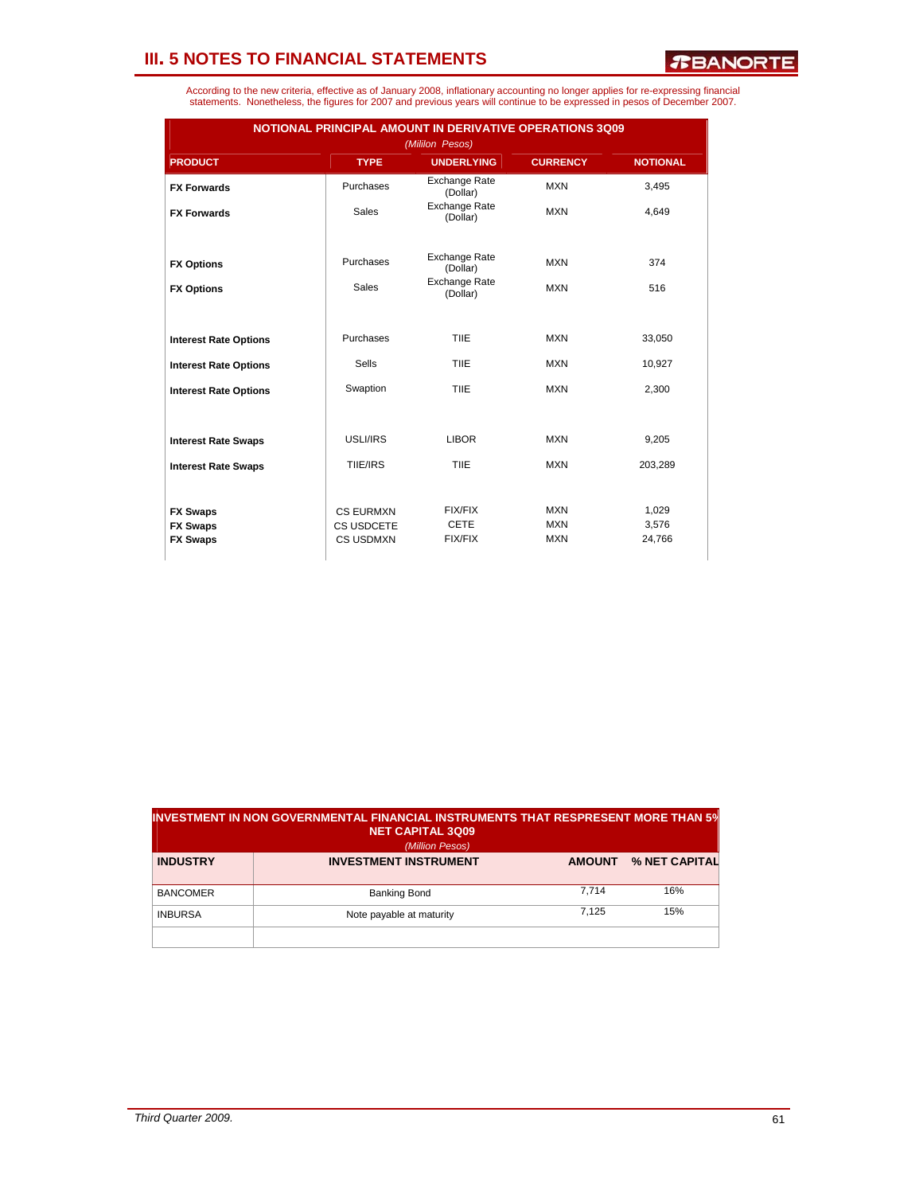*R***BANORTE** 

|                              | NOTIONAL PRINCIPAL AMOUNT IN DERIVATIVE OPERATIONS 3Q09<br>(Mililon Pesos) |                                  |                 |                 |  |  |  |  |  |
|------------------------------|----------------------------------------------------------------------------|----------------------------------|-----------------|-----------------|--|--|--|--|--|
| <b>PRODUCT</b>               | <b>TYPE</b>                                                                | <b>UNDERLYING</b>                | <b>CURRENCY</b> | <b>NOTIONAL</b> |  |  |  |  |  |
| <b>FX Forwards</b>           | Purchases                                                                  | <b>Exchange Rate</b><br>(Dollar) | <b>MXN</b>      | 3,495           |  |  |  |  |  |
| <b>FX Forwards</b>           | <b>Sales</b>                                                               | Exchange Rate<br>(Dollar)        | <b>MXN</b>      | 4.649           |  |  |  |  |  |
|                              |                                                                            |                                  |                 |                 |  |  |  |  |  |
| <b>FX Options</b>            | Purchases                                                                  | <b>Exchange Rate</b><br>(Dollar) | <b>MXN</b>      | 374             |  |  |  |  |  |
| <b>FX Options</b>            | <b>Sales</b>                                                               | <b>Exchange Rate</b><br>(Dollar) | <b>MXN</b>      | 516             |  |  |  |  |  |
|                              |                                                                            |                                  |                 |                 |  |  |  |  |  |
| <b>Interest Rate Options</b> | Purchases                                                                  | <b>TIIE</b>                      | <b>MXN</b>      | 33,050          |  |  |  |  |  |
| <b>Interest Rate Options</b> | Sells                                                                      | <b>TIIE</b>                      | <b>MXN</b>      | 10,927          |  |  |  |  |  |
| <b>Interest Rate Options</b> | Swaption                                                                   | <b>TIIE</b>                      | <b>MXN</b>      | 2,300           |  |  |  |  |  |
|                              |                                                                            |                                  |                 |                 |  |  |  |  |  |
| <b>Interest Rate Swaps</b>   | USLI/IRS                                                                   | <b>LIBOR</b>                     | <b>MXN</b>      | 9,205           |  |  |  |  |  |
| <b>Interest Rate Swaps</b>   | TIIE/IRS                                                                   | <b>TIIE</b>                      | <b>MXN</b>      | 203,289         |  |  |  |  |  |
|                              |                                                                            |                                  |                 |                 |  |  |  |  |  |
| <b>FX Swaps</b>              | <b>CS EURMXN</b>                                                           | <b>FIX/FIX</b>                   | <b>MXN</b>      | 1,029           |  |  |  |  |  |
| <b>FX Swaps</b>              | CS USDCETE                                                                 | <b>CETE</b>                      | <b>MXN</b>      | 3,576           |  |  |  |  |  |
| <b>FX Swaps</b>              | <b>CS USDMXN</b>                                                           | <b>FIX/FIX</b>                   | <b>MXN</b>      | 24,766          |  |  |  |  |  |
|                              |                                                                            |                                  |                 |                 |  |  |  |  |  |

|                 | $\,$ investment in non governmental financial instruments that respresent more than 5 $\%$<br><b>NET CAPITAL 3Q09</b><br>(Million Pesos) |               |               |
|-----------------|------------------------------------------------------------------------------------------------------------------------------------------|---------------|---------------|
| <b>INDUSTRY</b> | <b>INVESTMENT INSTRUMENT</b>                                                                                                             | <b>AMOUNT</b> | % NET CAPITAL |
| <b>BANCOMER</b> | <b>Banking Bond</b>                                                                                                                      | 7.714         | 16%           |
| <b>INBURSA</b>  | Note payable at maturity                                                                                                                 | 7.125         | 15%           |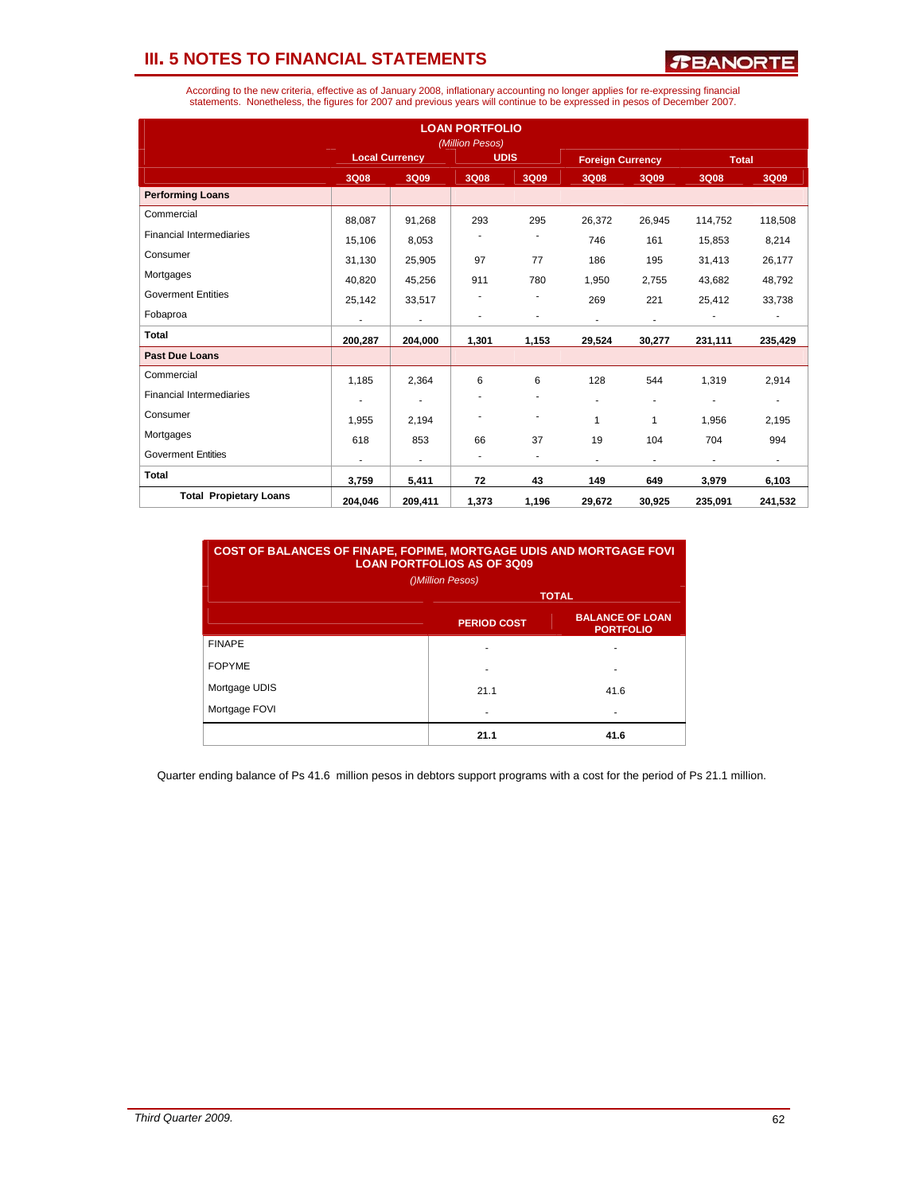*R***BANORTE** 

| According to the new criteria, effective as of January 2008, inflationary accounting no longer applies for re-expressing financial |
|------------------------------------------------------------------------------------------------------------------------------------|
| statements. Nonetheless, the figures for 2007 and previous years will continue to be expressed in pesos of December 2007.          |

|                                 |                          |                          | <b>LOAN PORTFOLIO</b><br>(Million Pesos) |                          |                          |                          |              |                          |
|---------------------------------|--------------------------|--------------------------|------------------------------------------|--------------------------|--------------------------|--------------------------|--------------|--------------------------|
|                                 | <b>Local Currency</b>    |                          | <b>UDIS</b>                              |                          | <b>Foreign Currency</b>  |                          | <b>Total</b> |                          |
|                                 | 3Q08                     | 3Q09                     | 3Q08                                     | 3Q09                     | 3Q08                     | 3Q09                     | 3Q08         | 3Q09                     |
| <b>Performing Loans</b>         |                          |                          |                                          |                          |                          |                          |              |                          |
| Commercial                      | 88.087                   | 91,268                   | 293                                      | 295                      | 26,372                   | 26,945                   | 114,752      | 118,508                  |
| <b>Financial Intermediaries</b> | 15,106                   | 8,053                    |                                          |                          | 746                      | 161                      | 15,853       | 8,214                    |
| Consumer                        | 31,130                   | 25,905                   | 97                                       | 77                       | 186                      | 195                      | 31,413       | 26,177                   |
| Mortgages                       | 40,820                   | 45,256                   | 911                                      | 780                      | 1,950                    | 2,755                    | 43,682       | 48,792                   |
| <b>Goverment Entities</b>       | 25,142                   | 33,517                   |                                          |                          | 269                      | 221                      | 25,412       | 33,738                   |
| Fobaproa                        | $\overline{\phantom{a}}$ | $\overline{\phantom{a}}$ |                                          | $\overline{\phantom{a}}$ | $\overline{\phantom{a}}$ | $\overline{\phantom{a}}$ |              |                          |
| <b>Total</b>                    | 200,287                  | 204,000                  | 1,301                                    | 1,153                    | 29,524                   | 30,277                   | 231,111      | 235,429                  |
| <b>Past Due Loans</b>           |                          |                          |                                          |                          |                          |                          |              |                          |
| Commercial                      | 1,185                    | 2,364                    | 6                                        | 6                        | 128                      | 544                      | 1,319        | 2,914                    |
| <b>Financial Intermediaries</b> | ٠                        | ٠                        |                                          | ٠                        | ٠                        | $\overline{\phantom{a}}$ | ٠            | $\overline{\phantom{a}}$ |
| Consumer                        | 1,955                    | 2,194                    |                                          | ٠                        | 1                        | $\mathbf{1}$             | 1,956        | 2,195                    |
| Mortgages                       | 618                      | 853                      | 66                                       | 37                       | 19                       | 104                      | 704          | 994                      |
| <b>Goverment Entities</b>       |                          | $\overline{a}$           | ٠                                        | $\overline{\phantom{a}}$ | ٠                        | ٠                        | ٠            | ÷.                       |
| <b>Total</b>                    | 3,759                    | 5,411                    | 72                                       | 43                       | 149                      | 649                      | 3,979        | 6,103                    |
| <b>Total Propietary Loans</b>   | 204,046                  | 209,411                  | 1,373                                    | 1,196                    | 29,672                   | 30,925                   | 235,091      | 241,532                  |

| <b>COST OF BALANCES OF FINAPE, FOPIME, MORTGAGE UDIS AND MORTGAGE FOVI</b><br><b>LOAN PORTFOLIOS AS OF 3009</b><br>()Million Pesos) |                    |                                            |  |  |  |  |
|-------------------------------------------------------------------------------------------------------------------------------------|--------------------|--------------------------------------------|--|--|--|--|
|                                                                                                                                     | <b>TOTAL</b>       |                                            |  |  |  |  |
|                                                                                                                                     | <b>PERIOD COST</b> | <b>BALANCE OF LOAN</b><br><b>PORTFOLIO</b> |  |  |  |  |
| <b>FINAPE</b>                                                                                                                       |                    |                                            |  |  |  |  |
| <b>FOPYME</b>                                                                                                                       |                    | ۰                                          |  |  |  |  |
| Mortgage UDIS                                                                                                                       | 21.1               | 41.6                                       |  |  |  |  |
| Mortgage FOVI                                                                                                                       |                    |                                            |  |  |  |  |
|                                                                                                                                     | 21.1               | 41.6                                       |  |  |  |  |

Quarter ending balance of Ps 41.6 million pesos in debtors support programs with a cost for the period of Ps 21.1 million.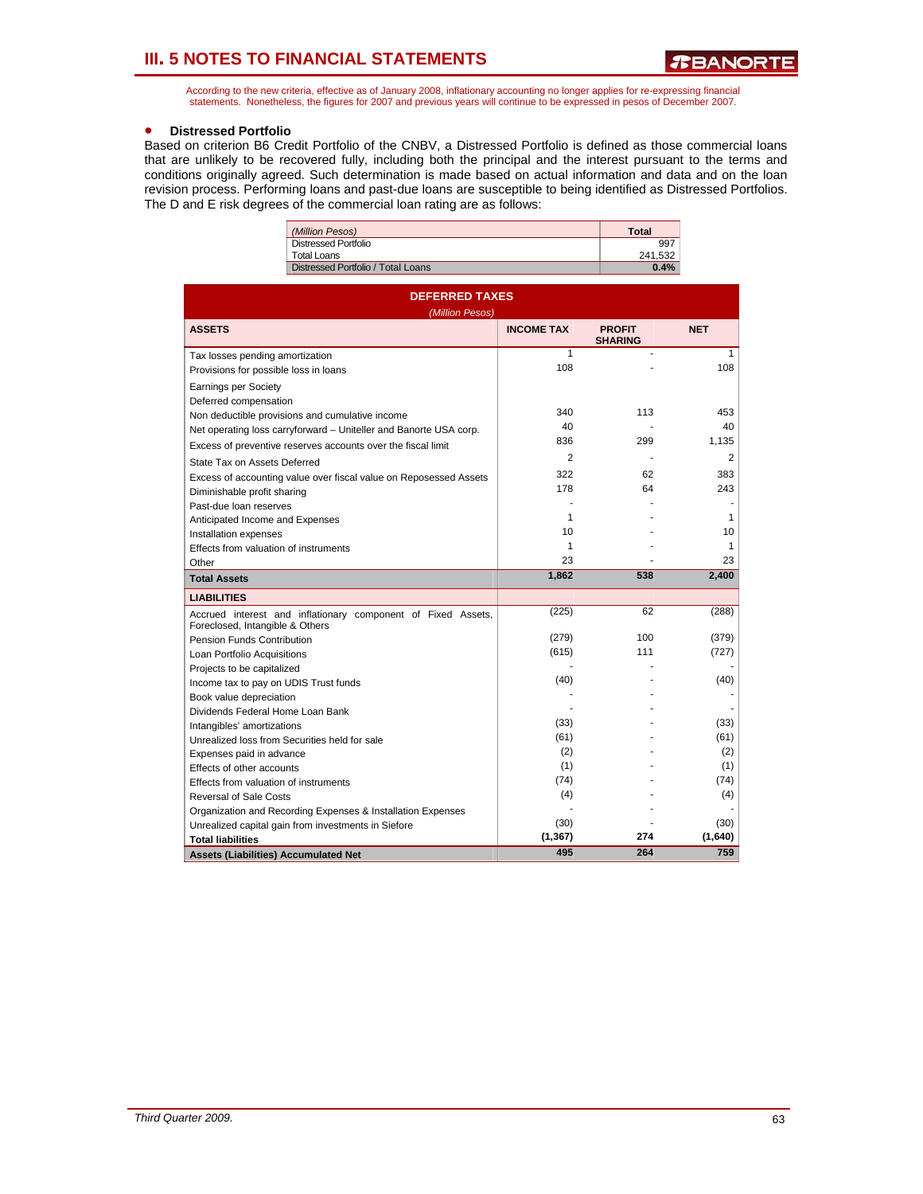According to the new criteria, effective as of January 2008, inflationary accounting no longer applies for re-expressing financial statements. Nonetheless, the figures for 2007 and previous years will continue to be expressed in pesos of December 2007.

#### • **Distressed Portfolio**

Based on criterion B6 Credit Portfolio of the CNBV, a Distressed Portfolio is defined as those commercial loans that are unlikely to be recovered fully, including both the principal and the interest pursuant to the terms and conditions originally agreed. Such determination is made based on actual information and data and on the loan revision process. Performing loans and past-due loans are susceptible to being identified as Distressed Portfolios. The D and E risk degrees of the commercial loan rating are as follows:

| (Million Pesos)                    | <b>Total</b> |
|------------------------------------|--------------|
| Distressed Portfolio               | 997          |
| Total Loans                        | 241.532      |
| Distressed Portfolio / Total Loans | 0.4%         |
|                                    |              |

| <b>DEFERRED TAXES</b><br>(Million Pesos)                                                        |                   |                                 |            |  |  |  |
|-------------------------------------------------------------------------------------------------|-------------------|---------------------------------|------------|--|--|--|
| <b>ASSETS</b>                                                                                   | <b>INCOME TAX</b> | <b>PROFIT</b><br><b>SHARING</b> | <b>NET</b> |  |  |  |
| Tax losses pending amortization                                                                 | 1                 |                                 | 1          |  |  |  |
| Provisions for possible loss in loans                                                           | 108               |                                 | 108        |  |  |  |
| <b>Earnings per Society</b>                                                                     |                   |                                 |            |  |  |  |
| Deferred compensation                                                                           |                   |                                 |            |  |  |  |
| Non deductible provisions and cumulative income                                                 | 340               | 113                             | 453        |  |  |  |
| Net operating loss carryforward - Uniteller and Banorte USA corp.                               | 40                |                                 | 40         |  |  |  |
| Excess of preventive reserves accounts over the fiscal limit                                    | 836               | 299                             | 1,135      |  |  |  |
| State Tax on Assets Deferred                                                                    | $\overline{c}$    |                                 | 2          |  |  |  |
| Excess of accounting value over fiscal value on Reposessed Assets                               | 322               | 62                              | 383        |  |  |  |
| Diminishable profit sharing                                                                     | 178               | 64                              | 243        |  |  |  |
| Past-due loan reserves                                                                          | ÷                 |                                 |            |  |  |  |
| Anticipated Income and Expenses                                                                 | 1                 |                                 | 1          |  |  |  |
| Installation expenses                                                                           | 10                |                                 | 10         |  |  |  |
| Effects from valuation of instruments                                                           | 1                 |                                 | 1          |  |  |  |
| Other                                                                                           | 23                |                                 | 23         |  |  |  |
| <b>Total Assets</b>                                                                             | 1,862             | 538                             | 2,400      |  |  |  |
| <b>LIABILITIES</b>                                                                              |                   |                                 |            |  |  |  |
| Accrued interest and inflationary component of Fixed Assets,<br>Foreclosed, Intangible & Others | (225)             | 62                              | (288)      |  |  |  |
| Pension Funds Contribution                                                                      | (279)             | 100                             | (379)      |  |  |  |
| Loan Portfolio Acquisitions                                                                     | (615)             | 111                             | (727)      |  |  |  |
| Projects to be capitalized                                                                      |                   |                                 |            |  |  |  |
| Income tax to pay on UDIS Trust funds                                                           | (40)              |                                 | (40)       |  |  |  |
| Book value depreciation                                                                         |                   |                                 |            |  |  |  |
| Dividends Federal Home Loan Bank                                                                |                   |                                 |            |  |  |  |
| Intangibles' amortizations                                                                      | (33)              |                                 | (33)       |  |  |  |
| Unrealized loss from Securities held for sale                                                   | (61)              |                                 | (61)       |  |  |  |
| Expenses paid in advance                                                                        | (2)               |                                 | (2)        |  |  |  |
| Effects of other accounts                                                                       | (1)               |                                 | (1)        |  |  |  |
| Effects from valuation of instruments                                                           | (74)              |                                 | (74)       |  |  |  |
| <b>Reversal of Sale Costs</b>                                                                   | (4)               |                                 | (4)        |  |  |  |
| Organization and Recording Expenses & Installation Expenses                                     |                   |                                 |            |  |  |  |
| Unrealized capital gain from investments in Siefore                                             | (30)              |                                 | (30)       |  |  |  |
| <b>Total liabilities</b>                                                                        | (1, 367)          | 274                             | (1,640)    |  |  |  |
| <b>Assets (Liabilities) Accumulated Net</b>                                                     | 495               | 264                             | 759        |  |  |  |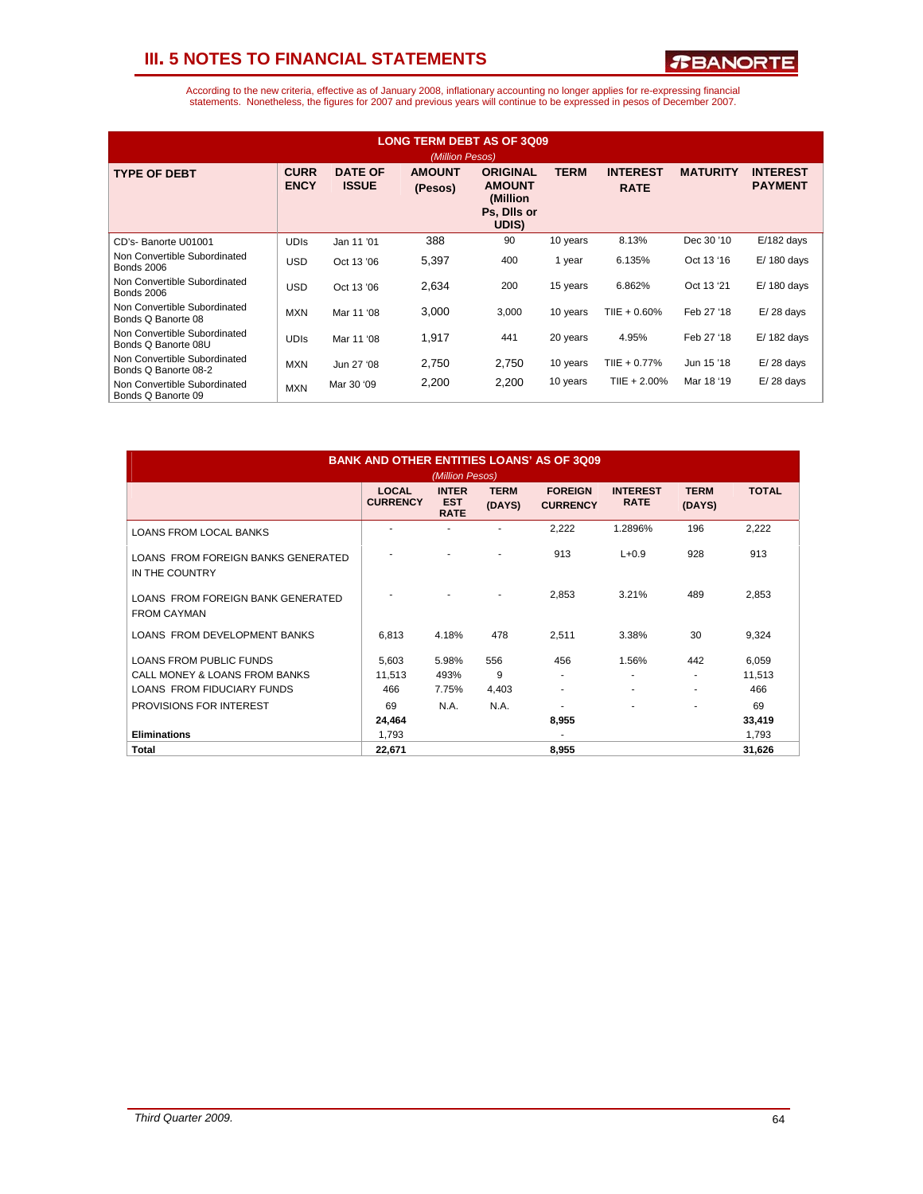

| <b>LONG TERM DEBT AS OF 3Q09</b><br>(Million Pesos)  |                            |                                |                          |                                                                      |             |                                |                 |                                   |
|------------------------------------------------------|----------------------------|--------------------------------|--------------------------|----------------------------------------------------------------------|-------------|--------------------------------|-----------------|-----------------------------------|
| <b>TYPE OF DEBT</b>                                  | <b>CURR</b><br><b>ENCY</b> | <b>DATE OF</b><br><b>ISSUE</b> | <b>AMOUNT</b><br>(Pesos) | <b>ORIGINAL</b><br><b>AMOUNT</b><br>(Million<br>Ps, Dils or<br>UDIS) | <b>TERM</b> | <b>INTEREST</b><br><b>RATE</b> | <b>MATURITY</b> | <b>INTEREST</b><br><b>PAYMENT</b> |
| CD's- Banorte U01001                                 | <b>UDIS</b>                | Jan 11 '01                     | 388                      | 90                                                                   | 10 years    | 8.13%                          | Dec 30 '10      | $E/182$ days                      |
| Non Convertible Subordinated<br><b>Bonds 2006</b>    | <b>USD</b>                 | Oct 13 '06                     | 5,397                    | 400                                                                  | 1 year      | 6.135%                         | Oct 13 '16      | $E/180$ days                      |
| Non Convertible Subordinated<br><b>Bonds 2006</b>    | <b>USD</b>                 | Oct 13 '06                     | 2,634                    | 200                                                                  | 15 years    | 6.862%                         | Oct 13 '21      | $E/180$ days                      |
| Non Convertible Subordinated<br>Bonds Q Banorte 08   | <b>MXN</b>                 | Mar 11 '08                     | 3,000                    | 3,000                                                                | 10 years    | TIIE + $0.60\%$                | Feb 27 '18      | $E/28$ days                       |
| Non Convertible Subordinated<br>Bonds Q Banorte 08U  | <b>UDIS</b>                | Mar 11 '08                     | 1,917                    | 441                                                                  | 20 years    | 4.95%                          | Feb 27 '18      | $E/182$ days                      |
| Non Convertible Subordinated<br>Bonds Q Banorte 08-2 | <b>MXN</b>                 | Jun 27 '08                     | 2,750                    | 2,750                                                                | 10 years    | TIIE + $0.77%$                 | Jun 15 '18      | $E/28$ days                       |
| Non Convertible Subordinated<br>Bonds Q Banorte 09   | <b>MXN</b>                 | Mar 30 '09                     | 2,200                    | 2,200                                                                | 10 years    | TIIE + $2.00\%$                | Mar 18 '19      | $E/28$ days                       |

| <b>BANK AND OTHER ENTITIES LOANS' AS OF 3Q09</b><br>(Million Pesos)                                  |                                 |                                           |                       |                                   |                                |                       |                        |
|------------------------------------------------------------------------------------------------------|---------------------------------|-------------------------------------------|-----------------------|-----------------------------------|--------------------------------|-----------------------|------------------------|
|                                                                                                      | <b>LOCAL</b><br><b>CURRENCY</b> | <b>INTER</b><br><b>EST</b><br><b>RATE</b> | <b>TERM</b><br>(DAYS) | <b>FORFIGN</b><br><b>CURRENCY</b> | <b>INTEREST</b><br><b>RATE</b> | <b>TERM</b><br>(DAYS) | <b>TOTAL</b>           |
| <b>LOANS FROM LOCAL BANKS</b>                                                                        |                                 |                                           |                       | 2,222                             | 1.2896%                        | 196                   | 2,222                  |
| LOANS FROM FOREIGN BANKS GENERATED<br>IN THE COUNTRY                                                 |                                 |                                           |                       | 913                               | $L + 0.9$                      | 928                   | 913                    |
| LOANS FROM FOREIGN BANK GENERATED<br><b>FROM CAYMAN</b>                                              |                                 |                                           |                       | 2,853                             | 3.21%                          | 489                   | 2,853                  |
| LOANS FROM DEVELOPMENT BANKS                                                                         | 6,813                           | 4.18%                                     | 478                   | 2,511                             | 3.38%                          | 30                    | 9,324                  |
| <b>LOANS FROM PUBLIC FUNDS</b><br>CALL MONEY & LOANS FROM BANKS<br><b>LOANS FROM FIDUCIARY FUNDS</b> | 5,603<br>11.513<br>466          | 5.98%<br>493%<br>7.75%                    | 556<br>9<br>4,403     | 456<br>٠<br>٠                     | 1.56%                          | 442<br>٠<br>٠         | 6,059<br>11,513<br>466 |
| PROVISIONS FOR INTEREST                                                                              | 69<br>24,464                    | N.A.                                      | N.A.                  | ٠<br>8,955                        |                                | ٠                     | 69<br>33,419           |
| <b>Eliminations</b><br>Total                                                                         | 1.793<br>22,671                 |                                           |                       | 8.955                             |                                |                       | 1,793<br>31,626        |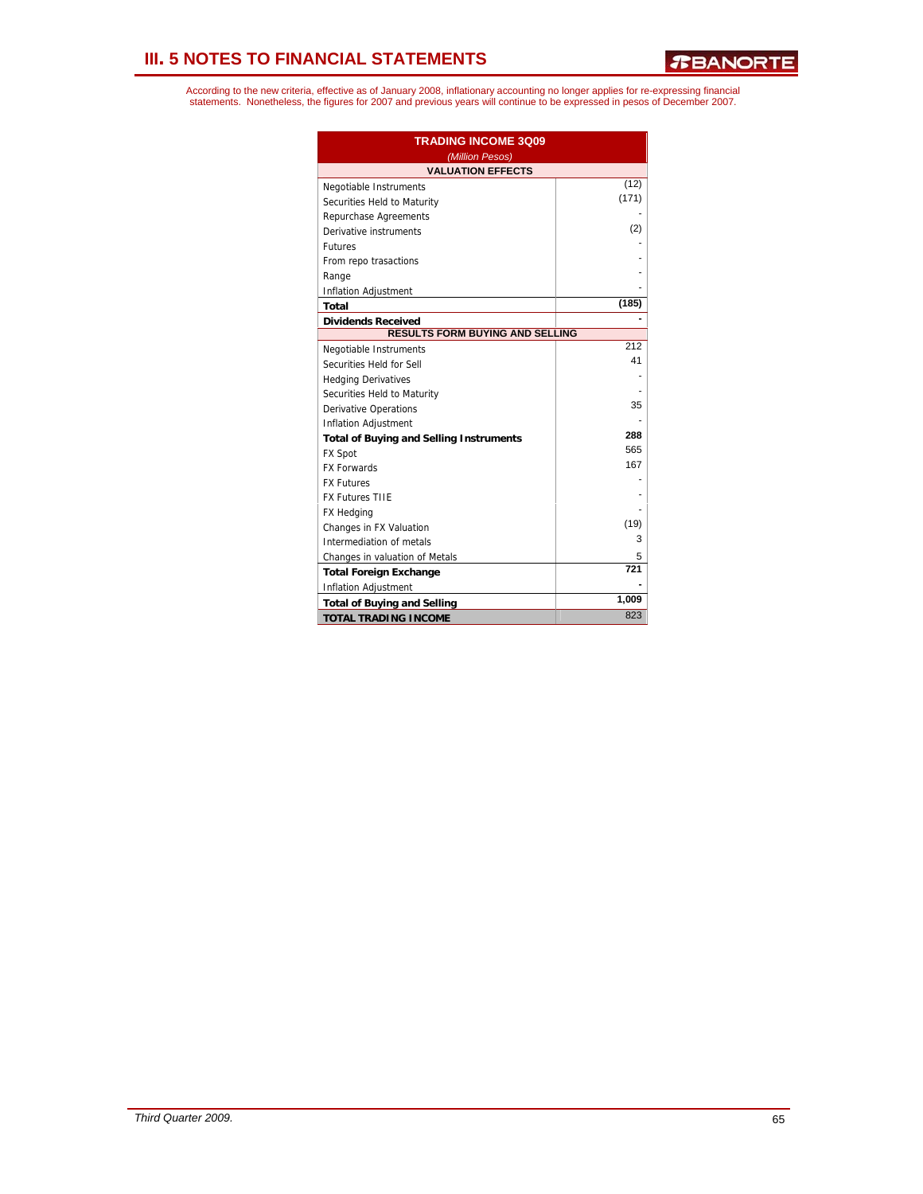| <b>TRADING INCOME 3009</b><br>(Million Pesos)  |       |  |  |  |
|------------------------------------------------|-------|--|--|--|
| <b>VALUATION EFFECTS</b>                       |       |  |  |  |
| Negotiable Instruments                         | (12)  |  |  |  |
| Securities Held to Maturity                    | (171) |  |  |  |
| Repurchase Agreements                          |       |  |  |  |
| Derivative instruments                         | (2)   |  |  |  |
| <b>Futures</b>                                 |       |  |  |  |
| From repo trasactions                          |       |  |  |  |
| Range                                          |       |  |  |  |
| Inflation Adjustment                           |       |  |  |  |
| Total                                          | (185) |  |  |  |
| <b>Dividends Received</b>                      |       |  |  |  |
| <b>RESULTS FORM BUYING AND SELLING</b>         |       |  |  |  |
| Negotiable Instruments                         | 212   |  |  |  |
| Securities Held for Sell                       | 41    |  |  |  |
| <b>Hedging Derivatives</b>                     |       |  |  |  |
| Securities Held to Maturity                    |       |  |  |  |
| <b>Derivative Operations</b>                   | 35    |  |  |  |
| <b>Inflation Adjustment</b>                    |       |  |  |  |
| <b>Total of Buying and Selling Instruments</b> | 288   |  |  |  |
| <b>FX Spot</b>                                 | 565   |  |  |  |
| <b>FX Forwards</b>                             | 167   |  |  |  |
| <b>FX Futures</b>                              |       |  |  |  |
| <b>FX Futures TIIE</b>                         |       |  |  |  |
| FX Hedging                                     |       |  |  |  |
| Changes in FX Valuation                        | (19)  |  |  |  |
| Intermediation of metals                       | 3     |  |  |  |
| Changes in valuation of Metals                 | 5     |  |  |  |
| <b>Total Foreign Exchange</b>                  | 721   |  |  |  |
| Inflation Adjustment                           |       |  |  |  |
| <b>Total of Buying and Selling</b>             | 1,009 |  |  |  |
| <b>TOTAL TRADING INCOME</b>                    | 823   |  |  |  |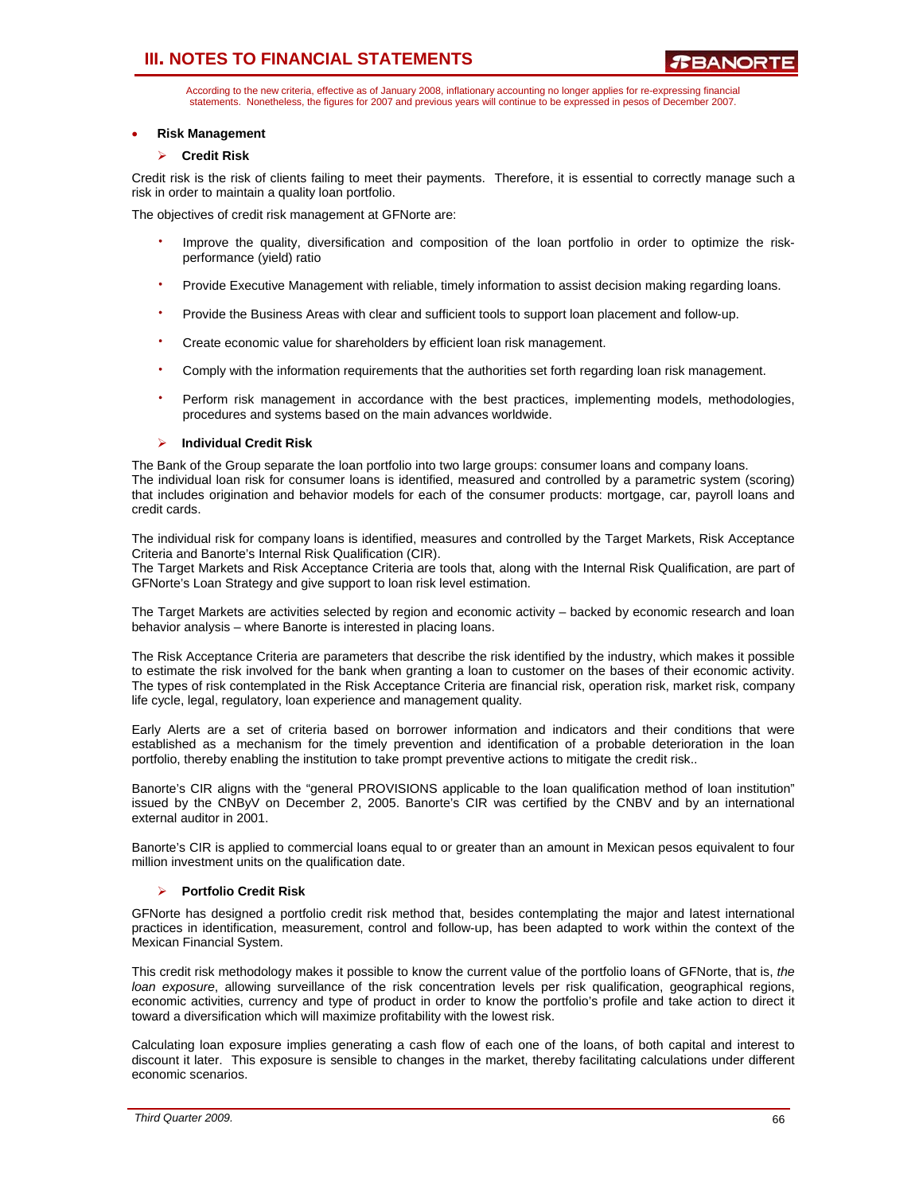According to the new criteria, effective as of January 2008, inflationary accounting no longer applies for re-expressing financial statements. Nonetheless, the figures for 2007 and previous years will continue to be expressed in pesos of December 2007.

#### • **Risk Management**

### ¾ **Credit Risk**

Credit risk is the risk of clients failing to meet their payments. Therefore, it is essential to correctly manage such a risk in order to maintain a quality loan portfolio.

The objectives of credit risk management at GFNorte are:

- Improve the quality, diversification and composition of the loan portfolio in order to optimize the riskperformance (yield) ratio
- Provide Executive Management with reliable, timely information to assist decision making regarding loans.
- Provide the Business Areas with clear and sufficient tools to support loan placement and follow-up.
- Create economic value for shareholders by efficient loan risk management.
- Comply with the information requirements that the authorities set forth regarding loan risk management.
- Perform risk management in accordance with the best practices, implementing models, methodologies, procedures and systems based on the main advances worldwide.

### ¾ **Individual Credit Risk**

The Bank of the Group separate the loan portfolio into two large groups: consumer loans and company loans. The individual loan risk for consumer loans is identified, measured and controlled by a parametric system (scoring) that includes origination and behavior models for each of the consumer products: mortgage, car, payroll loans and credit cards.

The individual risk for company loans is identified, measures and controlled by the Target Markets, Risk Acceptance Criteria and Banorte's Internal Risk Qualification (CIR).

The Target Markets and Risk Acceptance Criteria are tools that, along with the Internal Risk Qualification, are part of GFNorte's Loan Strategy and give support to loan risk level estimation.

The Target Markets are activities selected by region and economic activity – backed by economic research and loan behavior analysis – where Banorte is interested in placing loans.

The Risk Acceptance Criteria are parameters that describe the risk identified by the industry, which makes it possible to estimate the risk involved for the bank when granting a loan to customer on the bases of their economic activity. The types of risk contemplated in the Risk Acceptance Criteria are financial risk, operation risk, market risk, company life cycle, legal, regulatory, loan experience and management quality.

Early Alerts are a set of criteria based on borrower information and indicators and their conditions that were established as a mechanism for the timely prevention and identification of a probable deterioration in the loan portfolio, thereby enabling the institution to take prompt preventive actions to mitigate the credit risk..

Banorte's CIR aligns with the "general PROVISIONS applicable to the loan qualification method of loan institution" issued by the CNByV on December 2, 2005. Banorte's CIR was certified by the CNBV and by an international external auditor in 2001.

Banorte's CIR is applied to commercial loans equal to or greater than an amount in Mexican pesos equivalent to four million investment units on the qualification date.

#### ¾ **Portfolio Credit Risk**

GFNorte has designed a portfolio credit risk method that, besides contemplating the major and latest international practices in identification, measurement, control and follow-up, has been adapted to work within the context of the Mexican Financial System.

This credit risk methodology makes it possible to know the current value of the portfolio loans of GFNorte, that is, *the loan exposure*, allowing surveillance of the risk concentration levels per risk qualification, geographical regions, economic activities, currency and type of product in order to know the portfolio's profile and take action to direct it toward a diversification which will maximize profitability with the lowest risk.

Calculating loan exposure implies generating a cash flow of each one of the loans, of both capital and interest to discount it later. This exposure is sensible to changes in the market, thereby facilitating calculations under different economic scenarios.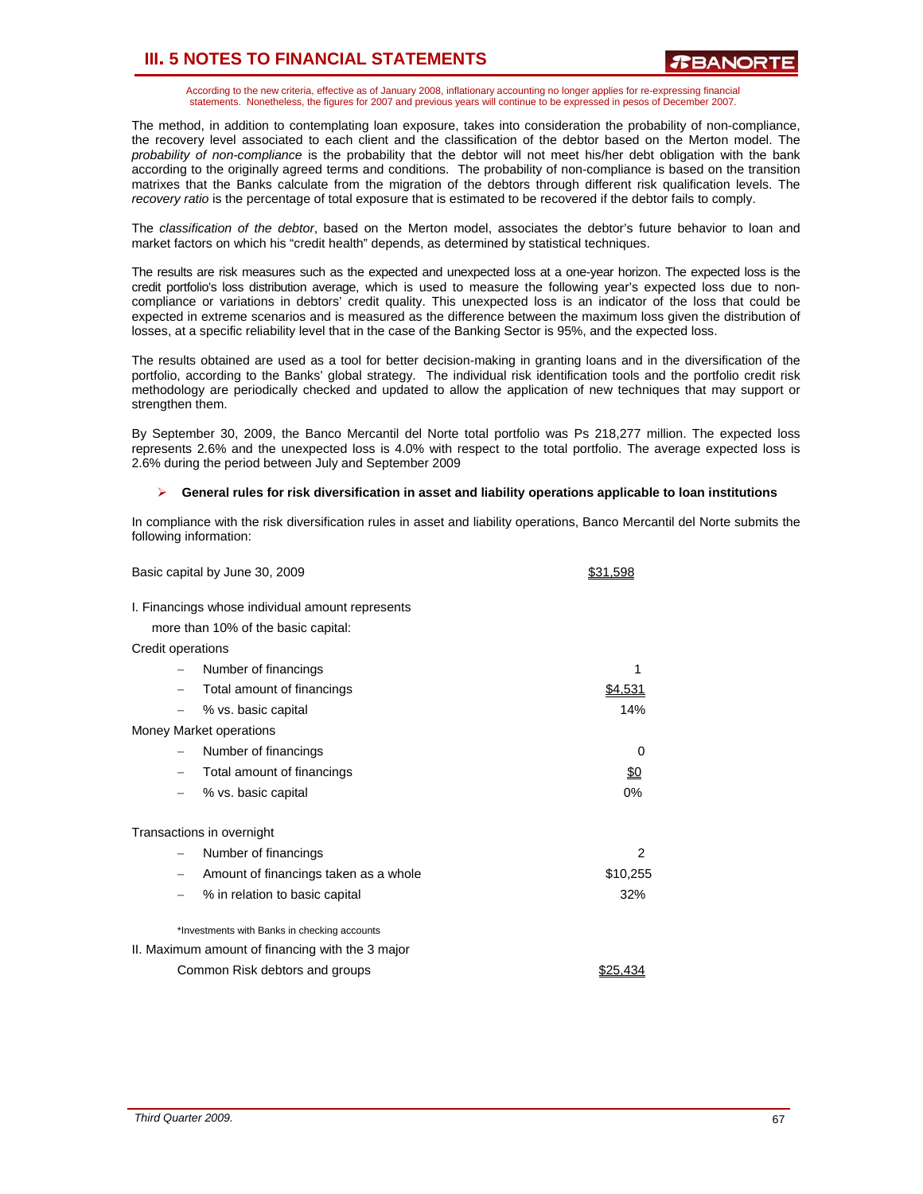According to the new criteria, effective as of January 2008, inflationary accounting no longer applies for re-expressing financial statements. Nonetheless, the figures for 2007 and previous years will continue to be expressed in pesos of December 2007.

The method, in addition to contemplating loan exposure, takes into consideration the probability of non-compliance, the recovery level associated to each client and the classification of the debtor based on the Merton model. The *probability of non-compliance* is the probability that the debtor will not meet his/her debt obligation with the bank according to the originally agreed terms and conditions. The probability of non-compliance is based on the transition matrixes that the Banks calculate from the migration of the debtors through different risk qualification levels. The *recovery ratio* is the percentage of total exposure that is estimated to be recovered if the debtor fails to comply.

The *classification of the debtor*, based on the Merton model, associates the debtor's future behavior to loan and market factors on which his "credit health" depends, as determined by statistical techniques.

The results are risk measures such as the expected and unexpected loss at a one-year horizon. The expected loss is the credit portfolio's loss distribution average, which is used to measure the following year's expected loss due to noncompliance or variations in debtors' credit quality. This unexpected loss is an indicator of the loss that could be expected in extreme scenarios and is measured as the difference between the maximum loss given the distribution of losses, at a specific reliability level that in the case of the Banking Sector is 95%, and the expected loss.

The results obtained are used as a tool for better decision-making in granting loans and in the diversification of the portfolio, according to the Banks' global strategy. The individual risk identification tools and the portfolio credit risk methodology are periodically checked and updated to allow the application of new techniques that may support or strengthen them.

By September 30, 2009, the Banco Mercantil del Norte total portfolio was Ps 218,277 million. The expected loss represents 2.6% and the unexpected loss is 4.0% with respect to the total portfolio. The average expected loss is 2.6% during the period between July and September 2009

#### ¾ **General rules for risk diversification in asset and liability operations applicable to loan institutions**

In compliance with the risk diversification rules in asset and liability operations, Banco Mercantil del Norte submits the following information:

|                          | Basic capital by June 30, 2009                                                          | \$31.598   |
|--------------------------|-----------------------------------------------------------------------------------------|------------|
|                          | I. Financings whose individual amount represents<br>more than 10% of the basic capital: |            |
| Credit operations        |                                                                                         |            |
|                          | Number of financings                                                                    | 1          |
|                          | Total amount of financings                                                              | \$4.531    |
|                          | % vs. basic capital                                                                     | 14%        |
|                          | Money Market operations                                                                 |            |
|                          | Number of financings                                                                    | 0          |
| $\overline{\phantom{0}}$ | Total amount of financings                                                              | <u>\$0</u> |
|                          | % vs. basic capital                                                                     | 0%         |
|                          | Transactions in overnight                                                               |            |
| $\overline{\phantom{0}}$ | Number of financings                                                                    | 2          |
| $\qquad \qquad -$        | Amount of financings taken as a whole                                                   | \$10,255   |
| $\overline{\phantom{0}}$ | % in relation to basic capital                                                          | 32%        |
|                          | *Investments with Banks in checking accounts                                            |            |
|                          | II. Maximum amount of financing with the 3 major                                        |            |
|                          | Common Risk debtors and groups                                                          | \$25.43    |
|                          |                                                                                         |            |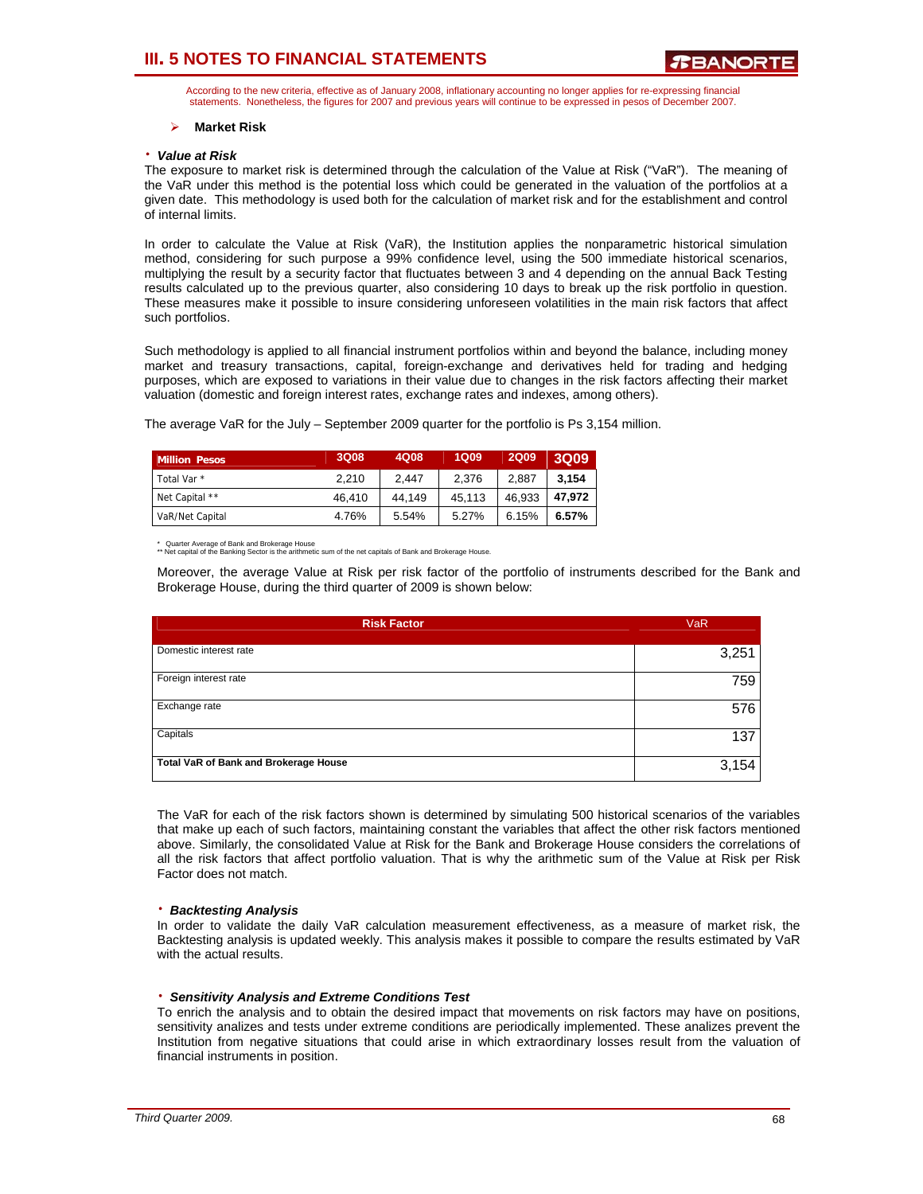According to the new criteria, effective as of January 2008, inflationary accounting no longer applies for re-expressing financial statements. Nonetheless, the figures for 2007 and previous years will continue to be expressed in pesos of December 2007.

#### ¾ **Market Risk**

#### ⋅ *Value at Risk*

The exposure to market risk is determined through the calculation of the Value at Risk ("VaR"). The meaning of the VaR under this method is the potential loss which could be generated in the valuation of the portfolios at a given date. This methodology is used both for the calculation of market risk and for the establishment and control of internal limits.

In order to calculate the Value at Risk (VaR), the Institution applies the nonparametric historical simulation method, considering for such purpose a 99% confidence level, using the 500 immediate historical scenarios, multiplying the result by a security factor that fluctuates between 3 and 4 depending on the annual Back Testing results calculated up to the previous quarter, also considering 10 days to break up the risk portfolio in question. These measures make it possible to insure considering unforeseen volatilities in the main risk factors that affect such portfolios.

Such methodology is applied to all financial instrument portfolios within and beyond the balance, including money market and treasury transactions, capital, foreign-exchange and derivatives held for trading and hedging purposes, which are exposed to variations in their value due to changes in the risk factors affecting their market valuation (domestic and foreign interest rates, exchange rates and indexes, among others).

The average VaR for the July – September 2009 quarter for the portfolio is Ps 3,154 million.

| <b>Million Pesos</b>   | 3Q08   | 4Q08   | <b>1Q09</b> | <b>2Q09</b> | <b>3Q09</b> |
|------------------------|--------|--------|-------------|-------------|-------------|
| Total Var <sup>*</sup> | 2.210  | 2.447  | 2.376       | 2.887       | 3.154       |
| Net Capital **         | 46,410 | 44.149 | 45.113      | 46,933      | 47.972      |
| VaR/Net Capital        | 4.76%  | 5.54%  | 5.27%       | 6.15%       | 6.57%       |

\* Quarter Average of Bank and Brokerage House \*\* Net capital of the Banking Sector is the arithmetic sum of the net capitals of Bank and Brokerage House.

Moreover, the average Value at Risk per risk factor of the portfolio of instruments described for the Bank and Brokerage House, during the third quarter of 2009 is shown below:

| <b>Risk Factor</b>                    | <b>VaR</b> |
|---------------------------------------|------------|
| Domestic interest rate                | 3,251      |
| Foreign interest rate                 | 759        |
| Exchange rate                         | 576        |
| Capitals                              | 137        |
| Total VaR of Bank and Brokerage House | 3,154      |

The VaR for each of the risk factors shown is determined by simulating 500 historical scenarios of the variables that make up each of such factors, maintaining constant the variables that affect the other risk factors mentioned above. Similarly, the consolidated Value at Risk for the Bank and Brokerage House considers the correlations of all the risk factors that affect portfolio valuation. That is why the arithmetic sum of the Value at Risk per Risk Factor does not match.

#### ⋅ *Backtesting Analysis*

In order to validate the daily VaR calculation measurement effectiveness, as a measure of market risk, the Backtesting analysis is updated weekly. This analysis makes it possible to compare the results estimated by VaR with the actual results.

#### ⋅ *Sensitivity Analysis and Extreme Conditions Test*

To enrich the analysis and to obtain the desired impact that movements on risk factors may have on positions, sensitivity analizes and tests under extreme conditions are periodically implemented. These analizes prevent the Institution from negative situations that could arise in which extraordinary losses result from the valuation of financial instruments in position.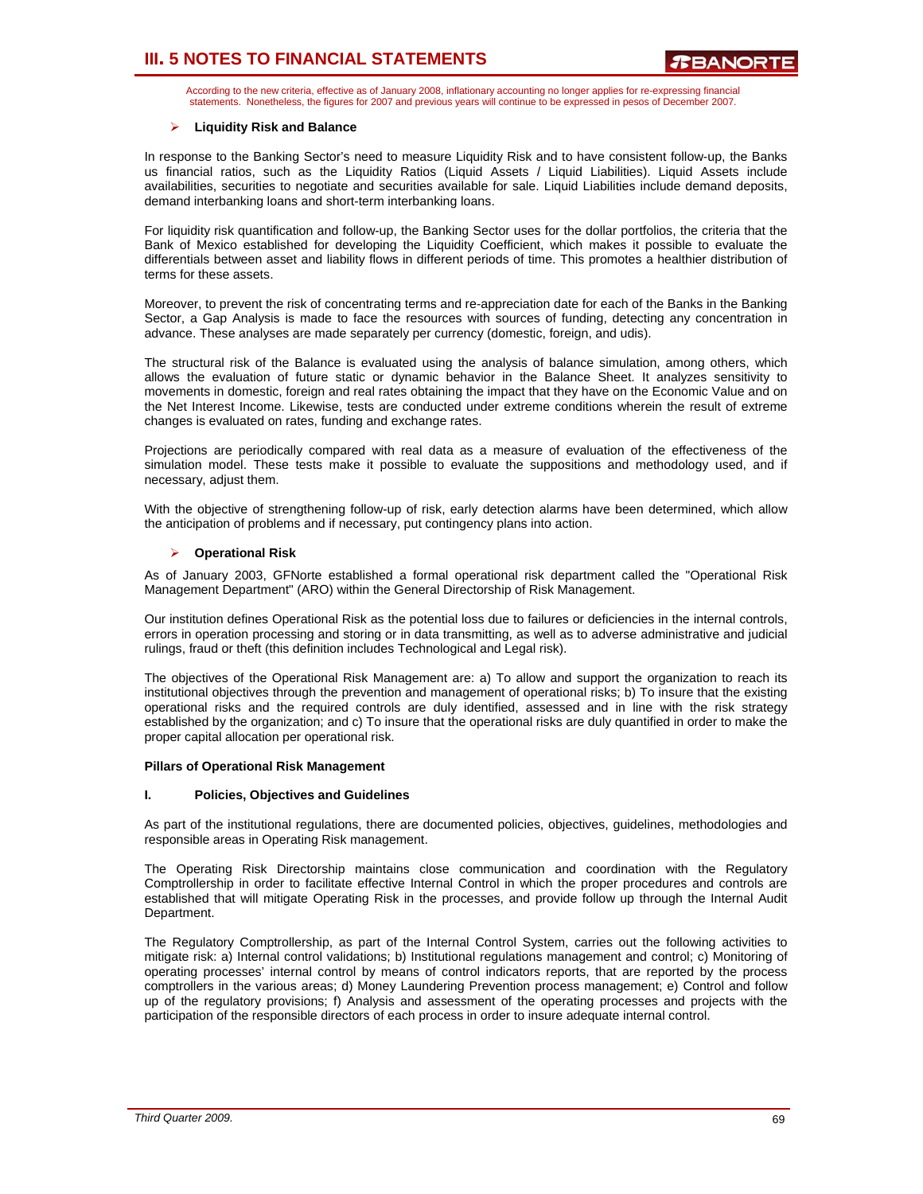According to the new criteria, effective as of January 2008, inflationary accounting no longer applies for re-expressing financial statements. Nonetheless, the figures for 2007 and previous years will continue to be expressed in pesos of December 2007.

### ¾ **Liquidity Risk and Balance**

In response to the Banking Sector's need to measure Liquidity Risk and to have consistent follow-up, the Banks us financial ratios, such as the Liquidity Ratios (Liquid Assets / Liquid Liabilities). Liquid Assets include availabilities, securities to negotiate and securities available for sale. Liquid Liabilities include demand deposits, demand interbanking loans and short-term interbanking loans.

For liquidity risk quantification and follow-up, the Banking Sector uses for the dollar portfolios, the criteria that the Bank of Mexico established for developing the Liquidity Coefficient, which makes it possible to evaluate the differentials between asset and liability flows in different periods of time. This promotes a healthier distribution of terms for these assets.

Moreover, to prevent the risk of concentrating terms and re-appreciation date for each of the Banks in the Banking Sector, a Gap Analysis is made to face the resources with sources of funding, detecting any concentration in advance. These analyses are made separately per currency (domestic, foreign, and udis).

The structural risk of the Balance is evaluated using the analysis of balance simulation, among others, which allows the evaluation of future static or dynamic behavior in the Balance Sheet. It analyzes sensitivity to movements in domestic, foreign and real rates obtaining the impact that they have on the Economic Value and on the Net Interest Income. Likewise, tests are conducted under extreme conditions wherein the result of extreme changes is evaluated on rates, funding and exchange rates.

Projections are periodically compared with real data as a measure of evaluation of the effectiveness of the simulation model. These tests make it possible to evaluate the suppositions and methodology used, and if necessary, adjust them.

With the objective of strengthening follow-up of risk, early detection alarms have been determined, which allow the anticipation of problems and if necessary, put contingency plans into action.

### ¾ **Operational Risk**

As of January 2003, GFNorte established a formal operational risk department called the "Operational Risk Management Department" (ARO) within the General Directorship of Risk Management.

Our institution defines Operational Risk as the potential loss due to failures or deficiencies in the internal controls, errors in operation processing and storing or in data transmitting, as well as to adverse administrative and judicial rulings, fraud or theft (this definition includes Technological and Legal risk).

The objectives of the Operational Risk Management are: a) To allow and support the organization to reach its institutional objectives through the prevention and management of operational risks; b) To insure that the existing operational risks and the required controls are duly identified, assessed and in line with the risk strategy established by the organization; and c) To insure that the operational risks are duly quantified in order to make the proper capital allocation per operational risk.

#### **Pillars of Operational Risk Management**

#### **I. Policies, Objectives and Guidelines**

As part of the institutional regulations, there are documented policies, objectives, guidelines, methodologies and responsible areas in Operating Risk management.

The Operating Risk Directorship maintains close communication and coordination with the Regulatory Comptrollership in order to facilitate effective Internal Control in which the proper procedures and controls are established that will mitigate Operating Risk in the processes, and provide follow up through the Internal Audit Department.

The Regulatory Comptrollership, as part of the Internal Control System, carries out the following activities to mitigate risk: a) Internal control validations; b) Institutional regulations management and control; c) Monitoring of operating processes' internal control by means of control indicators reports, that are reported by the process comptrollers in the various areas; d) Money Laundering Prevention process management; e) Control and follow up of the regulatory provisions; f) Analysis and assessment of the operating processes and projects with the participation of the responsible directors of each process in order to insure adequate internal control.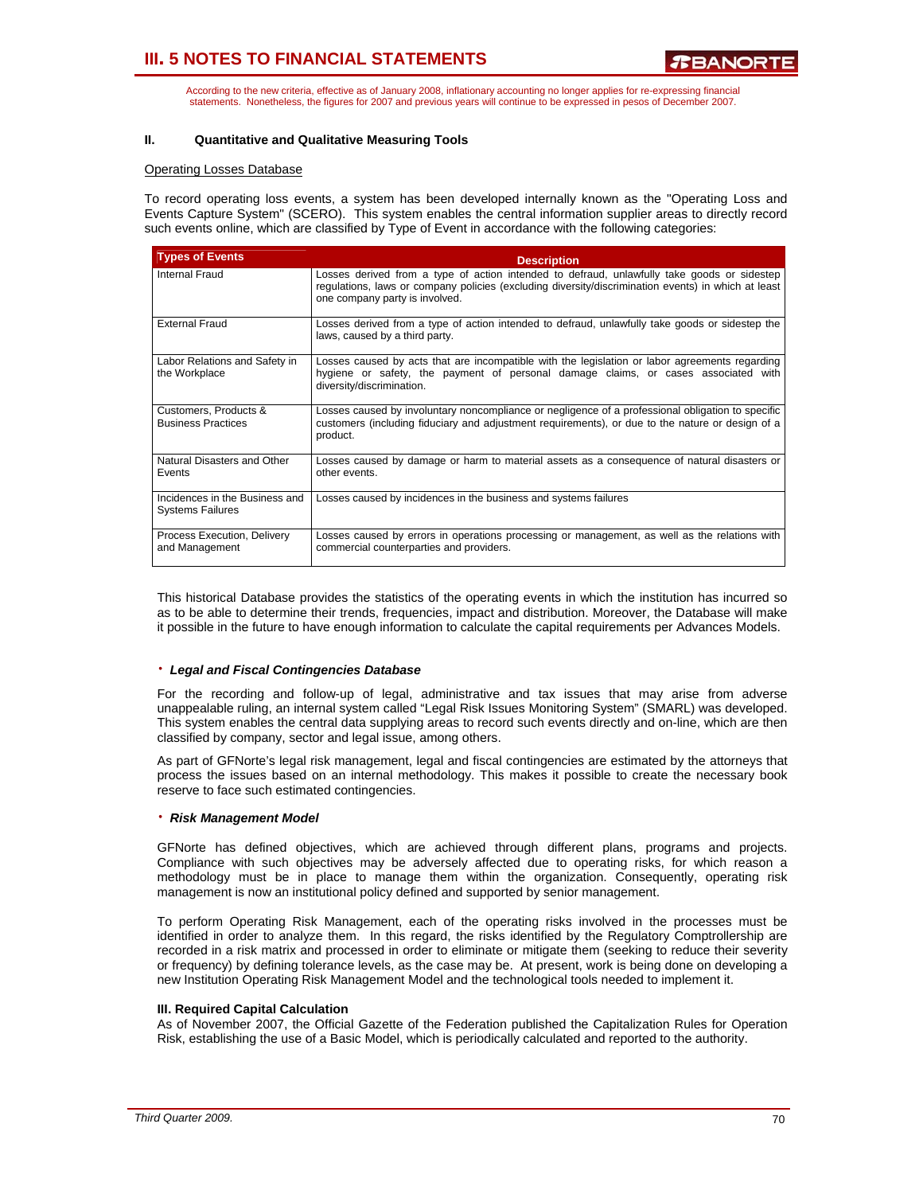According to the new criteria, effective as of January 2008, inflationary accounting no longer applies for re-expressing financial statements. Nonetheless, the figures for 2007 and previous years will continue to be expressed in pesos of December 2007.

### **II. Quantitative and Qualitative Measuring Tools**

#### Operating Losses Database

To record operating loss events, a system has been developed internally known as the "Operating Loss and Events Capture System" (SCERO). This system enables the central information supplier areas to directly record such events online, which are classified by Type of Event in accordance with the following categories:

| <b>Types of Events</b>                                    | <b>Description</b>                                                                                                                                                                                                                   |
|-----------------------------------------------------------|--------------------------------------------------------------------------------------------------------------------------------------------------------------------------------------------------------------------------------------|
| Internal Fraud                                            | Losses derived from a type of action intended to defraud, unlawfully take goods or sidestep<br>regulations, laws or company policies (excluding diversity/discrimination events) in which at least<br>one company party is involved. |
| <b>External Fraud</b>                                     | Losses derived from a type of action intended to defraud, unlawfully take goods or sidestep the<br>laws, caused by a third party.                                                                                                    |
| Labor Relations and Safety in<br>the Workplace            | Losses caused by acts that are incompatible with the legislation or labor agreements regarding<br>hygiene or safety, the payment of personal damage claims, or cases associated with<br>diversity/discrimination.                    |
| Customers, Products &<br><b>Business Practices</b>        | Losses caused by involuntary noncompliance or negligence of a professional obligation to specific<br>customers (including fiduciary and adjustment requirements), or due to the nature or design of a<br>product.                    |
| Natural Disasters and Other<br>Events                     | Losses caused by damage or harm to material assets as a consequence of natural disasters or<br>other events.                                                                                                                         |
| Incidences in the Business and<br><b>Systems Failures</b> | Losses caused by incidences in the business and systems failures                                                                                                                                                                     |
| Process Execution, Delivery<br>and Management             | Losses caused by errors in operations processing or management, as well as the relations with<br>commercial counterparties and providers.                                                                                            |

This historical Database provides the statistics of the operating events in which the institution has incurred so as to be able to determine their trends, frequencies, impact and distribution. Moreover, the Database will make it possible in the future to have enough information to calculate the capital requirements per Advances Models.

#### ⋅ *Legal and Fiscal Contingencies Database*

For the recording and follow-up of legal, administrative and tax issues that may arise from adverse unappealable ruling, an internal system called "Legal Risk Issues Monitoring System" (SMARL) was developed. This system enables the central data supplying areas to record such events directly and on-line, which are then classified by company, sector and legal issue, among others.

As part of GFNorte's legal risk management, legal and fiscal contingencies are estimated by the attorneys that process the issues based on an internal methodology. This makes it possible to create the necessary book reserve to face such estimated contingencies.

#### ⋅ *Risk Management Model*

GFNorte has defined objectives, which are achieved through different plans, programs and projects. Compliance with such objectives may be adversely affected due to operating risks, for which reason a methodology must be in place to manage them within the organization. Consequently, operating risk management is now an institutional policy defined and supported by senior management.

To perform Operating Risk Management, each of the operating risks involved in the processes must be identified in order to analyze them. In this regard, the risks identified by the Regulatory Comptrollership are recorded in a risk matrix and processed in order to eliminate or mitigate them (seeking to reduce their severity or frequency) by defining tolerance levels, as the case may be. At present, work is being done on developing a new Institution Operating Risk Management Model and the technological tools needed to implement it.

#### **III. Required Capital Calculation**

As of November 2007, the Official Gazette of the Federation published the Capitalization Rules for Operation Risk, establishing the use of a Basic Model, which is periodically calculated and reported to the authority.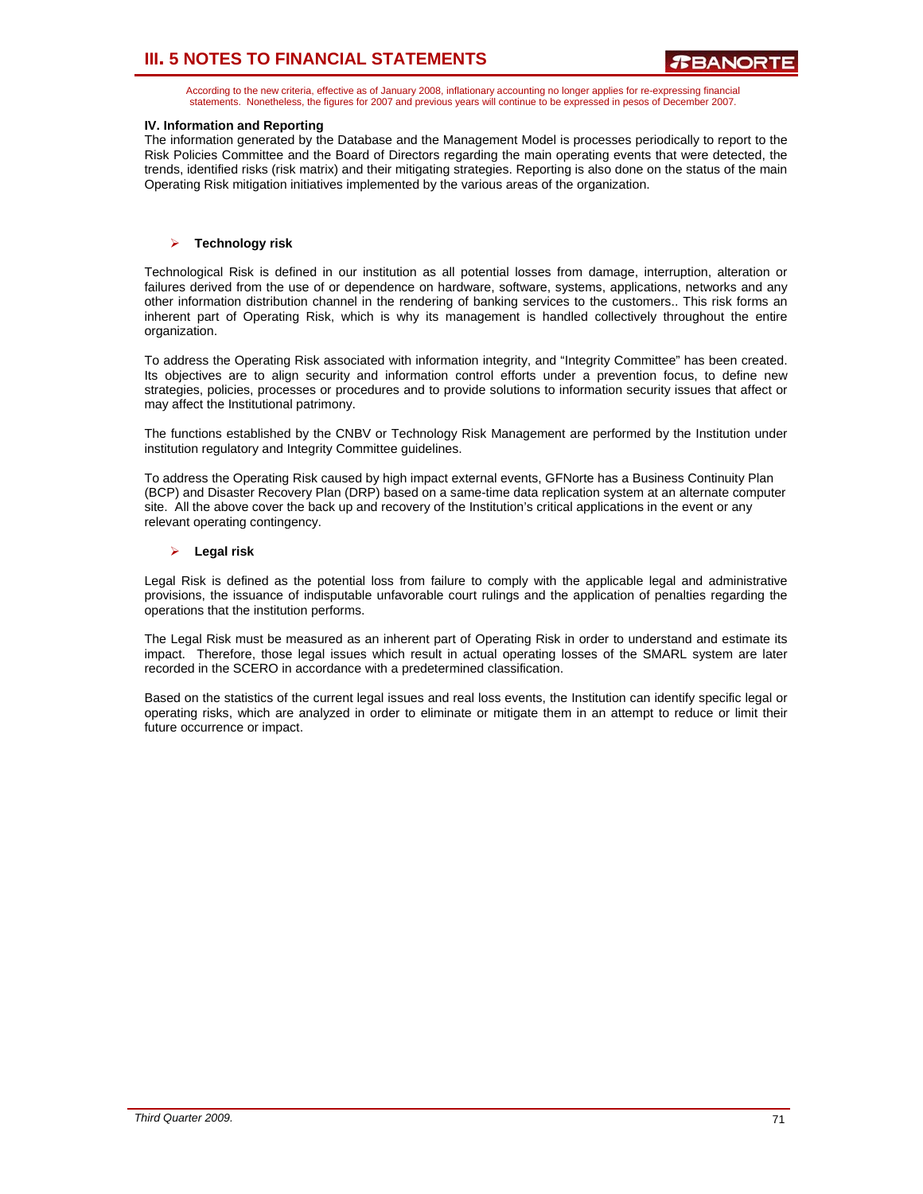According to the new criteria, effective as of January 2008, inflationary accounting no longer applies for re-expressing financial statements. Nonetheless, the figures for 2007 and previous years will continue to be expressed in pesos of December 2007.

### **IV. Information and Reporting**

The information generated by the Database and the Management Model is processes periodically to report to the Risk Policies Committee and the Board of Directors regarding the main operating events that were detected, the trends, identified risks (risk matrix) and their mitigating strategies. Reporting is also done on the status of the main Operating Risk mitigation initiatives implemented by the various areas of the organization.

### ¾ **Technology risk**

Technological Risk is defined in our institution as all potential losses from damage, interruption, alteration or failures derived from the use of or dependence on hardware, software, systems, applications, networks and any other information distribution channel in the rendering of banking services to the customers.. This risk forms an inherent part of Operating Risk, which is why its management is handled collectively throughout the entire organization.

To address the Operating Risk associated with information integrity, and "Integrity Committee" has been created. Its objectives are to align security and information control efforts under a prevention focus, to define new strategies, policies, processes or procedures and to provide solutions to information security issues that affect or may affect the Institutional patrimony.

The functions established by the CNBV or Technology Risk Management are performed by the Institution under institution regulatory and Integrity Committee guidelines.

To address the Operating Risk caused by high impact external events, GFNorte has a Business Continuity Plan (BCP) and Disaster Recovery Plan (DRP) based on a same-time data replication system at an alternate computer site. All the above cover the back up and recovery of the Institution's critical applications in the event or any relevant operating contingency.

#### ¾ **Legal risk**

Legal Risk is defined as the potential loss from failure to comply with the applicable legal and administrative provisions, the issuance of indisputable unfavorable court rulings and the application of penalties regarding the operations that the institution performs.

The Legal Risk must be measured as an inherent part of Operating Risk in order to understand and estimate its impact. Therefore, those legal issues which result in actual operating losses of the SMARL system are later recorded in the SCERO in accordance with a predetermined classification.

Based on the statistics of the current legal issues and real loss events, the Institution can identify specific legal or operating risks, which are analyzed in order to eliminate or mitigate them in an attempt to reduce or limit their future occurrence or impact.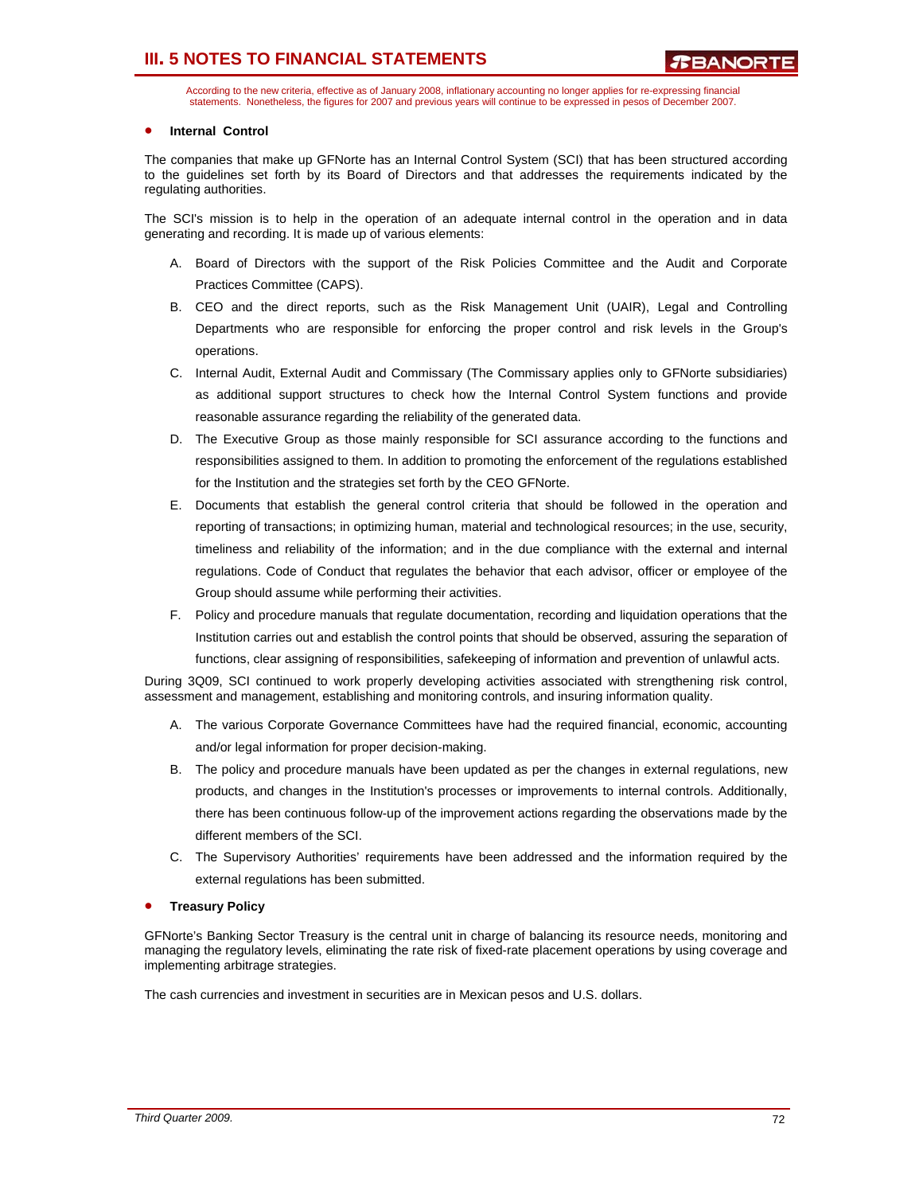According to the new criteria, effective as of January 2008, inflationary accounting no longer applies for re-expressing financial statements. Nonetheless, the figures for 2007 and previous years will continue to be expressed in pesos of December 2007.

### • **Internal Control**

The companies that make up GFNorte has an Internal Control System (SCI) that has been structured according to the guidelines set forth by its Board of Directors and that addresses the requirements indicated by the regulating authorities.

The SCI's mission is to help in the operation of an adequate internal control in the operation and in data generating and recording. It is made up of various elements:

- A. Board of Directors with the support of the Risk Policies Committee and the Audit and Corporate Practices Committee (CAPS).
- B. CEO and the direct reports, such as the Risk Management Unit (UAIR), Legal and Controlling Departments who are responsible for enforcing the proper control and risk levels in the Group's operations.
- C. Internal Audit, External Audit and Commissary (The Commissary applies only to GFNorte subsidiaries) as additional support structures to check how the Internal Control System functions and provide reasonable assurance regarding the reliability of the generated data.
- D. The Executive Group as those mainly responsible for SCI assurance according to the functions and responsibilities assigned to them. In addition to promoting the enforcement of the regulations established for the Institution and the strategies set forth by the CEO GFNorte.
- E. Documents that establish the general control criteria that should be followed in the operation and reporting of transactions; in optimizing human, material and technological resources; in the use, security, timeliness and reliability of the information; and in the due compliance with the external and internal regulations. Code of Conduct that regulates the behavior that each advisor, officer or employee of the Group should assume while performing their activities.
- F. Policy and procedure manuals that regulate documentation, recording and liquidation operations that the Institution carries out and establish the control points that should be observed, assuring the separation of functions, clear assigning of responsibilities, safekeeping of information and prevention of unlawful acts.

During 3Q09, SCI continued to work properly developing activities associated with strengthening risk control, assessment and management, establishing and monitoring controls, and insuring information quality.

- A. The various Corporate Governance Committees have had the required financial, economic, accounting and/or legal information for proper decision-making.
- B. The policy and procedure manuals have been updated as per the changes in external regulations, new products, and changes in the Institution's processes or improvements to internal controls. Additionally, there has been continuous follow-up of the improvement actions regarding the observations made by the different members of the SCI.
- C. The Supervisory Authorities' requirements have been addressed and the information required by the external regulations has been submitted.

### • **Treasury Policy**

GFNorte's Banking Sector Treasury is the central unit in charge of balancing its resource needs, monitoring and managing the regulatory levels, eliminating the rate risk of fixed-rate placement operations by using coverage and implementing arbitrage strategies.

The cash currencies and investment in securities are in Mexican pesos and U.S. dollars.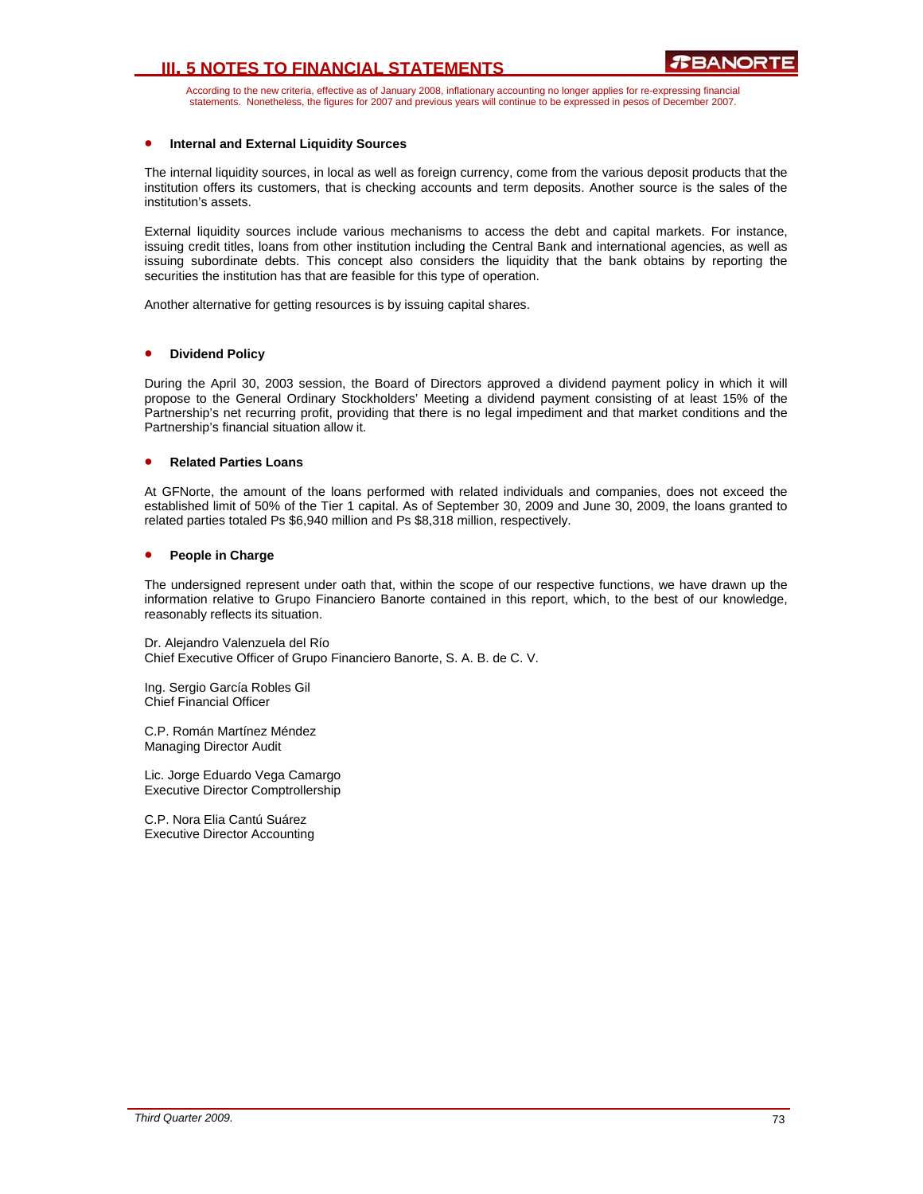# **III. 5 NOTES TO FINANCIAL STATEMENTS**

According to the new criteria, effective as of January 2008, inflationary accounting no longer applies for re-expressing financial statements. Nonetheless, the figures for 2007 and previous years will continue to be expressed in pesos of December 2007.

#### • **Internal and External Liquidity Sources**

The internal liquidity sources, in local as well as foreign currency, come from the various deposit products that the institution offers its customers, that is checking accounts and term deposits. Another source is the sales of the institution's assets.

External liquidity sources include various mechanisms to access the debt and capital markets. For instance, issuing credit titles, loans from other institution including the Central Bank and international agencies, as well as issuing subordinate debts. This concept also considers the liquidity that the bank obtains by reporting the securities the institution has that are feasible for this type of operation.

Another alternative for getting resources is by issuing capital shares.

#### • **Dividend Policy**

During the April 30, 2003 session, the Board of Directors approved a dividend payment policy in which it will propose to the General Ordinary Stockholders' Meeting a dividend payment consisting of at least 15% of the Partnership's net recurring profit, providing that there is no legal impediment and that market conditions and the Partnership's financial situation allow it.

#### • **Related Parties Loans**

At GFNorte, the amount of the loans performed with related individuals and companies, does not exceed the established limit of 50% of the Tier 1 capital. As of September 30, 2009 and June 30, 2009, the loans granted to related parties totaled Ps \$6,940 million and Ps \$8,318 million, respectively.

### • **People in Charge**

The undersigned represent under oath that, within the scope of our respective functions, we have drawn up the information relative to Grupo Financiero Banorte contained in this report, which, to the best of our knowledge, reasonably reflects its situation.

Dr. Alejandro Valenzuela del Río Chief Executive Officer of Grupo Financiero Banorte, S. A. B. de C. V.

Ing. Sergio García Robles Gil Chief Financial Officer

C.P. Román Martínez Méndez Managing Director Audit

Lic. Jorge Eduardo Vega Camargo Executive Director Comptrollership

C.P. Nora Elia Cantú Suárez Executive Director Accounting